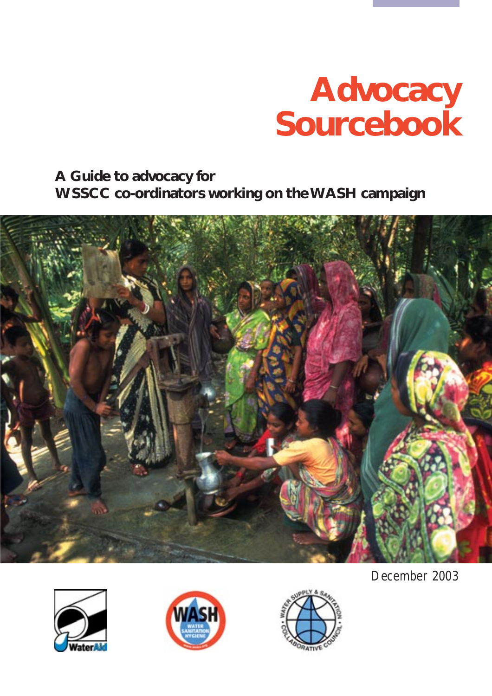# **Advocacy Sourcebook**

**A Guide to advocacy for WSSCC co-ordinators working on the WASH campaign**









December 2003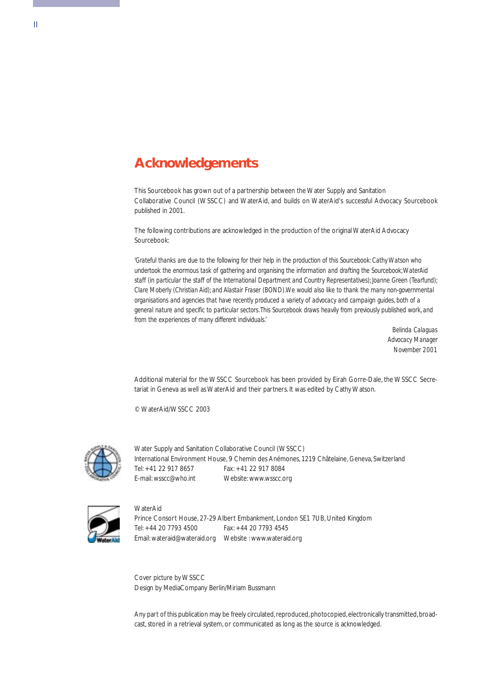## **Acknowledgements**

This Sourcebook has grown out of a partnership between the Water Supply and Sanitation Collaborative Council (WSSCC) and WaterAid, and builds on WaterAid's successful Advocacy Sourcebook published in 2001.

The following contributions are acknowledged in the production of the original WaterAid Advocacy Sourcebook:

*'Grateful thanks are due to the following for their help in the production of this Sourcebook: Cathy Watson who undertook the enormous task of gathering and organising the information and drafting the Sourcebook;WaterAid staff (in particular the staff of the International Department and Country Representatives); Joanne Green (Tearfund); Clare Moberly (Christian Aid); and Alastair Fraser (BOND).We would also like to thank the many non-governmental organisations and agencies that have recently produced a variety of advocacy and campaign guides, both of a general nature and specific to particular sectors.This Sourcebook draws heavily from previously published work, and from the experiences of many different individuals.'*

> *Belinda Calaguas Advocacy Manager November 2001*

Additional material for the WSSCC Sourcebook has been provided by Eirah Gorre-Dale, the WSSCC Secretariat in Geneva as well as WaterAid and their partners. It was edited by Cathy Watson.

© WaterAid/WSSCC 2003



Water Supply and Sanitation Collaborative Council (WSSCC) International Environment House, 9 Chemin des Anémones, 1219 Châtelaine, Geneva, Switzerland Tel: +41 22 917 8657 Fax: +41 22 917 8084 E-mail: wsscc@who.int Website: www.wsscc.org



**WaterAid** Prince Consort House, 27-29 Albert Embankment, London SE1 7UB, United Kingdom Tel: +44 20 7793 4500 Fax: +44 20 7793 4545 Email: wateraid@wateraid.org Website : www.wateraid.org

Cover picture by WSSCC Design by MediaCompany Berlin/Miriam Bussmann

Any part of this publication may be freely circulated, reproduced, photocopied, electronically transmitted, broadcast, stored in a retrieval system, or communicated as long as the source is acknowledged.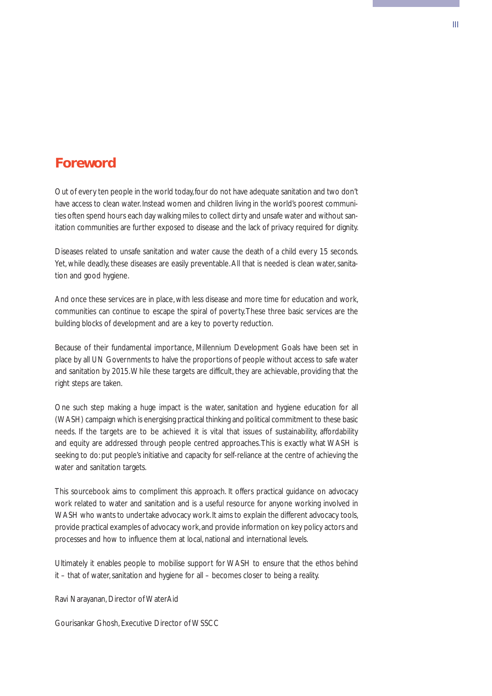### **Foreword**

Out of every ten people in the world today,four do not have adequate sanitation and two don't have access to clean water. Instead women and children living in the world's poorest communities often spend hours each day walking miles to collect dirty and unsafe water and without sanitation communities are further exposed to disease and the lack of privacy required for dignity.

Diseases related to unsafe sanitation and water cause the death of a child every 15 seconds. Yet, while deadly, these diseases are easily preventable. All that is needed is clean water, sanitation and good hygiene.

And once these services are in place, with less disease and more time for education and work, communities can continue to escape the spiral of poverty.These three basic services are the building blocks of development and are a key to poverty reduction.

Because of their fundamental importance, Millennium Development Goals have been set in place by all UN Governments to halve the proportions of people without access to safe water and sanitation by 2015.While these targets are difficult, they are achievable, providing that the right steps are taken.

One such step making a huge impact is the water, sanitation and hygiene education for all (WASH) campaign which is energising practical thinking and political commitment to these basic needs. If the targets are to be achieved it is vital that issues of sustainability, affordability and equity are addressed through people centred approaches.This is exactly what WASH is seeking to do: put people's initiative and capacity for self-reliance at the centre of achieving the water and sanitation targets.

This sourcebook aims to compliment this approach. It offers practical guidance on advocacy work related to water and sanitation and is a useful resource for anyone working involved in WASH who wants to undertake advocacy work. It aims to explain the different advocacy tools, provide practical examples of advocacy work, and provide information on key policy actors and processes and how to influence them at local, national and international levels.

Ultimately it enables people to mobilise support for WASH to ensure that the ethos behind it – that of water, sanitation and hygiene for all – becomes closer to being a reality.

Ravi Narayanan, Director of WaterAid

Gourisankar Ghosh, Executive Director of WSSCC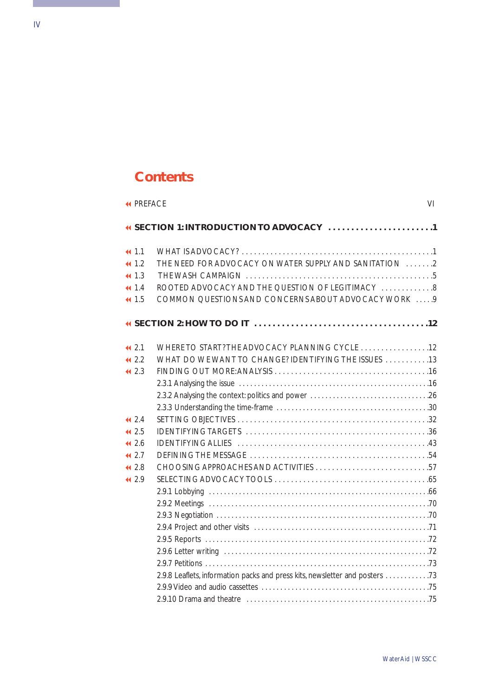## **Contents**

| <b>« PREFACE</b>          | VI                                                                                                       |
|---------------------------|----------------------------------------------------------------------------------------------------------|
|                           |                                                                                                          |
| 41.1<br>41.2<br>41.3      | THE NEED FOR ADVOCACY ON WATER SUPPLY AND SANITATION 2                                                   |
| 41.4<br>41.5              | ROOTED ADVOCACY AND THE QUESTION OF LEGITIMACY 8<br>COMMON QUESTIONS AND CONCERNS ABOUT ADVOCACY WORK  9 |
|                           |                                                                                                          |
| 442.1                     | WHERE TO START? THE ADVOCACY PLANNING CYCLE  12                                                          |
| 442.2<br>442.3            | WHAT DO WE WANT TO CHANGE? IDENTIFYING THE ISSUES  13                                                    |
| 442.4                     |                                                                                                          |
| 442.5<br>41, 2.6<br>442.7 |                                                                                                          |
| 442.8                     |                                                                                                          |
| 442.9                     | 2.9.8 Leaflets, information packs and press kits, newsletter and posters 73                              |

<span id="page-3-0"></span>ı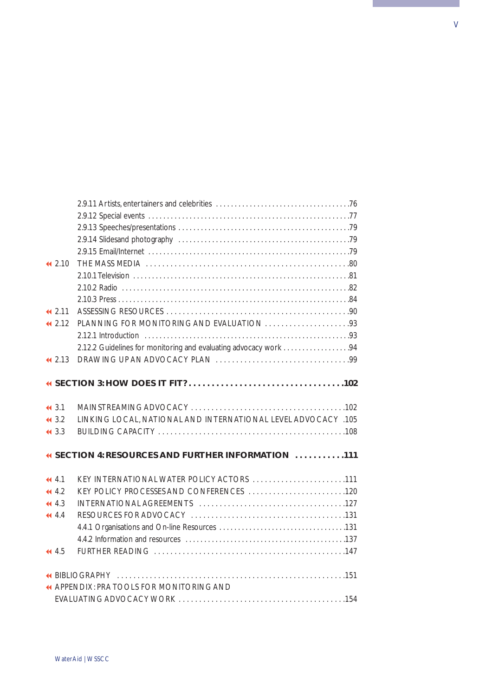| 442.10                                             |                                                                  |  |  |  |  |
|----------------------------------------------------|------------------------------------------------------------------|--|--|--|--|
|                                                    |                                                                  |  |  |  |  |
|                                                    |                                                                  |  |  |  |  |
| 41, 2.11                                           |                                                                  |  |  |  |  |
| 442.12                                             |                                                                  |  |  |  |  |
|                                                    |                                                                  |  |  |  |  |
|                                                    | 2.12.2 Guidelines for monitoring and evaluating advocacy work 94 |  |  |  |  |
| 442.13                                             |                                                                  |  |  |  |  |
|                                                    |                                                                  |  |  |  |  |
| 443.1                                              |                                                                  |  |  |  |  |
| 443.2                                              | LINKING LOCAL, NATIONAL AND INTERNATIONAL LEVEL ADVOCACY .105    |  |  |  |  |
| 443.3                                              |                                                                  |  |  |  |  |
| 4 SECTION 4: RESOURCES AND FURTHER INFORMATION 111 |                                                                  |  |  |  |  |
| 44.1                                               | KEY INTERNATIONAL WATER POLICY ACTORS 111                        |  |  |  |  |
| 44.4.2                                             |                                                                  |  |  |  |  |
| 44.3                                               |                                                                  |  |  |  |  |
| 44.4                                               |                                                                  |  |  |  |  |
|                                                    |                                                                  |  |  |  |  |
| 44.5                                               |                                                                  |  |  |  |  |
|                                                    |                                                                  |  |  |  |  |
|                                                    | <b>« APPENDIX: PRA TOOLS FOR MONITORING AND</b>                  |  |  |  |  |
|                                                    |                                                                  |  |  |  |  |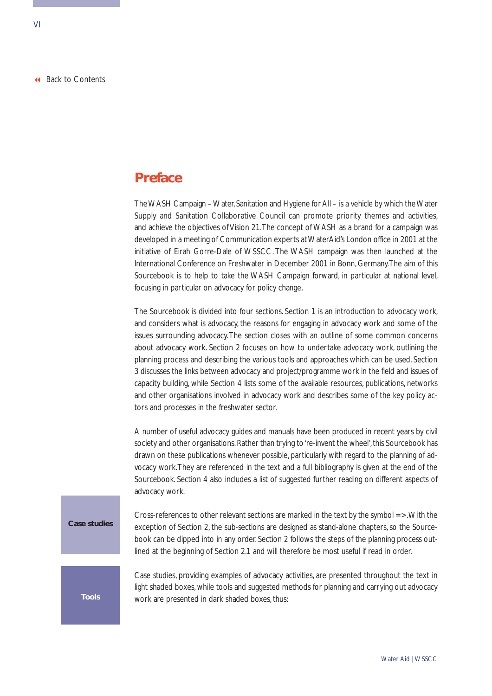## <span id="page-5-0"></span>**Preface**

The WASH Campaign – Water, Sanitation and Hygiene for All – is a vehicle by which the Water Supply and Sanitation Collaborative Council can promote priority themes and activities, and achieve the objectives of Vision 21.The concept of WASH as a brand for a campaign was developed in a meeting of Communication experts at WaterAid's London office in 2001 at the initiative of Eirah Gorre-Dale of WSSCC. The WASH campaign was then launched at the International Conference on Freshwater in December 2001 in Bonn, Germany.The aim of this Sourcebook is to help to take the WASH Campaign forward, in particular at national level, focusing in particular on advocacy for policy change.

The Sourcebook is divided into four sections. Section 1 is an introduction to advocacy work, and considers what is advocacy, the reasons for engaging in advocacy work and some of the issues surrounding advocacy.The section closes with an outline of some common concerns about advocacy work. Section 2 focuses on how to undertake advocacy work, outlining the planning process and describing the various tools and approaches which can be used. Section 3 discusses the links between advocacy and project/programme work in the field and issues of capacity building, while Section 4 lists some of the available resources, publications, networks and other organisations involved in advocacy work and describes some of the key policy actors and processes in the freshwater sector.

A number of useful advocacy guides and manuals have been produced in recent years by civil society and other organisations. Rather than trying to 're-invent the wheel', this Sourcebook has drawn on these publications whenever possible, particularly with regard to the planning of advocacy work.They are referenced in the text and a full bibliography is given at the end of the Sourcebook. Section 4 also includes a list of suggested further reading on different aspects of advocacy work.

**Case studies**

Cross-references to other relevant sections are marked in the text by the symbol =  $>$ . With the exception of Section 2, the sub-sections are designed as stand-alone chapters, so the Sourcebook can be dipped into in any order. Section 2 follows the steps of the planning process outlined at the beginning of Section 2.1 and will therefore be most useful if read in order.

Case studies, providing examples of advocacy activities, are presented throughout the text in light shaded boxes, while tools and suggested methods for planning and carrying out advocacy **Tools** work are presented in dark shaded boxes, thus: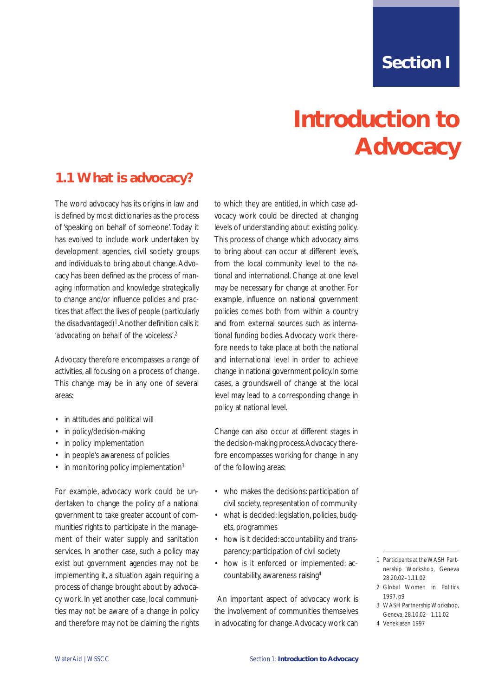## **Introduction to Advocacy**

## <span id="page-6-0"></span>**1.1 What is advocacy?**

The word advocacy has its origins in law and is defined by most dictionaries as the process of 'speaking on behalf of someone'.Today it has evolved to include work undertaken by development agencies, civil society groups and individuals to bring about change.Advocacy has been defined as: *the process of managing information and knowledge strategically to change and/or influence policies and practices that affect the lives of people (particularly the disadvantaged)*<sup>1</sup> .Another definition calls it *'advocating on behalf of the voiceless'*. 2

Advocacy therefore encompasses a range of activities, all focusing on a process of change. This change may be in any one of several areas:

- in attitudes and political will
- in policy/decision-making
- in policy implementation
- in people's awareness of policies
- in monitoring policy implementation<sup>3</sup>

For example, advocacy work could be undertaken to change the policy of a national government to take greater account of communities' rights to participate in the management of their water supply and sanitation services. In another case, such a policy may exist but government agencies may not be implementing it, a situation again requiring a process of change brought about by advocacy work. In yet another case, local communities may not be aware of a change in policy and therefore may not be claiming the rights

to which they are entitled, in which case advocacy work could be directed at changing levels of understanding about existing policy. This process of change which advocacy aims to bring about can occur at different levels, from the local community level to the national and international. Change at one level may be necessary for change at another. For example, influence on national government policies comes both from within a country and from external sources such as international funding bodies. Advocacy work therefore needs to take place at both the national and international level in order to achieve change in national government policy.In some cases, a groundswell of change at the local level may lead to a corresponding change in policy at national level.

Change can also occur at different stages in the decision-making process.Advocacy therefore encompasses working for change in any of the following areas:

- who makes the decisions: participation of civil society, representation of community
- what is decided: legislation, policies, budgets, programmes
- how is it decided: accountability and transparency; participation of civil society
- how is it enforced or implemented: accountability, awareness raising4

An important aspect of advocacy work is the involvement of communities themselves in advocating for change.Advocacy work can

- 1 Participants at the WASH Partnership Workshop, Geneva 28.20.02–1.11.02
- 2 Global Women in Politics 1997, p9
- 3 WASH Partnership Workshop, Geneva, 28.10.02– 1.11.02
- 4 Veneklasen 1997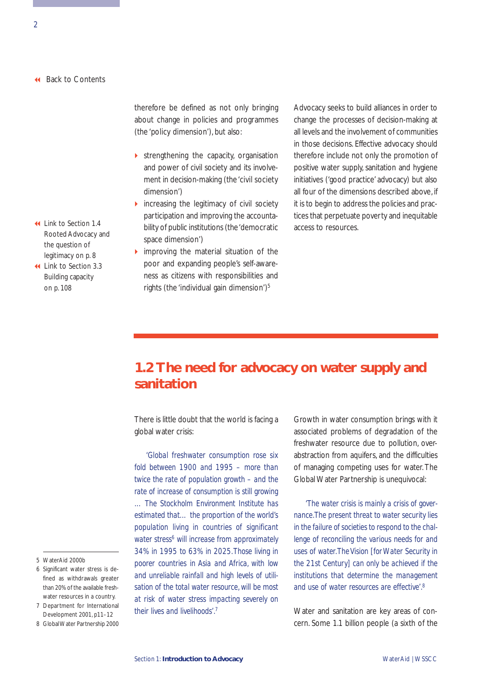<span id="page-7-0"></span>therefore be defined as not only bringing about change in policies and programmes (the 'policy dimension'), but also:

- $\triangleright$  strengthening the capacity, organisation and power of civil society and its involvement in decision-making (the 'civil society dimension')
- $\triangleright$  increasing the legitimacy of civil society participation and improving the accountability of public institutions (the'democratic access to resources. Link to Section 1.4 space dimension')
	- $\triangleright$  improving the material situation of the poor and expanding people's self-awareness as citizens with responsibilities and rights (the 'individual gain dimension') $5$

Advocacy seeks to build alliances in order to change the processes of decision-making at all levels and the involvement of communities in those decisions. Effective advocacy should therefore include not only the promotion of positive water supply, sanitation and hygiene initiatives ('good practice' advocacy) but also all four of the dimensions described above, if it is to begin to address the policies and practices that perpetuate poverty and inequitable

## **1.2 The need for advocacy on water supply and sanitation**

There is little doubt that the world is facing a global water crisis:

*'Global freshwater consumption rose six fold between 1900 and 1995 – more than twice the rate of population growth – and the rate of increase of consumption is still growing … The Stockholm Environment Institute has estimated that… the proportion of the world's population living in countries of significant water stress6 will increase from approximately 34% in 1995 to 63% in 2025.Those living in poorer countries in Asia and Africa, with low and unreliable rainfall and high levels of utilisation of the total water resource, will be most at risk of water stress impacting severely on their lives and livelihoods'.7*

Growth in water consumption brings with it associated problems of degradation of the freshwater resource due to pollution, overabstraction from aquifers, and the difficulties of managing competing uses for water. The Global Water Partnership is unequivocal:

*'The water crisis is mainly a crisis of governance.The present threat to water security lies in the failure of societies to respond to the challenge of reconciling the various needs for and uses of water.The Vision [for Water Security in the 21st Century] can only be achieved if the institutions that determine the management and use of water resources are effective'.8*

Water and sanitation are key areas of concern. Some 1.1 billion people (a sixth of the

- [Rooted Advocacy and](#page-13-0) the question of legitimacy on p. 8
- [Link to Section 3.3](#page-113-0) Building capacity on p. 108

- 5 WaterAid 2000b
- 6 Significant water stress is defined as withdrawals greater than 20% of the available freshwater resources in a country.
- 7 Department for International Development 2001, p11–12
- 8 Global Water Partnership 2000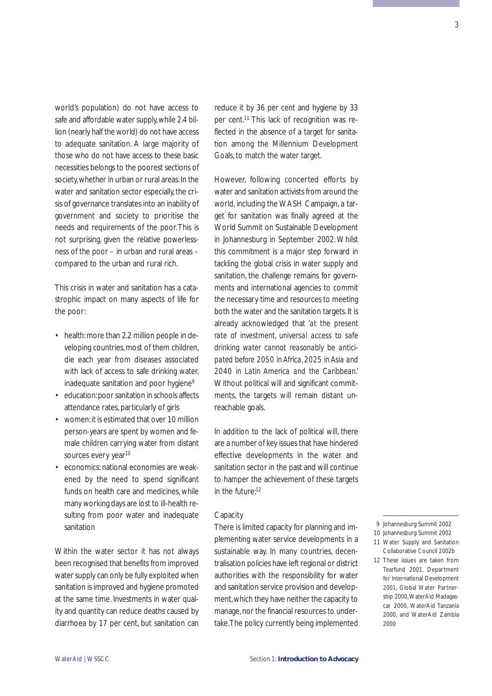world's population) do not have access to safe and affordable water supply,while 2.4 billion (nearly half the world) do not have access to adequate sanitation. A large majority of those who do not have access to these basic necessities belongs to the poorest sections of society, whether in urban or rural areas. In the water and sanitation sector especially, the crisis of governance translates into an inability of government and society to prioritise the needs and requirements of the poor.This is not surprising, given the relative powerlessness of the poor – in urban and rural areas – compared to the urban and rural rich.

This crisis in water and sanitation has a catastrophic impact on many aspects of life for the poor:

- health: more than 2.2 million people in developing countries, most of them children, die each year from diseases associated with lack of access to safe drinking water, inadequate sanitation and poor hygiene<sup>9</sup>
- education:poor sanitation in schools affects attendance rates, particularly of girls
- women:it is estimated that over 10 million person-years are spent by women and female children carrying water from distant sources every year<sup>10</sup>
- economics: national economies are weakened by the need to spend significant funds on health care and medicines, while many working days are lost to ill-health resulting from poor water and inadequate sanitation

Within the water sector it has not always been recognised that benefits from improved water supply can only be fully exploited when sanitation is improved and hygiene promoted at the same time. Investments in water quality and quantity can reduce deaths caused by diarrhoea by 17 per cent, but sanitation can reduce it by 36 per cent and hygiene by 33 per cent.<sup>11</sup> This lack of recognition was reflected in the absence of a target for sanitation among the Millennium Development Goals, to match the water target.

However, following concerted efforts by water and sanitation activists from around the world, including the WASH Campaign, a target for sanitation was finally agreed at the World Summit on Sustainable Development in Johannesburg in September 2002. Whilst this commitment is a major step forward in tackling the global crisis in water supply and sanitation, the challenge remains for governments and international agencies to commit the necessary time and resources to meeting both the water and the sanitation targets. It is already acknowledged that *'at the present rate of investment, universal access to safe drinking water cannot reasonably be anticipated before 2050 in Africa, 2025 in Asia and 2040 in Latin America and the Caribbean.'* Without political will and significant commitments, the targets will remain distant unreachable goals.

In addition to the lack of political will, there are a number of key issues that have hindered effective developments in the water and sanitation sector in the past and will continue to hamper the achievement of these targets in the future:12

### **Capacity**

There is limited capacity for planning and implementing water service developments in a sustainable way. In many countries, decentralisation policies have left regional or district authorities with the responsibility for water and sanitation service provision and development,which they have neither the capacity to manage, nor the financial resources to undertake.The policy currently being implemented

- 10 Johannesburg Summit 2002
- 11 Water Supply and Sanitation Collaborative Council 2002b
- 12 These issues are taken from Tearfund 2001, Department for International Development 2001, Global Water Partnership 2000,WaterAid Madagascar 2000, WaterAid Tanzania 2000, and WaterAid Zambia 2000

<sup>9</sup> Johannesburg Summit 2002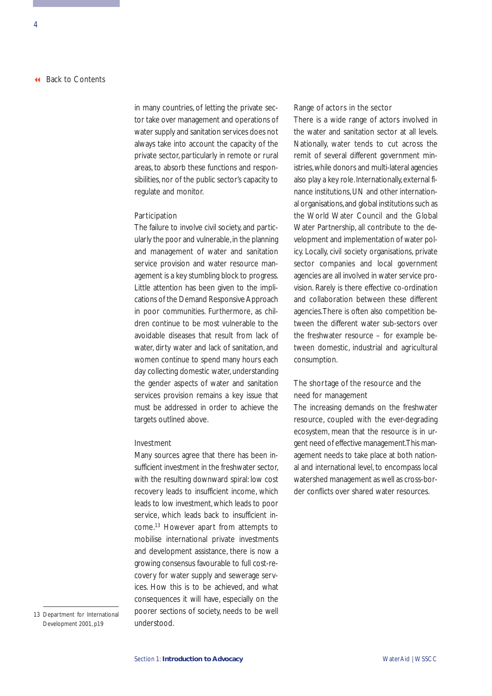in many countries, of letting the private sector take over management and operations of water supply and sanitation services does not always take into account the capacity of the private sector, particularly in remote or rural areas, to absorb these functions and responsibilities, nor of the public sector's capacity to regulate and monitor.

### Participation

The failure to involve civil society, and particularly the poor and vulnerable, in the planning and management of water and sanitation service provision and water resource management is a key stumbling block to progress. Little attention has been given to the implications of the Demand Responsive Approach in poor communities. Furthermore, as children continue to be most vulnerable to the avoidable diseases that result from lack of water, dirty water and lack of sanitation, and women continue to spend many hours each day collecting domestic water, understanding the gender aspects of water and sanitation services provision remains a key issue that must be addressed in order to achieve the targets outlined above.

### Investment

Many sources agree that there has been insufficient investment in the freshwater sector, with the resulting downward spiral: low cost recovery leads to insufficient income, which leads to low investment, which leads to poor service, which leads back to insufficient income.13 However apart from attempts to mobilise international private investments and development assistance, there is now a growing consensus favourable to full cost-recovery for water supply and sewerage services. How this is to be achieved, and what consequences it will have, especially on the poorer sections of society, needs to be well understood.

13 Department for International Development 2001, p19

### Range of actors in the sector

There is a wide range of actors involved in the water and sanitation sector at all levels. Nationally, water tends to cut across the remit of several different government ministries,while donors and multi-lateral agencies also play a key role. Internationally, external finance institutions, UN and other international organisations, and global institutions such as the World Water Council and the Global Water Partnership, all contribute to the development and implementation of water policy. Locally, civil society organisations, private sector companies and local government agencies are all involved in water service provision. Rarely is there effective co-ordination and collaboration between these different agencies.There is often also competition between the different water sub-sectors over the freshwater resource – for example between domestic, industrial and agricultural consumption.

### The shortage of the resource and the need for management

The increasing demands on the freshwater resource, coupled with the ever-degrading ecosystem, mean that the resource is in urgent need of effective management.This management needs to take place at both national and international level, to encompass local watershed management as well as cross-border conflicts over shared water resources.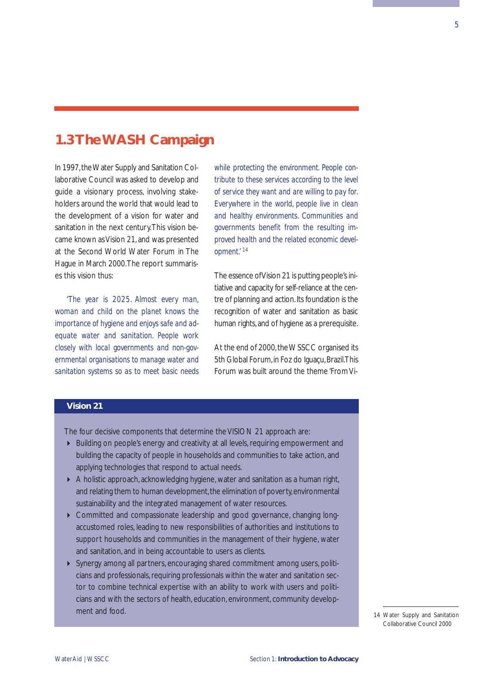## <span id="page-10-0"></span>**1.3 The WASH Campaign**

In 1997, the Water Supply and Sanitation Collaborative Council was asked to develop and guide a visionary process, involving stakeholders around the world that would lead to the development of a vision for water and sanitation in the next century.This vision became known as Vision 21, and was presented at the Second World Water Forum in The Hague in March 2000.The report summarises this vision thus:

*'The year is 2025. Almost every man, woman and child on the planet knows the importance of hygiene and enjoys safe and adequate water and sanitation. People work closely with local governments and non-governmental organisations to manage water and sanitation systems so as to meet basic needs*

*while protecting the environment. People contribute to these services according to the level of service they want and are willing to pay for. Everywhere in the world, people live in clean and healthy environments. Communities and governments benefit from the resulting improved health and the related economic development.' <sup>14</sup>*

The essence of Vision 21 is putting people's initiative and capacity for self-reliance at the centre of planning and action. Its foundation is the recognition of water and sanitation as basic human rights, and of hygiene as a prerequisite.

At the end of 2000, the WSSCC organised its 5th Global Forum, in Foz do Iguaçu, Brazil.This Forum was built around the theme 'From Vi-

### **Vision 21**

The four decisive components that determine the VISION 21 approach are:

- Building on people's energy and creativity at all levels, requiring empowerment and building the capacity of people in households and communities to take action, and applying technologies that respond to actual needs.
- A holistic approach, acknowledging hygiene, water and sanitation as a human right, and relating them to human development, the elimination of poverty, environmental sustainability and the integrated management of water resources.
- Committed and compassionate leadership and good governance, changing longaccustomed roles, leading to new responsibilities of authorities and institutions to support households and communities in the management of their hygiene, water and sanitation, and in being accountable to users as clients.
- Synergy among all partners, encouraging shared commitment among users, politicians and professionals, requiring professionals within the water and sanitation sector to combine technical expertise with an ability to work with users and politicians and with the sectors of health, education, environment, community development and food.

14 Water Supply and Sanitation Collaborative Council 2000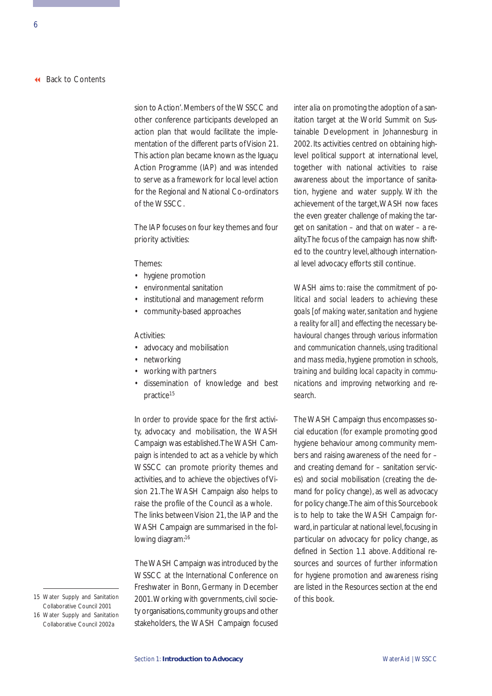sion to Action'. Members of the WSSCC and other conference participants developed an action plan that would facilitate the implementation of the different parts of Vision 21. This action plan became known as the Iguaçu Action Programme (IAP) and was intended to serve as a framework for local level action for the Regional and National Co-ordinators of the WSSCC.

The IAP focuses on four key themes and four priority activities:

#### Themes:

- hygiene promotion
- environmental sanitation
- institutional and management reform
- community-based approaches

#### Activities:

- advocacy and mobilisation
- networking
- working with partners
- dissemination of knowledge and best practice<sup>15</sup>

In order to provide space for the first activity, advocacy and mobilisation, the WASH Campaign was established.The WASH Campaign is intended to act as a vehicle by which WSSCC can promote priority themes and activities, and to achieve the objectives of Vision 21.The WASH Campaign also helps to raise the profile of the Council as a whole. The links between Vision 21, the IAP and the WASH Campaign are summarised in the following diagram:16

The WASH Campaign was introduced by the WSSCC at the International Conference on Freshwater in Bonn, Germany in December 15 Water Supply and Sanitation 2001. Working with governments, civil socie- of this book. ty organisations, community groups and other stakeholders, the WASH Campaign focused

*inter alia* on promoting the adoption of a sanitation target at the World Summit on Sustainable Development in Johannesburg in 2002. Its activities centred on obtaining highlevel political support at international level, together with national activities to raise awareness about the importance of sanitation, hygiene and water supply. With the achievement of the target,WASH now faces the even greater challenge of making the target on sanitation – and that on water – a reality.The focus of the campaign has now shifted to the country level, although international level advocacy efforts still continue.

WASH aims to: *raise the commitment of political and social leaders to achieving these goals [of making water, sanitation and hygiene a reality for all] and effecting the necessary behavioural changes through various information and communication channels, using traditional and mass media, hygiene promotion in schools, training and building local capacity in communications and improving networking and research.*

The WASH Campaign thus encompasses social education (for example promoting good hygiene behaviour among community members and raising awareness of the need for – and creating demand for – sanitation services) and social mobilisation (creating the demand for policy change), as well as advocacy for policy change.The aim of this Sourcebook is to help to take the WASH Campaign forward, in particular at national level, focusing in particular on advocacy for policy change, as defined in Section 1.1 above. Additional resources and sources of further information for hygiene promotion and awareness rising are listed in the Resources section at the end

Collaborative Council 2001

<sup>16</sup> Water Supply and Sanitation Collaborative Council 2002a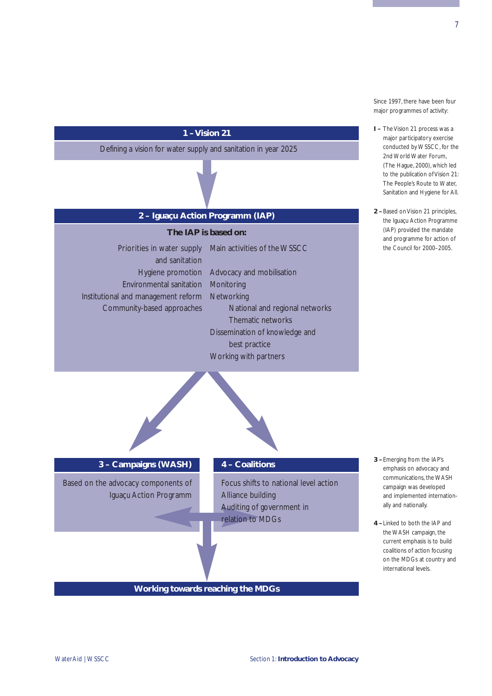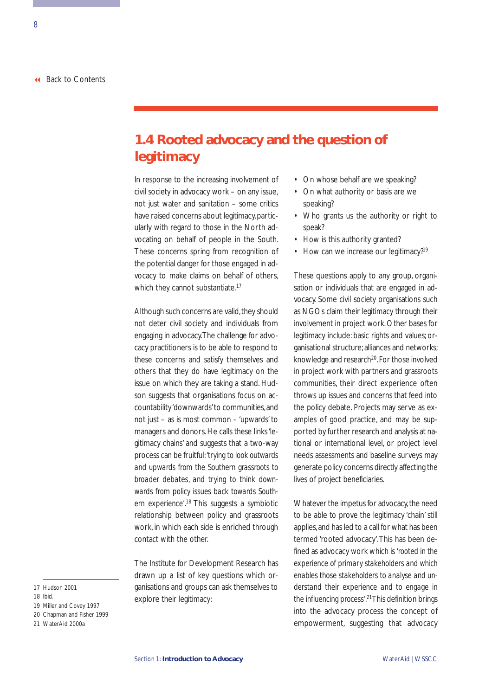## <span id="page-13-0"></span>**1.4 Rooted advocacy and the question of legitimacy**

In response to the increasing involvement of civil society in advocacy work – on any issue, not just water and sanitation – some critics have raised concerns about legitimacy, particularly with regard to those in the North advocating on behalf of people in the South. These concerns spring from recognition of the potential danger for those engaged in advocacy to make claims on behalf of others, which they cannot substantiate.<sup>17</sup>

Although such concerns are valid, they should not deter civil society and individuals from engaging in advocacy.The challenge for advocacy practitioners is to be able to respond to these concerns and satisfy themselves and others that they do have legitimacy on the issue on which they are taking a stand. Hudson suggests that organisations focus on accountability 'downwards'to communities,and not just – as is most common – 'upwards' to managers and donors. He calls these links 'legitimacy chains' and suggests that a two-way process can be fruitful: *'trying to look outwards and upwards from the Southern grassroots to broader debates, and trying to think downwards from policy issues back towards Southern experience'*. <sup>18</sup> This suggests a symbiotic relationship between policy and grassroots work, in which each side is enriched through contact with the other.

The Institute for Development Research has drawn up a list of key questions which organisations and groups can ask themselves to explore their legitimacy:

- On whose behalf are we speaking?
- On what authority or basis are we speaking?
- Who grants us the authority or right to speak?
- How is this authority granted?
- How can we increase our legitimacy?<sup>19</sup>

These questions apply to any group, organisation or individuals that are engaged in advocacy. Some civil society organisations such as NGOs claim their legitimacy through their involvement in project work. Other bases for legitimacy include: basic rights and values; organisational structure; alliances and networks; knowledge and research<sup>20</sup>. For those involved in project work with partners and grassroots communities, their direct experience often throws up issues and concerns that feed into the policy debate. Projects may serve as examples of good practice, and may be supported by further research and analysis at national or international level, or project level needs assessments and baseline surveys may generate policy concerns directly affecting the lives of project beneficiaries.

Whatever the impetus for advocacy, the need to be able to prove the legitimacy 'chain' still applies,and has led to a call for what has been termed 'rooted advocacy'.This has been defined as advocacy work which is *'rooted in the experience of primary stakeholders and which enables those stakeholders to analyse and understand their experience and to engage in the influencing process'*. 21This definition brings into the advocacy process the concept of empowerment, suggesting that advocacy

- 19 Miller and Covey 1997
- 20 Chapman and Fisher 1999
- 21 WaterAid 2000a

<sup>17</sup> Hudson 2001

<sup>18</sup> Ibid.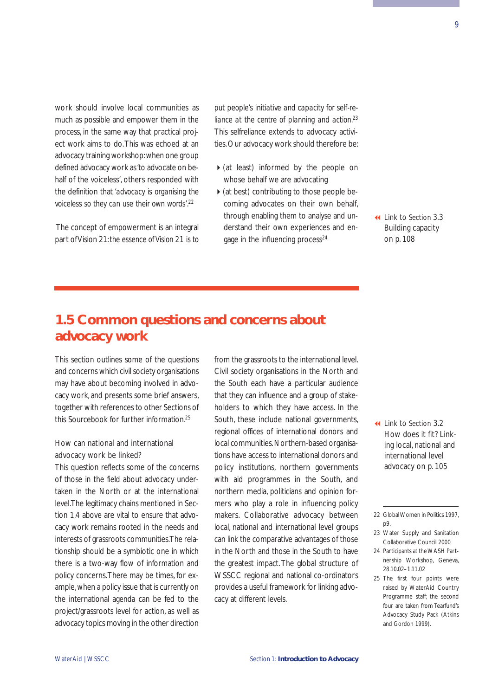<span id="page-14-0"></span>work should involve local communities as much as possible and empower them in the process, in the same way that practical project work aims to do.This was echoed at an advocacy training workshop:when one group defined advocacy work as 'to advocate on behalf of the voiceless', others responded with the definition that *'advocacy is organising the voiceless so they can use their own words'*. 22

The concept of empowerment is an integral part of Vision 21: *the essence of Vision 21 is to* *put people's initiative and capacity for self-reliance at the centre of planning and action.*<sup>23</sup> This selfreliance extends to advocacy activities.Our advocacy work should therefore be:

- $\triangleright$  (at least) informed by the people on whose behalf we are advocating
- $\triangleright$  (at best) contributing to those people becoming advocates on their own behalf, through enabling them to analyse and understand their own experiences and engage in the influencing process<sup>24</sup>

 [Link to Section 3.3](#page-113-0) Building capacity on p. 108

## **1.5 Common questions and concerns about advocacy work**

This section outlines some of the questions and concerns which civil society organisations may have about becoming involved in advocacy work, and presents some brief answers, together with references to other Sections of this Sourcebook for further information.25

### How can national and international advocacy work be linked?

This question reflects some of the concerns of those in the field about advocacy undertaken in the North or at the international level.The legitimacy chains mentioned in Section 1.4 above are vital to ensure that advocacy work remains rooted in the needs and interests of grassroots communities.The relationship should be a symbiotic one in which there is a two-way flow of information and policy concerns.There may be times, for example,when a policy issue that is currently on the international agenda can be fed to the project/grassroots level for action, as well as advocacy topics moving in the other direction

from the grassroots to the international level. Civil society organisations in the North and the South each have a particular audience that they can influence and a group of stakeholders to which they have access. In the South, these include national governments, regional offices of international donors and local communities.Northern-based organisations have access to international donors and policy institutions, northern governments with aid programmes in the South, and northern media, politicians and opinion formers who play a role in influencing policy makers. Collaborative advocacy between local, national and international level groups can link the comparative advantages of those in the North and those in the South to have the greatest impact. The global structure of WSSCC regional and national co-ordinators provides a useful framework for linking advocacy at different levels.

 Link to Section 3.2 How does it fit? Link[ing local, national and](#page-110-0)  international level advocacy on p. 105

- 23 Water Supply and Sanitation Collaborative Council 2000
- 24 Participants at the WASH Partnership Workshop, Geneva, 28.10.02–1.11.02
- 25 The first four points were raised by WaterAid Country Programme staff; the second four are taken from Tearfund's Advocacy Study Pack (Atkins and Gordon 1999).

<sup>22</sup> Global Women in Politics 1997, p9.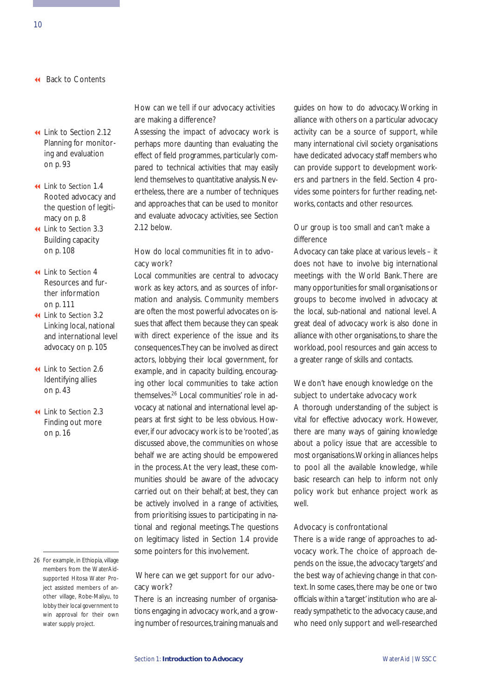- Link to Section 2.12 [Planning for monitor](#page-98-0)ing and evaluation on p. 93
- Link to Section 1.4 [Rooted advocacy and](#page-13-0) the question of legitimacy on p. 8
- Link to Section 3.3 [Building capacity](#page-113-0) on p. 108
- Link to Section 4 [Resources and fur](#page-116-0)ther information on p. 111
- Link to Section 3.2 Linking local, national [and international level](#page-110-0) advocacy on p. 105
- Link to Section 2.6 [Identifying allies](#page-48-0) on p. 43
- Link to Section 2.3 [Finding out more](#page-21-0)  on p. 16

### How can we tell if our advocacy activities are making a difference?

Assessing the impact of advocacy work is perhaps more daunting than evaluating the effect of field programmes, particularly compared to technical activities that may easily lend themselves to quantitative analysis. Nevertheless, there are a number of techniques and approaches that can be used to monitor and evaluate advocacy activities, see Section 2.12 below.

### How do local communities fit in to advocacy work?

Local communities are central to advocacy work as key actors, and as sources of information and analysis. Community members are often the most powerful advocates on issues that affect them because they can speak with direct experience of the issue and its consequences.They can be involved as direct actors, lobbying their local government, for example, and in capacity building, encouraging other local communities to take action themselves.26 Local communities' role in advocacy at national and international level appears at first sight to be less obvious. However, if our advocacy work is to be 'rooted', as discussed above, the communities on whose behalf we are acting should be empowered in the process. At the very least, these communities should be aware of the advocacy carried out on their behalf; at best, they can be actively involved in a range of activities, from prioritising issues to participating in national and regional meetings. The questions on legitimacy listed in Section 1.4 provide some pointers for this involvement.

### Where can we get support for our advocacy work?

There is an increasing number of organisations engaging in advocacy work, and a growing number of resources, training manuals and guides on how to do advocacy. Working in alliance with others on a particular advocacy activity can be a source of support, while many international civil society organisations have dedicated advocacy staff members who can provide support to development workers and partners in the field. Section 4 provides some pointers for further reading, networks, contacts and other resources.

### Our group is too small and can't make a difference

Advocacy can take place at various levels – it does not have to involve big international meetings with the World Bank. There are many opportunities for small organisations or groups to become involved in advocacy at the local, sub-national and national level. A great deal of advocacy work is also done in alliance with other organisations, to share the workload, pool resources and gain access to a greater range of skills and contacts.

### We don't have enough knowledge on the subject to undertake advocacy work

A thorough understanding of the subject is vital for effective advocacy work. However, there are many ways of gaining knowledge about a policy issue that are accessible to most organisations.Working in alliances helps to pool all the available knowledge, while basic research can help to inform not only policy work but enhance project work as well.

### Advocacy is confrontational

There is a wide range of approaches to advocacy work. The choice of approach depends on the issue, the advocacy 'targets' and the best way of achieving change in that context. In some cases, there may be one or two officials within a 'target' institution who are already sympathetic to the advocacy cause,and who need only support and well-researched

<sup>26</sup> For example, in Ethiopia, village members from the WaterAidsupported Hitosa Water Project assisted members of another village, Robe-Maliyu, to lobby their local government to win approval for their own water supply project.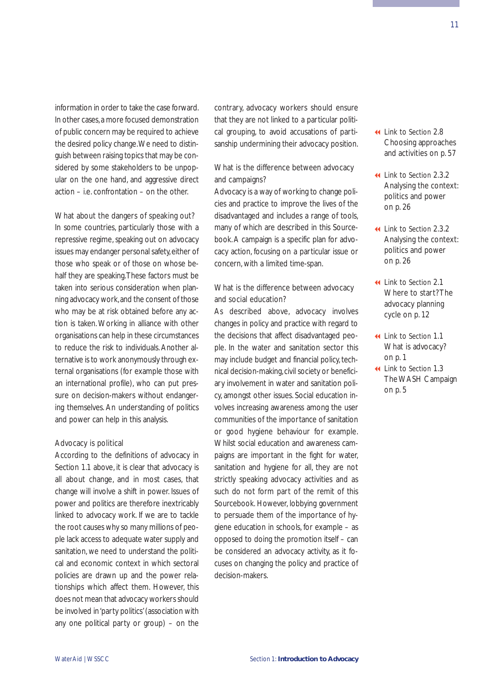information in order to take the case forward. In other cases,a more focused demonstration of public concern may be required to achieve the desired policy change.We need to distinguish between raising topics that may be considered by some stakeholders to be unpopular on the one hand, and aggressive direct action – i.e. confrontation – on the other.

### What about the dangers of speaking out?

In some countries, particularly those with a repressive regime, speaking out on advocacy issues may endanger personal safety, either of those who speak or of those on whose behalf they are speaking.These factors must be taken into serious consideration when planning advocacy work,and the consent of those who may be at risk obtained before any action is taken. Working in alliance with other organisations can help in these circumstances to reduce the risk to individuals. Another alternative is to work anonymously through external organisations (for example those with an international profile), who can put pressure on decision-makers without endangering themselves. An understanding of politics and power can help in this analysis.

### Advocacy is political

According to the definitions of advocacy in Section 1.1 above, it is clear that advocacy is all about change, and in most cases, that change will involve a shift in power. Issues of power and politics are therefore inextricably linked to advocacy work. If we are to tackle the root causes why so many millions of people lack access to adequate water supply and sanitation, we need to understand the political and economic context in which sectoral policies are drawn up and the power relationships which affect them. However, this does not mean that advocacy workers should be involved in 'party politics' (association with any one political party or group) – on the

contrary, advocacy workers should ensure that they are not linked to a particular political grouping, to avoid accusations of partisanship undermining their advocacy position.

### What is the difference between advocacy and campaigns?

Advocacy is a way of working to change policies and practice to improve the lives of the disadvantaged and includes a range of tools, many of which are described in this Sourcebook. A campaign is a specific plan for advocacy action, focusing on a particular issue or concern, with a limited time-span.

### What is the difference between advocacy and social education?

As described above, advocacy involves changes in policy and practice with regard to the decisions that affect disadvantaged people. In the water and sanitation sector this may include budget and financial policy, technical decision-making, civil society or beneficiary involvement in water and sanitation policy, amongst other issues. Social education involves increasing awareness among the user communities of the importance of sanitation or good hygiene behaviour for example. Whilst social education and awareness campaigns are important in the fight for water, sanitation and hygiene for all, they are not strictly speaking advocacy activities and as such do not form part of the remit of this Sourcebook. However, lobbying government to persuade them of the importance of hygiene education in schools, for example – as opposed to doing the promotion itself – can be considered an advocacy activity, as it focuses on changing the policy and practice of decision-makers.

- Link to Section 2.8 [Choosing approaches](#page-62-0) and activities on p. 57
- Link to Section 2.3.2 [Analysing the context:](#page-31-0) politics and power on p. 26
- Link to Section 2.3.2 [Analysing the context:](#page-31-0) politics and power on p. 26
- Link to Section 2.1 [Where to start? The](#page-17-0) advocacy planning cycle on p. 12
- Link to Section 1.1 [What is advocacy?](#page-6-0) on p. 1
- Link to Section 1.3 [The WASH Campaign](#page-10-0) on p. 5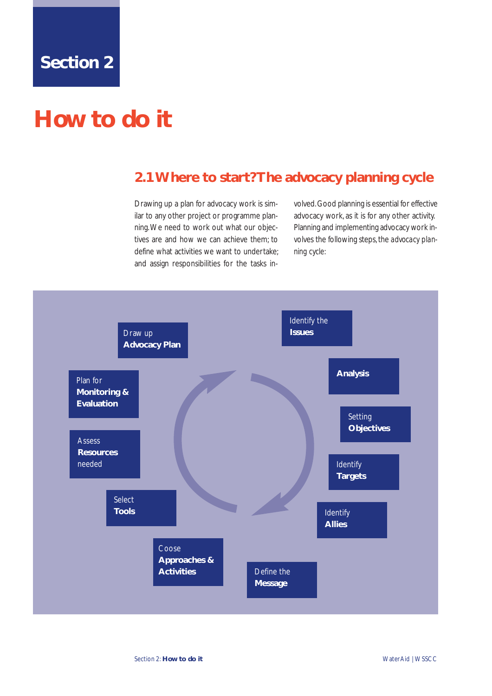## <span id="page-17-0"></span>**How to do it**

## **2.1 Where to start? The advocacy planning cycle**

Drawing up a plan for advocacy work is similar to any other project or programme planning.We need to work out what our objectives are and how we can achieve them; to define what activities we want to undertake; and assign responsibilities for the tasks involved.Good planning is essential for effective advocacy work, as it is for any other activity. Planning and implementing advocacy work involves the following steps, the *advocacy planning cycle:*

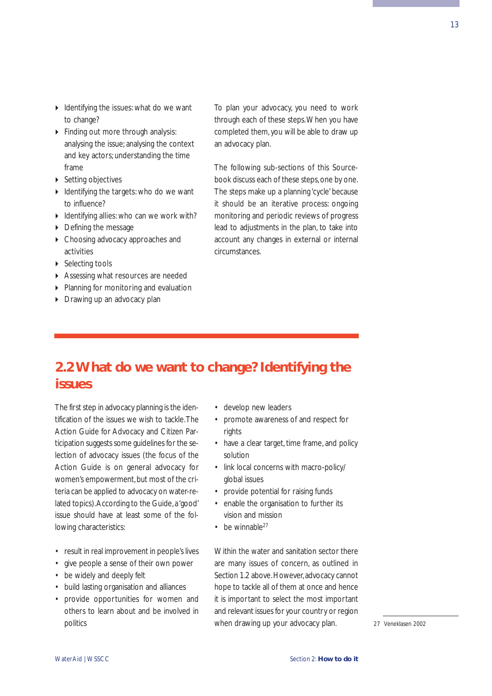13

- <span id="page-18-0"></span>I Identifying the issues: what do we want to change?
- Finding out more through analysis: analysing the issue; analysing the context and key actors; understanding the time frame
- ▶ Setting objectives
- I Identifying the targets: who do we want to influence?
- $\triangleright$  Identifying allies: who can we work with?
- Defining the message
- Choosing advocacy approaches and activities
- ▶ Selecting tools
- Assessing what resources are needed
- Planning for monitoring and evaluation
- **Drawing up an advocacy plan**

To plan your advocacy, you need to work through each of these steps.When you have completed them, you will be able to draw up an advocacy plan.

The following sub-sections of this Sourcebook discuss each of these steps, one by one. The steps make up a planning 'cycle' because it should be an iterative process: ongoing monitoring and periodic reviews of progress lead to adjustments in the plan, to take into account any changes in external or internal circumstances.

## **2.2 What do we want to change? Identifying the issues**

The first step in advocacy planning is the identification of the issues we wish to tackle.The Action Guide for Advocacy and Citizen Participation suggests some guidelines for the selection of advocacy issues (the focus of the Action Guide is on general advocacy for women's empowerment, but most of the criteria can be applied to advocacy on water-related topics). According to the Guide, a 'good' issue should have at least some of the following characteristics:

- result in real improvement in people's lives
- give people a sense of their own power
- be widely and deeply felt
- build lasting organisation and alliances
- provide opportunities for women and others to learn about and be involved in politics
- develop new leaders
- promote awareness of and respect for rights
- have a clear target, time frame, and policy solution
- link local concerns with macro-policy/ global issues
- provide potential for raising funds
- enable the organisation to further its vision and mission
- $\cdot$  be winnable<sup>27</sup>

Within the water and sanitation sector there are many issues of concern, as outlined in Section 1.2 above. However, advocacy cannot hope to tackle all of them at once and hence it is important to select the most important and relevant issues for your country or region when drawing up your advocacy plan. 27 Veneklasen 2002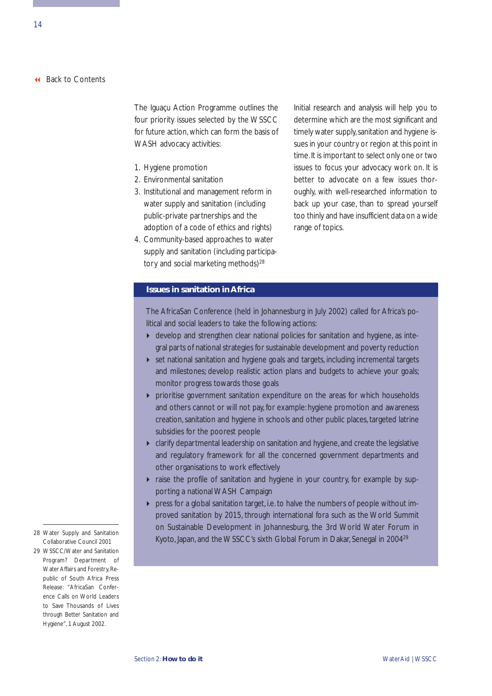The Iguaçu Action Programme outlines the four priority issues selected by the WSSCC for future action, which can form the basis of WASH advocacy activities:

- 1. Hygiene promotion
- 2. Environmental sanitation
- 3. Institutional and management reform in water supply and sanitation (including public-private partnerships and the adoption of a code of ethics and rights)
- 4. Community-based approaches to water supply and sanitation (including participatory and social marketing methods)<sup>28</sup>

Initial research and analysis will help you to determine which are the most significant and timely water supply, sanitation and hygiene issues in your country or region at this point in time.It is important to select only one or two issues to focus your advocacy work on. It is better to advocate on a few issues thoroughly, with well-researched information to back up your case, than to spread yourself too thinly and have insufficient data on a wide range of topics.

### **Issues in sanitation in Africa**

The AfricaSan Conference (held in Johannesburg in July 2002) called for Africa's political and social leaders to take the following actions:

- develop and strengthen clear national policies for sanitation and hygiene, as integral parts of national strategies for sustainable development and poverty reduction
- set national sanitation and hygiene goals and targets, including incremental targets and milestones; develop realistic action plans and budgets to achieve your goals; monitor progress towards those goals
- prioritise government sanitation expenditure on the areas for which households and others cannot or will not pay, for example: hygiene promotion and awareness creation, sanitation and hygiene in schools and other public places, targeted latrine subsidies for the poorest people
- clarify departmental leadership on sanitation and hygiene, and create the legislative and regulatory framework for all the concerned government departments and other organisations to work effectively
- raise the profile of sanitation and hygiene in your country, for example by supporting a national WASH Campaign
- press for a global sanitation target, i.e. to halve the numbers of people without improved sanitation by 2015, through international fora such as the World Summit on Sustainable Development in Johannesburg, the 3rd World Water Forum in Kyoto, Japan, and the WSSCC's sixth Global Forum in Dakar, Senegal in 2004<sup>29</sup>
- 28 Water Supply and Sanitation Collaborative Council 2001
- 29 WSSCC/Water and Sanitation Program? Department of Water Affairs and Forestry, Republic of South Africa Press Release: "AfricaSan Conference Calls on World Leaders to Save Thousands of Lives through Better Sanitation and Hygiene", 1 August 2002.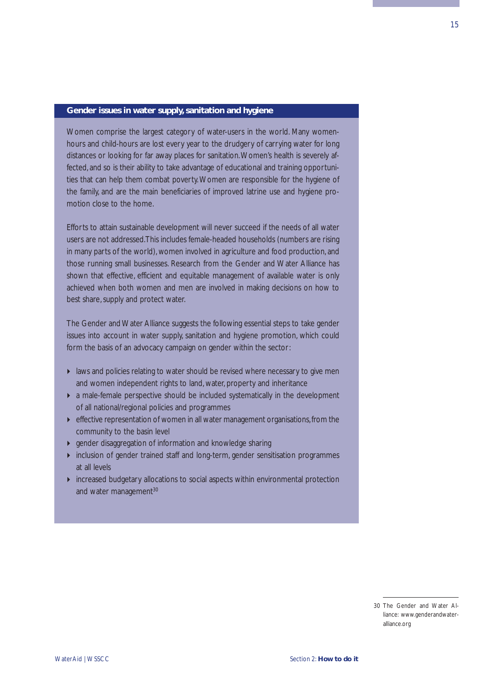### **Gender issues in water supply, sanitation and hygiene**

Women comprise the largest category of water-users in the world. Many womenhours and child-hours are lost every year to the drudgery of carrying water for long distances or looking for far away places for sanitation.Women's health is severely affected, and so is their ability to take advantage of educational and training opportunities that can help them combat poverty. Women are responsible for the hygiene of the family, and are the main beneficiaries of improved latrine use and hygiene promotion close to the home.

Efforts to attain sustainable development will never succeed if the needs of all water users are not addressed.This includes female-headed households (numbers are rising in many parts of the world), women involved in agriculture and food production, and those running small businesses. Research from the Gender and Water Alliance has shown that effective, efficient and equitable management of available water is only achieved when both women and men are involved in making decisions on how to best share, supply and protect water.

The Gender and Water Alliance suggests the following essential steps to take gender issues into account in water supply, sanitation and hygiene promotion, which could form the basis of an advocacy campaign on gender within the sector:

- laws and policies relating to water should be revised where necessary to give men and women independent rights to land, water, property and inheritance
- a male-female perspective should be included systematically in the development of all national/regional policies and programmes
- $\blacktriangleright$  effective representation of women in all water management organisations, from the community to the basin level
- gender disaggregation of information and knowledge sharing
- inclusion of gender trained staff and long-term, gender sensitisation programmes at all levels
- increased budgetary allocations to social aspects within environmental protection and water management<sup>30</sup>

<sup>30</sup> The Gender and Water Alliance: www.genderandwateralliance.org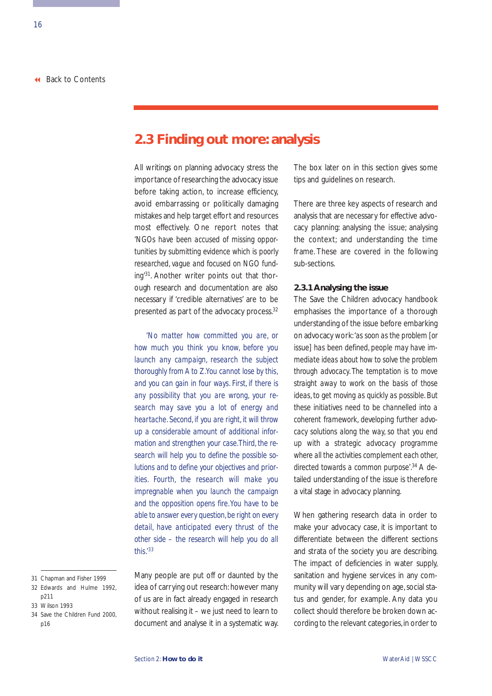## <span id="page-21-0"></span>**2.3 Finding out more: analysis**

All writings on planning advocacy stress the importance of researching the advocacy issue before taking action, to increase efficiency, avoid embarrassing or politically damaging mistakes and help target effort and resources most effectively. One report notes that *'NGOs have been accused of missing opportunities by submitting evidence which is poorly researched, vague and focused on NGO funding'*31. Another writer points out that thorough research and documentation are also necessary if 'credible alternatives' are to be presented as part of the advocacy process.<sup>32</sup>

*'No matter how committed you are, or how much you think you know, before you launch any campaign, research the subject thoroughly from A to Z.You cannot lose by this, and you can gain in four ways. First, if there is any possibility that you are wrong, your research may save you a lot of energy and heartache. Second, if you are right, it will throw up a considerable amount of additional information and strengthen your case.Third, the research will help you to define the possible solutions and to define your objectives and priorities. Fourth, the research will make you impregnable when you launch the campaign and the opposition opens fire.You have to be able to answer every question,be right on every detail, have anticipated every thrust of the other side – the research will help you do all this.'33*

Many people are put off or daunted by the idea of carrying out research: however many of us are in fact already engaged in research without realising it – we just need to learn to document and analyse it in a systematic way. The box later on in this section gives some tips and guidelines on research.

There are three key aspects of research and analysis that are necessary for effective advocacy planning: analysing the issue; analysing the context; and understanding the time frame. These are covered in the following sub-sections.

### **2.3.1 Analysing the issue**

The Save the Children advocacy handbook emphasises the importance of a thorough understanding of the issue before embarking on advocacy work: *'as soon as the problem [or issue] has been defined, people may have immediate ideas about how to solve the problem through advocacy. The temptation is to move straight away to work on the basis of those ideas, to get moving as quickly as possible. But these initiatives need to be channelled into a coherent framework, developing further advocacy solutions along the way, so that you end up with a strategic advocacy programme where all the activities complement each other, directed towards a common purpose'.*<sup>34</sup> A detailed understanding of the issue is therefore a vital stage in advocacy planning.

When gathering research data in order to make your advocacy case, it is important to differentiate between the different sections and strata of the society you are describing. The impact of deficiencies in water supply, sanitation and hygiene services in any community will vary depending on age, social status and gender, for example. Any data you collect should therefore be broken down according to the relevant categories,in order to

<sup>31</sup> Chapman and Fisher 1999

<sup>32</sup> Edwards and Hulme 1992, p211

<sup>33</sup> Wilson 1993

<sup>34</sup> Save the Children Fund 2000, p16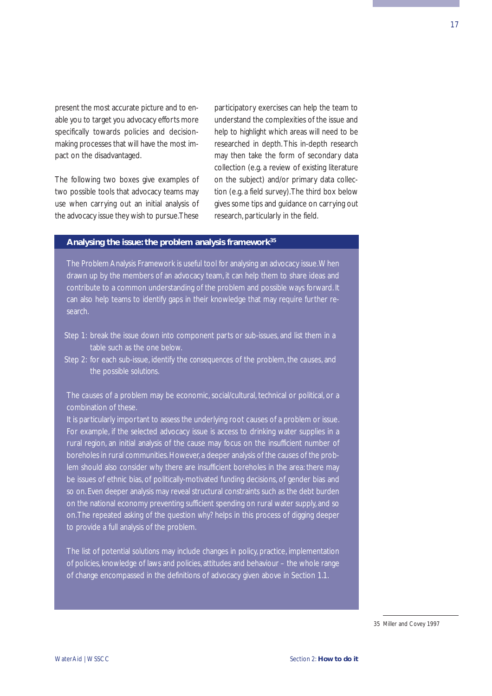present the most accurate picture and to enable you to target you advocacy efforts more specifically towards policies and decisionmaking processes that will have the most impact on the disadvantaged.

The following two boxes give examples of two possible tools that advocacy teams may use when carrying out an initial analysis of the advocacy issue they wish to pursue.These participatory exercises can help the team to understand the complexities of the issue and help to highlight which areas will need to be researched in depth. This in-depth research may then take the form of secondary data collection (e.g. a review of existing literature on the subject) and/or primary data collection (e.g. a field survey).The third box below gives some tips and guidance on carrying out research, particularly in the field.

### **Analysing the issue: the problem analysis framework35**

The Problem Analysis Framework is useful tool for analysing an advocacy issue.When drawn up by the members of an advocacy team, it can help them to share ideas and contribute to a common understanding of the problem and possible ways forward. It can also help teams to identify gaps in their knowledge that may require further research.

- Step 1: break the issue down into component parts or sub-issues, and list them in a table such as the one below.
- Step 2: for each sub-issue, identify the *consequences* of the problem, the *causes*, and the possible *solutions*.

The *causes* of a problem may be economic, social/cultural, technical or political, or a combination of these.

It is particularly important to assess the underlying root causes of a problem or issue. For example, if the selected advocacy issue is access to drinking water supplies in a rural region, an initial analysis of the cause may focus on the insufficient number of boreholes in rural communities. However, a deeper analysis of the causes of the problem should also consider why there are insufficient boreholes in the area: there may be issues of ethnic bias, of politically-motivated funding decisions, of gender bias and so on. Even deeper analysis may reveal structural constraints such as the debt burden on the national economy preventing sufficient spending on rural water supply, and so on.The repeated asking of the question *why?* helps in this process of digging deeper to provide a full analysis of the problem.

The list of potential *solutions* may include changes in policy, practice, implementation of policies, knowledge of laws and policies, attitudes and behaviour – the whole range of change encompassed in the definitions of advocacy given above in Section 1.1.

35 Miller and Covey 1997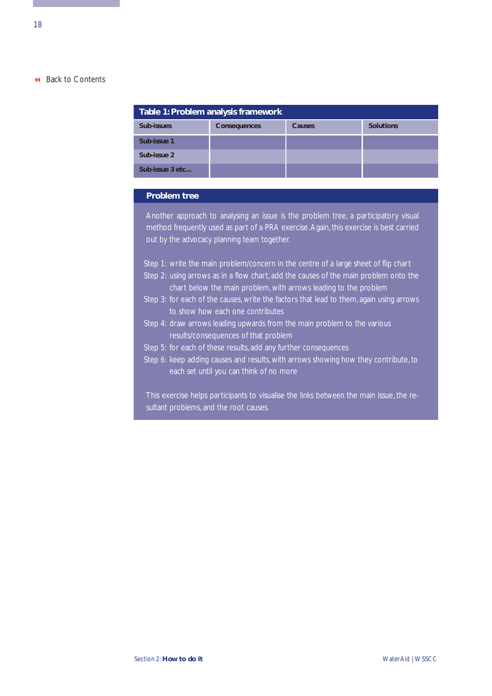| Table 1: Problem analysis framework |                     |        |                  |  |  |
|-------------------------------------|---------------------|--------|------------------|--|--|
| Sub-issues                          | <b>Consequences</b> | Causes | <b>Solutions</b> |  |  |
| Sub-issue 1                         |                     |        |                  |  |  |
| Sub-issue 2                         |                     |        |                  |  |  |
| Sub-issue 3 etc                     |                     |        |                  |  |  |

### **Problem tree**

Another approach to analysing an issue is the problem tree, a participatory visual method frequently used as part of a PRA exercise.Again, this exercise is best carried out by the advocacy planning team together.

- Step 1: write the main problem/concern in the centre of a large sheet of flip chart
- Step 2: using arrows as in a flow chart, add the causes of the main problem onto the chart below the main problem, with arrows leading to the problem
- Step 3: for each of the causes, write the factors that lead to them, again using arrows to show how each one contributes
- Step 4: draw arrows leading upwards from the main problem to the various results/consequences of that problem
- Step 5: for each of these results, add any further consequences
- Step 6: keep adding causes and results, with arrows showing how they contribute, to each set until you can think of no more

This exercise helps participants to visualise the links between the main issue, the resultant problems, and the root causes.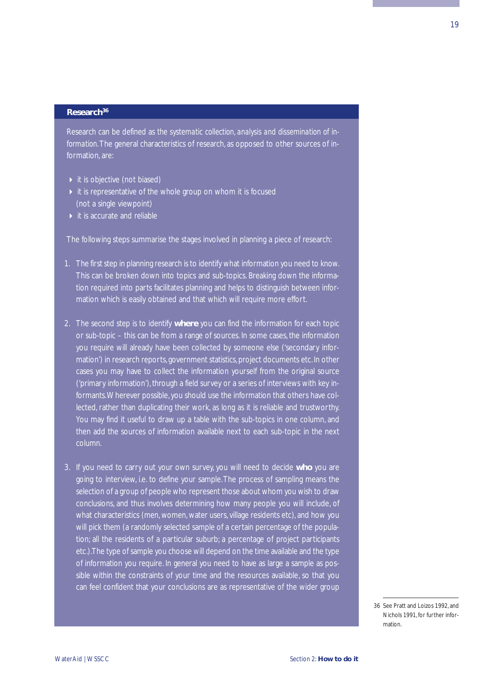### **Research36**

Research can be defined as *the systematic collection, analysis and dissemination of information.*The general characteristics of research, as opposed to other sources of information, are:

- $\triangleright$  it is objective (not biased)
- $\rightarrow$  it is representative of the whole group on whom it is focused (not a single viewpoint)
- $\blacktriangleright$  it is accurate and reliable

The following steps summarise the stages involved in planning a piece of research:

- 1. The first step in planning research is to identify what information you need to know. This can be broken down into topics and sub-topics. Breaking down the information required into parts facilitates planning and helps to distinguish between information which is easily obtained and that which will require more effort.
- 2. The second step is to identify **where** you can find the information for each topic or sub-topic – this can be from a range of sources. In some cases, the information you require will already have been collected by someone else ('secondary information') in research reports, government statistics, project documents etc. In other cases you may have to collect the information yourself from the original source ('primary information'), through a field survey or a series of interviews with key informants.Wherever possible, you should use the information that others have collected, rather than duplicating their work, as long as it is reliable and trustworthy. You may find it useful to draw up a table with the sub-topics in one column, and then add the sources of information available next to each sub-topic in the next column.
- 3. If you need to carry out your own survey, you will need to decide **who** you are going to interview, i.e. to define your sample.The process of sampling means the selection of a group of people who represent those about whom you wish to draw conclusions, and thus involves determining how many people you will include, of what characteristics (men, women, water users, village residents etc), and how you will pick them (a randomly selected sample of a certain percentage of the population; all the residents of a particular suburb; a percentage of project participants etc.).The type of sample you choose will depend on the time available and the type of information you require. In general you need to have as large a sample as possible within the constraints of your time and the resources available, so that you can feel confident that your conclusions are as representative of the wider group

19

<sup>36</sup> See Pratt and Loizos 1992, and Nichols 1991, for further information.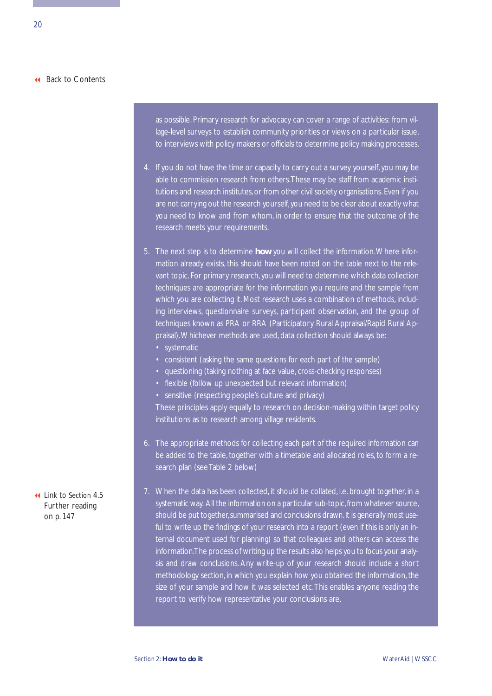as possible. Primary research for advocacy can cover a range of activities: from village-level surveys to establish community priorities or views on a particular issue, to interviews with policy makers or officials to determine policy making processes.

- 4. If you do not have the time or capacity to carry out a survey yourself, you may be able to commission research from others.These may be staff from academic institutions and research institutes, or from other civil society organisations. Even if you are not carrying out the research yourself, you need to be clear about exactly what you need to know and from whom, in order to ensure that the outcome of the research meets your requirements.
- 5. The next step is to determine **how** you will collect the information.Where information already exists, this should have been noted on the table next to the relevant topic. For primary research, you will need to determine which data collection techniques are appropriate for the information you require and the sample from which you are collecting it. Most research uses a combination of methods, including interviews, questionnaire surveys, participant observation, and the group of techniques known as PRA or RRA (Participatory Rural Appraisal/Rapid Rural Appraisal).Whichever methods are used, data collection should always be:
	- consistent (asking the same questions for each part of the sample)
	- questioning (taking nothing at face value, cross-checking responses)
	- flexible (follow up unexpected but relevant information)
	- sensitive (respecting people's culture and privacy)

These principles apply equally to research on decision-making within target policy institutions as to research among village residents.

- 6. The appropriate methods for collecting each part of the required information can be added to the table, together with a timetable and allocated roles, to form a research plan (see Table 2 below)
- 7. When the data has been collected, it should be collated, i.e. brought together, in a systematic way. All the information on a particular sub-topic,from whatever source, should be put together, summarised and conclusions drawn. It is generally most useful to write up the findings of your research into a report (even if this is only an internal document used for planning) so that colleagues and others can access the information.The process of writing up the results also helps you to focus your analysis and draw conclusions. Any write-up of your research should include a short methodology section, in which you explain how you obtained the information, the size of your sample and how it was selected etc.This enables anyone reading the report to verify how representative your conclusions are.

 Link to Section 4.5 [Further reading](#page-152-0) on p. 147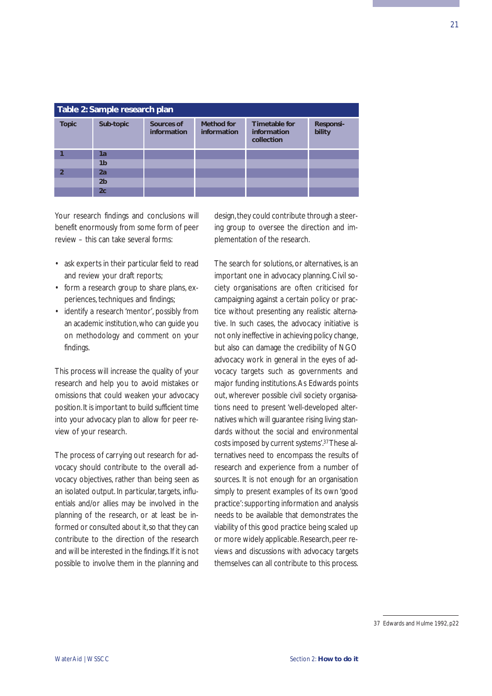| Table 2: Sample research plan |                |                           |                           |                                                   |                            |  |
|-------------------------------|----------------|---------------------------|---------------------------|---------------------------------------------------|----------------------------|--|
| <b>Topic</b>                  | Sub-topic      | Sources of<br>information | Method for<br>information | <b>Timetable for</b><br>information<br>collection | <b>Responsi-</b><br>bility |  |
|                               | 1a             |                           |                           |                                                   |                            |  |
|                               | 1b             |                           |                           |                                                   |                            |  |
| $\mathfrak z$                 | 2a             |                           |                           |                                                   |                            |  |
|                               | 2 <sub>b</sub> |                           |                           |                                                   |                            |  |
|                               | 2c             |                           |                           |                                                   |                            |  |

Your research findings and conclusions will benefit enormously from some form of peer review – this can take several forms:

- ask experts in their particular field to read and review your draft reports;
- form a research group to share plans, experiences, techniques and findings;
- identify a research 'mentor', possibly from an academic institution,who can guide you on methodology and comment on your findings.

This process will increase the quality of your research and help you to avoid mistakes or omissions that could weaken your advocacy position.It is important to build sufficient time into your advocacy plan to allow for peer review of your research.

The process of carrying out research for advocacy should contribute to the overall advocacy objectives, rather than being seen as an isolated output. In particular, targets, influentials and/or allies may be involved in the planning of the research, or at least be informed or consulted about it, so that they can contribute to the direction of the research and will be interested in the findings.If it is not possible to involve them in the planning and

design, they could contribute through a steering group to oversee the direction and implementation of the research.

The search for solutions, or alternatives, is an important one in advocacy planning. Civil society organisations are often criticised for campaigning against a certain policy or practice without presenting any realistic alternative. In such cases, the advocacy initiative is not only ineffective in achieving policy change, but also can damage the credibility of NGO advocacy work in general in the eyes of advocacy targets such as governments and major funding institutions.As Edwards points out, wherever possible civil society organisations need to present 'well-developed alternatives which will guarantee rising living standards without the social and environmental costs imposed by current systems'.37These alternatives need to encompass the results of research and experience from a number of sources. It is not enough for an organisation simply to present examples of its own 'good practice': supporting information and analysis needs to be available that demonstrates the viability of this good practice being scaled up or more widely applicable. Research, peer reviews and discussions with advocacy targets themselves can all contribute to this process.

<sup>37</sup> Edwards and Hulme 1992, p22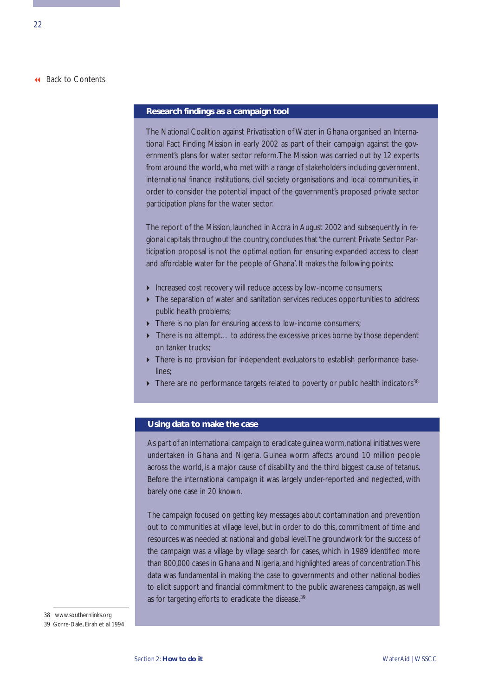### **Research findings as a campaign tool**

The National Coalition against Privatisation of Water in Ghana organised an International Fact Finding Mission in early 2002 as part of their campaign against the government's plans for water sector reform.The Mission was carried out by 12 experts from around the world, who met with a range of stakeholders including government, international finance institutions, civil society organisations and local communities, in order to consider the potential impact of the government's proposed private sector participation plans for the water sector.

The report of the Mission, launched in Accra in August 2002 and subsequently in regional capitals throughout the country, concludes that 'the current Private Sector Participation proposal is not the optimal option for ensuring expanded access to clean and affordable water for the people of Ghana'. It makes the following points:

- Increased cost recovery will reduce access by low-income consumers;
- $\triangleright$  The separation of water and sanitation services reduces opportunities to address public health problems;
- There is no plan for ensuring access to low-income consumers;
- ▶ There is no attempt... to address the excessive prices borne by those dependent on tanker trucks;
- There is no provision for independent evaluators to establish performance baselines;
- $\blacktriangleright$  There are no performance targets related to poverty or public health indicators<sup>38</sup>

### **Using data to make the case**

As part of an international campaign to eradicate guinea worm, national initiatives were undertaken in Ghana and Nigeria. Guinea worm affects around 10 million people across the world, is a major cause of disability and the third biggest cause of tetanus. Before the international campaign it was largely under-reported and neglected, with barely one case in 20 known.

The campaign focused on getting key messages about contamination and prevention out to communities at village level, but in order to do this, commitment of time and resources was needed at national and global level.The groundwork for the success of the campaign was a village by village search for cases, which in 1989 identified more than 800,000 cases in Ghana and Nigeria, and highlighted areas of concentration.This data was fundamental in making the case to governments and other national bodies to elicit support and financial commitment to the public awareness campaign, as well as for targeting efforts to eradicate the disease.<sup>39</sup>

38 www.southernlinks.org

39 Gorre-Dale, Eirah et al 1994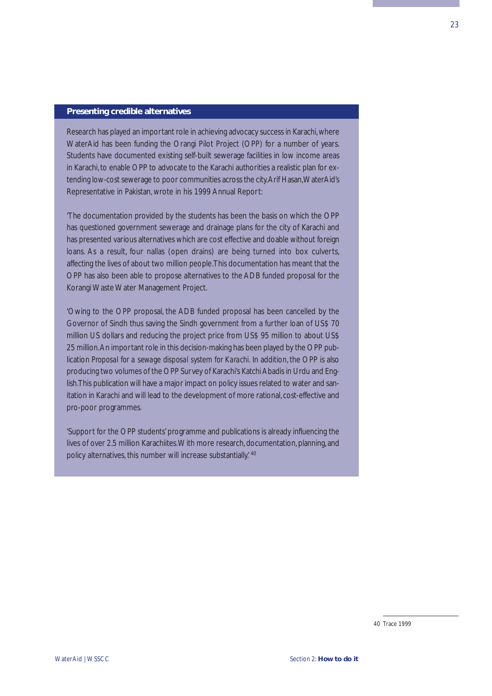### **Presenting credible alternatives**

Research has played an important role in achieving advocacy success in Karachi,where WaterAid has been funding the Orangi Pilot Project (OPP) for a number of years. Students have documented existing self-built sewerage facilities in low income areas in Karachi, to enable OPP to advocate to the Karachi authorities a realistic plan for extending low-cost sewerage to poor communities across the city.Arif Hasan,WaterAid's Representative in Pakistan, wrote in his 1999 Annual Report:

'The documentation provided by the students has been the basis on which the OPP has questioned government sewerage and drainage plans for the city of Karachi and has presented various alternatives which are cost effective and doable without foreign loans. As a result, four nallas (open drains) are being turned into box culverts, affecting the lives of about two million people.This documentation has meant that the OPP has also been able to propose alternatives to the ADB funded proposal for the Korangi Waste Water Management Project.

'Owing to the OPP proposal, the ADB funded proposal has been cancelled by the Governor of Sindh thus saving the Sindh government from a further loan of US\$ 70 million US dollars and reducing the project price from US\$ 95 million to about US\$ 25 million.An important role in this decision-making has been played by the OPP publication *Proposal for a sewage disposal system for Karachi.* In addition, the OPP is also producing two volumes of the OPP Survey of Karachi's Katchi Abadis in Urdu and English.This publication will have a major impact on policy issues related to water and sanitation in Karachi and will lead to the development of more rational, cost-effective and pro-poor programmes.

'Support for the OPP students' programme and publications is already influencing the lives of over 2.5 million Karachiites.With more research, documentation, planning, and policy alternatives, this number will increase substantially.<sup>40</sup>

40 Trace 1999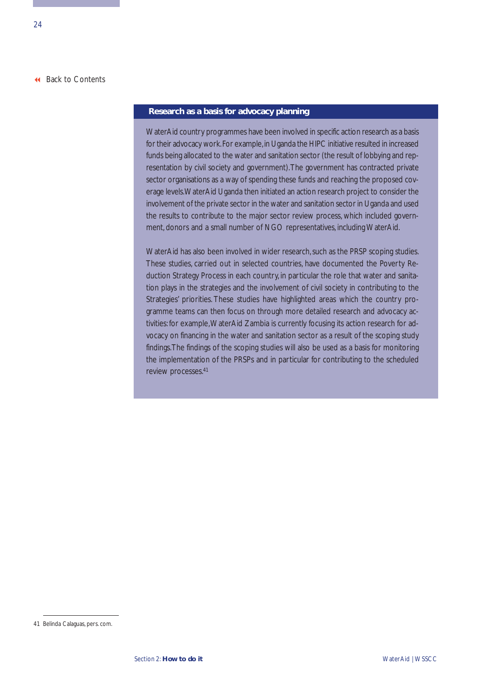### **Research as a basis for advocacy planning**

WaterAid country programmes have been involved in specific action research as a basis for their advocacy work. For example, in Uganda the HIPC initiative resulted in increased funds being allocated to the water and sanitation sector (the result of lobbying and representation by civil society and government).The government has contracted private sector organisations as a way of spending these funds and reaching the proposed coverage levels.WaterAid Uganda then initiated an action research project to consider the involvement of the private sector in the water and sanitation sector in Uganda and used the results to contribute to the major sector review process, which included government, donors and a small number of NGO representatives, including WaterAid.

WaterAid has also been involved in wider research, such as the PRSP scoping studies. These studies, carried out in selected countries, have documented the Poverty Reduction Strategy Process in each country, in particular the role that water and sanitation plays in the strategies and the involvement of civil society in contributing to the Strategies' priorities. These studies have highlighted areas which the country programme teams can then focus on through more detailed research and advocacy activities: for example,WaterAid Zambia is currently focusing its action research for advocacy on financing in the water and sanitation sector as a result of the scoping study findings.The findings of the scoping studies will also be used as a basis for monitoring the implementation of the PRSPs and in particular for contributing to the scheduled review processes.41

<sup>41</sup> Belinda Calaguas, pers. com.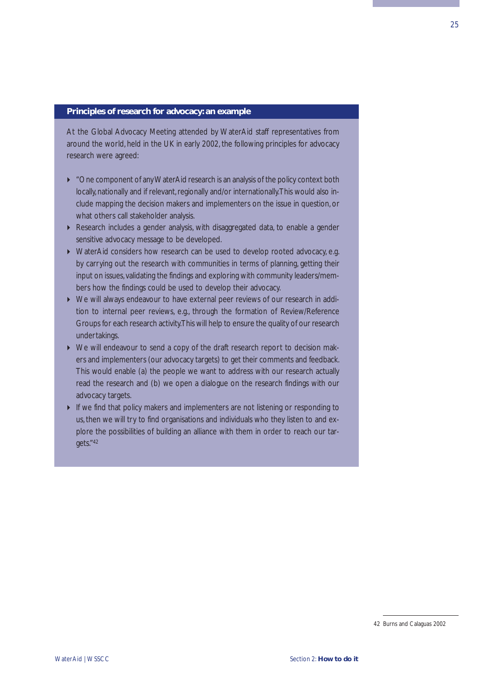### **Principles of research for advocacy: an example**

At the Global Advocacy Meeting attended by WaterAid staff representatives from around the world, held in the UK in early 2002, the following principles for advocacy research were agreed:

- "One component of any WaterAid research is an analysis of the policy context both locally, nationally and if relevant, regionally and/or internationally.This would also include mapping the decision makers and implementers on the issue in question, or what others call stakeholder analysis.
- Research includes a gender analysis, with disaggregated data, to enable a gender sensitive advocacy message to be developed.
- ▶ WaterAid considers how research can be used to develop rooted advocacy, e.g. by carrying out the research with communities in terms of planning, getting their input on issues, validating the findings and exploring with community leaders/members how the findings could be used to develop their advocacy.
- We will always endeavour to have external peer reviews of our research in addition to internal peer reviews, e.g., through the formation of Review/Reference Groups for each research activity.This will help to ensure the quality of our research undertakings.
- We will endeavour to send a copy of the draft research report to decision makers and implementers (our advocacy targets) to get their comments and feedback. This would enable (a) the people we want to address with our research actually read the research and (b) we open a dialogue on the research findings with our advocacy targets.
- If we find that policy makers and implementers are not listening or responding to us, then we will try to find organisations and individuals who they listen to and explore the possibilities of building an alliance with them in order to reach our targets."42

<sup>42</sup> Burns and Calaguas 2002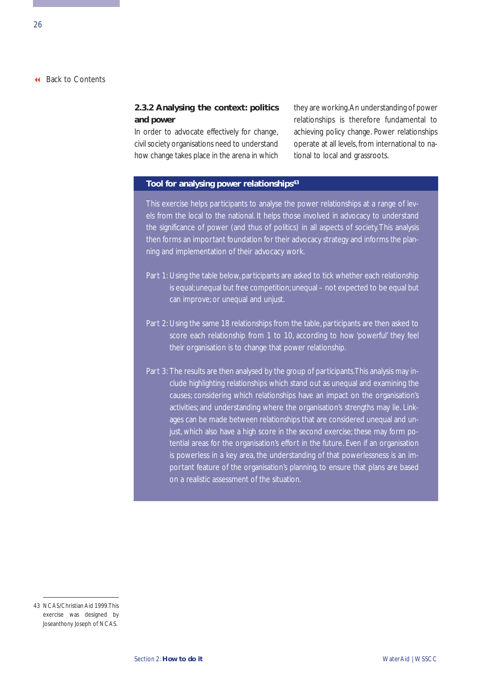### <span id="page-31-0"></span>**2.3.2 Analysing the context: politics and power**

In order to advocate effectively for change, civil society organisations need to understand how change takes place in the arena in which they are working.An understanding of power relationships is therefore fundamental to achieving policy change. Power relationships operate at all levels, from international to national to local and grassroots.

### **Tool for analysing power relationships43**

This exercise helps participants to analyse the power relationships at a range of levels from the local to the national. It helps those involved in advocacy to understand the significance of power (and thus of politics) in all aspects of society.This analysis then forms an important foundation for their advocacy strategy and informs the planning and implementation of their advocacy work.

- Part 1: Using the table below, participants are asked to tick whether each relationship is equal; unequal but free competition; unequal – not expected to be equal but can improve; or unequal and unjust.
- Part 2: Using the same 18 relationships from the table, participants are then asked to score each relationship from 1 to 10, according to how 'powerful' they feel their organisation is to change that power relationship.
- Part 3: The results are then analysed by the group of participants.This analysis may include highlighting relationships which stand out as unequal and examining the causes; considering which relationships have an impact on the organisation's activities; and understanding where the organisation's strengths may lie. Linkages can be made between relationships that are considered unequal and unjust, which also have a high score in the second exercise; these may form potential areas for the organisation's effort in the future. Even if an organisation is powerless in a key area, the understanding of that powerlessness is an important feature of the organisation's planning, to ensure that plans are based on a realistic assessment of the situation.

<sup>43</sup> NCAS/Christian Aid 1999.This exercise was designed by Joseanthony Joseph of NCAS.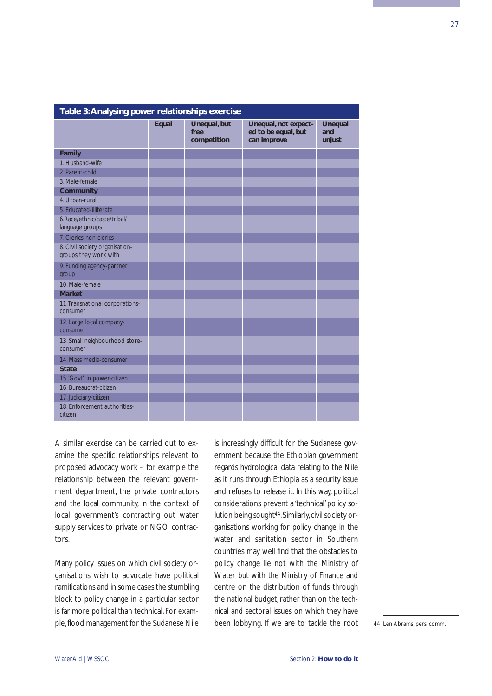| Table 3: Analysing power relationships exercise         |       |                                     |                                                            |                                 |  |
|---------------------------------------------------------|-------|-------------------------------------|------------------------------------------------------------|---------------------------------|--|
|                                                         | Equal | Unequal, but<br>free<br>competition | Unequal, not expect-<br>ed to be equal, but<br>can improve | <b>Unequal</b><br>and<br>unjust |  |
| Family                                                  |       |                                     |                                                            |                                 |  |
| 1. Husband-wife                                         |       |                                     |                                                            |                                 |  |
| 2. Parent-child                                         |       |                                     |                                                            |                                 |  |
| 3. Male-female                                          |       |                                     |                                                            |                                 |  |
| <b>Community</b>                                        |       |                                     |                                                            |                                 |  |
| 4. Urban-rural                                          |       |                                     |                                                            |                                 |  |
| 5. Educated-illiterate                                  |       |                                     |                                                            |                                 |  |
| 6.Race/ethnic/caste/tribal/<br>language groups          |       |                                     |                                                            |                                 |  |
| 7. Clerics-non clerics                                  |       |                                     |                                                            |                                 |  |
| 8. Civil society organisation-<br>groups they work with |       |                                     |                                                            |                                 |  |
| 9. Funding agency-partner<br>group                      |       |                                     |                                                            |                                 |  |
| 10. Male-female                                         |       |                                     |                                                            |                                 |  |
| <b>Market</b>                                           |       |                                     |                                                            |                                 |  |
| 11. Transnational corporations-<br>consumer             |       |                                     |                                                            |                                 |  |
| 12. Large local company-<br>consumer                    |       |                                     |                                                            |                                 |  |
| 13. Small neighbourhood store-<br>consumer              |       |                                     |                                                            |                                 |  |
| 14. Mass media-consumer                                 |       |                                     |                                                            |                                 |  |
| <b>State</b>                                            |       |                                     |                                                            |                                 |  |
| 15. 'Govt'. in power-citizen                            |       |                                     |                                                            |                                 |  |
| 16. Bureaucrat-citizen                                  |       |                                     |                                                            |                                 |  |
| 17. Judiciary-citizen                                   |       |                                     |                                                            |                                 |  |
| 18. Enforcement authorities-<br>citizen                 |       |                                     |                                                            |                                 |  |

A similar exercise can be carried out to examine the specific relationships relevant to proposed advocacy work – for example the relationship between the relevant government department, the private contractors and the local community, in the context of local government's contracting out water supply services to private or NGO contractors.

Many policy issues on which civil society organisations wish to advocate have political ramifications and in some cases the stumbling block to policy change in a particular sector is far more political than technical. For example,flood management for the Sudanese Nile is increasingly difficult for the Sudanese government because the Ethiopian government regards hydrological data relating to the Nile as it runs through Ethiopia as a security issue and refuses to release it. In this way, political considerations prevent a 'technical' policy solution being sought<sup>44</sup>. Similarly, civil society organisations working for policy change in the water and sanitation sector in Southern countries may well find that the obstacles to policy change lie not with the Ministry of Water but with the Ministry of Finance and centre on the distribution of funds through the national budget, rather than on the technical and sectoral issues on which they have been lobbying. If we are to tackle the root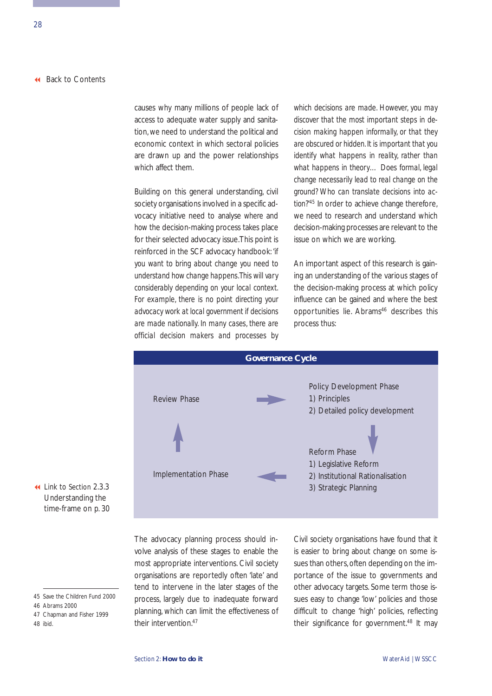causes why many millions of people lack of access to adequate water supply and sanitation, we need to understand the political and economic context in which sectoral policies are drawn up and the power relationships which affect them.

Building on this general understanding, civil society organisations involved in a specific advocacy initiative need to analyse *where* and *how* the decision-making process takes place for their selected advocacy issue.This point is reinforced in the SCF advocacy handbook: *'if you want to bring about change you need to understand how change happens.This will vary considerably depending on your local context. For example, there is no point directing your advocacy work at local government if decisions are made nationally. In many cases, there are official decision makers and processes by*

*which decisions are made. However, you may discover that the most important steps in decision making happen informally, or that they are obscured or hidden. It is important that you identify what happens in reality, rather than what happens in theory… Does formal, legal change necessarily lead to real change on the ground? Who can translate decisions into action?'45* In order to achieve change therefore, we need to research and understand which decision-making processes are relevant to the issue on which we are working.

An important aspect of this research is gaining an understanding of the various stages of the decision-making process at which policy influence can be gained and where the best opportunities lie. Abrams<sup>46</sup> describes this process thus:



 Link to Section 2.3.3 Understanding the [time-frame on p. 30](#page-35-0)

48 ibid.

The advocacy planning process should involve analysis of these stages to enable the most appropriate interventions. Civil society organisations are reportedly often 'late' and tend to intervene in the later stages of the process, largely due to inadequate forward planning, which can limit the effectiveness of their intervention<sup>47</sup>

Civil society organisations have found that it is easier to bring about change on some issues than others, often depending on the importance of the issue to governments and other advocacy targets. Some term those issues easy to change 'low' policies and those difficult to change 'high' policies, reflecting their significance for government.48 It may

<sup>45</sup> Save the Children Fund 2000

<sup>46</sup> Abrams 2000

<sup>47</sup> Chapman and Fisher 1999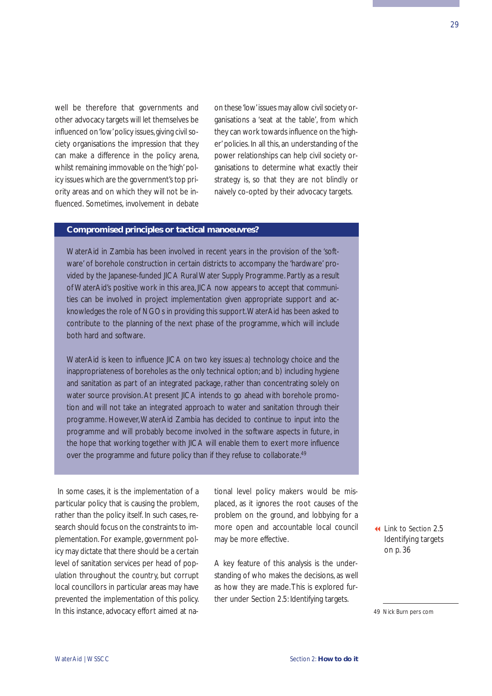well be therefore that governments and other advocacy targets will let themselves be influenced on 'low' policy issues, giving civil society organisations the impression that they can make a difference in the policy arena, whilst remaining immovable on the 'high' policy issues which are the government's top priority areas and on which they will not be influenced. Sometimes, involvement in debate

on these 'low'issues may allow civil society organisations a 'seat at the table', from which they can work towards influence on the 'higher' policies. In all this, an understanding of the power relationships can help civil society organisations to determine what exactly their strategy is, so that they are not blindly or naively co-opted by their advocacy targets.

### **Compromised principles or tactical manoeuvres?**

WaterAid in Zambia has been involved in recent years in the provision of the 'software' of borehole construction in certain districts to accompany the 'hardware' provided by the Japanese-funded JICA Rural Water Supply Programme. Partly as a result of WaterAid's positive work in this area, JICA now appears to accept that communities can be involved in project implementation given appropriate support and acknowledges the role of NGOs in providing this support.WaterAid has been asked to contribute to the planning of the next phase of the programme, which will include both hard and software.

WaterAid is keen to influence JICA on two key issues: a) technology choice and the inappropriateness of boreholes as the only technical option; and b) including hygiene and sanitation as part of an integrated package, rather than concentrating solely on water source provision. At present JICA intends to go ahead with borehole promotion and will not take an integrated approach to water and sanitation through their programme. However, WaterAid Zambia has decided to continue to input into the programme and will probably become involved in the software aspects in future, in the hope that working together with JICA will enable them to exert more influence over the programme and future policy than if they refuse to collaborate.<sup>49</sup>

In some cases, it is the *implementation* of a particular policy that is causing the problem, rather than the policy itself. In such cases, research should focus on the constraints to implementation. For example, government policy may dictate that there should be a certain level of sanitation services per head of population throughout the country, but corrupt local councillors in particular areas may have prevented the implementation of this policy. In this instance, advocacy effort aimed at national level policy makers would be misplaced, as it ignores the root causes of the problem on the ground, and lobbying for a more open and accountable local council may be more effective.

A key feature of this analysis is the understanding of who makes the decisions, as well as how they are made.This is explored further under Section 2.5: Identifying targets.

 Link to Section 2.5 [Identifying targets](#page-41-0) on p. 36

49 Nick Burn pers com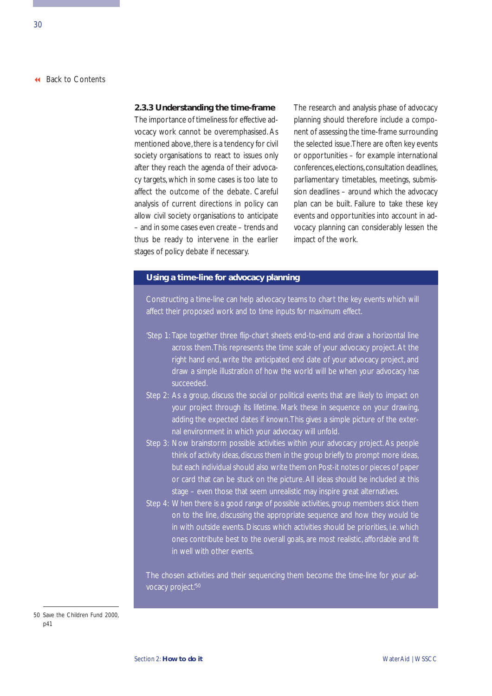### <span id="page-35-0"></span>**2.3.3 Understanding the time-frame**

The importance of timeliness for effective advocacy work cannot be overemphasised. As mentioned above, there is a tendency for civil society organisations to react to issues only after they reach the agenda of their advocacy targets, which in some cases is too late to affect the outcome of the debate. Careful analysis of current directions in policy can allow civil society organisations to anticipate – and in some cases even create – trends and thus be ready to intervene in the earlier stages of policy debate if necessary.

The research and analysis phase of advocacy planning should therefore include a component of assessing the time-frame surrounding the selected issue.There are often key events or opportunities – for example international conferences,elections,consultation deadlines, parliamentary timetables, meetings, submission deadlines – around which the advocacy plan can be built. Failure to take these key events and opportunities into account in advocacy planning can considerably lessen the impact of the work.

### **Using a time-line for advocacy planning**

Constructing a time-line can help advocacy teams to chart the key events which will affect their proposed work and to time inputs for maximum effect.

- 'Step 1: Tape together three flip-chart sheets end-to-end and draw a horizontal line across them.This represents the time scale of your advocacy project. At the right hand end, write the anticipated end date of your advocacy project, and draw a simple illustration of how the world will be when your advocacy has succeeded.
- Step 2: As a group, discuss the social or political events that are likely to impact on your project through its lifetime. Mark these in sequence on your drawing, adding the expected dates if known.This gives a simple picture of the external environment in which your advocacy will unfold.
- Step 3: Now brainstorm possible activities within your advocacy project. As people think of activity ideas, discuss them in the group briefly to prompt more ideas, but each individual should also write them on Post-it notes or pieces of paper or card that can be stuck on the picture. All ideas should be included at this stage – even those that seem unrealistic may inspire great alternatives.
- Step 4: When there is a good range of possible activities, group members stick them on to the line, discussing the appropriate sequence and how they would tie in with outside events. Discuss which activities should be priorities, i.e. which ones contribute best to the overall goals, are most realistic, affordable and fit

The chosen activities and their sequencing them become the time-line for your advocacy project.'50

<sup>50</sup> Save the Children Fund 2000, p41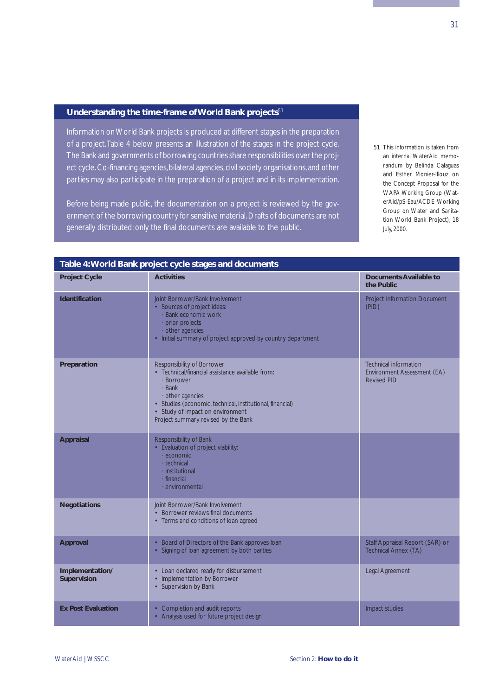## **Understanding the time-frame of World Bank projects**<sup>51</sup>

Information on World Bank projects is produced at different stages in the preparation of a project.Table 4 below presents an illustration of the stages in the project cycle. The Bank and governments of borrowing countries share responsibilities over the project cycle. Co-financing agencies, bilateral agencies, civil society organisations, and other parties may also participate in the preparation of a project and in its implementation.

Before being made public, the documentation on a project is reviewed by the government of the borrowing country for sensitive material. Drafts of documents are not generally distributed: only the final documents are available to the public.

51 This information is taken from an internal WaterAid memorandum by Belinda Calaguas and Esther Monier-Illouz on the Concept Proposal for the WAPA Working Group (WaterAid/pS-Eau/ACDE Working Group on Water and Sanitation World Bank Project), 18 July, 2000.

| Table 4: World Bank project cycle stages and documents |                                                                                                                                                                                                                                                                  |                                                                                   |  |  |  |  |
|--------------------------------------------------------|------------------------------------------------------------------------------------------------------------------------------------------------------------------------------------------------------------------------------------------------------------------|-----------------------------------------------------------------------------------|--|--|--|--|
| <b>Project Cycle</b>                                   | <b>Activities</b>                                                                                                                                                                                                                                                | Documents Available to<br>the Public                                              |  |  |  |  |
| <b>Identification</b>                                  | Joint Borrower/Bank Involvement<br>• Sources of project ideas:<br>· Bank economic work<br>· prior projects<br>other agencies<br>• Initial summary of project approved by country department                                                                      | Project Information Document<br>(PID)                                             |  |  |  |  |
| Preparation                                            | Responsibility of Borrower<br>• Technical/financial assistance available from:<br>· Borrower<br>· Bank<br>other agencies<br>· Studies (economic, technical, institutional, financial)<br>• Study of impact on environment<br>Project summary revised by the Bank | <b>Technical information</b><br>Environment Assessment (EA)<br><b>Revised PID</b> |  |  |  |  |
| <b>Appraisal</b>                                       | Responsibility of Bank<br>• Evaluation of project viability:<br>· economic<br>- technical<br>· institutional<br>· financial<br>· environmental                                                                                                                   |                                                                                   |  |  |  |  |
| <b>Negotiations</b>                                    | Joint Borrower/Bank Involvement<br>• Borrower reviews final documents<br>• Terms and conditions of loan agreed                                                                                                                                                   |                                                                                   |  |  |  |  |
| <b>Approval</b>                                        | • Board of Directors of the Bank approves loan<br>• Signing of loan agreement by both parties                                                                                                                                                                    | Staff Appraisal Report (SAR) or<br>Technical Annex (TA)                           |  |  |  |  |
| Implementation/<br>Supervision                         | • Loan declared ready for disbursement<br>• Implementation by Borrower<br>• Supervision by Bank                                                                                                                                                                  | Legal Agreement                                                                   |  |  |  |  |
| <b>Ex Post Evaluation</b>                              | • Completion and audit reports<br>• Analysis used for future project design                                                                                                                                                                                      | Impact studies                                                                    |  |  |  |  |
|                                                        |                                                                                                                                                                                                                                                                  |                                                                                   |  |  |  |  |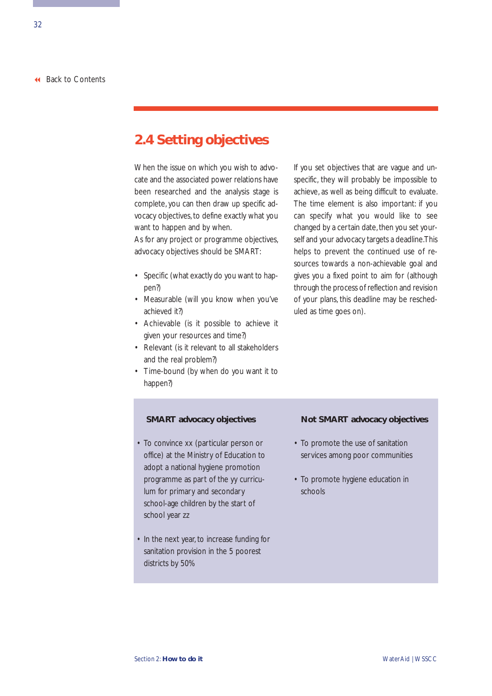## **2.4 Setting objectives**

When the issue on which you wish to advocate and the associated power relations have been researched and the analysis stage is complete, you can then draw up specific advocacy objectives, to define exactly what you want to happen and by when.

As for any project or programme objectives, advocacy objectives should be SMART:

- Specific (what exactly do you want to happen?)
- Measurable (will you know when you've achieved it?)
- Achievable (is it possible to achieve it given your resources and time?)
- Relevant (is it relevant to all stakeholders and the real problem?)
- Time-bound (by when do you want it to happen?)

## **SMART advocacy objectives**

- To convince xx (particular person or office) at the Ministry of Education to adopt a national hygiene promotion programme as part of the yy curriculum for primary and secondary school-age children by the start of school year zz
- In the next year, to increase funding for sanitation provision in the 5 poorest districts by 50%

If you set objectives that are vague and unspecific, they will probably be impossible to achieve, as well as being difficult to evaluate. The time element is also important: if you can specify what you would like to see changed by a certain date, then you set yourself and your advocacy targets a deadline.This helps to prevent the continued use of resources towards a non-achievable goal and gives you a fixed point to aim for (although through the process of reflection and revision of your plans, this deadline may be rescheduled as time goes on).

#### **Not SMART advocacy objectives**

- To promote the use of sanitation services among poor communities
- To promote hygiene education in schools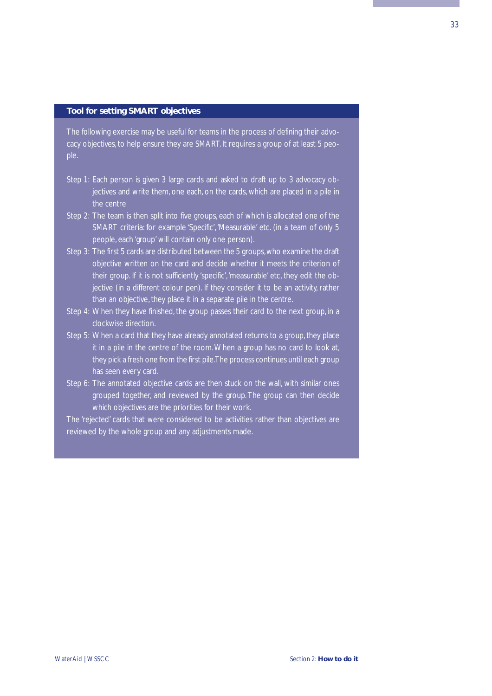#### **Tool for setting SMART objectives**

The following exercise may be useful for teams in the process of defining their advocacy objectives, to help ensure they are SMART. It requires a group of at least 5 people.

- Step 1: Each person is given 3 large cards and asked to draft up to 3 advocacy objectives and write them, one each, on the cards, which are placed in a pile in the centre
- Step 2: The team is then split into five groups, each of which is allocated one of the SMART criteria: for example 'Specific', 'Measurable' etc. (in a team of only 5 people, each 'group' will contain only one person).
- Step 3: The first 5 cards are distributed between the 5 groups,who examine the draft objective written on the card and decide whether it meets the criterion of their group. If it is not sufficiently 'specific','measurable' etc, they edit the objective (in a different colour pen). If they consider it to be an activity, rather than an objective, they place it in a separate pile in the centre.
- Step 4: When they have finished, the group passes their card to the next group, in a clockwise direction.
- Step 5: When a card that they have already annotated returns to a group, they place it in a pile in the centre of the room.When a group has no card to look at, they pick a fresh one from the first pile.The process continues until each group has seen every card.
- Step 6: The annotated objective cards are then stuck on the wall, with similar ones grouped together, and reviewed by the group. The group can then decide which objectives are the priorities for their work.

The 'rejected' cards that were considered to be activities rather than objectives are reviewed by the whole group and any adjustments made.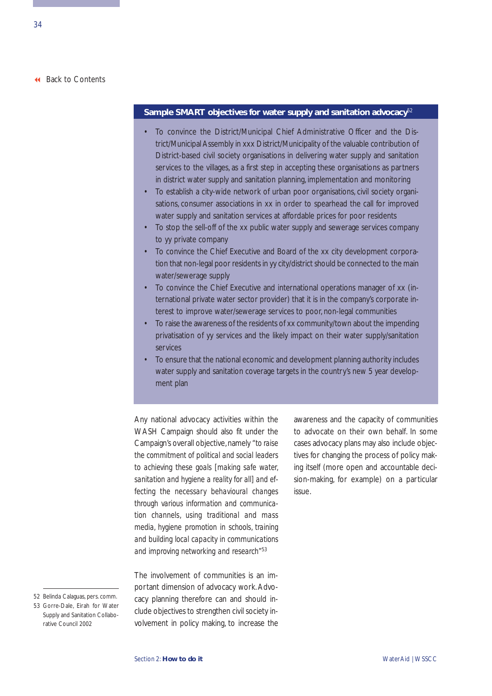## **Sample SMART objectives for water supply and sanitation advocacy**<sup>52</sup>

- To convince the District/Municipal Chief Administrative Officer and the District/Municipal Assembly in xxx District/Municipality of the valuable contribution of District-based civil society organisations in delivering water supply and sanitation services to the villages, as a first step in accepting these organisations as partners in district water supply and sanitation planning, implementation and monitoring
- To establish a city-wide network of urban poor organisations, civil society organisations, consumer associations in xx in order to spearhead the call for improved water supply and sanitation services at affordable prices for poor residents
- To stop the sell-off of the xx public water supply and sewerage services company to yy private company
- To convince the Chief Executive and Board of the xx city development corporation that non-legal poor residents in yy city/district should be connected to the main water/sewerage supply
- To convince the Chief Executive and international operations manager of xx (international private water sector provider) that it is in the company's corporate interest to improve water/sewerage services to poor, non-legal communities
- To raise the awareness of the residents of xx community/town about the impending privatisation of yy services and the likely impact on their water supply/sanitation services
- To ensure that the national economic and development planning authority includes water supply and sanitation coverage targets in the country's new 5 year development plan

Any national advocacy activities within the WASH Campaign should also fit under the Campaign's overall objective, namely *"to raise the commitment of political and social leaders to achieving these goals [making safe water, sanitation and hygiene a reality for all] and effecting the necessary behavioural changes through various information and communication channels, using traditional and mass media, hygiene promotion in schools, training and building local capacity in communications and improving networking and research"*<sup>53</sup>

The involvement of communities is an important dimension of advocacy work. Advocacy planning therefore can and should include objectives to strengthen civil society involvement in policy making, to increase the

awareness and the capacity of communities to advocate on their own behalf. In some cases advocacy plans may also include objectives for changing the process of policy making itself (more open and accountable decision-making, for example) on a particular issue.

<sup>52</sup> Belinda Calaguas, pers. comm.

<sup>53</sup> Gorre-Dale, Eirah for Water Supply and Sanitation Collaborative Council 2002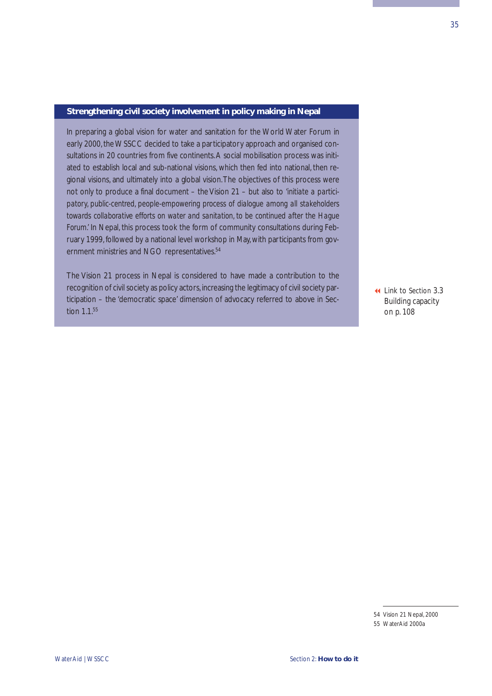### **Strengthening civil society involvement in policy making in Nepal**

In preparing a global vision for water and sanitation for the World Water Forum in early 2000, the WSSCC decided to take a participatory approach and organised consultations in 20 countries from five continents.A social mobilisation process was initiated to establish local and sub-national visions, which then fed into national, then regional visions, and ultimately into a global vision.The objectives of this process were not only to produce a final document – the Vision 21 – but also to *'initiate a participatory, public-centred, people-empowering process of dialogue among all stakeholders towards collaborative efforts on water and sanitation, to be continued after the Hague Forum.'* In Nepal, this process took the form of community consultations during February 1999, followed by a national level workshop in May, with participants from government ministries and NGO representatives.<sup>54</sup>

The Vision 21 process in Nepal is considered to have made a contribution to the recognition of civil society as policy actors,increasing the legitimacy of civil society participation – the 'democratic space' dimension of advocacy referred to above in Section 1.1.55

 Link to Section 3.3 [Building capacity](#page-113-0) on p. 108

<sup>54</sup> Vision 21 Nepal, 2000 55 WaterAid 2000a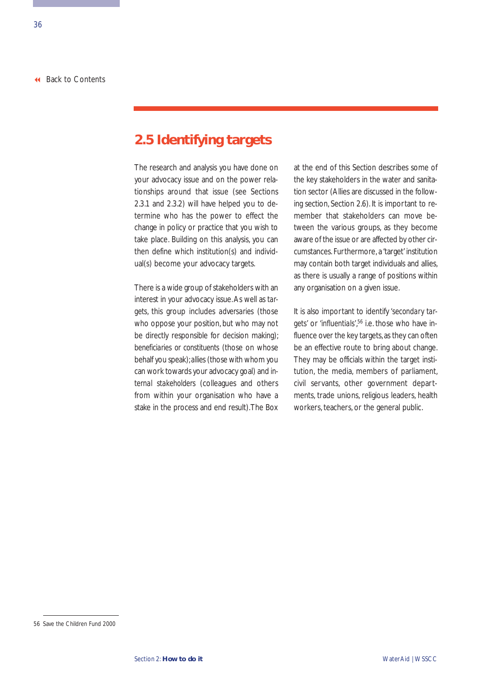## **2.5 Identifying targets**

The research and analysis you have done on your advocacy issue and on the power relationships around that issue (see Sections 2.3.1 and 2.3.2) will have helped you to determine who has the power to effect the change in policy or practice that you wish to take place. Building on this analysis, you can then define which institution(s) and individual(s) become your advocacy targets.

There is a wide group of stakeholders with an interest in your advocacy issue.As well as *targets*, this group includes *adversaries* (those who oppose your position, but who may not be directly responsible for decision making); *beneficiaries or constituents* (those on whose behalf you speak);*allies* (those with whom you can work towards your advocacy goal) and *internal stakeholders* (colleagues and others from within your organisation who have a stake in the process and end result).The Box at the end of this Section describes some of the key stakeholders in the water and sanitation sector (Allies are discussed in the following section, Section 2.6). It is important to remember that stakeholders can move between the various groups, as they become aware of the issue or are affected by other circumstances. Furthermore, a 'target' institution may contain both target individuals and allies, as there is usually a range of positions within any organisation on a given issue.

It is also important to identify *'secondary targets'* or *'influentials'*, <sup>56</sup> i.e. those who have influence over the key targets, as they can often be an effective route to bring about change. They may be officials within the target institution, the media, members of parliament, civil servants, other government departments, trade unions, religious leaders, health workers, teachers, or the general public.

<sup>56</sup> Save the Children Fund 2000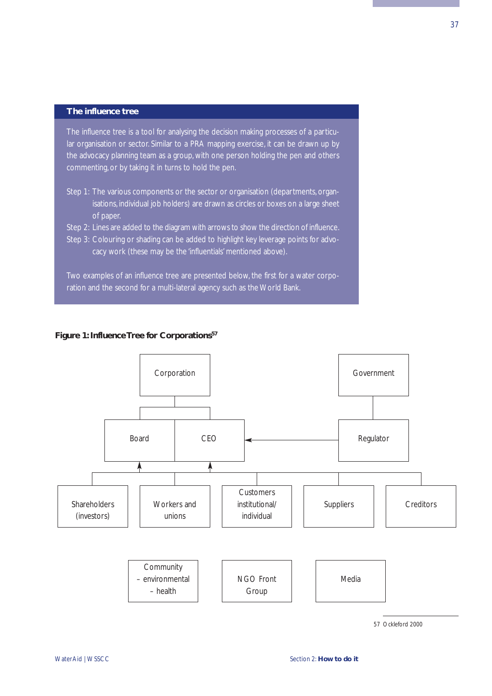## **The influence tree**

The influence tree is a tool for analysing the decision making processes of a particular organisation or sector. Similar to a PRA mapping exercise, it can be drawn up by the advocacy planning team as a group, with one person holding the pen and others commenting, or by taking it in turns to hold the pen.

Step 1: The various components or the sector or organisation (departments, organisations, individual job holders) are drawn as circles or boxes on a large sheet of paper.

Step 2: Lines are added to the diagram with arrows to show the direction of influence. Step 3: Colouring or shading can be added to highlight key leverage points for advocacy work (these may be the 'influentials' mentioned above).

Two examples of an influence tree are presented below, the first for a water corporation and the second for a multi-lateral agency such as the World Bank.

## **Figure 1: Influence Tree for Corporations57**



57 Ockleford 2000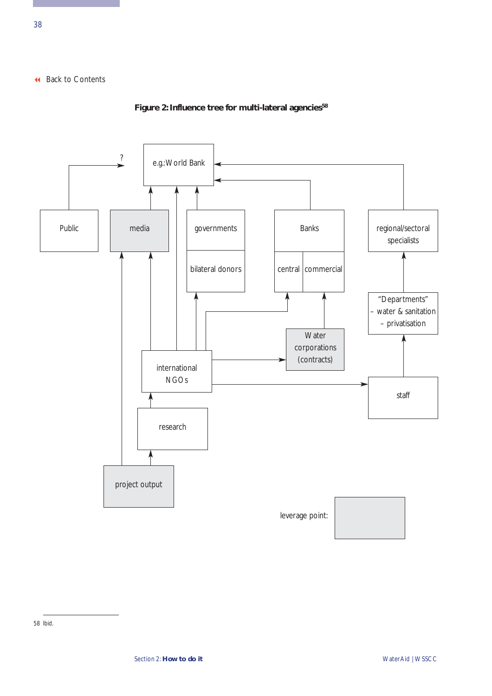

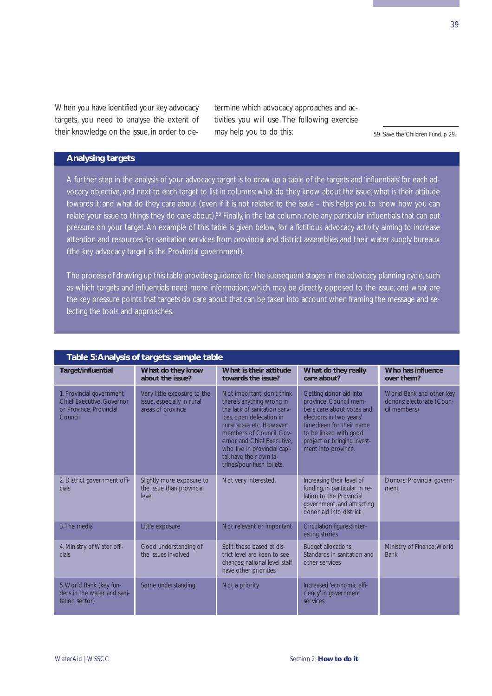When you have identified your key advocacy targets, you need to analyse the extent of their knowledge on the issue, in order to determine which advocacy approaches and activities you will use. The following exercise may help you to do this:

59 Save the Children Fund, p 29.

## **Analysing targets**

A further step in the analysis of your advocacy target is to draw up a table of the targets and 'influentials' for each advocacy objective, and next to each target to list in columns: what do they know about the issue; what is their attitude towards it; and what do they care about (even if it is not related to the issue – this helps you to know how you can relate your issue to things they do care about).<sup>59</sup> Finally, in the last column, note any particular influentials that can put pressure on your target. An example of this table is given below, for a fictitious advocacy activity aiming to increase attention and resources for sanitation services from provincial and district assemblies and their water supply bureaux (the key advocacy target is the Provincial government).

The process of drawing up this table provides guidance for the subsequent stages in the advocacy planning cycle, such as which targets and influentials need more information; which may be directly opposed to the issue; and what are the key pressure points that targets do care about that can be taken into account when framing the message and selecting the tools and approaches.

| Table 5: Analysis of targets: sample table                                                         |                                                                                |                                                                                                                                                                                                                                                                                                     |                                                                                                                                                                                                                       |                                                                       |  |  |
|----------------------------------------------------------------------------------------------------|--------------------------------------------------------------------------------|-----------------------------------------------------------------------------------------------------------------------------------------------------------------------------------------------------------------------------------------------------------------------------------------------------|-----------------------------------------------------------------------------------------------------------------------------------------------------------------------------------------------------------------------|-----------------------------------------------------------------------|--|--|
| Target/influential                                                                                 | What do they know<br>about the issue?                                          | What is their attitude<br>towards the issue?                                                                                                                                                                                                                                                        | What do they really<br>care about?                                                                                                                                                                                    | Who has influence<br>over them?                                       |  |  |
| 1. Provincial government<br><b>Chief Executive, Governor</b><br>or Province, Provincial<br>Council | Very little exposure to the<br>issue, especially in rural<br>areas of province | Not important, don't think<br>there's anything wrong in<br>the lack of sanitation serv-<br>ices, open defecation in<br>rural areas etc. However.<br>members of Council, Gov-<br>ernor and Chief Executive.<br>who live in provincial capi-<br>tal, have their own la-<br>trines/pour-flush toilets. | Getting donor aid into<br>province. Council mem-<br>bers care about votes and<br>elections in two years'<br>time: keen for their name<br>to be linked with good<br>project or bringing invest-<br>ment into province. | World Bank and other key<br>donors; electorate (Coun-<br>cil members) |  |  |
| 2. District government offi-<br>cials.                                                             | Slightly more exposure to<br>the issue than provincial<br>level                | Not very interested.                                                                                                                                                                                                                                                                                | Increasing their level of<br>funding, in particular in re-<br>lation to the Provincial<br>government, and attracting<br>donor aid into district                                                                       | Donors; Provincial govern-<br>ment                                    |  |  |
| 3. The media                                                                                       | Little exposure                                                                | Not relevant or important                                                                                                                                                                                                                                                                           | Circulation figures; inter-<br>esting stories                                                                                                                                                                         |                                                                       |  |  |
| 4. Ministry of Water offi-<br>cials.                                                               | Good understanding of<br>the issues involved                                   | Split: those based at dis-<br>trict level are keen to see<br>changes; national level staff<br>have other priorities                                                                                                                                                                                 | <b>Budget allocations</b><br>Standards in sanitation and<br>other services                                                                                                                                            | Ministry of Finance; World<br><b>Bank</b>                             |  |  |
| 5. World Bank (key fun-<br>ders in the water and sani-<br>tation sector)                           | Some understanding                                                             | Not a priority                                                                                                                                                                                                                                                                                      | Increased 'economic effi-<br>ciency' in government<br>services                                                                                                                                                        |                                                                       |  |  |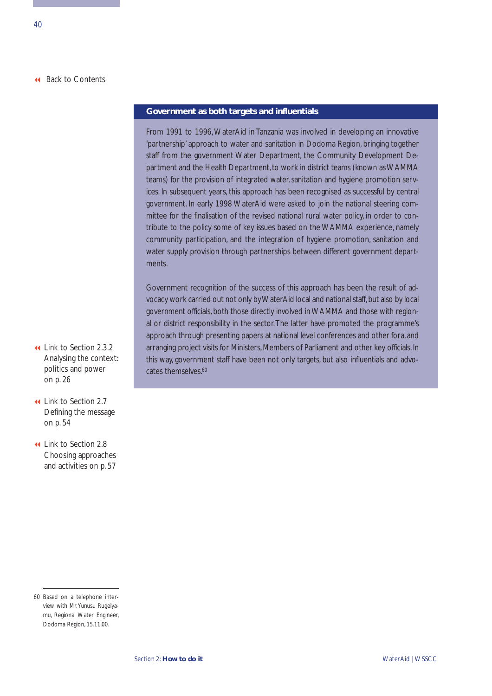#### **Government as both targets and influentials**

From 1991 to 1996, WaterAid in Tanzania was involved in developing an innovative 'partnership' approach to water and sanitation in Dodoma Region, bringing together staff from the government Water Department, the Community Development Department and the Health Department, to work in district teams (known as WAMMA teams) for the provision of integrated water, sanitation and hygiene promotion services. In subsequent years, this approach has been recognised as successful by central government. In early 1998 WaterAid were asked to join the national steering committee for the finalisation of the revised national rural water policy, in order to contribute to the policy some of key issues based on the WAMMA experience, namely community participation, and the integration of hygiene promotion, sanitation and water supply provision through partnerships between different government departments.

Government recognition of the success of this approach has been the result of advocacy work carried out not only by WaterAid local and national staff, but also by local government officials, both those directly involved in WAMMA and those with regional or district responsibility in the sector.The latter have promoted the programme's approach through presenting papers at national level conferences and other fora, and arranging project visits for Ministers, Members of Parliament and other key officials. In this way, government staff have been not only targets, but also influentials and advocates themselves.<sup>60</sup>

- Link to Section 2.3.2 [Analysing the context:](#page-31-0) politics and power on p. 26
- Link to Section 2.7 [Defining the message](#page-59-0) on p. 54
- Link to Section 2.8 [Choosing approaches](#page-62-0) and activities on p. 57

<sup>60</sup> Based on a telephone interview with Mr.Yunusu Rugeiyamu, Regional Water Engineer, Dodoma Region, 15.11.00.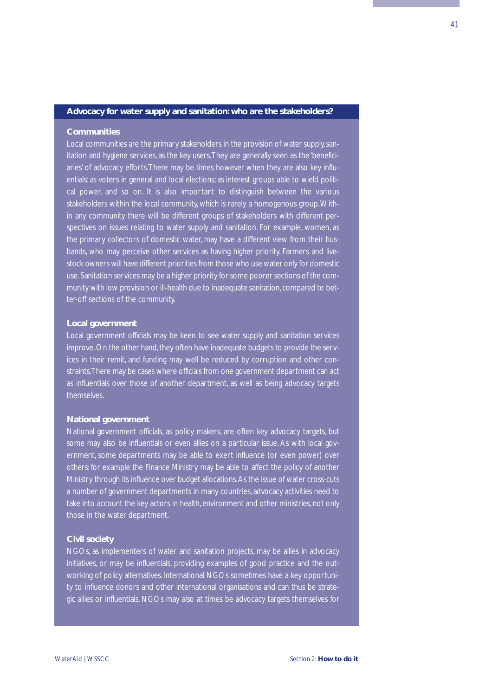#### **Advocacy for water supply and sanitation: who are the stakeholders?**

#### **Communities**

Local communities are the primary stakeholders in the provision of water supply, sanitation and hygiene services, as the key users.They are generally seen as the 'beneficiaries' of advocacy efforts.There may be times however when they are also key influentials: as voters in general and local elections; as interest groups able to wield political power, and so on. It is also important to distinguish between the various stakeholders within the local community, which is rarely a homogenous group.Within any community there will be different groups of stakeholders with different perspectives on issues relating to water supply and sanitation. For example, women, as the primary collectors of domestic water, may have a different view from their husbands, who may perceive other services as having higher priority. Farmers and livestock owners will have different priorities from those who use water only for domestic use. Sanitation services may be a higher priority for some poorer sections of the community with low provision or ill-health due to inadequate sanitation, compared to better-off sections of the community.

#### **Local government**

Local government officials may be keen to see water supply and sanitation services improve. On the other hand, they often have inadequate budgets to provide the services in their remit, and funding may well be reduced by corruption and other constraints.There may be cases where officials from one government department can act as influentials over those of another department, as well as being advocacy targets themselves.

#### **National government**

National government officials, as policy makers, are often key advocacy targets, but some may also be influentials or even allies on a particular issue. As with local government, some departments may be able to exert influence (or even power) over others: for example the Finance Ministry may be able to affect the policy of another Ministry through its influence over budget allocations.As the issue of water cross-cuts a number of government departments in many countries, advocacy activities need to take into account the key actors in health, environment and other ministries, not only those in the water department.

#### **Civil society**

NGOs, as implementers of water and sanitation projects, may be allies in advocacy initiatives, or may be influentials, providing examples of good practice and the outworking of policy alternatives. International NGOs sometimes have a key opportunity to influence donors and other international organisations and can thus be strategic allies or influentials. NGOs may also at times be advocacy targets themselves for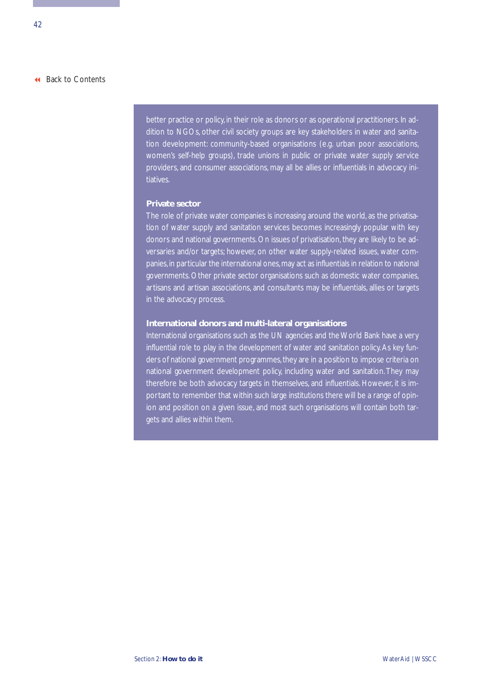better practice or policy, in their role as donors or as operational practitioners. In addition to NGOs, other civil society groups are key stakeholders in water and sanitation development: community-based organisations (e.g. urban poor associations, women's self-help groups), trade unions in public or private water supply service providers, and consumer associations, may all be allies or influentials in advocacy initiatives.

#### **Private sector**

The role of private water companies is increasing around the world, as the privatisation of water supply and sanitation services becomes increasingly popular with key donors and national governments. On issues of privatisation, they are likely to be adversaries and/or targets; however, on other water supply-related issues, water companies, in particular the international ones, may act as influentials in relation to national governments. Other private sector organisations such as domestic water companies, artisans and artisan associations, and consultants may be influentials, allies or targets in the advocacy process.

#### **International donors and multi-lateral organisations**

International organisations such as the UN agencies and the World Bank have a very influential role to play in the development of water and sanitation policy. As key funders of national government programmes, they are in a position to impose criteria on national government development policy, including water and sanitation. They may therefore be both advocacy targets in themselves, and influentials. However, it is important to remember that within such large institutions there will be a range of opinion and position on a given issue, and most such organisations will contain both targets and allies within them.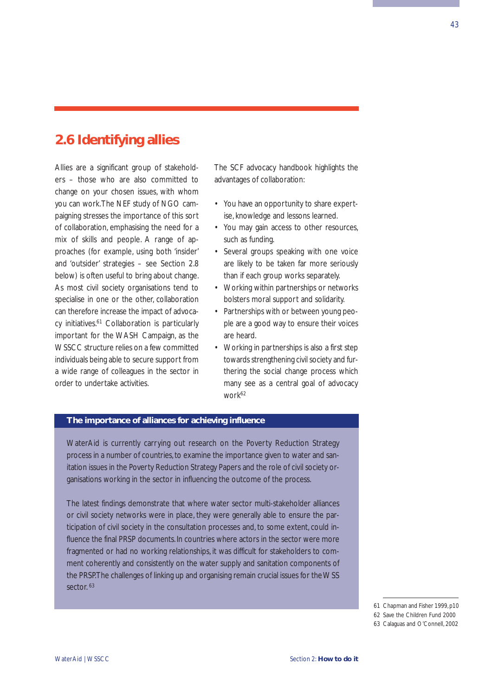## **2.6 Identifying allies**

Allies are a significant group of stakeholders – those who are also committed to change on your chosen issues, with whom you can work.The NEF study of NGO campaigning stresses the importance of this sort of collaboration, emphasising the need for a mix of skills and people. A range of approaches (for example, using both 'insider' and 'outsider' strategies – see Section 2.8 below) is often useful to bring about change. As most civil society organisations tend to specialise in one or the other, collaboration can therefore increase the impact of advocacy initiatives.<sup>61</sup> Collaboration is particularly important for the WASH Campaign, as the WSSCC structure relies on a few committed individuals being able to secure support from a wide range of colleagues in the sector in order to undertake activities.

The SCF advocacy handbook highlights the advantages of collaboration:

- You have an opportunity to share expertise, knowledge and lessons learned.
- You may gain access to other resources, such as funding.
- Several groups speaking with one voice are likely to be taken far more seriously than if each group works separately.
- Working within partnerships or networks bolsters moral support and solidarity.
- Partnerships with or between young people are a good way to ensure their voices are heard.
- Working in partnerships is also a first step towards strengthening civil society and furthering the social change process which many see as a central goal of advocacy work62

## **The importance of alliances for achieving influence**

WaterAid is currently carrying out research on the Poverty Reduction Strategy process in a number of countries, to examine the importance given to water and sanitation issues in the Poverty Reduction Strategy Papers and the role of civil society organisations working in the sector in influencing the outcome of the process.

The latest findings demonstrate that where water sector multi-stakeholder alliances or civil society networks were in place, they were generally able to ensure the participation of civil society in the consultation processes and, to some extent, could influence the final PRSP documents. In countries where actors in the sector were more fragmented or had no working relationships, it was difficult for stakeholders to comment coherently and consistently on the water supply and sanitation components of the PRSP.The challenges of linking up and organising remain crucial issues for the WSS sector.<sup>63</sup>

63 Calaguas and O'Connell, 2002

<sup>61</sup> Chapman and Fisher 1999,p10

<sup>62</sup> Save the Children Fund 2000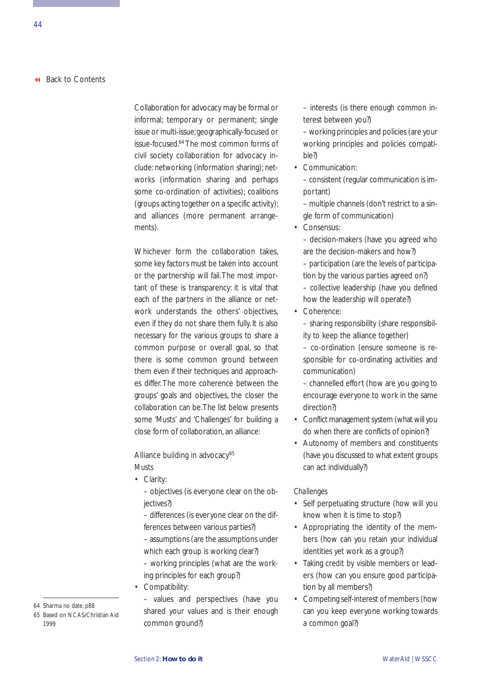Collaboration for advocacy may be formal or informal; temporary or permanent; single issue or multi-issue; geographically-focused or issue-focused.64The most common forms of civil society collaboration for advocacy include: networking (information sharing); networks (information sharing and perhaps some co-ordination of activities); coalitions (groups acting together on a specific activity); and alliances (more permanent arrangements).

Whichever form the collaboration takes, some key factors must be taken into account or the partnership will fail.The most important of these is transparency: it is vital that each of the partners in the alliance or network understands the others' objectives, even if they do not share them fully. It is also necessary for the various groups to share a common purpose or overall goal, so that there is some common ground between them even if their techniques and approaches differ. The more coherence between the groups' goals and objectives, the closer the collaboration can be.The list below presents some 'Musts' and 'Challenges' for building a close form of collaboration, an alliance:

## Alliance building in advocacy<sup>65</sup>

*Musts*

• Clarity:

– objectives (is everyone clear on the objectives?)

– differences (is everyone clear on the differences between various parties?)

– assumptions (are the assumptions under which each group is working clear?)

– working principles (what are the working principles for each group?)

• Compatibility:

– values and perspectives (have you shared your values and is their enough common ground?)

– interests (is there enough common interest between you?)

– working principles and policies (are your working principles and policies compatible?)

• Communication: – consistent (regular communication is important)

– multiple channels (don't restrict to a single form of communication)

• Consensus:

– decision-makers (have you agreed who are the decision-makers and how?) – participation (are the levels of participation by the various parties agreed on?) – collective leadership (have you defined how the leadership will operate?)

• Coherence:

– sharing responsibility (share responsibility to keep the alliance together)

– co-ordination (ensure someone is responsible for co-ordinating activities and communication)

– channelled effort (how are you going to encourage everyone to work in the same direction?)

- Conflict management system (what will you do when there are conflicts of opinion?)
- Autonomy of members and constituents (have you discussed to what extent groups can act individually?)

#### *Challenges*

- Self perpetuating structure (how will you know when it is time to stop?)
- Appropriating the identity of the members (how can you retain your individual identities yet work as a group?)
- Taking credit by visible members or leaders (how can you ensure good participation by all members?)
- Competing self-interest of members (how can you keep everyone working towards a common goal?)

<sup>64</sup> Sharma no date, p88

<sup>65</sup> Based on NCAS/Christian Aid 1999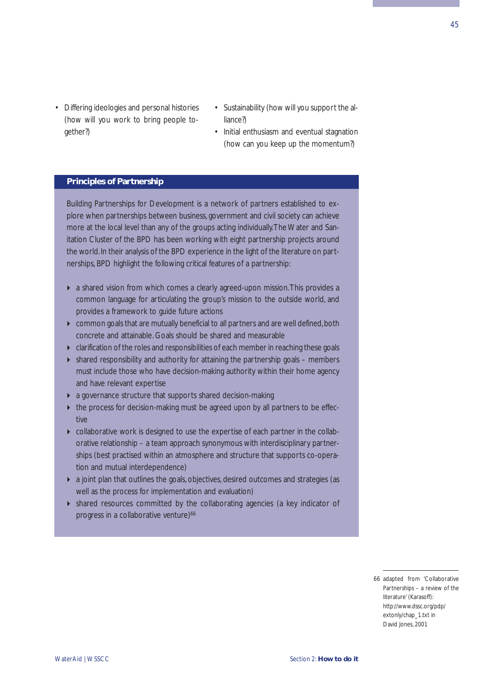- Differing ideologies and personal histories (how will you work to bring people together?)
- Sustainability (how will you support the alliance?)
- Initial enthusiasm and eventual stagnation (how can you keep up the momentum?)

#### **Principles of Partnership**

Building Partnerships for Development is a network of partners established to explore when partnerships between business, government and civil society can achieve more at the local level than any of the groups acting individually.The Water and Sanitation Cluster of the BPD has been working with eight partnership projects around the world. In their analysis of the BPD experience in the light of the literature on partnerships, BPD highlight the following critical features of a partnership:

- a shared vision from which comes a clearly agreed-upon mission.This provides a common language for articulating the group's mission to the outside world, and provides a framework to guide future actions
- $\triangleright$  common goals that are mutually beneficial to all partners and are well defined, both concrete and attainable. Goals should be shared and measurable
- clarification of the roles and responsibilities of each member in reaching these goals
- $\triangleright$  shared responsibility and authority for attaining the partnership goals members must include those who have decision-making authority within their home agency and have relevant expertise
- a governance structure that supports shared decision-making
- the process for decision-making must be agreed upon by all partners to be effective
- collaborative work is designed to use the expertise of each partner in the collaborative relationship – a team approach synonymous with interdisciplinary partnerships (best practised within an atmosphere and structure that supports co-operation and mutual interdependence)
- a joint plan that outlines the goals, objectives, desired outcomes and strategies (as well as the process for implementation and evaluation)
- shared resources committed by the collaborating agencies (a key indicator of progress in a collaborative venture)<sup>66</sup>

<sup>66</sup> adapted from 'Collaborative Partnerships – a review of the literature' (Karasoff): http://www.dssc.org/pdp/ extonly/chap\_1.txt in David Jones, 2001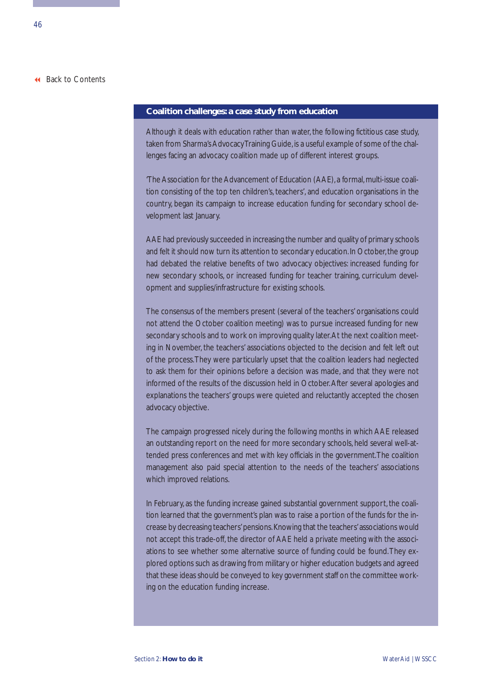#### **Coalition challenges: a case study from education**

Although it deals with education rather than water, the following fictitious case study, taken from Sharma's Advocacy Training Guide, is a useful example of some of the challenges facing an advocacy coalition made up of different interest groups.

'The Association for the Advancement of Education (AAE), a formal, multi-issue coalition consisting of the top ten children's, teachers', and education organisations in the country, began its campaign to increase education funding for secondary school development last January.

AAE had previously succeeded in increasing the number and quality of primary schools and felt it should now turn its attention to secondary education. In October, the group had debated the relative benefits of two advocacy objectives: increased funding for new secondary schools, or increased funding for teacher training, curriculum development and supplies/infrastructure for existing schools.

The consensus of the members present (several of the teachers' organisations could not attend the October coalition meeting) was to pursue increased funding for new secondary schools and to work on improving quality later.At the next coalition meeting in November, the teachers' associations objected to the decision and felt left out of the process.They were particularly upset that the coalition leaders had neglected to ask them for their opinions before a decision was made, and that they were not informed of the results of the discussion held in October.After several apologies and explanations the teachers' groups were quieted and reluctantly accepted the chosen advocacy objective.

The campaign progressed nicely during the following months in which AAE released an outstanding report on the need for more secondary schools, held several well-attended press conferences and met with key officials in the government.The coalition management also paid special attention to the needs of the teachers' associations which improved relations.

In February, as the funding increase gained substantial government support, the coalition learned that the government's plan was to raise a portion of the funds for the increase by decreasing teachers'pensions.Knowing that the teachers'associations would not accept this trade-off, the director of AAE held a private meeting with the associations to see whether some alternative source of funding could be found.They explored options such as drawing from military or higher education budgets and agreed that these ideas should be conveyed to key government staff on the committee working on the education funding increase.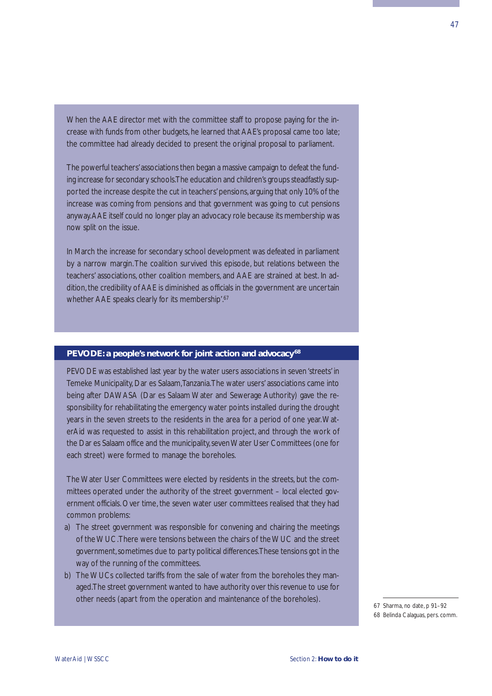When the AAE director met with the committee staff to propose paying for the increase with funds from other budgets, he learned that AAE's proposal came too late; the committee had already decided to present the original proposal to parliament.

The powerful teachers'associations then began a massive campaign to defeat the funding increase for secondary schools.The education and children's groups steadfastly supported the increase despite the cut in teachers' pensions, arguing that only 10% of the increase was coming from pensions and that government was going to cut pensions anyway.AAE itself could no longer play an advocacy role because its membership was now split on the issue.

In March the increase for secondary school development was defeated in parliament by a narrow margin.The coalition survived this episode, but relations between the teachers' associations, other coalition members, and AAE are strained at best. In addition, the credibility of AAE is diminished as officials in the government are uncertain whether AAE speaks clearly for its membership'.<sup>67</sup>

#### **PEVODE: a people's network for joint action and advocacy <sup>68</sup>**

PEVODE was established last year by the water users associations in seven 'streets' in Temeke Municipality, Dar es Salaam,Tanzania.The water users' associations came into being after DAWASA (Dar es Salaam Water and Sewerage Authority) gave the responsibility for rehabilitating the emergency water points installed during the drought years in the seven streets to the residents in the area for a period of one year.WaterAid was requested to assist in this rehabilitation project, and through the work of the Dar es Salaam office and the municipality, seven Water User Committees (one for each street) were formed to manage the boreholes.

The Water User Committees were elected by residents in the streets, but the committees operated under the authority of the street government – local elected government officials. Over time, the seven water user committees realised that they had common problems:

- a) The street government was responsible for convening and chairing the meetings of the WUC.There were tensions between the chairs of the WUC and the street government, sometimes due to party political differences.These tensions got in the way of the running of the committees.
- b) The WUCs collected tariffs from the sale of water from the boreholes they managed.The street government wanted to have authority over this revenue to use for other needs (apart from the operation and maintenance of the boreholes). <sup>67</sup> Sharma, no date, p 91–92

<sup>68</sup> Belinda Calaguas, pers. comm.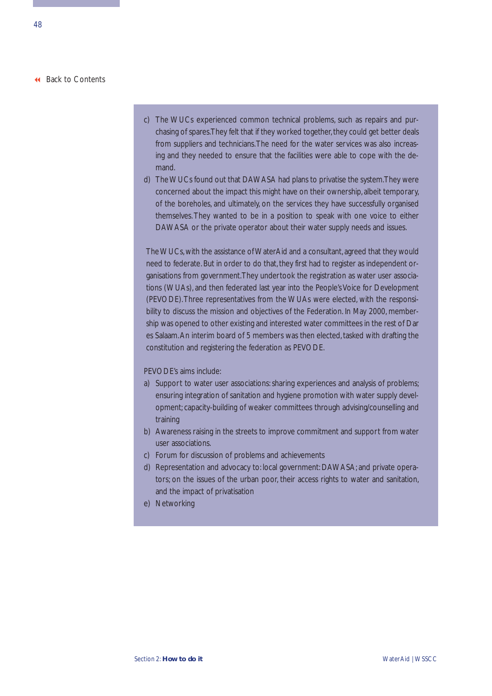- c) The WUCs experienced common technical problems, such as repairs and purchasing of spares.They felt that if they worked together, they could get better deals from suppliers and technicians.The need for the water services was also increasing and they needed to ensure that the facilities were able to cope with the demand.
- d) The WUCs found out that DAWASA had plans to privatise the system.They were concerned about the impact this might have on their ownership, albeit temporary, of the boreholes, and ultimately, on the services they have successfully organised themselves. They wanted to be in a position to speak with one voice to either DAWASA or the private operator about their water supply needs and issues.

The WUCs, with the assistance of WaterAid and a consultant, agreed that they would need to federate. But in order to do that, they first had to register as independent organisations from government.They undertook the registration as water user associations (WUAs), and then federated last year into the People's Voice for Development (PEVODE).Three representatives from the WUAs were elected, with the responsibility to discuss the mission and objectives of the Federation. In May 2000, membership was opened to other existing and interested water committees in the rest of Dar es Salaam.An interim board of 5 members was then elected, tasked with drafting the constitution and registering the federation as PEVODE.

#### PEVODE's aims include:

- a) Support to water user associations: sharing experiences and analysis of problems; ensuring integration of sanitation and hygiene promotion with water supply development; capacity-building of weaker committees through advising/counselling and training
- b) Awareness raising in the streets to improve commitment and support from water user associations.
- c) Forum for discussion of problems and achievements
- d) Representation and advocacy to: local government: DAWASA; and private operators; on the issues of the urban poor, their access rights to water and sanitation, and the impact of privatisation
- e) Networking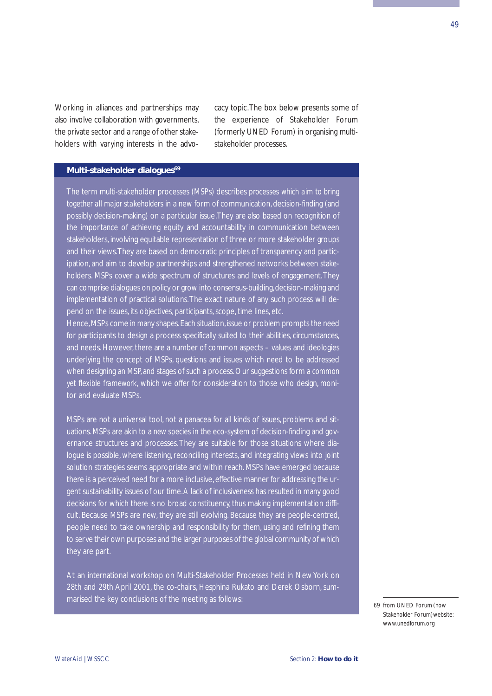Working in alliances and partnerships may also involve collaboration with governments, the private sector and a range of other stakeholders with varying interests in the advocacy topic.The box below presents some of the experience of Stakeholder Forum (formerly UNED Forum) in organising multistakeholder processes.

## **Multi-stakeholder dialogues<sup>69</sup>**

The term multi-stakeholder processes (MSPs) describes *processes which aim to bring together all major stakeholders* in a new form of communication, decision-finding (and possibly decision-making) on a particular issue.They are also based on recognition of the importance of achieving equity and accountability in communication between stakeholders, involving equitable representation of three or more stakeholder groups and their views.They are based on democratic principles of transparency and participation, and aim to develop partnerships and strengthened networks between stakeholders. MSPs cover a wide spectrum of structures and levels of engagement.They can comprise dialogues on policy or grow into consensus-building,decision-making and implementation of practical solutions.The exact nature of any such process will depend on the issues, its objectives, participants, scope, time lines, etc.

Hence, MSPs come in many shapes. Each situation, issue or problem prompts the need for participants to design a process specifically suited to their abilities, circumstances, and needs. However, there are a number of common aspects – values and ideologies underlying the concept of MSPs, questions and issues which need to be addressed when designing an MSP, and stages of such a process. Our suggestions form a *common yet flexible framework,* which we offer for consideration to those who design, monitor and evaluate MSPs.

MSPs are not a universal tool, not a panacea for all kinds of issues, problems and situations. MSPs are akin to a *new species* in the eco-system of decision-finding and governance structures and processes.They are suitable for those situations where dialogue is possible, where listening, reconciling interests, and integrating views into joint solution strategies seems appropriate and within reach. MSPs have emerged because there is a perceived need for a more inclusive, effective manner for addressing the urgent sustainability issues of our time.A lack of inclusiveness has resulted in many good decisions for which there is no broad constituency, thus making implementation difficult. Because MSPs are new, they are still evolving. Because they are people-centred, people need to take ownership and responsibility for them, using and refining them to serve their own purposes and the larger purposes of the global community of which they are part.

At an international workshop on Multi-Stakeholder Processes held in New York on 28th and 29th April 2001, the co-chairs, Hesphina Rukato and Derek Osborn, summarised the key conclusions of the meeting as follows: 69 and 100 km s and 100 km s and 100 km s and 100 km s and 100 km s and 100 km s and 100 km s and 100 km s and 100 km s and 100 km s and 100 km s and 100 km s and 100

Stakeholder Forum)website: www.unedforum.org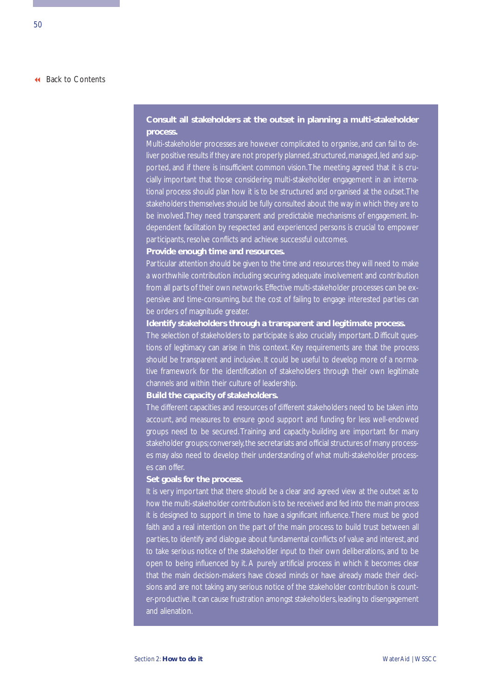## **Consult all stakeholders at the outset in planning a multi-stakeholder process.**

Multi-stakeholder processes are however complicated to organise, and can fail to deliver positive results if they are not properly planned, structured, managed, led and supported, and if there is insufficient common vision.The meeting agreed that it is crucially important that those considering multi-stakeholder engagement in an international process should plan how it is to be structured and organised at the outset.The stakeholders themselves should be fully consulted about the way in which they are to be involved.They need transparent and predictable mechanisms of engagement. Independent facilitation by respected and experienced persons is crucial to empower participants, resolve conflicts and achieve successful outcomes.

#### **Provide enough time and resources.**

Particular attention should be given to the time and resources they will need to make a worthwhile contribution including securing adequate involvement and contribution from all parts of their own networks. Effective multi-stakeholder processes can be expensive and time-consuming, but the cost of failing to engage interested parties can be orders of magnitude greater.

#### **Identify stakeholders through a transparent and legitimate process.**

The selection of stakeholders to participate is also crucially important. Difficult questions of legitimacy can arise in this context. Key requirements are that the process should be transparent and inclusive. It could be useful to develop more of a normative framework for the identification of stakeholders through their own legitimate channels and within their culture of leadership.

#### **Build the capacity of stakeholders.**

The different capacities and resources of different stakeholders need to be taken into account, and measures to ensure good support and funding for less well-endowed groups need to be secured. Training and capacity-building are important for many stakeholder groups; conversely, the secretariats and official structures of many processes may also need to develop their understanding of what multi-stakeholder processes can offer.

#### **Set goals for the process.**

It is very important that there should be a clear and agreed view at the outset as to how the multi-stakeholder contribution is to be received and fed into the main process it is designed to support in time to have a significant influence.There must be good faith and a real intention on the part of the main process to build trust between all parties, to identify and dialogue about fundamental conflicts of value and interest, and to take serious notice of the stakeholder input to their own deliberations, and to be open to being influenced by it. A purely artificial process in which it becomes clear that the main decision-makers have closed minds or have already made their decisions and are not taking any serious notice of the stakeholder contribution is counter-productive. It can cause frustration amongst stakeholders, leading to disengagement and alienation.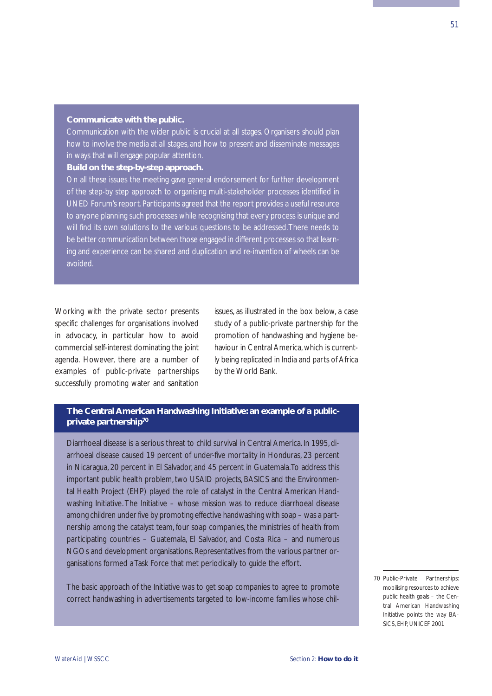#### **Communicate with the public.**

Communication with the wider public is crucial at all stages. Organisers should plan how to involve the media at all stages, and how to present and disseminate messages in ways that will engage popular attention.

#### **Build on the step-by-step approach.**

On all these issues the meeting gave general endorsement for further development of the step-by step approach to organising multi-stakeholder processes identified in UNED Forum's report. Participants agreed that the report provides a useful resource to anyone planning such processes while recognising that every process is unique and will find its own solutions to the various questions to be addressed.There needs to be better communication between those engaged in different processes so that learning and experience can be shared and duplication and re-invention of wheels can be avoided.

Working with the private sector presents specific challenges for organisations involved in advocacy, in particular how to avoid commercial self-interest dominating the joint agenda. However, there are a number of examples of public-private partnerships successfully promoting water and sanitation issues, as illustrated in the box below, a case study of a public-private partnership for the promotion of handwashing and hygiene behaviour in Central America, which is currently being replicated in India and parts of Africa by the World Bank.

## **The Central American Handwashing Initiative: an example of a publicprivate partnership70**

Diarrhoeal disease is a serious threat to child survival in Central America. In 1995, diarrhoeal disease caused 19 percent of under-five mortality in Honduras, 23 percent in Nicaragua, 20 percent in El Salvador, and 45 percent in Guatemala.To address this important public health problem, two USAID projects, BASICS and the Environmental Health Project (EHP) played the role of catalyst in the Central American Handwashing Initiative. The Initiative – whose mission was to reduce diarrhoeal disease among children under five by promoting effective handwashing with soap – was a partnership among the catalyst team, four soap companies, the ministries of health from participating countries – Guatemala, El Salvador, and Costa Rica – and numerous NGOs and development organisations. Representatives from the various partner organisations formed a Task Force that met periodically to guide the effort.

The basic approach of the Initiative was to get soap companies to agree to promote correct handwashing in advertisements targeted to low-income families whose chil-

<sup>70</sup> Public-Private Partnerships: mobilising resources to achieve public health goals – the Central American Handwashing Initiative points the way BA-SICS, EHP, UNICEF 2001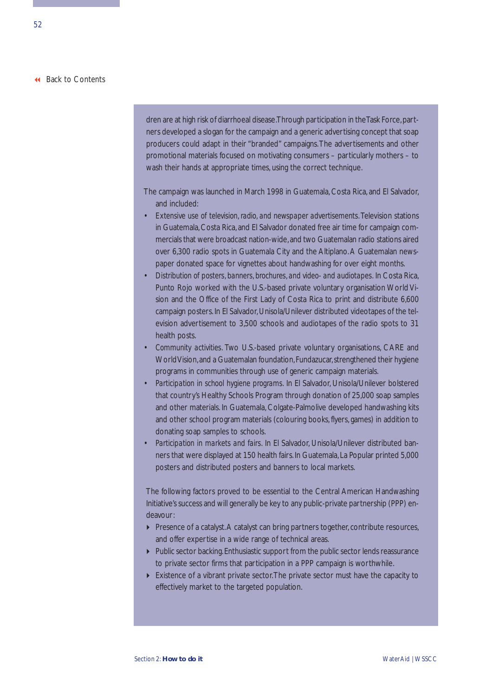dren are at high risk of diarrhoeal disease. Through participation in the Task Force, partners developed a slogan for the campaign and a generic advertising concept that soap producers could adapt in their "branded" campaigns.The advertisements and other promotional materials focused on motivating consumers – particularly mothers – to wash their hands at appropriate times, using the correct technique.

The campaign was launched in March 1998 in Guatemala, Costa Rica, and El Salvador, and included:

- *Extensive use of television, radio, and newspaper advertisements.* Television stations in Guatemala, Costa Rica, and El Salvador donated free air time for campaign commercials that were broadcast nation-wide,and two Guatemalan radio stations aired over 6,300 radio spots in Guatemala City and the Altiplano. A Guatemalan newspaper donated space for vignettes about handwashing for over eight months.
- *Distribution of posters, banners, brochures, and video- and audiotapes.* In Costa Rica, Punto Rojo worked with the U.S.-based private voluntary organisation World Vision and the Office of the First Lady of Costa Rica to print and distribute 6,600 campaign posters. In El Salvador, Unisola/Unilever distributed videotapes of the television advertisement to 3,500 schools and audiotapes of the radio spots to 31 health posts.
- *Community activities.* Two U.S.-based private voluntary organisations, CARE and World Vision, and a Guatemalan foundation, Fundazucar, strengthened their hygiene programs in communities through use of generic campaign materials.
- *Participation in school hygiene programs.* In El Salvador, Unisola/Unilever bolstered that country's Healthy Schools Program through donation of 25,000 soap samples and other materials. In Guatemala, Colgate-Palmolive developed handwashing kits and other school program materials (colouring books, flyers, games) in addition to donating soap samples to schools.
- *Participation in markets and fairs.* In El Salvador, Unisola/Unilever distributed banners that were displayed at 150 health fairs. In Guatemala, La Popular printed 5,000 posters and distributed posters and banners to local markets.

The following factors proved to be essential to the Central American Handwashing Initiative's success and will generally be key to any public-private partnership (PPP) endeavour:

- Presence of a catalyst. A catalyst can bring partners together, contribute resources, and offer expertise in a wide range of technical areas.
- Public sector backing. Enthusiastic support from the public sector lends reassurance to private sector firms that participation in a PPP campaign is worthwhile.
- Existence of a vibrant private sector.The private sector must have the capacity to effectively market to the targeted population.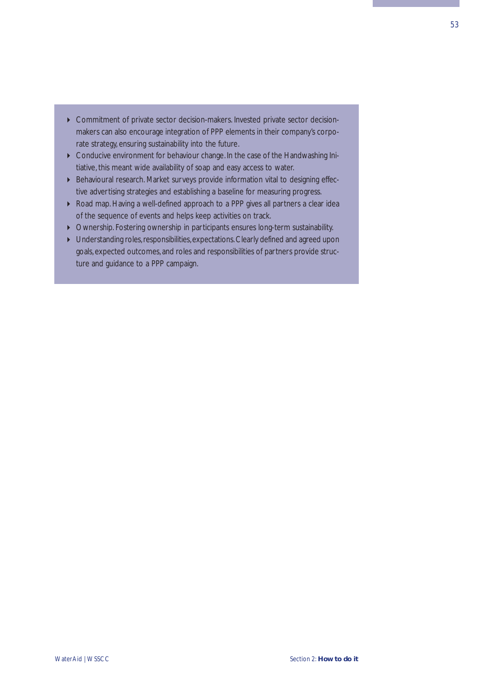- Commitment of private sector decision-makers. Invested private sector decisionmakers can also encourage integration of PPP elements in their company's corporate strategy, ensuring sustainability into the future.
- Conducive environment for behaviour change. In the case of the Handwashing Initiative, this meant wide availability of soap and easy access to water.
- Behavioural research. Market surveys provide information vital to designing effective advertising strategies and establishing a baseline for measuring progress.
- Road map. Having a well-defined approach to a PPP gives all partners a clear idea of the sequence of events and helps keep activities on track.
- Ownership. Fostering ownership in participants ensures long-term sustainability.
- ▶ Understanding roles, responsibilities, expectations. Clearly defined and agreed upon goals, expected outcomes, and roles and responsibilities of partners provide structure and guidance to a PPP campaign.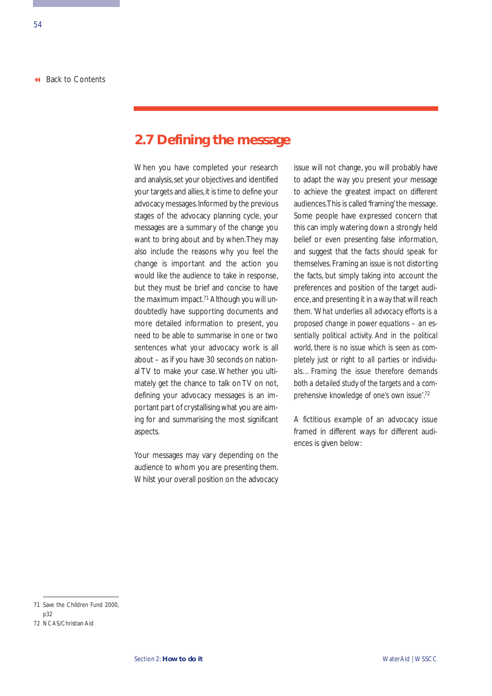## <span id="page-59-0"></span>**2.7 Defining the message**

When you have completed your research and analysis, set your objectives and identified your targets and allies, it is time to define your advocacy messages.Informed by the previous stages of the advocacy planning cycle, your messages are a summary of the change you want to bring about and by when.They may also include the reasons why you feel the change is important and the action you would like the audience to take in response, but they must be brief and concise to have the maximum impact.<sup>71</sup> Although you will undoubtedly have supporting documents and more detailed information to present, you need to be able to summarise in one or two sentences what your advocacy work is all about – as if you have 30 seconds on national TV to make your case. Whether you ultimately get the chance to talk on TV on not, defining your advocacy messages is an important part of crystallising what you are aiming for and summarising the most significant aspects.

Your messages may vary depending on the audience to whom you are presenting them. Whilst your overall position on the advocacy issue will not change, you will probably have to adapt the way you present your message to achieve the greatest impact on different audiences.This is called 'framing' the message. Some people have expressed concern that this can imply watering down a strongly held belief or even presenting false information, and suggest that the facts should speak for themselves. Framing an issue is not distorting the facts, but simply taking into account the preferences and position of the target audience,and presenting it in a way that will reach them. *'What underlies all advocacy efforts is a proposed change in power equations – an essentially political activity. And in the political world, there is no issue which is seen as completely just or right to all parties or individuals…Framing the issue therefore demands both a detailed study of the targets and a comprehensive knowledge of one's own issue'*. 72

A fictitious example of an advocacy issue framed in different ways for different audiences is given below:

<sup>71</sup> Save the Children Fund 2000, p32

<sup>72</sup> NCAS/Christian Aid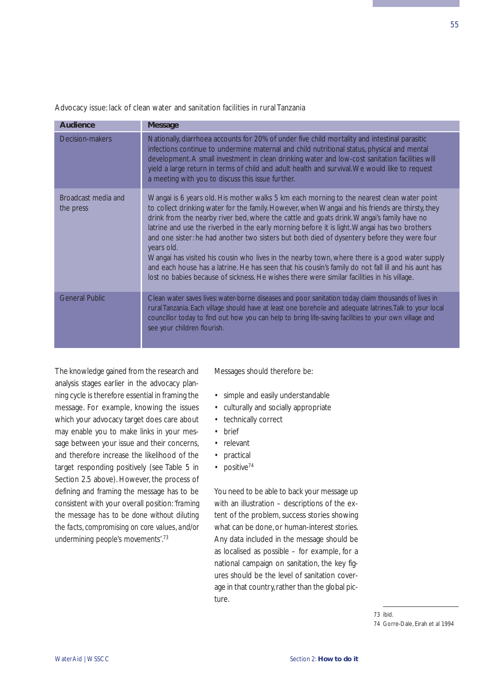| <b>Audience</b>                  | <b>Message</b>                                                                                                                                                                                                                                                                                                                                                                                                                                                                                                                                                                                                                                                                                                                                                                                                     |
|----------------------------------|--------------------------------------------------------------------------------------------------------------------------------------------------------------------------------------------------------------------------------------------------------------------------------------------------------------------------------------------------------------------------------------------------------------------------------------------------------------------------------------------------------------------------------------------------------------------------------------------------------------------------------------------------------------------------------------------------------------------------------------------------------------------------------------------------------------------|
| Decision-makers                  | Nationally, diarrhoea accounts for 20% of under five child mortality and intestinal parasitic<br>infections continue to undermine maternal and child nutritional status, physical and mental<br>development. A small investment in clean drinking water and low-cost sanitation facilities will<br>yield a large return in terms of child and adult health and survival. We would like to request<br>a meeting with you to discuss this issue further.                                                                                                                                                                                                                                                                                                                                                             |
| Broadcast media and<br>the press | Wangai is 6 years old. His mother walks 5 km each morning to the nearest clean water point<br>to collect drinking water for the family. However, when Wangai and his friends are thirsty, they<br>drink from the nearby river bed, where the cattle and goats drink. Wangai's family have no<br>latrine and use the riverbed in the early morning before it is light. Wangai has two brothers<br>and one sister: he had another two sisters but both died of dysentery before they were four<br>years old.<br>Wangai has visited his cousin who lives in the nearby town, where there is a good water supply<br>and each house has a latrine. He has seen that his cousin's family do not fall ill and his aunt has<br>lost no babies because of sickness. He wishes there were similar facilities in his village. |
| <b>General Public</b>            | Clean water saves lives: water-borne diseases and poor sanitation today claim thousands of lives in<br>rural Tanzania. Each village should have at least one borehole and adequate latrines. Talk to your local<br>councillor today to find out how you can help to bring life-saving facilities to your own village and<br>see your children flourish.                                                                                                                                                                                                                                                                                                                                                                                                                                                            |

Advocacy issue: lack of clean water and sanitation facilities in rural Tanzania

The knowledge gained from the research and analysis stages earlier in the advocacy planning cycle is therefore essential in framing the message. For example, knowing the issues which your advocacy target **does** care about may enable you to make links in your message between your issue and their concerns, and therefore increase the likelihood of the target responding positively (see Table 5 in Section 2.5 above). However, the process of defining and framing the message has to be consistent with your overall position: *'framing the message has to be done without diluting the facts, compromising on core values, and/or undermining people's movements'*. 73

Messages should therefore be:

- simple and easily understandable
- culturally and socially appropriate
- technically correct
- brief
- relevant
- practical
- positive $74$

You need to be able to back your message up with an illustration – descriptions of the extent of the problem, success stories showing what can be done, or human-interest stories. Any data included in the message should be as localised as possible – for example, for a national campaign on sanitation, the key figures should be the level of sanitation coverage in that country, rather than the global picture.

<sup>73</sup> ibid.

<sup>74</sup> Gorre-Dale, Eirah et al 1994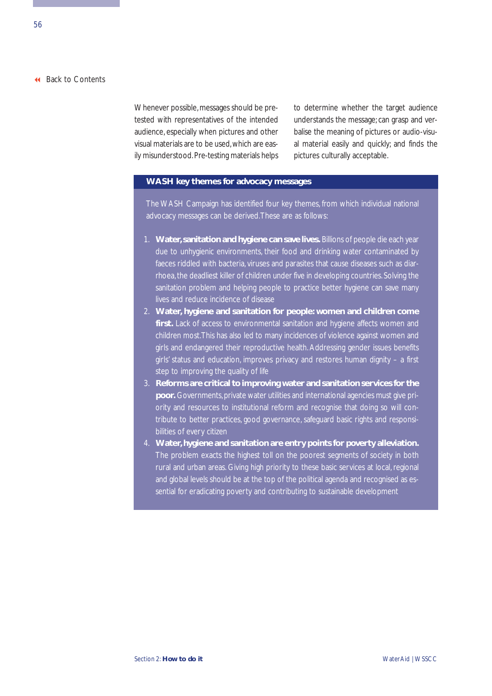Whenever possible, messages should be pretested with representatives of the intended audience, especially when pictures and other visual materials are to be used,which are easily misunderstood. Pre-testing materials helps to determine whether the target audience understands the message; can grasp and verbalise the meaning of pictures or audio-visual material easily and quickly; and finds the pictures culturally acceptable.

#### **WASH key themes for advocacy messages**

The WASH Campaign has identified four key themes, from which individual national advocacy messages can be derived.These are as follows:

- 1. **Water,sanitation and hygiene can save lives.** Billions of people die each year due to unhygienic environments, their food and drinking water contaminated by faeces riddled with bacteria, viruses and parasites that cause diseases such as diarrhoea, the deadliest killer of children under five in developing countries. Solving the sanitation problem and helping people to practice better hygiene can save many lives and reduce incidence of disease
- 2. **Water, hygiene and sanitation for people: women and children come** first. Lack of access to environmental sanitation and hygiene affects women and children most.This has also led to many incidences of violence against women and girls and endangered their reproductive health. Addressing gender issues benefits girls' status and education, improves privacy and restores human dignity – a first step to improving the quality of life
- 3. **Reforms are critical to improving water and sanitation services for the poor.** Governments, private water utilities and international agencies must give priority and resources to institutional reform and recognise that doing so will contribute to better practices, good governance, safeguard basic rights and responsibilities of every citizen
- 4. **Water,hygiene and sanitation are entry points for poverty alleviation.** The problem exacts the highest toll on the poorest segments of society in both rural and urban areas. Giving high priority to these basic services at local, regional and global levels should be at the top of the political agenda and recognised as essential for eradicating poverty and contributing to sustainable development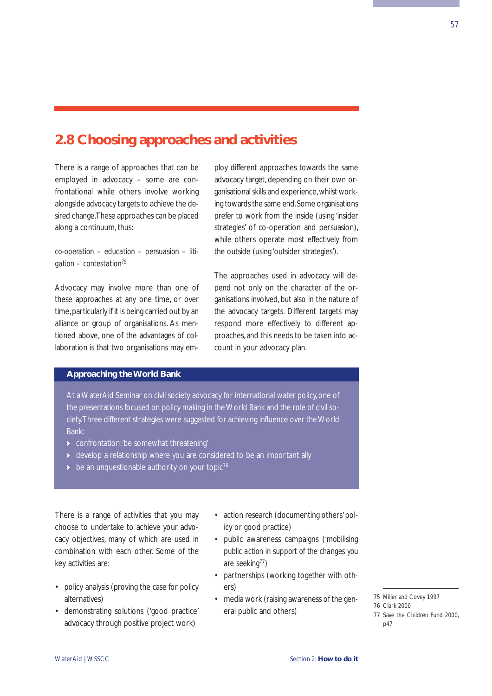## <span id="page-62-0"></span>**2.8 Choosing approaches and activities**

There is a range of approaches that can be employed in advocacy – some are confrontational while others involve working alongside advocacy targets to achieve the desired change.These approaches can be placed along a continuum, thus:

*co-operation – education – persuasion – litigation – contestation*<sup>75</sup>

Advocacy may involve more than one of these approaches at any one time, or over time, particularly if it is being carried out by an alliance or group of organisations. As mentioned above, one of the advantages of collaboration is that two organisations may employ different approaches towards the same advocacy target, depending on their own organisational skills and experience,whilst working towards the same end.Some organisations prefer to work from the inside (using 'insider strategies' of co-operation and persuasion), while others operate most effectively from the outside (using 'outsider strategies').

The approaches used in advocacy will depend not only on the character of the organisations involved, but also in the nature of the advocacy targets. Different targets may respond more effectively to different approaches, and this needs to be taken into account in your advocacy plan.

### **Approaching the World Bank**

At a WaterAid Seminar on civil society advocacy for international water policy, one of the presentations focused on policy making in the World Bank and the role of civil society.Three different strategies were suggested for achieving influence over the World Bank:

- confrontation:'be somewhat threatening'
- develop a relationship where you are considered to be an important ally
- be an unquestionable authority on your topic<sup>76</sup>

There is a range of activities that you may choose to undertake to achieve your advocacy objectives, many of which are used in combination with each other. Some of the key activities are:

- policy analysis (proving the case for policy alternatives)
- demonstrating solutions ('good practice' advocacy through positive project work)
- action research (documenting others' policy or good practice)
- public awareness campaigns (*'mobilising public action in support of the changes you are seeking*77)
- partnerships (working together with others)
- media work (raising awareness of the general public and others)
- 75 Miller and Covey 1997

<sup>76</sup> Clark 2000

<sup>77</sup> Save the Children Fund 2000, p47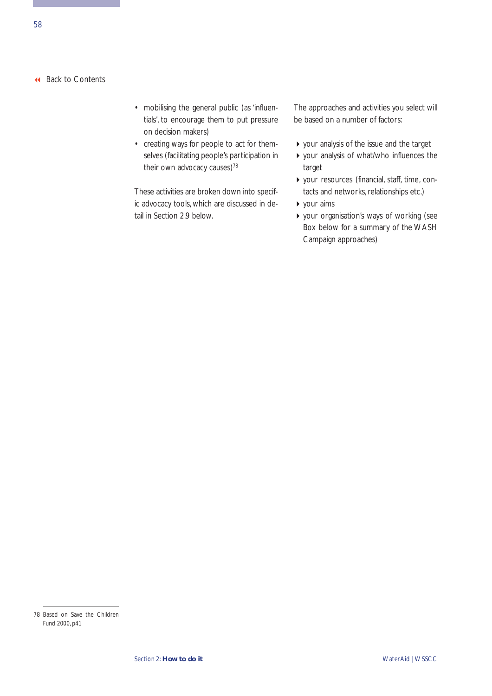- mobilising the general public (as 'influentials', to encourage them to put pressure on decision makers)
- creating ways for people to act for themselves (facilitating people's participation in their own advocacy causes)<sup>78</sup>

These activities are broken down into specific advocacy tools, which are discussed in detail in Section 2.9 below.

The approaches and activities you select will be based on a number of factors:

- your analysis of the issue and the target
- your analysis of what/who influences the target
- your resources (financial, staff, time, contacts and networks, relationships etc.)
- your aims
- your organisation's ways of working (see Box below for a summary of the WASH Campaign approaches)

<sup>78</sup> Based on Save the Children Fund 2000, p41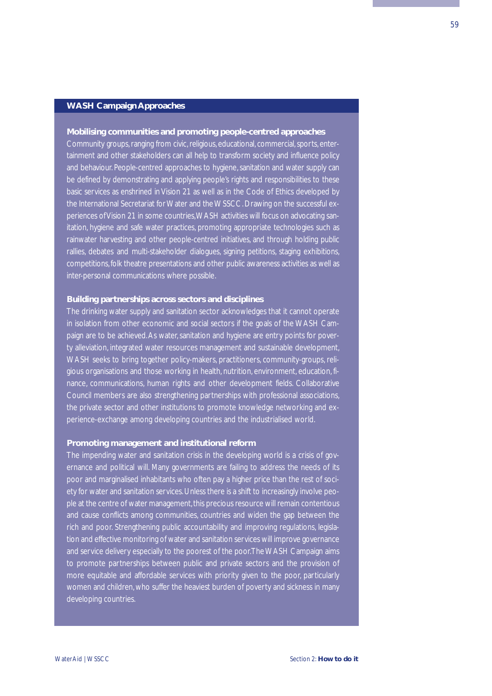## **WASH Campaign Approaches**

#### **Mobilising communities and promoting people-centred approaches**

Community groups, ranging from civic, religious, educational, commercial, sports, entertainment and other stakeholders can all help to transform society and influence policy and behaviour. People-centred approaches to hygiene, sanitation and water supply can be defined by demonstrating and applying people's rights and responsibilities to these basic services as enshrined in Vision 21 as well as in the Code of Ethics developed by the International Secretariat for Water and the WSSCC. Drawing on the successful experiences of Vision 21 in some countries,WASH activities will focus on advocating sanitation, hygiene and safe water practices, promoting appropriate technologies such as rainwater harvesting and other people-centred initiatives, and through holding public rallies, debates and multi-stakeholder dialogues, signing petitions, staging exhibitions, competitions, folk theatre presentations and other public awareness activities as well as inter-personal communications where possible.

#### **Building partnerships across sectors and disciplines**

The drinking water supply and sanitation sector acknowledges that it cannot operate in isolation from other economic and social sectors if the goals of the WASH Campaign are to be achieved.As water, sanitation and hygiene are entry points for poverty alleviation, integrated water resources management and sustainable development, WASH seeks to bring together policy-makers, practitioners, community-groups, religious organisations and those working in health, nutrition, environment, education, finance, communications, human rights and other development fields. Collaborative Council members are also strengthening partnerships with professional associations, the private sector and other institutions to promote knowledge networking and experience-exchange among developing countries and the industrialised world.

#### **Promoting management and institutional reform**

The impending water and sanitation crisis in the developing world is a crisis of governance and political will. Many governments are failing to address the needs of its poor and marginalised inhabitants who often pay a higher price than the rest of society for water and sanitation services. Unless there is a shift to increasingly involve people at the centre of water management, this precious resource will remain contentious and cause conflicts among communities, countries and widen the gap between the rich and poor. Strengthening public accountability and improving regulations, legislation and effective monitoring of water and sanitation services will improve governance and service delivery especially to the poorest of the poor.The WASH Campaign aims to promote partnerships between public and private sectors and the provision of more equitable and affordable services with priority given to the poor, particularly women and children, who suffer the heaviest burden of poverty and sickness in many developing countries.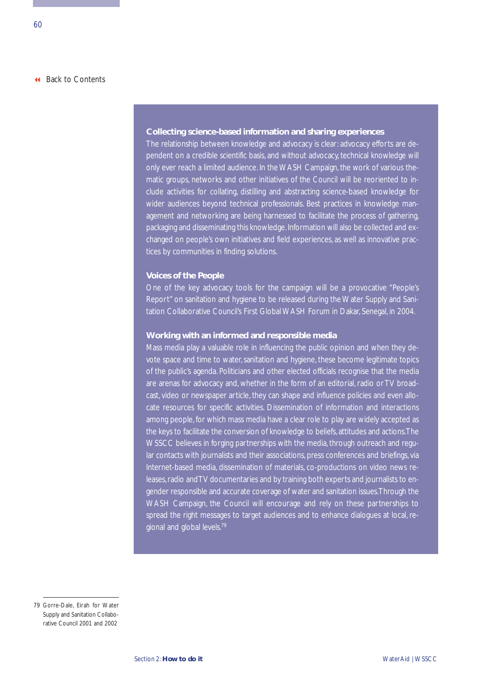#### **Collecting science-based information and sharing experiences**

The relationship between knowledge and advocacy is clear: advocacy efforts are dependent on a credible scientific basis, and without advocacy, technical knowledge will only ever reach a limited audience. In the WASH Campaign, the work of various thematic groups, networks and other initiatives of the Council will be reoriented to include activities for collating, distilling and abstracting science-based knowledge for wider audiences beyond technical professionals. Best practices in knowledge management and networking are being harnessed to facilitate the process of gathering, packaging and disseminating this knowledge.Information will also be collected and exchanged on people's own initiatives and field experiences, as well as innovative practices by communities in finding solutions.

#### **Voices of the People**

One of the key advocacy tools for the campaign will be a provocative "People's Report" on sanitation and hygiene to be released during the Water Supply and Sanitation Collaborative Council's First Global WASH Forum in Dakar, Senegal, in 2004.

#### **Working with an informed and responsible media**

Mass media play a valuable role in influencing the public opinion and when they devote space and time to water, sanitation and hygiene, these become legitimate topics of the public's agenda. Politicians and other elected officials recognise that the media are arenas for advocacy and, whether in the form of an editorial, radio or TV broadcast, video or newspaper article, they can shape and influence policies and even allocate resources for specific activities. Dissemination of information and interactions among people, for which mass media have a clear role to play are widely accepted as the keys to facilitate the conversion of knowledge to beliefs, attitudes and actions.The WSSCC believes in forging partnerships with the media, through outreach and regular contacts with journalists and their associations, press conferences and briefings, via Internet-based media, dissemination of materials, co-productions on video news releases, radio and TV documentaries and by training both experts and journalists to engender responsible and accurate coverage of water and sanitation issues.Through the WASH Campaign, the Council will encourage and rely on these partnerships to spread the right messages to target audiences and to enhance dialogues at local, regional and global levels.79

<sup>79</sup> Gorre-Dale, Eirah for Water Supply and Sanitation Collaborative Council 2001 and 2002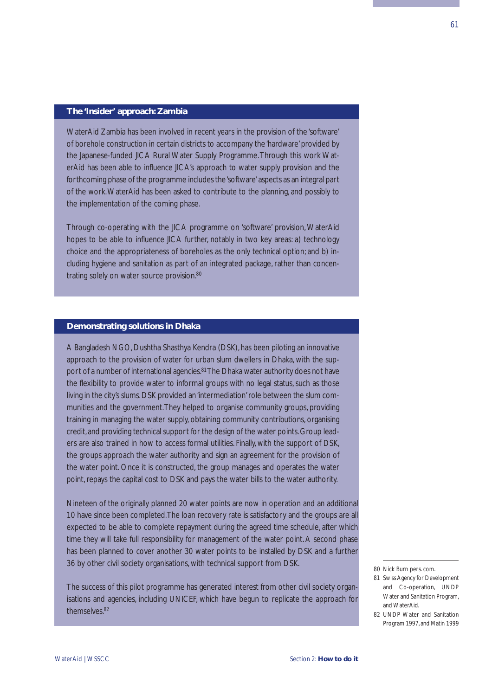#### **The 'Insider' approach: Zambia**

WaterAid Zambia has been involved in recent years in the provision of the 'software' of borehole construction in certain districts to accompany the 'hardware' provided by the Japanese-funded JICA Rural Water Supply Programme.Through this work WaterAid has been able to influence JICA's approach to water supply provision and the forthcoming phase of the programme includes the 'software'aspects as an integral part of the work.WaterAid has been asked to contribute to the planning, and possibly to the implementation of the coming phase.

Through co-operating with the JICA programme on 'software' provision, WaterAid hopes to be able to influence JICA further, notably in two key areas: a) technology choice and the appropriateness of boreholes as the only technical option; and b) including hygiene and sanitation as part of an integrated package, rather than concentrating solely on water source provision.<sup>80</sup>

#### **Demonstrating solutions in Dhaka**

A Bangladesh NGO, Dushtha Shasthya Kendra (DSK), has been piloting an innovative approach to the provision of water for urban slum dwellers in Dhaka, with the support of a number of international agencies.<sup>81</sup>The Dhaka water authority does not have the flexibility to provide water to informal groups with no legal status, such as those living in the city's slums. DSK provided an 'intermediation' role between the slum communities and the government.They helped to organise community groups, providing training in managing the water supply, obtaining community contributions, organising credit, and providing technical support for the design of the water points. Group leaders are also trained in how to access formal utilities. Finally, with the support of DSK, the groups approach the water authority and sign an agreement for the provision of the water point. Once it is constructed, the group manages and operates the water point, repays the capital cost to DSK and pays the water bills to the water authority.

Nineteen of the originally planned 20 water points are now in operation and an additional 10 have since been completed.The loan recovery rate is satisfactory and the groups are all expected to be able to complete repayment during the agreed time schedule, after which time they will take full responsibility for management of the water point. A second phase has been planned to cover another 30 water points to be installed by DSK and a further 36 by other civil society organisations, with technical support from DSK.

The success of this pilot programme has generated interest from other civil society organisations and agencies, including UNICEF, which have begun to replicate the approach for themselves<sup>82</sup>

<sup>80</sup> Nick Burn pers. com.

<sup>81</sup> Swiss Agency for Development and Co-operation, UNDP Water and Sanitation Program, and WaterAid.

<sup>82</sup> UNDP Water and Sanitation Program 1997, and Matin 1999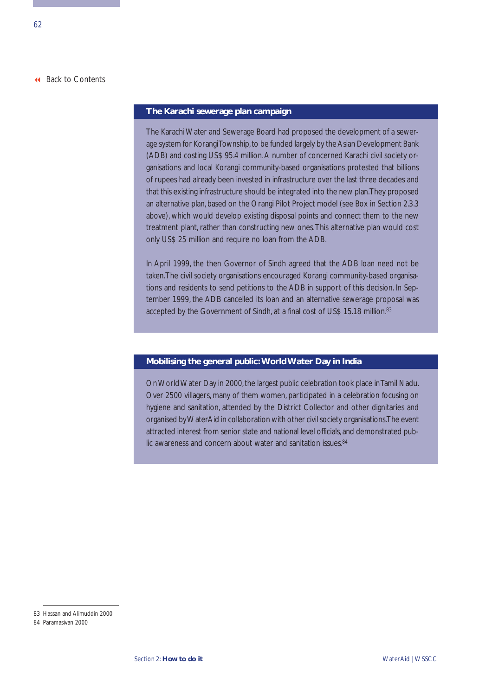#### **The Karachi sewerage plan campaign**

The Karachi Water and Sewerage Board had proposed the development of a sewerage system for Korangi Township, to be funded largely by the Asian Development Bank (ADB) and costing US\$ 95.4 million.A number of concerned Karachi civil society organisations and local Korangi community-based organisations protested that billions of rupees had already been invested in infrastructure over the last three decades and that this existing infrastructure should be integrated into the new plan.They proposed an alternative plan, based on the Orangi Pilot Project model (see Box in Section 2.3.3 above), which would develop existing disposal points and connect them to the new treatment plant, rather than constructing new ones.This alternative plan would cost only US\$ 25 million and require no loan from the ADB.

In April 1999, the then Governor of Sindh agreed that the ADB loan need not be taken.The civil society organisations encouraged Korangi community-based organisations and residents to send petitions to the ADB in support of this decision. In September 1999, the ADB cancelled its loan and an alternative sewerage proposal was accepted by the Government of Sindh, at a final cost of US\$ 15.18 million.<sup>83</sup>

#### **Mobilising the general public: World Water Day in India**

On World Water Day in 2000, the largest public celebration took place in Tamil Nadu. Over 2500 villagers, many of them women, participated in a celebration focusing on hygiene and sanitation, attended by the District Collector and other dignitaries and organised by WaterAid in collaboration with other civil society organisations.The event attracted interest from senior state and national level officials, and demonstrated public awareness and concern about water and sanitation issues.<sup>84</sup>

<sup>83</sup> Hassan and Alimuddin 2000

<sup>84</sup> Paramasivan 2000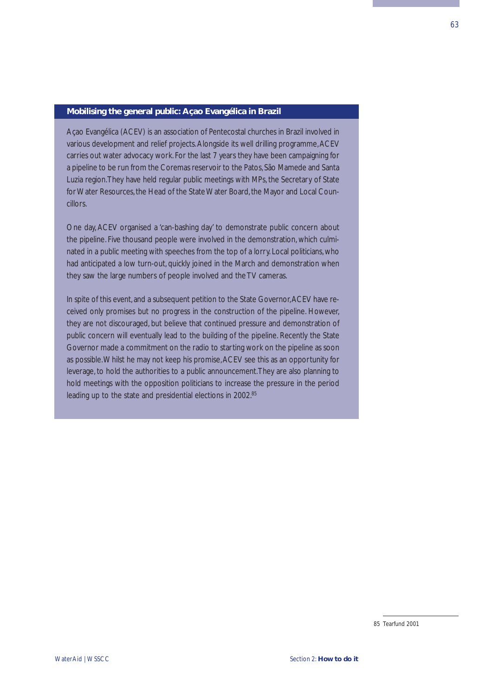#### **Mobilising the general public: Açao Evangélica in Brazil**

Açao Evangélica (ACEV) is an association of Pentecostal churches in Brazil involved in various development and relief projects.Alongside its well drilling programme,ACEV carries out water advocacy work. For the last 7 years they have been campaigning for a pipeline to be run from the Coremas reservoir to the Patos, São Mamede and Santa Luzia region.They have held regular public meetings with MPs, the Secretary of State for Water Resources, the Head of the State Water Board, the Mayor and Local Councillors.

One day, ACEV organised a 'can-bashing day' to demonstrate public concern about the pipeline. Five thousand people were involved in the demonstration, which culminated in a public meeting with speeches from the top of a lorry. Local politicians, who had anticipated a low turn-out, quickly joined in the March and demonstration when they saw the large numbers of people involved and the TV cameras.

In spite of this event, and a subsequent petition to the State Governor, ACEV have received only promises but no progress in the construction of the pipeline. However, they are not discouraged, but believe that continued pressure and demonstration of public concern will eventually lead to the building of the pipeline. Recently the State Governor made a commitment on the radio to starting work on the pipeline as soon as possible.Whilst he may not keep his promise,ACEV see this as an opportunity for leverage, to hold the authorities to a public announcement.They are also planning to hold meetings with the opposition politicians to increase the pressure in the period leading up to the state and presidential elections in 2002.85

<sup>85</sup> Tearfund 2001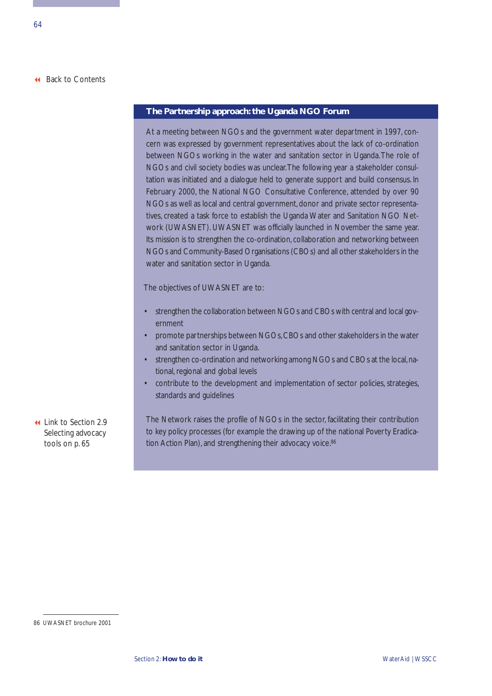## **The Partnership approach: the Uganda NGO Forum**

At a meeting between NGOs and the government water department in 1997, concern was expressed by government representatives about the lack of co-ordination between NGOs working in the water and sanitation sector in Uganda.The role of NGOs and civil society bodies was unclear.The following year a stakeholder consultation was initiated and a dialogue held to generate support and build consensus. In February 2000, the National NGO Consultative Conference, attended by over 90 NGOs as well as local and central government, donor and private sector representatives, created a task force to establish the Uganda Water and Sanitation NGO Network (UWASNET). UWASNET was officially launched in November the same year. Its mission is to strengthen the co-ordination, collaboration and networking between NGOs and Community-Based Organisations (CBOs) and all other stakeholders in the water and sanitation sector in Uganda.

The objectives of UWASNET are to:

- strengthen the collaboration between NGOs and CBOs with central and local government
- promote partnerships between NGOs, CBOs and other stakeholders in the water and sanitation sector in Uganda.
- strengthen co-ordination and networking among NGOs and CBOs at the local,national, regional and global levels
- contribute to the development and implementation of sector policies, strategies, standards and guidelines
- [Link to Section 2.9](#page-70-0) Selecting advocacy tools on p. 65

The Network raises the profile of NGOs in the sector, facilitating their contribution to key policy processes (for example the drawing up of the national Poverty Eradication Action Plan), and strengthening their advocacy voice.<sup>86</sup>

<sup>86</sup> UWASNET brochure 2001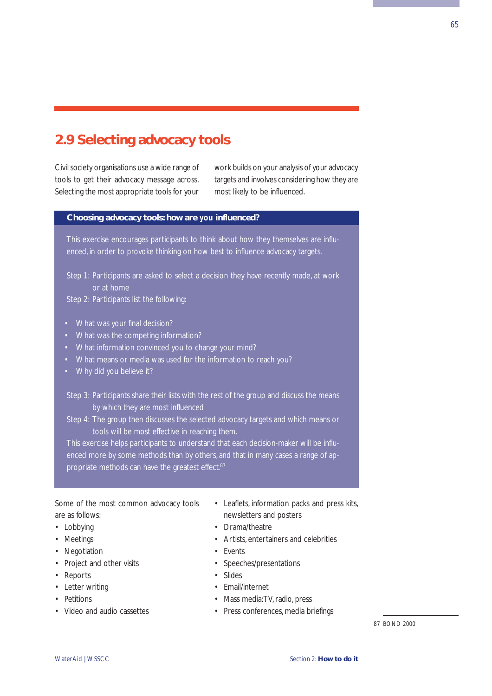# <span id="page-70-0"></span>**2.9 Selecting advocacy tools**

Civil society organisations use a wide range of tools to get their advocacy message across. Selecting the most appropriate tools for your work builds on your analysis of your advocacy targets and involves considering how they are most likely to be influenced.

## **Choosing advocacy tools: how are** *you* **influenced?**

This exercise encourages participants to think about how they themselves are influenced, in order to provoke thinking on how best to influence advocacy targets.

Step 1: Participants are asked to select a decision they have recently made, at work or at home

Step 2: Participants list the following:

- What was your final decision?
- What was the competing information?
- What information convinced you to change your mind?
- What means or media was used for the information to reach you?
- Why did you believe it?
- Step 3: Participants share their lists with the rest of the group and discuss the means by which they are most influenced
- Step 4: The group then discusses the selected advocacy targets and which means or tools will be most effective in reaching them.

This exercise helps participants to understand that each decision-maker will be influenced more by some methods than by others, and that in many cases a range of appropriate methods can have the greatest effect.<sup>87</sup>

Some of the most common advocacy tools are as follows:

- Lobbying
- Meetings
- Negotiation
- Project and other visits
- Reports
- Letter writing
- Petitions
- Video and audio cassettes
- Leaflets, information packs and press kits, newsletters and posters
- Drama/theatre
- Artists, entertainers and celebrities
- Events
- Speeches/presentations
- Slides
- Email/internet
- Mass media:TV, radio, press
- Press conferences, media briefings

87 BOND 2000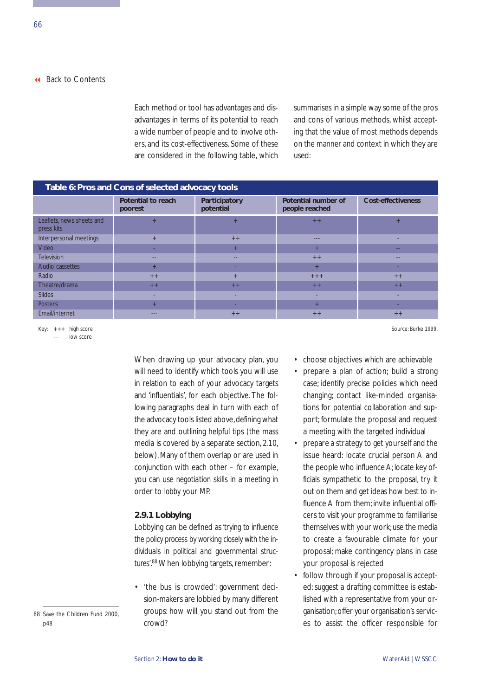Each method or tool has advantages and disadvantages in terms of its potential to reach a wide number of people and to involve others, and its cost-effectiveness. Some of these are considered in the following table, which summarises in a simple way some of the pros and cons of various methods, whilst accepting that the value of most methods depends on the manner and context in which they are used:

| Table 6: Pros and Cons of selected advocacy tools |                               |                            |                                       |                           |  |  |  |
|---------------------------------------------------|-------------------------------|----------------------------|---------------------------------------|---------------------------|--|--|--|
|                                                   | Potential to reach<br>poorest | Participatory<br>potential | Potential number of<br>people reached | <b>Cost-effectiveness</b> |  |  |  |
| Leaflets, news sheets and<br>press kits           | $+$                           | $+$                        | $++$                                  | $+$                       |  |  |  |
| Interpersonal meetings                            | $+$                           | $++$                       | $---$                                 |                           |  |  |  |
| Video                                             | <b>FR</b>                     | $+$                        | $+$                                   | --                        |  |  |  |
| <b>Television</b>                                 | $\frac{1}{2}$                 | $\frac{1}{2}$              | $++$                                  | $\frac{1}{2}$             |  |  |  |
| Audio cassettes                                   | $+$                           |                            | $+$                                   |                           |  |  |  |
| Radio                                             | $++$                          | $+$                        | $++ +$                                | $++$                      |  |  |  |
| Theatre/drama                                     | $++$                          | $++$                       | $++$                                  | $++$                      |  |  |  |
| <b>Slides</b>                                     | -                             | ۰                          |                                       | ٠                         |  |  |  |
| <b>Posters</b>                                    | $+$                           |                            | $+$                                   |                           |  |  |  |
| Email/internet                                    | $- - -$                       | $++$                       | $++$                                  | $++$                      |  |  |  |

Key: +++ high score --- low score

> When drawing up your advocacy plan, you will need to identify which tools you will use in relation to each of your advocacy targets and 'influentials', for each objective. The following paragraphs deal in turn with each of the advocacy tools listed above, defining what they are and outlining helpful tips (the mass media is covered by a separate section, 2.10, below). Many of them overlap or are used in conjunction with each other – for example, you can use *negotiation* skills in a *meeting* in order to *lobby* your MP.

## **2.9.1 Lobbying**

Lobbying can be defined as *'trying to influence the policy process by working closely with the individuals in political and governmental structures'*. 88When lobbying targets, remember:

• 'the bus is crowded': government decision-makers are lobbied by many different groups: how will you stand out from the crowd?

Source: Burke 1999.

- choose objectives which are achievable
- prepare a plan of action; build a strong case; identify precise policies which need changing; contact like-minded organisations for potential collaboration and support; formulate the proposal and request a meeting with the targeted individual
- prepare a strategy to get yourself and the issue heard: locate crucial person A and the people who influence A; locate key officials sympathetic to the proposal, try it out on them and get ideas how best to influence A from them; invite influential officers to visit your programme to familiarise themselves with your work; use the media to create a favourable climate for your proposal; make contingency plans in case your proposal is rejected
- follow through if your proposal is accepted: suggest a drafting committee is established with a representative from your organisation; offer your organisation's services to assist the officer responsible for

<sup>88</sup> Save the Children Fund 2000, p48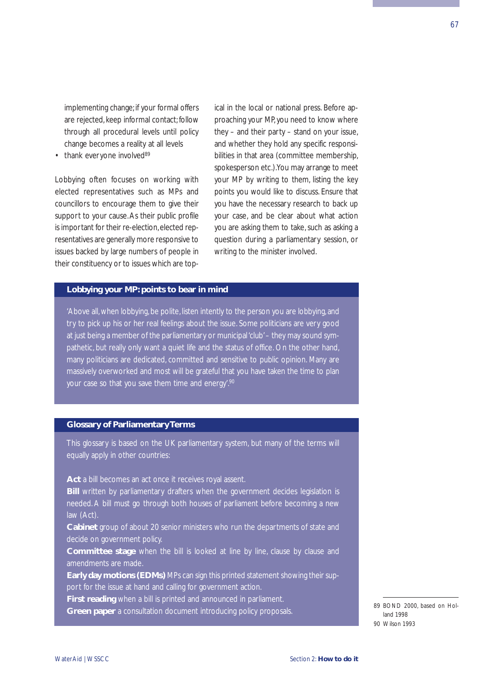implementing change; if your formal offers are rejected, keep informal contact; follow through all procedural levels until policy change becomes a reality at all levels

 $\cdot$  thank everyone involved $89$ 

Lobbying often focuses on working with elected representatives such as MPs and councillors to encourage them to give their support to your cause.As their public profile is important for their re-election, elected representatives are generally more responsive to issues backed by large numbers of people in their constituency or to issues which are topical in the local or national press. Before approaching your MP, you need to know where they – and their party – stand on your issue, and whether they hold any specific responsibilities in that area (committee membership, spokesperson etc.).You may arrange to meet your MP by writing to them, listing the key points you would like to discuss. Ensure that you have the necessary research to back up your case, and be clear about what action you are asking them to take, such as asking a question during a parliamentary session, or writing to the minister involved.

# **Lobbying your MP: points to bear in mind**

'Above all, when lobbying, be polite, listen intently to the person you are lobbying, and try to pick up his or her real feelings about the issue. Some politicians are very good at just being a member of the parliamentary or municipal 'club'– they may sound sympathetic, but really only want a quiet life and the status of office. On the other hand, many politicians are dedicated, committed and sensitive to public opinion. Many are massively overworked and most will be grateful that you have taken the time to plan your case so that you save them time and energy.<sup>90</sup>

#### **Glossary of Parliamentary Terms**

This glossary is based on the UK parliamentary system, but many of the terms will equally apply in other countries:

Act a bill becomes an act once it receives royal assent.

**Bill** written by parliamentary drafters when the government decides legislation is needed. A bill must go through both houses of parliament before becoming a new law (Act).

**Cabinet** group of about 20 senior ministers who run the departments of state and decide on government policy.

**Committee stage** when the bill is looked at line by line, clause by clause and amendments are made.

**Early day motions (EDMs)** MPs can sign this printed statement showing their support for the issue at hand and calling for government action.

**First reading** when a bill is printed and announced in parliament.

**Green paper** a consultation document introducing policy proposals.

<sup>89</sup> BOND 2000, based on Holland 1998 90 Wilson 1993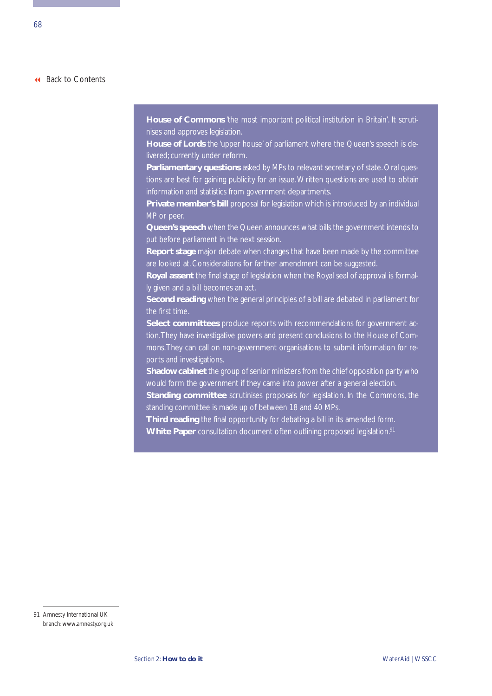**House of Commons** 'the most important political institution in Britain'. It scrutinises and approves legislation.

**House of Lords** the 'upper house' of parliament where the Queen's speech is delivered; currently under reform.

**Parliamentary questions** asked by MPs to relevant secretary of state. Oral questions are best for gaining publicity for an issue.Written questions are used to obtain information and statistics from government departments.

**Private member's bill** proposal for legislation which is introduced by an individual MP or peer.

**Queen's speech** when the Queen announces what bills the government intends to put before parliament in the next session.

**Report stage** major debate when changes that have been made by the committee are looked at. Considerations for farther amendment can be suggested.

**Royal assent** the final stage of legislation when the Royal seal of approval is formally given and a bill becomes an act.

**Second reading** when the general principles of a bill are debated in parliament for the first time.

**Select committees** produce reports with recommendations for government action.They have investigative powers and present conclusions to the House of Commons.They can call on non-government organisations to submit information for reports and investigations.

**Shadow cabinet** the group of senior ministers from the chief opposition party who would form the government if they came into power after a general election.

**Standing committee** scrutinises proposals for legislation. In the Commons, the standing committee is made up of between 18 and 40 MPs.

**Third reading** the final opportunity for debating a bill in its amended form. **White Paper** consultation document often outlining proposed legislation.<sup>91</sup>

<sup>91</sup> Amnesty International UK branch: www.amnesty.org.uk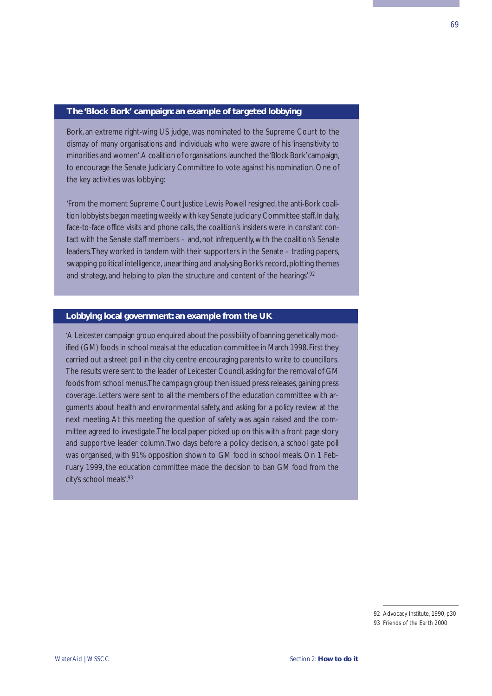#### **The 'Block Bork' campaign: an example of targeted lobbying**

Bork, an extreme right-wing US judge, was nominated to the Supreme Court to the dismay of many organisations and individuals who were aware of his 'insensitivity to minorities and women'.A coalition of organisations launched the 'Block Bork'campaign, to encourage the Senate Judiciary Committee to vote against his nomination. One of the key activities was lobbying:

'From the moment Supreme Court Justice Lewis Powell resigned, the anti-Bork coalition lobbyists began meeting weekly with key Senate Judiciary Committee staff.In daily, face-to-face office visits and phone calls, the coalition's insiders were in constant contact with the Senate staff members – and, not infrequently, with the coalition's Senate leaders.They worked in tandem with their supporters in the Senate – trading papers, swapping political intelligence, unearthing and analysing Bork's record, plotting themes and strategy, and helping to plan the structure and content of the hearings'.92

### **Lobbying local government: an example from the UK**

'A Leicester campaign group enquired about the possibility of banning genetically modified (GM) foods in school meals at the education committee in March 1998.First they carried out a street poll in the city centre encouraging parents to write to councillors. The results were sent to the leader of Leicester Council, asking for the removal of GM foods from school menus.The campaign group then issued press releases,gaining press coverage. Letters were sent to all the members of the education committee with arguments about health and environmental safety, and asking for a policy review at the next meeting. At this meeting the question of safety was again raised and the committee agreed to investigate.The local paper picked up on this with a front page story and supportive leader column.Two days before a policy decision, a school gate poll was organised, with 91% opposition shown to GM food in school meals. On 1 February 1999, the education committee made the decision to ban GM food from the city's school meals'.93

<sup>92</sup> Advocacy Institute, 1990, p30

<sup>93</sup> Friends of the Earth 2000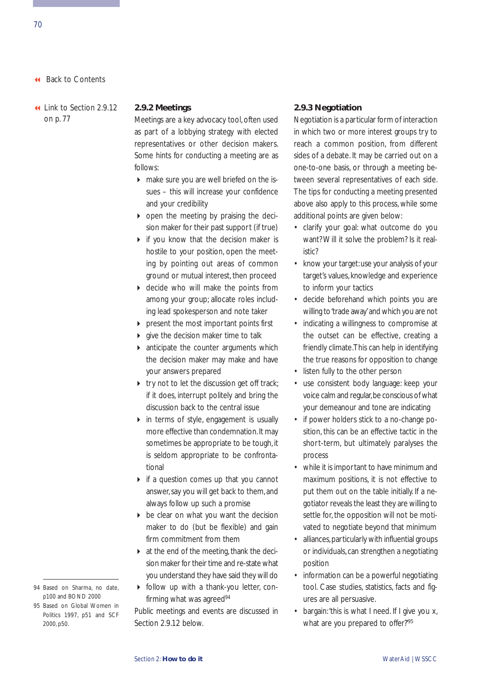[Link to Section 2.9.12](#page-82-0) on p. 77

#### **2.9.2 Meetings**

Meetings are a key advocacy tool, often used as part of a lobbying strategy with elected representatives or other decision makers. Some hints for conducting a meeting are as follows:

- $\triangleright$  make sure you are well briefed on the issues – this will increase your confidence and your credibility
- $\triangleright$  open the meeting by praising the decision maker for their past support (if true)
- $\triangleright$  if you know that the decision maker is hostile to your position, open the meeting by pointing out areas of common ground or mutual interest, then proceed
- ▶ decide who will make the points from among your group; allocate roles including lead spokesperson and note taker
- $\triangleright$  present the most important points first
- give the decision maker time to talk
- **A** anticipate the counter arguments which the decision maker may make and have your answers prepared
- $\triangleright$  try not to let the discussion get off track; if it does, interrupt politely and bring the discussion back to the central issue
- $\triangleright$  in terms of style, engagement is usually more effective than condemnation.It may sometimes be appropriate to be tough, it is seldom appropriate to be confrontational
- $\triangleright$  if a question comes up that you cannot answer, say you will get back to them, and always follow up such a promise
- be clear on what you want the decision maker to do (but be flexible) and gain firm commitment from them
- **at the end of the meeting, thank the deci**sion maker for their time and re-state what you understand they have said they will do
- follow up with a thank-you letter, confirming what was agreed<sup>94</sup>

Public meetings and events are discussed in Section 2.9.12 below.

#### **2.9.3 Negotiation**

Negotiation is a particular form of interaction in which two or more interest groups try to reach a common position, from different sides of a debate. It may be carried out on a one-to-one basis, or through a meeting between several representatives of each side. The tips for conducting a meeting presented above also apply to this process, while some additional points are given below:

- clarify your goal: what outcome do you want? Will it solve the problem? Is it realistic?
- know your target: use your analysis of your target's values, knowledge and experience to inform your tactics
- decide beforehand which points you are willing to 'trade away'and which you are not
- indicating a willingness to compromise at the outset can be effective, creating a friendly climate.This can help in identifying the true reasons for opposition to change
- listen fully to the other person
- use consistent body language: keep your voice calm and regular,be conscious of what your demeanour and tone are indicating
- if power holders stick to a no-change position, this can be an effective tactic in the short-term, but ultimately paralyses the process
- while it is important to have minimum and maximum positions, it is not effective to put them out on the table initially. If a negotiator reveals the least they are willing to settle for, the opposition will not be motivated to negotiate beyond that minimum
- alliances,particularly with influential groups or individuals, can strengthen a negotiating position
- information can be a powerful negotiating tool. Case studies, statistics, facts and figures are all persuasive.
- bargain: 'this is what I need. If I give you x, what are you prepared to offer?'95
- 94 Based on Sharma, no date, p100 and BOND 2000
- 95 Based on Global Women in Politics 1997, p51 and SCF 2000, p50.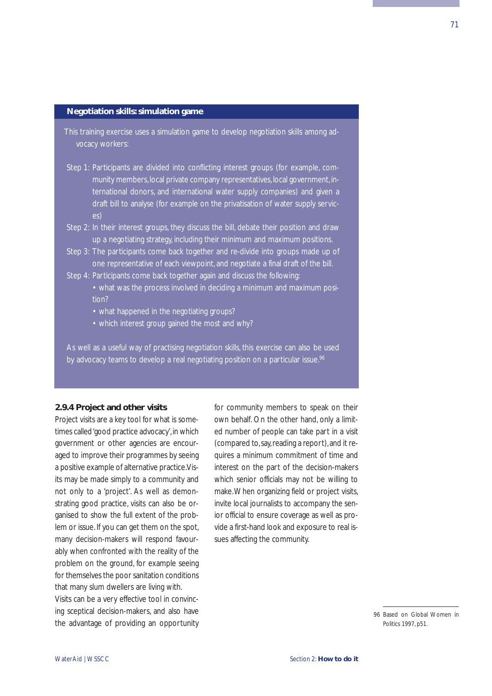#### **Negotiation skills: simulation game**

- This training exercise uses a simulation game to develop negotiation skills among advocacy workers:
- Step 1: Participants are divided into conflicting interest groups (for example, community members, local private company representatives, local government, international donors, and international water supply companies) and given a draft bill to analyse (for example on the privatisation of water supply services)
- Step 2: In their interest groups, they discuss the bill, debate their position and draw up a negotiating strategy, including their minimum and maximum positions.
- Step 3: The participants come back together and re-divide into groups made up of one representative of each viewpoint, and negotiate a final draft of the bill.
- Step 4: Participants come back together again and discuss the following: • what was the process involved in deciding a minimum and maximum posi
	- tion?
	- what happened in the negotiating groups?
	- which interest group gained the most and why?

As well as a useful way of practising negotiation skills, this exercise can also be used by advocacy teams to develop a real negotiating position on a particular issue.<sup>96</sup>

### **2.9.4 Project and other visits**

Project visits are a key tool for what is sometimes called 'good practice advocacy', in which government or other agencies are encouraged to improve their programmes by seeing a positive example of alternative practice.Visits may be made simply to a community and not only to a 'project'. As well as demonstrating good practice, visits can also be organised to show the full extent of the problem or issue. If you can get them on the spot, many decision-makers will respond favourably when confronted with the reality of the problem on the ground, for example seeing for themselves the poor sanitation conditions that many slum dwellers are living with. Visits can be a very effective tool in convincing sceptical decision-makers, and also have

the advantage of providing an opportunity

for community members to speak on their own behalf. On the other hand, only a limited number of people can take part in a visit (compared to,say,reading a report),and it requires a minimum commitment of time and interest on the part of the decision-makers which senior officials may not be willing to make.When organizing field or project visits, invite local journalists to accompany the senior official to ensure coverage as well as provide a first-hand look and exposure to real issues affecting the community.

<sup>96</sup> Based on Global Women in Politics 1997, p51.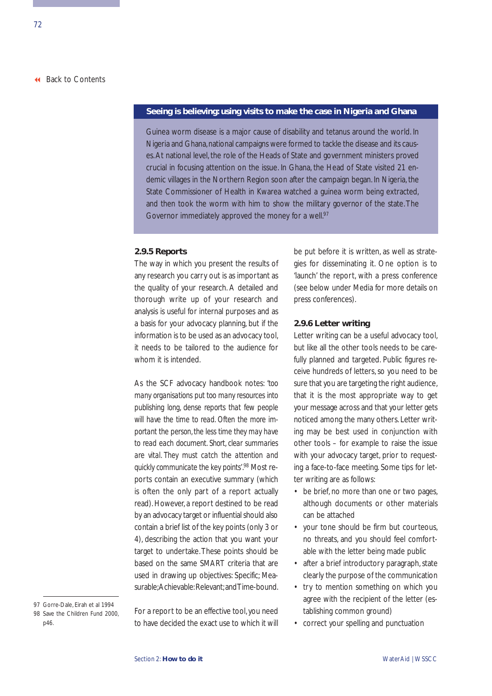#### **Seeing is believing: using visits to make the case in Nigeria and Ghana**

Guinea worm disease is a major cause of disability and tetanus around the world. In Nigeria and Ghana, national campaigns were formed to tackle the disease and its causes.At national level, the role of the Heads of State and government ministers proved crucial in focusing attention on the issue. In Ghana, the Head of State visited 21 endemic villages in the Northern Region soon after the campaign began. In Nigeria, the State Commissioner of Health in Kwarea watched a guinea worm being extracted, and then took the worm with him to show the military governor of the state.The Governor immediately approved the money for a well.<sup>97</sup>

## **2.9.5 Reports**

The way in which you present the results of any research you carry out is as important as the quality of your research. A detailed and thorough write up of your research and analysis is useful for internal purposes and as a basis for your advocacy planning, but if the information is to be used as an advocacy tool, it needs to be tailored to the audience for whom it is intended.

As the SCF advocacy handbook notes: *'too many organisations put too many resources into publishing long, dense reports that few people will have the time to read. Often the more important the person, the less time they may have to read each document. Short, clear summaries are vital. They must catch the attention and quickly communicate the key points'*. <sup>98</sup> Most reports contain an executive summary (which is often the only part of a report actually read). However, a report destined to be read by an advocacy target or influential should also contain a brief list of the key points (only 3 or 4), describing the action that you want your target to undertake.These points should be based on the same SMART criteria that are used in drawing up objectives: Specific; Measurable: Achievable: Relevant: and Time-bound.

For a report to be an effective tool, you need to have decided the exact use to which it will be put before it is written, as well as strategies for disseminating it. One option is to 'launch' the report, with a press conference (see below under Media for more details on press conferences).

### **2.9.6 Letter writing**

Letter writing can be a useful advocacy tool, but like all the other tools needs to be carefully planned and targeted. Public figures receive hundreds of letters, so you need to be sure that you are targeting the right audience, that it is the most appropriate way to get your message across and that your letter gets noticed among the many others. Letter writing may be best used in conjunction with other tools – for example to raise the issue with your advocacy target, prior to requesting a face-to-face meeting. Some tips for letter writing are as follows:

- be brief, no more than one or two pages, although documents or other materials can be attached
- your tone should be firm but courteous, no threats, and you should feel comfortable with the letter being made public
- after a brief introductory paragraph, state clearly the purpose of the communication
- try to mention something on which you agree with the recipient of the letter (establishing common ground)
- correct your spelling and punctuation

<sup>97</sup> Gorre-Dale, Eirah et al 1994 98 Save the Children Fund 2000, p46.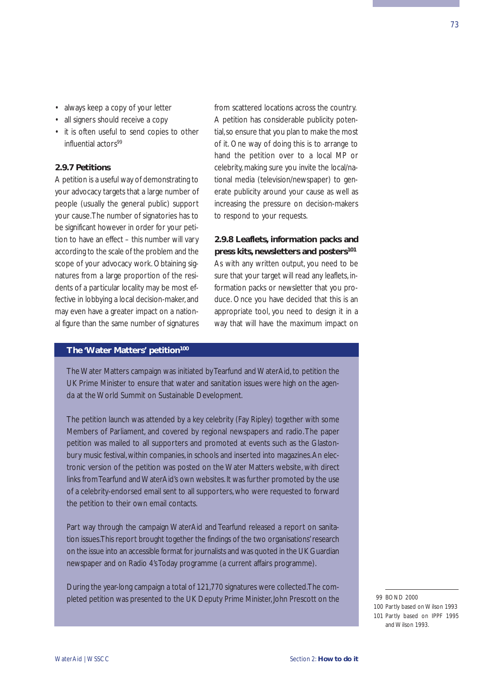- always keep a copy of your letter
- all signers should receive a copy
- it is often useful to send copies to other influential actors<sup>99</sup>

# **2.9.7 Petitions**

A petition is a useful way of demonstrating to your advocacy targets that a large number of people (usually the general public) support your cause.The number of signatories has to be significant however in order for your petition to have an effect – this number will vary according to the scale of the problem and the scope of your advocacy work. Obtaining signatures from a large proportion of the residents of a particular locality may be most effective in lobbying a local decision-maker, and may even have a greater impact on a national figure than the same number of signatures

from scattered locations across the country. A petition has considerable publicity potential,so ensure that you plan to make the most of it. One way of doing this is to arrange to hand the petition over to a local MP or celebrity, making sure you invite the local/national media (television/newspaper) to generate publicity around your cause as well as increasing the pressure on decision-makers to respond to your requests.

# **2.9.8 Leaflets, information packs and press kits, newsletters and posters101**

As with any written output, you need to be sure that your target will read any leaflets, information packs or newsletter that you produce. Once you have decided that this is an appropriate tool, you need to design it in a way that will have the maximum impact on

### **The 'Water Matters' petition<sup>100</sup>**

The Water Matters campaign was initiated by Tearfund and WaterAid, to petition the UK Prime Minister to ensure that water and sanitation issues were high on the agenda at the World Summit on Sustainable Development.

The petition launch was attended by a key celebrity (Fay Ripley) together with some Members of Parliament, and covered by regional newspapers and radio.The paper petition was mailed to all supporters and promoted at events such as the Glastonbury music festival, within companies, in schools and inserted into magazines.An electronic version of the petition was posted on the Water Matters website, with direct links from Tearfund and WaterAid's own websites. It was further promoted by the use of a celebrity-endorsed email sent to all supporters, who were requested to forward the petition to their own email contacts.

Part way through the campaign WaterAid and Tearfund released a report on sanitation issues.This report brought together the findings of the two organisations' research on the issue into an accessible format for journalists and was quoted in the UK Guardian newspaper and on Radio 4's Today programme (a current affairs programme).

During the year-long campaign a total of 121,770 signatures were collected.The completed petition was presented to the UK Deputy Prime Minister, John Prescott on the

<sup>99</sup> BOND 2000

<sup>100</sup> Partly based on Wilson 1993 101 Partly based on IPPF 1995 and Wilson 1993.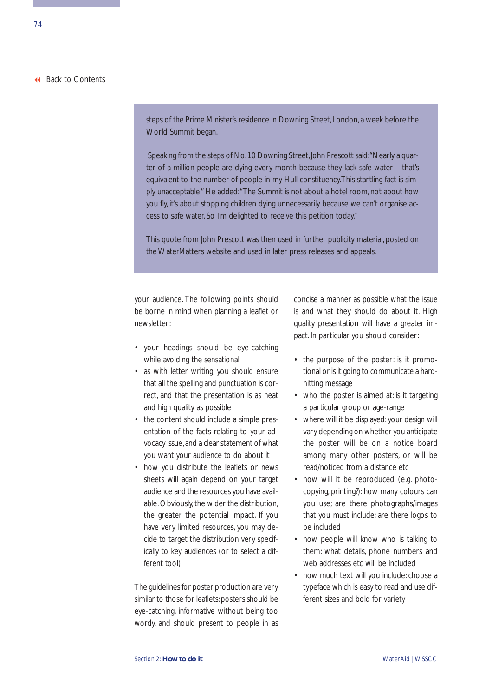steps of the Prime Minister's residence in Downing Street, London, a week before the World Summit began.

Speaking from the steps of No.10 Downing Street, John Prescott said: "Nearly a quarter of a million people are dying every month because they lack safe water – that's equivalent to the number of people in my Hull constituency.This startling fact is simply unacceptable." He added:"The Summit is not about a hotel room, not about how you fly, it's about stopping children dying unnecessarily because we can't organise access to safe water. So I'm delighted to receive this petition today."

This quote from John Prescott was then used in further publicity material, posted on the WaterMatters website and used in later press releases and appeals.

your audience. The following points should be borne in mind when planning a leaflet or newsletter:

- your headings should be eye-catching while avoiding the sensational
- as with letter writing, you should ensure that all the spelling and punctuation is correct, and that the presentation is as neat and high quality as possible
- the content should include a simple presentation of the facts relating to your advocacy issue, and a clear statement of what you want your audience to do about it
- how you distribute the leaflets or news sheets will again depend on your target audience and the resources you have available. Obviously, the wider the distribution, the greater the potential impact. If you have very limited resources, you may decide to target the distribution very specifically to key audiences (or to select a different tool)

The guidelines for poster production are very similar to those for leaflets: posters should be eye-catching, informative without being too wordy, and should present to people in as concise a manner as possible what the issue is and what they should do about it. High quality presentation will have a greater impact. In particular you should consider:

- the purpose of the poster: is it promotional or is it going to communicate a hardhitting message
- who the poster is aimed at: is it targeting a particular group or age-range
- where will it be displayed: your design will vary depending on whether you anticipate the poster will be on a notice board among many other posters, or will be read/noticed from a distance etc
- how will it be reproduced (e.g. photocopying, printing?): how many colours can you use; are there photographs/images that you must include; are there logos to be included
- how people will know who is talking to them: what details, phone numbers and web addresses etc will be included
- how much text will you include: choose a typeface which is easy to read and use different sizes and bold for variety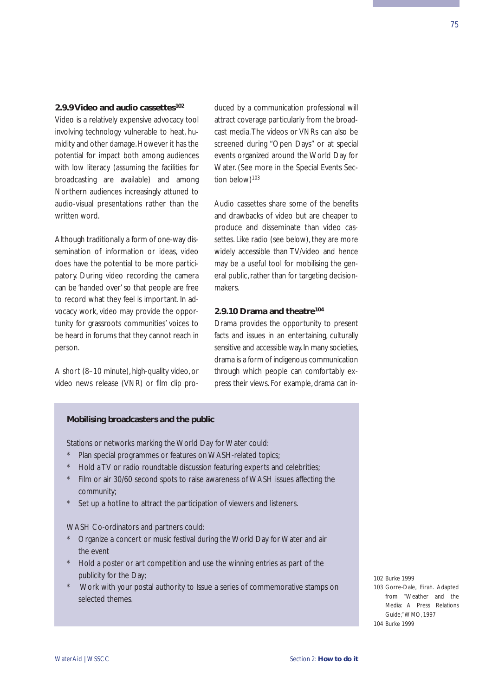#### **2.9.9 Video and audio cassettes102**

Video is a relatively expensive advocacy tool involving technology vulnerable to heat, humidity and other damage. However it has the potential for impact both among audiences with low literacy (assuming the facilities for broadcasting are available) and among Northern audiences increasingly attuned to audio-visual presentations rather than the written word.

Although traditionally a form of one-way dissemination of information or ideas, video does have the potential to be more participatory. During video recording the camera can be 'handed over' so that people are free to record what they feel is important. In advocacy work, video may provide the opportunity for grassroots communities' voices to be heard in forums that they cannot reach in person.

A short (8–10 minute), high-quality video, or video news release (VNR) or film clip produced by a communication professional will attract coverage particularly from the broadcast media.The videos or VNRs can also be screened during "Open Days" or at special events organized around the World Day for Water. (See more in the Special Events Section below)<sup>103</sup>

Audio cassettes share some of the benefits and drawbacks of video but are cheaper to produce and disseminate than video cassettes. Like radio (see below), they are more widely accessible than TV/video and hence may be a useful tool for mobilising the general public, rather than for targeting decisionmakers.

# **2.9.10 Drama and theatre104**

Drama provides the opportunity to present facts and issues in an entertaining, culturally sensitive and accessible way. In many societies, drama is a form of indigenous communication through which people can comfortably express their views. For example, drama can in-

# **Mobilising broadcasters and the public**

Stations or networks marking the World Day for Water could:

- Plan special programmes or features on WASH-related topics;
- \* Hold a TV or radio roundtable discussion featuring experts and celebrities;
- Film or air 30/60 second spots to raise awareness of WASH issues affecting the community;
- Set up a hotline to attract the participation of viewers and listeners.

WASH Co-ordinators and partners could:

- Organize a concert or music festival during the World Day for Water and air the event
- \* Hold a poster or art competition and use the winning entries as part of the publicity for the Day;
- \* Work with your postal authority to Issue a series of commemorative stamps on selected themes.

102 Burke 1999

103 Gorre-Dale, Eirah. Adapted from "Weather and the Media: A Press Relations Guide,"WMO, 1997 104 Burke 1999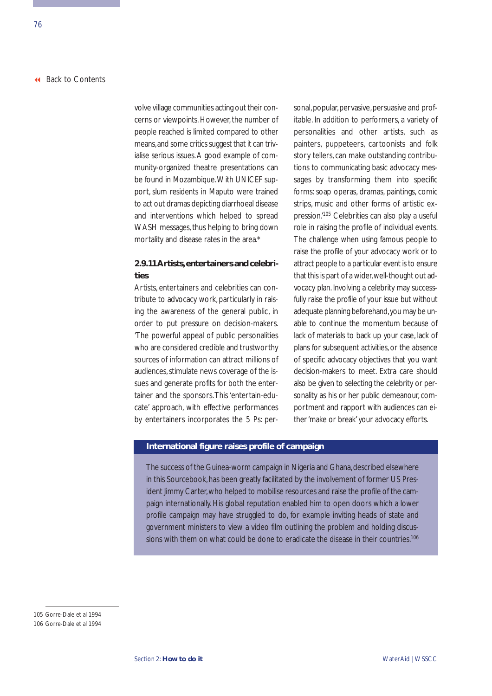volve village communities acting out their concerns or viewpoints. However, the number of people reached is limited compared to other means,and some critics suggest that it can trivialise serious issues. A good example of community-organized theatre presentations can be found in Mozambique.With UNICEF support, slum residents in Maputo were trained to act out dramas depicting diarrhoeal disease and interventions which helped to spread WASH messages, thus helping to bring down mortality and disease rates in the area.\*

# **2.9.11 Artists,entertainers and celebrities**

Artists, entertainers and celebrities can contribute to advocacy work, particularly in raising the awareness of the general public, in order to put pressure on decision-makers. 'The powerful appeal of public personalities who are considered credible and trustworthy sources of information can attract millions of audiences, stimulate news coverage of the issues and generate profits for both the entertainer and the sponsors.This 'entertain-educate' approach, with effective performances by entertainers incorporates the 5 Ps: personal, popular, per vasive, per suasive and profitable. In addition to performers, a variety of personalities and other artists, such as painters, puppeteers, cartoonists and folk story tellers, can make outstanding contributions to communicating basic advocacy messages by transforming them into specific forms: soap operas, dramas, paintings, comic strips, music and other forms of artistic expression.'105 Celebrities can also play a useful role in raising the profile of individual events. The challenge when using famous people to raise the profile of your advocacy work or to attract people to a particular event is to ensure that this is part of a wider,well-thought out advocacy plan. Involving a celebrity may successfully raise the profile of your issue but without adequate planning beforehand,you may be unable to continue the momentum because of lack of materials to back up your case, lack of plans for subsequent activities, or the absence of specific advocacy objectives that you want decision-makers to meet. Extra care should also be given to selecting the celebrity or personality as his or her public demeanour, comportment and rapport with audiences can either 'make or break' your advocacy efforts.

# **International figure raises profile of campaign**

The success of the Guinea-worm campaign in Nigeria and Ghana, described elsewhere in this Sourcebook, has been greatly facilitated by the involvement of former US President Jimmy Carter, who helped to mobilise resources and raise the profile of the campaign internationally. His global reputation enabled him to open doors which a lower profile campaign may have struggled to do, for example inviting heads of state and government ministers to view a video film outlining the problem and holding discussions with them on what could be done to eradicate the disease in their countries.<sup>106</sup>

<sup>105</sup> Gorre-Dale et al 1994

<sup>106</sup> Gorre-Dale et al 1994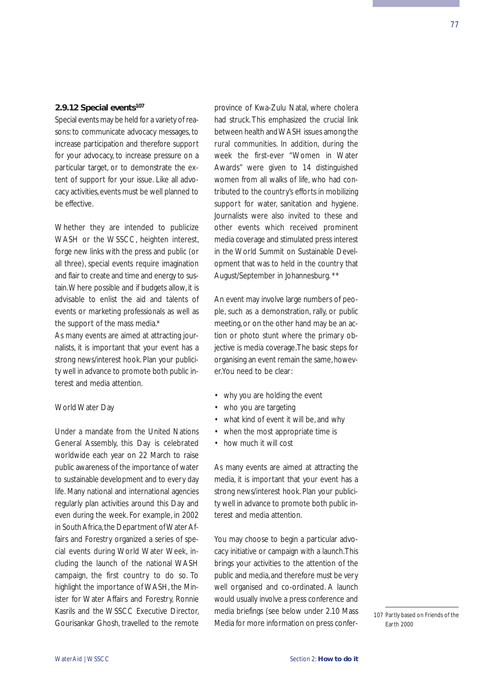# <span id="page-82-0"></span>**2.9.12 Special events107**

Special events may be held for a variety of reasons: to communicate advocacy messages, to increase participation and therefore support for your advocacy, to increase pressure on a particular target, or to demonstrate the extent of support for your issue. Like all advocacy activities, events must be well planned to be effective.

Whether they are intended to publicize WASH or the WSSCC, heighten interest, forge new links with the press and public (or all three), special events require imagination and flair to create and time and energy to sustain.Where possible and if budgets allow, it is advisable to enlist the aid and talents of events or marketing professionals as well as the support of the mass media.\*

As many events are aimed at attracting journalists, it is important that your event has a strong news/interest hook. Plan your publicity well in advance to promote both public interest and media attention.

#### World Water Day

Under a mandate from the United Nations General Assembly, this Day is celebrated worldwide each year on 22 March to raise public awareness of the importance of water to sustainable development and to every day life. Many national and international agencies regularly plan activities around this Day and even during the week. For example, in 2002 in South Africa, the Department of Water Affairs and Forestry organized a series of special events during World Water Week, including the launch of the national WASH campaign, the first country to do so. To highlight the importance of WASH, the Minister for Water Affairs and Forestry, Ronnie Kasrils and the WSSCC Executive Director, Gourisankar Ghosh, travelled to the remote

province of Kwa-Zulu Natal, where cholera had struck. This emphasized the crucial link between health and WASH issues among the rural communities. In addition, during the week the first-ever "Women in Water Awards" were given to 14 distinguished women from all walks of life, who had contributed to the country's efforts in mobilizing support for water, sanitation and hygiene. Journalists were also invited to these and other events which received prominent media coverage and stimulated press interest in the World Summit on Sustainable Development that was to held in the country that August/September in Johannesburg. \*\*

An event may involve large numbers of people, such as a demonstration, rally, or public meeting, or on the other hand may be an action or photo stunt where the primary objective is media coverage.The basic steps for organising an event remain the same, however.You need to be clear:

- why you are holding the event
- who you are targeting
- what kind of event it will be, and why
- when the most appropriate time is
- how much it will cost

As many events are aimed at attracting the media, it is important that your event has a strong news/interest hook. Plan your publicity well in advance to promote both public interest and media attention.

You may choose to begin a particular advocacy initiative or campaign with a launch.This brings your activities to the attention of the public and media,and therefore must be very well organised and co-ordinated. A launch would usually involve a press conference and media briefings (see below under 2.10 Mass Media for more information on press confer-

107 Partly based on Friends of the Earth 2000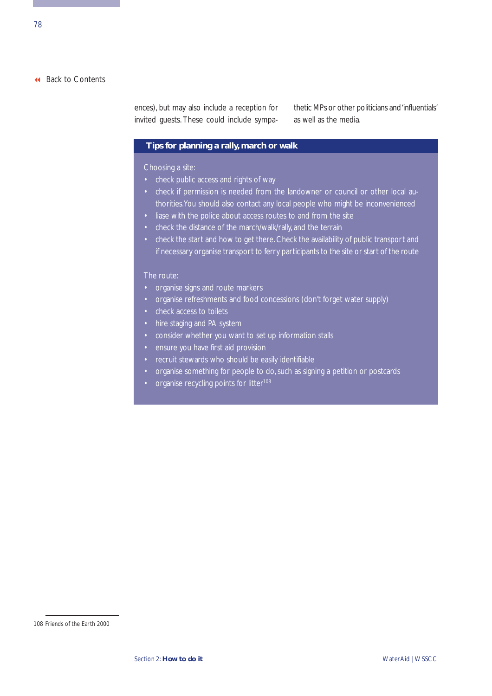ences), but may also include a reception for invited guests. These could include sympathetic MPs or other politicians and 'influentials' as well as the media.

# **Tips for planning a rally, march or walk**

Choosing a site:

- check public access and rights of way
- check if permission is needed from the landowner or council or other local authorities.You should also contact any local people who might be inconvenienced
- liase with the police about access routes to and from the site
- check the distance of the march/walk/rally, and the terrain
- check the start and how to get there. Check the availability of public transport and if necessary organise transport to ferry participants to the site or start of the route

- organise signs and route markers
- organise refreshments and food concessions (don't forget water supply)
- check access to toilets
- hire staging and PA system
- consider whether you want to set up information stalls
- ensure you have first aid provision
- recruit stewards who should be easily identifiable
- organise something for people to do, such as signing a petition or postcards
- organise recycling points for litter<sup>108</sup>

<sup>108</sup> Friends of the Earth 2000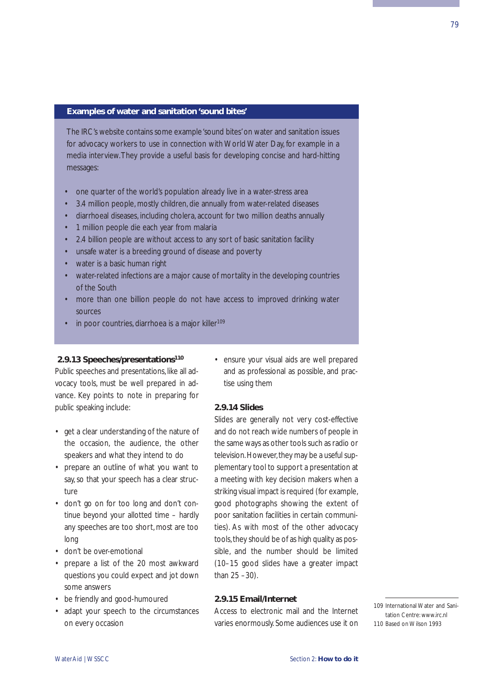#### **Examples of water and sanitation 'sound bites'**

The IRC's website contains some example 'sound bites' on water and sanitation issues for advocacy workers to use in connection with World Water Day, for example in a media interview.They provide a useful basis for developing concise and hard-hitting messages:

- one quarter of the world's population already live in a water-stress area
- 3.4 million people, mostly children, die annually from water-related diseases
- diarrhoeal diseases, including cholera, account for two million deaths annually
- 1 million people die each year from malaria
- 2.4 billion people are without access to any sort of basic sanitation facility
- unsafe water is a breeding ground of disease and poverty
- water is a basic human right
- water-related infections are a major cause of mortality in the developing countries of the South
- more than one billion people do not have access to improved drinking water sources
- in poor countries, diarrhoea is a major killer<sup>109</sup>

#### **2.9.13 Speeches/presentations110**

Public speeches and presentations, like all advocacy tools, must be well prepared in advance. Key points to note in preparing for public speaking include:

- get a clear understanding of the nature of the occasion, the audience, the other speakers and what they intend to do
- prepare an outline of what you want to say, so that your speech has a clear structure
- don't go on for too long and don't continue beyond your allotted time – hardly any speeches are too short, most are too long
- don't be over-emotional
- prepare a list of the 20 most awkward questions you could expect and jot down some answers
- be friendly and good-humoured
- adapt your speech to the circumstances on every occasion

• ensure your visual aids are well prepared and as professional as possible, and practise using them

# **2.9.14 Slides**

Slides are generally not very cost-effective and do not reach wide numbers of people in the same ways as other tools such as radio or television. However, they may be a useful supplementary tool to support a presentation at a meeting with key decision makers when a striking visual impact is required (for example, good photographs showing the extent of poor sanitation facilities in certain communities). As with most of the other advocacy tools, they should be of as high quality as possible, and the number should be limited (10–15 good slides have a greater impact than 25 –30).

# **2.9.15 Email/Internet**

Access to electronic mail and the Internet varies enormously. Some audiences use it on

109 International Water and Sanitation Centre: www.irc.nl 110 Based on Wilson 1993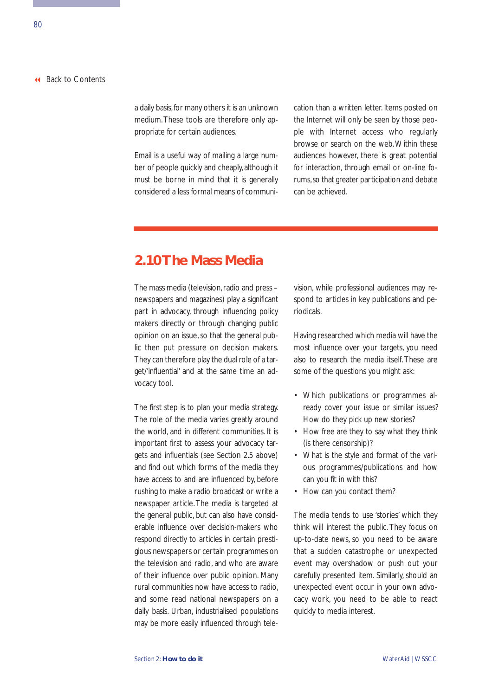a daily basis, for many others it is an unknown medium.These tools are therefore only appropriate for certain audiences.

Email is a useful way of mailing a large number of people quickly and cheaply, although it must be borne in mind that it is generally considered a less formal means of communication than a written letter. Items posted on the Internet will only be seen by those people with Internet access who regularly browse or search on the web. Within these audiences however, there is great potential for interaction, through email or on-line forums,so that greater participation and debate can be achieved.

# **2.10 The Mass Media**

The mass media (television, radio and press – newspapers and magazines) play a significant part in advocacy, through influencing policy makers directly or through changing public opinion on an issue, so that the general public then put pressure on decision makers. They can therefore play the dual role of a target/'influential' and at the same time an advocacy tool.

The first step is to plan your media strategy. The role of the media varies greatly around the world, and in different communities. It is important first to assess your advocacy targets and influentials (see Section 2.5 above) and find out which forms of the media they have access to and are influenced by, before rushing to make a radio broadcast or write a newspaper article. The media is targeted at the general public, but can also have considerable influence over decision-makers who respond directly to articles in certain prestigious newspapers or certain programmes on the television and radio, and who are aware of their influence over public opinion. Many rural communities now have access to radio, and some read national newspapers on a daily basis. Urban, industrialised populations may be more easily influenced through television, while professional audiences may respond to articles in key publications and periodicals.

Having researched which media will have the most influence over your targets, you need also to research the media itself. These are some of the questions you might ask:

- Which publications or programmes already cover your issue or similar issues? How do they pick up new stories?
- How free are they to say what they think (is there censorship)?
- What is the style and format of the various programmes/publications and how can you fit in with this?
- How can you contact them?

The media tends to use 'stories' which they think will interest the public. They focus on up-to-date news, so you need to be aware that a sudden catastrophe or unexpected event may overshadow or push out your carefully presented item. Similarly, should an unexpected event occur in your own advocacy work, you need to be able to react quickly to media interest.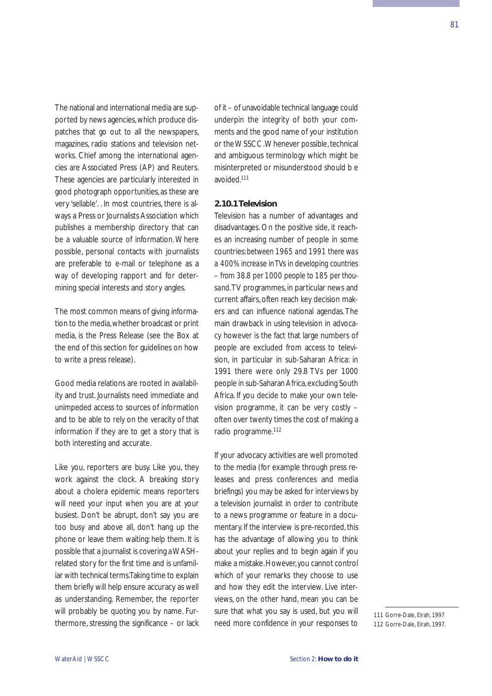The national and international media are supported by news agencies, which produce dispatches that go out to all the newspapers, magazines, radio stations and television networks. Chief among the international agencies are Associated Press (AP) and Reuters. These agencies are particularly interested in good photograph opportunities, as these are very 'sellable'. . In most countries, there is always a Press or Journalists Association which publishes a membership directory that can be a valuable source of information. Where possible, personal contacts with journalists are preferable to e-mail or telephone as a way of developing rapport and for determining special interests and story angles.

The most common means of giving information to the media,whether broadcast or print media, is the Press Release (see the Box at the end of this section for guidelines on how to write a press release).

Good media relations are rooted in availability and trust. Journalists need immediate and unimpeded access to sources of information and to be able to rely on the veracity of that information if they are to get a story that is both interesting and accurate.

Like you, reporters are busy. Like you, they work against the clock. A breaking story about a cholera epidemic means reporters will need your input when you are at your busiest. Don't be abrupt, don't say you are too busy and above all, don't hang up the phone or leave them waiting: help them. It is possible that a journalist is covering a WASHrelated story for the first time and is unfamiliar with technical terms.Taking time to explain them briefly will help ensure accuracy as well as understanding. Remember, the reporter will probably be quoting you by name. Furthermore, stressing the significance – or lack of it – of unavoidable technical language could underpin the integrity of both your comments and the good name of your institution or the WSSCC.Whenever possible, technical and ambiguous terminology which might be misinterpreted or misunderstood should b e avoided.111

# **2.10.1 Television**

Television has a number of advantages and disadvantages. On the positive side, it reaches an increasing number of people in some countries: *between 1965 and 1991 there was a 400% increase in TVs in developing countries – from 38.8 per 1000 people to 185 per thousand.*TV programmes, in particular news and current affairs, often reach key decision makers and can influence national agendas. The main drawback in using television in advocacy however is the fact that large numbers of people are excluded from access to television, in particular in sub-Saharan Africa: in 1991 there were only 29.8 TVs per 1000 people in sub-Saharan Africa,excluding South Africa. If you decide to make your own television programme, it can be very costly – often over twenty times the cost of making a radio programme.112

If your advocacy activities are well promoted to the media (for example through press releases and press conferences and media briefings) you may be asked for interviews by a television journalist in order to contribute to a news programme or feature in a documentary. If the interview is pre-recorded, this has the advantage of allowing you to think about your replies and to begin again if you make a mistake.However,you cannot control which of your remarks they choose to use and how they edit the interview. Live interviews, on the other hand, mean you can be sure that what you say is used, but you will need more confidence in your responses to

<sup>111</sup> Gorre-Dale, Eirah, 1997 112 Gorre-Dale, Eirah, 1997.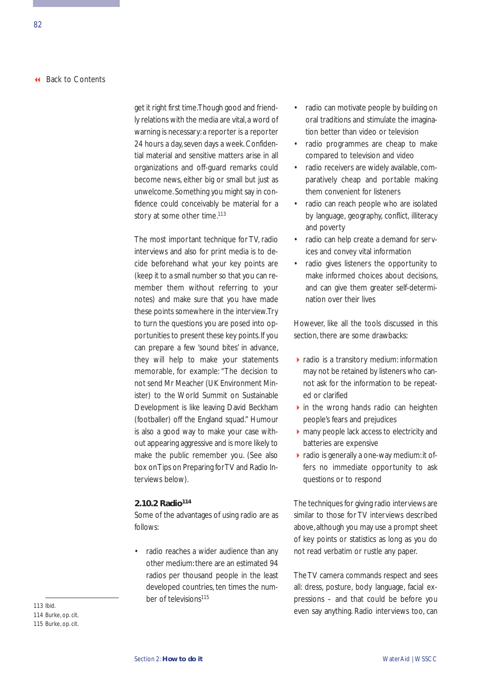get it right first time.Though good and friendly relations with the media are vital, a word of warning is necessary: a reporter is a reporter 24 hours a day, seven days a week. Confidential material and sensitive matters arise in all organizations and off-guard remarks could become news, either big or small but just as unwelcome.Something you might say in confidence could conceivably be material for a story at some other time.<sup>113</sup>

The most important technique for TV, radio interviews and also for print media is to decide beforehand what your key points are (keep it to a small number so that you can remember them without referring to your notes) and make sure that you have made these points somewhere in the interview.Try to turn the questions you are posed into opportunities to present these key points. If you can prepare a few 'sound bites' in advance, they will help to make your statements memorable, for example: "The decision to not send Mr Meacher (UK Environment Minister) to the World Summit on Sustainable Development is like leaving David Beckham (footballer) off the England squad." Humour is also a good way to make your case without appearing aggressive and is more likely to make the public remember you. (See also box on Tips on Preparing for TV and Radio Interviews below).

# **2.10.2 Radio114**

Some of the advantages of using radio are as follows:

• radio reaches a wider audience than any other medium: there are an estimated 94 radios per thousand people in the least developed countries, ten times the number of televisions<sup>115</sup>

- radio can motivate people by building on oral traditions and stimulate the imagination better than video or television
- radio programmes are cheap to make compared to television and video
- radio receivers are widely available, comparatively cheap and portable making them convenient for listeners
- radio can reach people who are isolated by language, geography, conflict, illiteracy and poverty
- radio can help create a demand for services and convey vital information
- radio gives listeners the opportunity to make informed choices about decisions, and can give them greater self-determination over their lives

However, like all the tools discussed in this section, there are some drawbacks:

- **Figure 1** radio is a transitory medium: information may not be retained by listeners who cannot ask for the information to be repeated or clarified
- In the wrong hands radio can heighten people's fears and prejudices
- ▶ many people lack access to electricity and batteries are expensive
- radio is generally a one-way medium: it offers no immediate opportunity to ask questions or to respond

The techniques for giving radio interviews are similar to those for TV interviews described above, although you may use a prompt sheet of key points or statistics as long as you do not read verbatim or rustle any paper.

The TV camera commands respect and sees all: dress, posture, body language, facial expressions – and that could be before you even say anything. Radio interviews too, can the same with the same with the same with the same with the same with the same with the same with the same with the same with the same with the same with the same with the same

114 Burke, op. cit. 115 Burke, op. cit.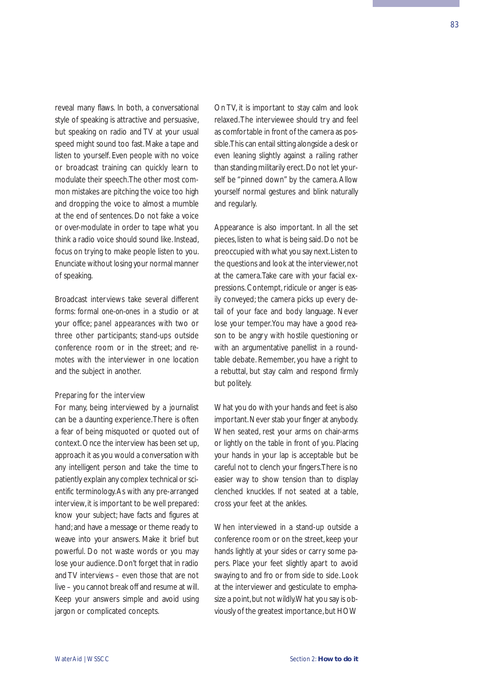reveal many flaws. In both, a conversational style of speaking is attractive and persuasive, but speaking on radio and TV at your usual speed might sound too fast. Make a tape and listen to yourself. Even people with no voice or broadcast training can quickly learn to modulate their speech.The other most common mistakes are pitching the voice too high and dropping the voice to almost a mumble at the end of sentences. Do not fake a voice or over-modulate in order to tape what you think a radio voice should sound like. Instead, focus on trying to make people listen to you. Enunciate without losing your normal manner of speaking.

Broadcast interviews take several different forms: formal *one-on-ones* in a studio or at your office; *panel appearances* with two or three other participants; *stand-ups* outside conference room or in the street; and *remotes* with the interviewer in one location and the subject in another.

#### Preparing for the interview

For many, being interviewed by a journalist can be a daunting experience.There is often a fear of being misquoted or quoted out of context. Once the interview has been set up, approach it as you would a conversation with any intelligent person and take the time to patiently explain any complex technical or scientific terminology.As with any pre-arranged interview, it is important to be well prepared: know your subject; have facts and figures at hand; and have a message or theme ready to weave into your answers. Make it brief but powerful. Do not waste words or you may lose your audience. Don't forget that in radio and TV interviews – even those that are not live – you cannot break off and resume at will. Keep your answers simple and avoid using jargon or complicated concepts.

On TV, it is important to stay calm and look relaxed.The interviewee should try and feel as comfortable in front of the camera as possible.This can entail sitting alongside a desk or even leaning slightly against a railing rather than standing militarily erect.Do not let yourself be "pinned down" by the camera. Allow yourself normal gestures and blink naturally and regularly.

Appearance is also important. In all the set pieces, listen to what is being said. Do not be preoccupied with what you say next.Listen to the questions and look at the interviewer,not at the camera.Take care with your facial expressions. Contempt, ridicule or anger is easily conveyed; the camera picks up every detail of your face and body language. Never lose your temper.You may have a good reason to be angry with hostile questioning or with an argumentative panellist in a roundtable debate. Remember, you have a right to a rebuttal, but stay calm and respond firmly but politely.

What you do with your hands and feet is also important. Never stab your finger at anybody. When seated, rest your arms on chair-arms or lightly on the table in front of you. Placing your hands in your lap is acceptable but be careful not to clench your fingers.There is no easier way to show tension than to display clenched knuckles. If not seated at a table, cross your feet at the ankles.

When interviewed in a stand-up outside a conference room or on the street, keep your hands lightly at your sides or carry some papers. Place your feet slightly apart to avoid swaying to and fro or from side to side. Look at the interviewer and gesticulate to emphasize a point, but not wildly. What you say is obviously of the greatest importance, but HOW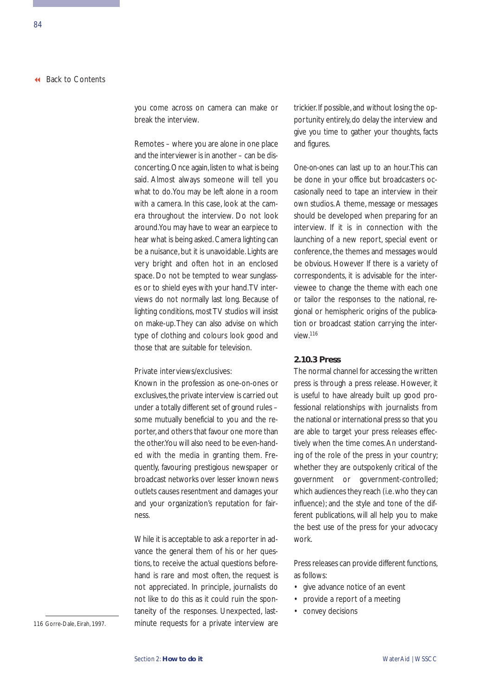you come across on camera can make or break the interview.

Remotes – where you are alone in one place and the interviewer is in another – can be disconcerting. Once again, listen to what is being said. Almost always someone will tell you what to do.You may be left alone in a room with a camera. In this case, look at the camera throughout the interview. Do not look around.You may have to wear an earpiece to hear what is being asked. Camera lighting can be a nuisance, but it is unavoidable. Lights are very bright and often hot in an enclosed space. Do not be tempted to wear sunglasses or to shield eyes with your hand.TV interviews do not normally last long. Because of lighting conditions, most TV studios will insist on make-up.They can also advise on which type of clothing and colours look good and those that are suitable for television.

#### Private interviews/exclusives:

Known in the profession as one-on-ones or exclusives, the private interview is carried out under a totally different set of ground rules – some mutually beneficial to you and the reporter, and others that favour one more than the other.You will also need to be even-handed with the media in granting them. Frequently, favouring prestigious newspaper or broadcast networks over lesser known news outlets causes resentment and damages your and your organization's reputation for fairness.

While it is acceptable to ask a reporter in advance the general them of his or her questions, to receive the actual questions beforehand is rare and most often, the request is not appreciated. In principle, journalists do not like to do this as it could ruin the spontaneity of the responses. Unexpected, lastminute requests for a private interview are trickier. If possible, and without losing the opportunity entirely, do delay the interview and give you time to gather your thoughts, facts and figures.

*One-on-ones* can last up to an hour.This can be done in your office but broadcasters occasionally need to tape an interview in their own studios. A theme, message or messages should be developed when preparing for an interview. If it is in connection with the launching of a new report, special event or conference, the themes and messages would be obvious. However If there is a variety of correspondents, it is advisable for the interviewee to change the theme with each one or tailor the responses to the national, regional or hemispheric origins of the publication or broadcast station carrying the interview.116

#### **2.10.3 Press**

The normal channel for accessing the written press is through a press release. However, it is useful to have already built up good professional relationships with journalists from the national or international press so that you are able to target your press releases effectively when the time comes. An understanding of the role of the press in your country; whether they are outspokenly critical of the government or government-controlled; which audiences they reach (i.e.who they can influence); and the style and tone of the different publications, will all help you to make the best use of the press for your advocacy work.

Press releases can provide different functions, as follows:

- give advance notice of an event
- provide a report of a meeting
- convey decisions

116 Gorre-Dale, Eirah, 1997.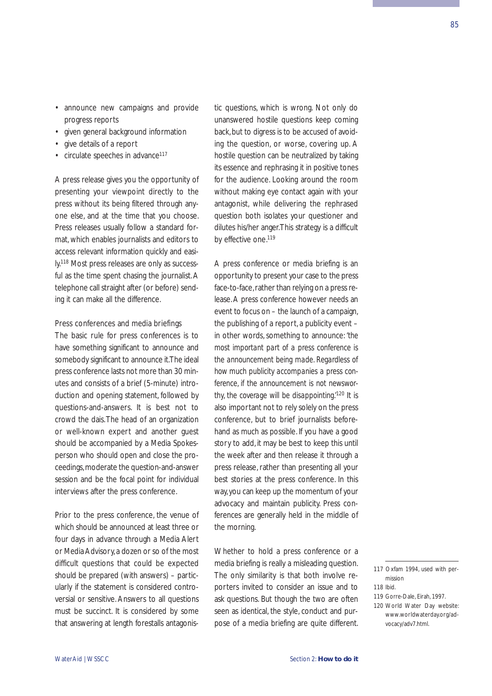85

- announce new campaigns and provide progress reports
- given general background information
- give details of a report
- circulate speeches in advance<sup>117</sup>

A press release gives you the opportunity of presenting your viewpoint directly to the press without its being filtered through anyone else, and at the time that you choose. Press releases usually follow a standard format, which enables journalists and editors to access relevant information quickly and easily.118 Most press releases are only as successful as the time spent chasing the journalist. A telephone call straight after (or before) sending it can make all the difference.

#### Press conferences and media briefings

The basic rule for press conferences is to have something significant to announce and somebody significant to announce it.The ideal press conference lasts not more than 30 minutes and consists of a brief (5-minute) introduction and opening statement, followed by questions-and-answers. It is best not to crowd the dais.The head of an organization or well-known expert and another guest should be accompanied by a Media Spokesperson who should open and close the proceedings,moderate the question-and-answer session and be the focal point for individual interviews after the press conference.

Prior to the press conference, the venue of which should be announced at least three or four days in advance through a Media Alert or Media Advisory, a dozen or so of the most difficult questions that could be expected should be prepared (with answers) – particularly if the statement is considered controversial or sensitive. Answers to all questions must be succinct. It is considered by some that answering at length forestalls antagonistic questions, which is wrong. Not only do unanswered hostile questions keep coming back, but to digress is to be accused of avoiding the question, or worse, covering up. A hostile question can be neutralized by taking its essence and rephrasing it in positive tones for the audience. Looking around the room without making eye contact again with your antagonist, while delivering the rephrased question both isolates your questioner and dilutes his/her anger.This strategy is a difficult by effective one.<sup>119</sup>

A press conference or media briefing is an opportunity to present your case to the press face-to-face, rather than relying on a press release. A press conference however needs an event to focus on – the launch of a campaign, the publishing of a report, a publicity event – in other words, something to announce: *'the most important part of a press conference is the announcement being made. Regardless of how much publicity accompanies a press conference, if the announcement is not newsworthy, the coverage will be disappointing.'*<sup>120</sup> It is also important not to rely solely on the press conference, but to brief journalists beforehand as much as possible. If you have a good story to add, it may be best to keep this until the week after and then release it through a press release, rather than presenting all your best stories at the press conference. In this way, you can keep up the momentum of your advocacy and maintain publicity. Press conferences are generally held in the middle of the morning.

Whether to hold a press conference or a media briefing is really a misleading question. The only similarity is that both involve reporters invited to consider an issue and to ask questions. But though the two are often seen as identical, the style, conduct and purpose of a media briefing are quite different.

<sup>117</sup> Oxfam 1994, used with permission

<sup>118</sup> Ibid.

<sup>119</sup> Gorre-Dale, Eirah, 1997.

<sup>120</sup> World Water Day website: www.worldwaterday.org/advocacy/adv7.html.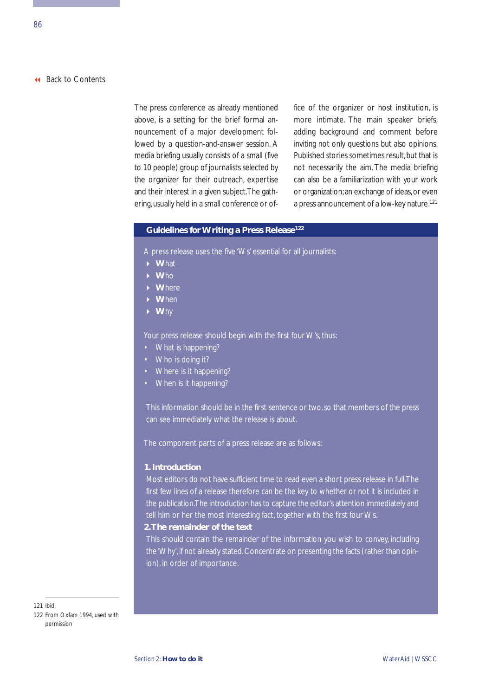The press conference as already mentioned above, is a setting for the brief formal announcement of a major development followed by a question-and-answer session. A media briefing usually consists of a small (five to 10 people) group of journalists selected by the organizer for their outreach, expertise and their interest in a given subject.The gathering, usually held in a small conference or office of the organizer or host institution, is more intimate. The main speaker briefs, adding background and comment before inviting not only questions but also opinions. Published stories sometimes result, but that is not necessarily the aim. The media briefing can also be a familiarization with your work or organization; an exchange of ideas, or even a press announcement of a low-key nature.<sup>121</sup>

# **Guidelines for Writing a Press Release122**

A press release uses the five 'Ws' essential for all journalists:

- **W**hat
- **W**ho
- **W**here
- **W**hen
- **W**hy

Your press release should begin with the first four W's, thus:

- What is happening?
- Who is doing it?
- Where is it happening?
- When is it happening?

This information should be in the first sentence or two, so that members of the press can see immediately what the release is about.

The component parts of a press release are as follows:

#### **1. Introduction**

Most editors do not have sufficient time to read even a short press release in full.The first few lines of a release therefore can be the key to whether or not it is included in the publication.The introduction has to capture the editor's attention immediately and tell him or her the most interesting fact, together with the first four Ws.

#### **2.The remainder of the text**

This should contain the remainder of the information you wish to convey, including the 'Why', if not already stated. Concentrate on presenting the facts (rather than opinion), in order of importance.

121 Ibid.

122 From Oxfam 1994, used with permission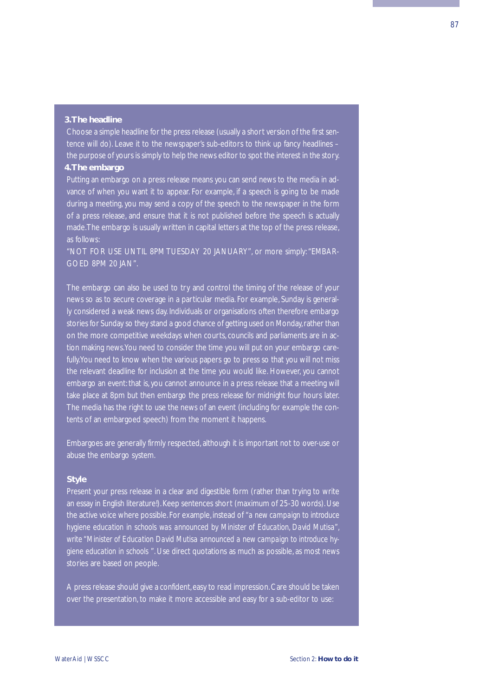#### **3.The headline**

Choose a simple headline for the press release (usually a short version of the first sentence will do). Leave it to the newspaper's sub-editors to think up fancy headlines – the purpose of yours is simply to help the news editor to spot the interest in the story.

# **4.The embargo**

Putting an embargo on a press release means you can send news to the media in advance of when you want it to appear. For example, if a speech is going to be made during a meeting, you may send a copy of the speech to the newspaper in the form of a press release, and ensure that it is not published before the speech is actually made.The embargo is usually written in capital letters at the top of the press release, as follows:

"NOT FOR USE UNTIL 8PM TUESDAY 20 JANUARY", or more simply: "EMBAR-GOED 8PM 20 JAN".

The embargo can also be used to try and control the timing of the release of your news so as to secure coverage in a particular media. For example, Sunday is generally considered a weak news day. Individuals or organisations often therefore embargo stories for Sunday so they stand a good chance of getting used on Monday, rather than on the more competitive weekdays when courts, councils and parliaments are in action making news.You need to consider the time you will put on your embargo carefully.You need to know when the various papers go to press so that you will not miss the relevant deadline for inclusion at the time you would like. However, you cannot embargo an event: that is, you cannot announce in a press release that a meeting will take place at 8pm but then embargo the press release for midnight four hours later. The media has the right to use the news of an event (including for example the contents of an embargoed speech) from the moment it happens.

Embargoes are generally firmly respected, although it is important not to over-use or abuse the embargo system.

#### **Style**

Present your press release in a clear and digestible form (rather than trying to write an essay in English literature!). Keep sentences short (maximum of 25-30 words). Use the active voice where possible. For example, instead of *"a new campaign to introduce hygiene education in schools was announced by Minister of Education, David Mutisa", write "Minister of Education David Mutisa announced a new campaign to introduce hygiene education in schools "*. Use direct quotations as much as possible, as most news stories are based on people.

A press release should give a confident, easy to read impression. Care should be taken over the presentation, to make it more accessible and easy for a sub-editor to use: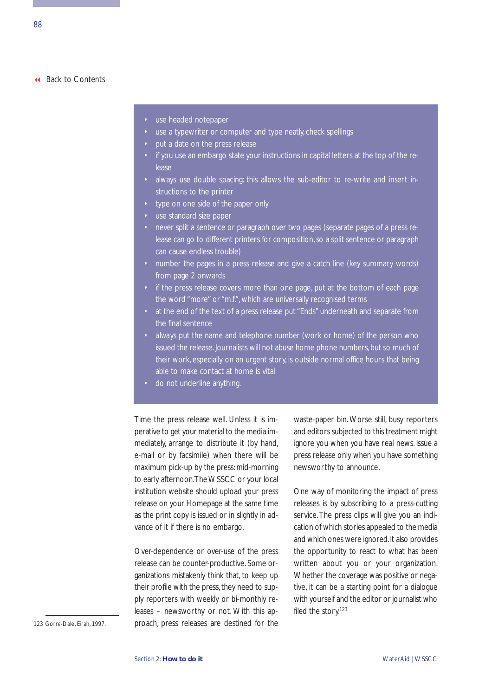- use headed notepaper
- use a typewriter or computer and type neatly, check spellings
- put a date on the press release
- if you use an embargo state your instructions in capital letters at the top of the release
- always use double spacing: this allows the sub-editor to re-write and insert instructions to the printer
- type on one side of the paper only
- use standard size paper
- never split a sentence or paragraph over two pages (separate pages of a press release can go to different printers for composition, so a split sentence or paragraph can cause endless trouble)
- number the pages in a press release and give a catch line (key summary words) from page 2 onwards
- if the press release covers more than one page, put at the bottom of each page the word "more" or "m.f.", which are universally recognised terms
- at the end of the text of a press release put "Ends" underneath and separate from the final sentence
- *always* put the name and telephone number (work or home) of the person who issued the release. Journalists will not abuse home phone numbers, but so much of their work, especially on an urgent story, is outside normal office hours that being able to make contact at home is vital
- do not underline anything.

Time the press release well. Unless it is imperative to get your material to the media immediately, arrange to distribute it (by hand, e-mail or by facsimile) when there will be maximum pick-up by the press: mid-morning to early afternoon.The WSSCC or your local institution website should upload your press release on your Homepage at the same time as the print copy is issued or in slightly in advance of it if there is no embargo.

Over-dependence or over-use of the press release can be counter-productive. Some organizations mistakenly think that, to keep up their profile with the press, they need to supply reporters with weekly or bi-monthly releases – newsworthy or not. With this approach, press releases are destined for the waste-paper bin. Worse still, busy reporters and editors subjected to this treatment might ignore you when you have real news. Issue a press release only when you have something newsworthy to announce.

One way of monitoring the impact of press releases is by subscribing to a press-cutting service.The press clips will give you an indication of which stories appealed to the media and which ones were ignored. It also provides the opportunity to react to what has been written about you or your organization. Whether the coverage was positive or negative, it can be a starting point for a dialogue with yourself and the editor or journalist who filed the story.<sup>123</sup>

123 Gorre-Dale, Eirah, 1997.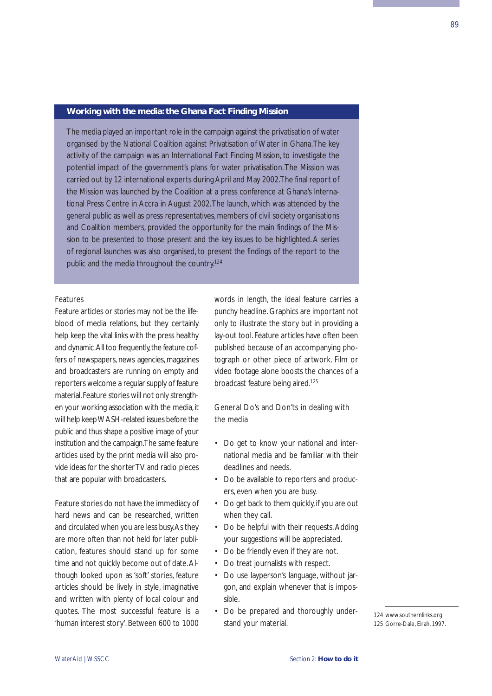### **Working with the media: the Ghana Fact Finding Mission**

The media played an important role in the campaign against the privatisation of water organised by the National Coalition against Privatisation of Water in Ghana.The key activity of the campaign was an International Fact Finding Mission, to investigate the potential impact of the government's plans for water privatisation.The Mission was carried out by 12 international experts during April and May 2002.The final report of the Mission was launched by the Coalition at a press conference at Ghana's International Press Centre in Accra in August 2002.The launch, which was attended by the general public as well as press representatives, members of civil society organisations and Coalition members, provided the opportunity for the main findings of the Mission to be presented to those present and the key issues to be highlighted. A series of regional launches was also organised, to present the findings of the report to the public and the media throughout the country.124

#### Features

Feature articles or stories may not be the lifeblood of media relations, but they certainly help keep the vital links with the press healthy and dynamic. All too frequently, the feature coffers of newspapers, news agencies, magazines and broadcasters are running on empty and reporters welcome a regular supply of feature material.Feature stories will not only strengthen your working association with the media, it will help keep WASH-related issues before the public and thus shape a positive image of your institution and the campaign.The same feature articles used by the print media will also provide ideas for the shorter TV and radio pieces that are popular with broadcasters.

Feature stories do not have the immediacy of hard news and can be researched, written and circulated when you are less busy.As they are more often than not held for later publication, features should stand up for some time and not quickly become out of date.Although looked upon as 'soft' stories, feature articles should be lively in style, imaginative and written with plenty of local colour and quotes. The most successful feature is a 'human interest story'. Between 600 to 1000

words in length, the ideal feature carries a punchy headline. Graphics are important not only to illustrate the story but in providing a lay-out tool. Feature articles have often been published because of an accompanying photograph or other piece of artwork. Film or video footage alone boosts the chances of a broadcast feature being aired.125

# General Do's and Don'ts in dealing with the media

- Do get to know your national and international media and be familiar with their deadlines and needs.
- Do be available to reporters and producers, even when you are busy.
- Do get back to them quickly, if you are out when they call.
- Do be helpful with their requests. Adding your suggestions will be appreciated.
- Do be friendly even if they are not.
- Do treat journalists with respect.
- Do use layperson's language, without jargon, and explain whenever that is impossible.
- Do be prepared and thoroughly understand your material.

<sup>124</sup> www.southernlinks.org 125 Gorre-Dale, Eirah, 1997.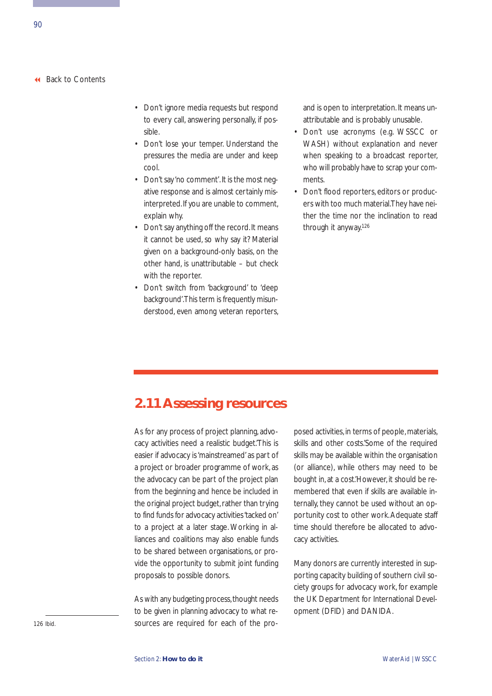- Don't ignore media requests but respond to every call, answering personally, if possible.
- Don't lose your temper. Understand the pressures the media are under and keep cool.
- Don't say 'no comment'.It is the most negative response and is almost certainly misinterpreted.If you are unable to comment, explain why.
- Don't say anything off the record. It means it cannot be used, so why say it? Material given on a background-only basis, on the other hand, is unattributable – but check with the reporter.
- Don't switch from 'background' to 'deep background'.This term is frequently misunderstood, even among veteran reporters,

and is open to interpretation. It means unattributable and is probably unusable.

- Don't use acronyms (e.g. WSSCC or WASH) without explanation and never when speaking to a broadcast reporter, who will probably have to scrap your comments.
- Don't flood reporters, editors or producers with too much material.They have neither the time nor the inclination to read through it anyway.126

# **2.11 Assessing resources**

As for any process of project planning, advocacy activities need a realistic budget.'This is easier if advocacy is 'mainstreamed' as part of a project or broader programme of work, as the advocacy can be part of the project plan from the beginning and hence be included in the original project budget, rather than trying to find funds for advocacy activities 'tacked on' to a project at a later stage. Working in alliances and coalitions may also enable funds to be shared between organisations, or provide the opportunity to submit joint funding proposals to possible donors.

As with any budgeting process, thought needs to be given in planning advocacy to what resources are required for each of the proposed activities, in terms of people, materials, skills and other costs.'Some of the required skills may be available within the organisation (or alliance), while others may need to be bought in, at a cost.'However, it should be remembered that even if skills are available internally, they cannot be used without an opportunity cost to other work.Adequate staff time should therefore be allocated to advocacy activities.

Many donors are currently interested in supporting capacity building of southern civil society groups for advocacy work, for example the UK Department for International Development (DFID) and DANIDA.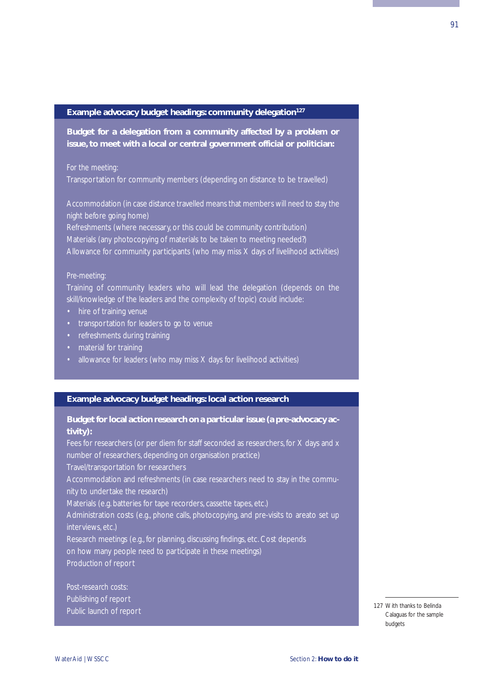#### **Example advocacy budget headings: community delegation127**

**Budget for a delegation from a community affected by a problem or issue, to meet with a local or central government official or politician:**

Transportation for community members (depending on distance to be travelled)

Accommodation (in case distance travelled means that members will need to stay the night before going home)

Refreshments (where necessary, or this could be community contribution) Materials (any photocopying of materials to be taken to meeting needed?) Allowance for community participants (who may miss X days of livelihood activities)

Training of community leaders who will lead the delegation (depends on the skill/knowledge of the leaders and the complexity of topic) could include:

- 
- transportation for leaders to go to venue
- refreshments during training
- material for training
- allowance for leaders (who may miss X days for livelihood activities)

#### **Example advocacy budget headings: local action research**

# **Budget for local action research on a particular issue (a pre-advocacy activity):**

Fees for researchers (or per diem for staff seconded as researchers, for X days and x number of researchers, depending on organisation practice) Travel/transportation for researchers Accommodation and refreshments (in case researchers need to stay in the community to undertake the research) Materials (e.g. batteries for tape recorders, cassette tapes, etc.) Administration costs (e.g., phone calls, photocopying, and pre-visits to areato set up interviews, etc.) Research meetings (e.g., for planning, discussing findings, etc. Cost depends on how many people need to participate in these meetings) Production of report

*Post-research costs:* Publishing of report Public launch of report

127 With thanks to Belinda Calaguas for the sample budgets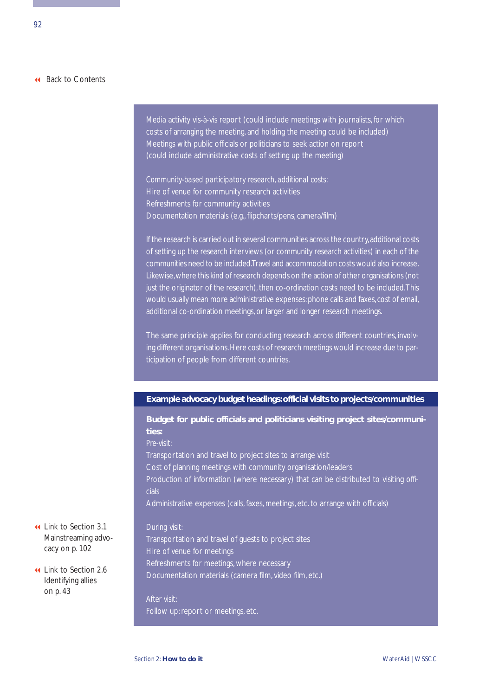Media activity vis-à-vis report (could include meetings with journalists, for which costs of arranging the meeting, and holding the meeting could be included) Meetings with public officials or politicians to seek action on report (could include administrative costs of setting up the meeting)

*Community-based participatory research, additional costs:* Hire of venue for community research activities Refreshments for community activities Documentation materials (e.g., flipcharts/pens, camera/film)

If the research is carried out in several communities across the country, additional costs of setting up the research interviews (or community research activities) in each of the communities need to be included.Travel and accommodation costs would also increase. Likewise,where this kind of research depends on the action of other organisations (not just the originator of the research), then co-ordination costs need to be included. This would usually mean more administrative expenses: phone calls and faxes, cost of email, additional co-ordination meetings, or larger and longer research meetings.

The same principle applies for conducting research across different countries, involving different organisations. Here costs of research meetings would increase due to participation of people from different countries.

# **Example advocacy budget headings:official visits to projects/communities**

**Budget for public officials and politicians visiting project sites/communities:** *Pre-visit:* Transportation and travel to project sites to arrange visit Cost of planning meetings with community organisation/leaders Production of information (where necessary) that can be distributed to visiting officials Administrative expenses (calls, faxes, meetings, etc. to arrange with officials)

Transportation and travel of guests to project sites Hire of venue for meetings Refreshments for meetings, where necessary Documentation materials (camera film, video film, etc.)

*After visit:* Follow up: report or meetings, etc.

 Link to Section 3.1 [Mainstreaming advo](#page-107-0)cacy on p. 102

 [Link to Section 2.6](#page-48-0) Identifying allies on p. 43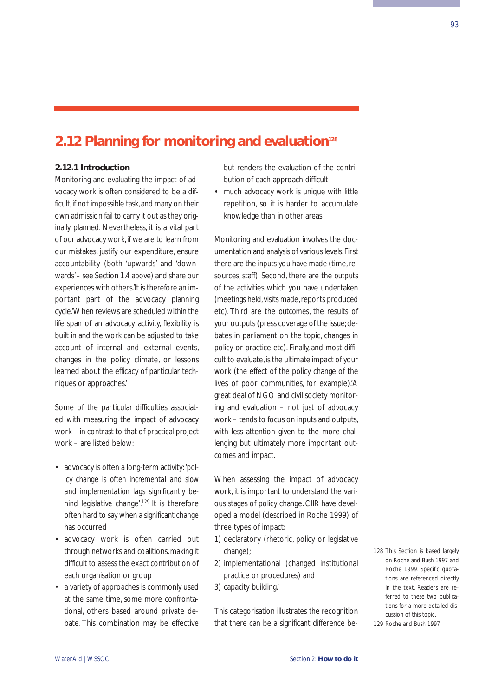# **2.12 Planning for monitoring and evaluation<sup>128</sup>**

# **2.12.1 Introduction**

Monitoring and evaluating the impact of advocacy work is often considered to be a difficult, if not impossible task, and many on their own admission fail to carry it out as they originally planned. Nevertheless, it is a vital part of our advocacy work, if we are to learn from our mistakes, justify our expenditure, ensure accountability (both 'upwards' and 'downwards'– see Section 1.4 above) and share our experiences with others.'It is therefore an important part of the advocacy planning cycle.'When reviews are scheduled within the life span of an advocacy activity, flexibility is built in and the work can be adjusted to take account of internal and external events, changes in the policy climate, or lessons learned about the efficacy of particular techniques or approaches.'

Some of the particular difficulties associated with measuring the impact of advocacy work – in contrast to that of practical project work – are listed below:

- advocacy is often a long-term activity: *'policy change is often incremental and slow and implementation lags significantly behind legislative change'*. 129 It is therefore often hard to say when a significant change has occurred
- advocacy work is often carried out through networks and coalitions, making it difficult to assess the exact contribution of each organisation or group
- a variety of approaches is commonly used at the same time, some more confrontational, others based around private debate. This combination may be effective

but renders the evaluation of the contribution of each approach difficult

• much advocacy work is unique with little repetition, so it is harder to accumulate knowledge than in other areas

Monitoring and evaluation involves the documentation and analysis of various levels.First there are the *inputs* you have made (time, resources, staff). Second, there are the *outputs* of the activities which you have undertaken (meetings held, visits made, reports produced etc). Third are the *outcomes*, the results of your outputs (press coverage of the issue;debates in parliament on the topic, changes in policy or practice etc). Finally, and most difficult to evaluate,is the ultimate *impact* of your work (the effect of the policy change of the lives of poor communities, for example).'A great deal of NGO and civil society monitoring and evaluation – not just of advocacy work – tends to focus on inputs and outputs, with less attention given to the more challenging but ultimately more important outcomes and impact.

When assessing the impact of advocacy work, it is important to understand the various stages of policy change. CIIR have developed a model (described in Roche 1999) of three types of impact:

- 1) declaratory (rhetoric, policy or legislative change);
- 2) implementational (changed institutional practice or procedures) and

3) capacity building.'

This categorisation illustrates the recognition that there can be a significant difference be128 This Section is based largely on Roche and Bush 1997 and Roche 1999. Specific quotations are referenced directly in the text. Readers are referred to these two publications for a more detailed discussion of this topic.

93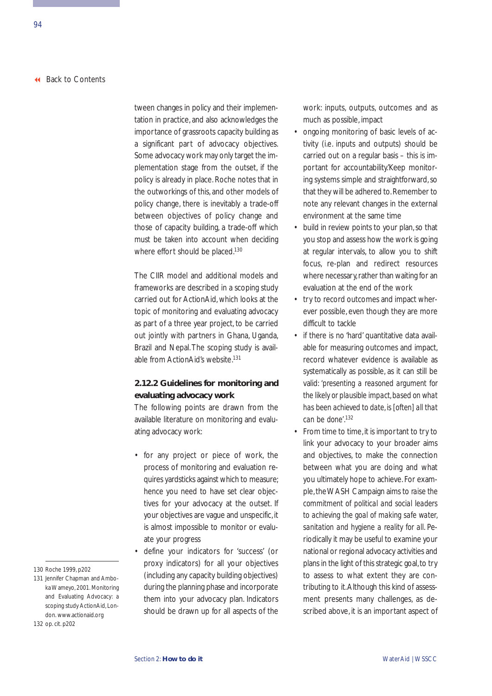tween changes in policy and their implementation in practice, and also acknowledges the importance of grassroots capacity building as a significant part of advocacy objectives. Some advocacy work may only target the implementation stage from the outset, if the policy is already in place. Roche notes that in the outworkings of this, and other models of policy change, there is inevitably a trade-off between objectives of policy change and those of capacity building, a trade-off which must be taken into account when deciding where effort should be placed.<sup>130</sup>

The CIIR model and additional models and frameworks are described in a scoping study carried out for ActionAid, which looks at the topic of monitoring and evaluating advocacy as part of a three year project, to be carried out jointly with partners in Ghana, Uganda, Brazil and Nepal.The scoping study is available from ActionAid's website.131

# **2.12.2 Guidelines for monitoring and evaluating advocacy work**

The following points are drawn from the available literature on monitoring and evaluating advocacy work:

- for any project or piece of work, the process of monitoring and evaluation requires yardsticks against which to measure; hence you need to have set clear objectives for your advocacy at the outset. If your objectives are vague and unspecific, it is almost impossible to monitor or evaluate your progress
- define your indicators for 'success' (or proxy indicators) for all your objectives (including any capacity building objectives) during the planning phase and incorporate them into your advocacy plan. Indicators should be drawn up for all aspects of the

work: inputs, outputs, outcomes and as much as possible, impact

- ongoing monitoring of basic levels of activity (i.e. inputs and outputs) should be carried out on a regular basis – this is important for accountability.'Keep monitoring systems simple and straightforward, so that they will be adhered to. Remember to note any relevant changes in the external environment at the same time
- build in review points to your plan, so that you stop and assess how the work is going at regular intervals, to allow you to shift focus, re-plan and redirect resources where necessary, rather than waiting for an evaluation at the end of the work
- try to record outcomes and impact wherever possible, even though they are more difficult to tackle
- if there is no 'hard' quantitative data available for measuring outcomes and impact, record whatever evidence is available as systematically as possible, as it can still be valid: *'presenting a reasoned argument for the likely or plausible impact, based on what has been achieved to date, is [often] all that can be done'*. 132
- From time to time,it is important to try to link your advocacy to your broader aims and objectives, to make the connection between what you are doing and what you ultimately hope to achieve. For example,the WASH Campaign aims to *raise the commitment of political and social leaders to achieving the goal of making safe water, sanitation and hygiene a reality for all*. Periodically it may be useful to examine your national or regional advocacy activities and plans in the light of this strategic goal, to try to assess to what extent they are contributing to it.Although this kind of assessment presents many challenges, as described above, it is an important aspect of

<sup>130</sup> Roche 1999, p202

<sup>131</sup> Jennifer Chapman and Amboka Wameyo, 2001. Monitoring and Evaluating Advocacy: a scoping study ActionAid, London. www.actionaid.org

<sup>132</sup> op. cit. p202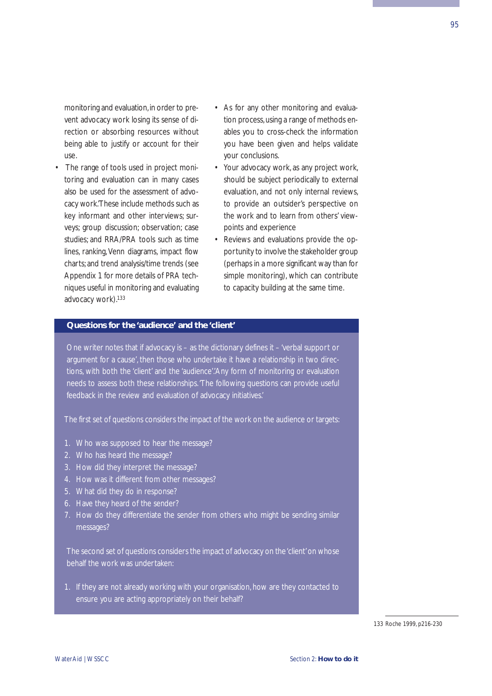monitoring and evaluation, in order to prevent advocacy work losing its sense of direction or absorbing resources without being able to justify or account for their use.

- The range of tools used in project monitoring and evaluation can in many cases also be used for the assessment of advocacy work.'These include methods such as key informant and other interviews; surveys; group discussion; observation; case studies; and RRA/PRA tools such as time lines, ranking, Venn diagrams, impact flow charts; and trend analysis/time trends (see Appendix 1 for more details of PRA techniques useful in monitoring and evaluating advocacy work).<sup>133</sup>
- As for any other monitoring and evaluation process, using a range of methods enables you to cross-check the information you have been given and helps validate your conclusions.
- Your advocacy work, as any project work, should be subject periodically to external evaluation, and not only internal reviews, to provide an outsider's perspective on the work and to learn from others' viewpoints and experience
- Reviews and evaluations provide the opportunity to involve the stakeholder group (perhaps in a more significant way than for simple monitoring), which can contribute to capacity building at the same time.

#### **Questions for the 'audience' and the 'client'**

One writer notes that if advocacy is – as the dictionary defines it – 'verbal support or argument for a cause', then those who undertake it have a relationship in two directions, with both the 'client' and the 'audience'.'Any form of monitoring or evaluation needs to assess both these relationships.'The following questions can provide useful feedback in the review and evaluation of advocacy initiatives.'

The first set of questions considers the impact of the work on the audience or targets:

- 1. Who was supposed to hear the message?
- 2. Who has heard the message?
- 3. How did they interpret the message?
- 4. How was it different from other messages?
- 5. What did they do in response?
- 6. Have they heard of the sender?
- 7. How do they differentiate the sender from others who might be sending similar messages?

The second set of questions considers the impact of advocacy on the 'client'on whose behalf the work was undertaken:

1. If they are not already working with your organisation, how are they contacted to ensure you are acting appropriately on their behalf?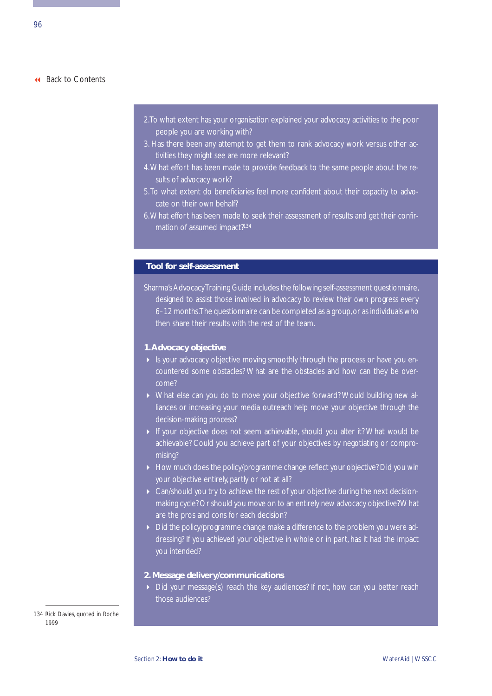- 2.To what extent has your organisation explained your advocacy activities to the poor people you are working with?
- 3. Has there been any attempt to get them to rank advocacy work versus other activities they might see are more relevant?
- 4.What effort has been made to provide feedback to the same people about the results of advocacy work?
- 5.To what extent do beneficiaries feel more confident about their capacity to advocate on their own behalf?
- 6.What effort has been made to seek their assessment of results and get their confirmation of assumed impact?<sup>134</sup>

### **Tool for self-assessment**

Sharma's Advocacy Training Guide includes the following self-assessment questionnaire, designed to assist those involved in advocacy to review their own progress every 6–12 months. The questionnaire can be completed as a group, or as individuals who

#### **1.Advocacy objective**

- If is your advocacy objective moving smoothly through the process or have you encountered some obstacles? What are the obstacles and how can they be overcome?
- What else can you do to move your objective forward? Would building new alliances or increasing your media outreach help move your objective through the decision-making process?
- If your objective does not seem achievable, should you alter it? What would be achievable? Could you achieve part of your objectives by negotiating or compromising?
- ▶ How much does the policy/programme change reflect your objective? Did you win your objective entirely, partly or not at all?
- Can/should you try to achieve the rest of your objective during the next decisionmaking cycle? Or should you move on to an entirely new advocacy objective? What are the pros and cons for each decision?
- Did the policy/programme change make a difference to the problem you were addressing? If you achieved your objective in whole or in part, has it had the impact you intended?

#### **2. Message delivery/communications**

Did your message(s) reach the key audiences? If not, how can you better reach those audiences?

134 Rick Davies, quoted in Roche 1999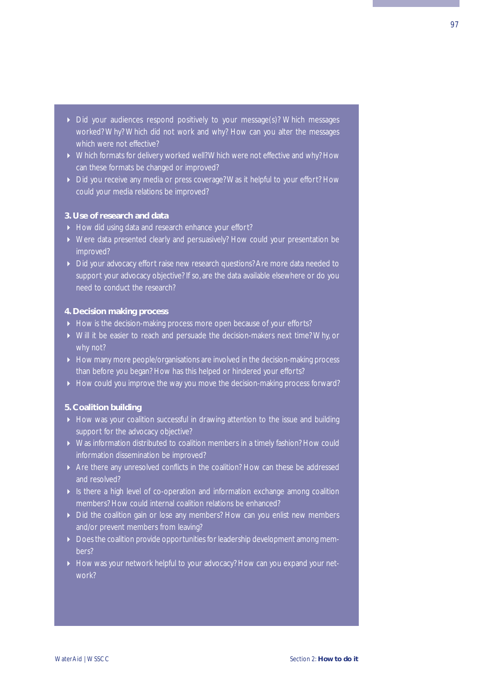- Did your audiences respond positively to your message(s)? Which messages worked? Why? Which did not work and why? How can you alter the messages which were not effective?
- ▶ Which formats for delivery worked well? Which were not effective and why? How can these formats be changed or improved?
- Did you receive any media or press coverage? Was it helpful to your effort? How could your media relations be improved?

# **3. Use of research and data**

- How did using data and research enhance your effort?
- Were data presented clearly and persuasively? How could your presentation be improved?
- Did your advocacy effort raise new research questions? Are more data needed to support your advocacy objective? If so, are the data available elsewhere or do you need to conduct the research?

# **4. Decision making process**

- How is the decision-making process more open because of your efforts?
- Will it be easier to reach and persuade the decision-makers next time? Why, or why not?
- How many more people/organisations are involved in the decision-making process than before you began? How has this helped or hindered your efforts?
- How could you improve the way you move the decision-making process forward?

# **5. Coalition building**

- How was your coalition successful in drawing attention to the issue and building support for the advocacy objective?
- Was information distributed to coalition members in a timely fashion? How could information dissemination be improved?
- Are there any unresolved conflicts in the coalition? How can these be addressed and resolved?
- If Is there a high level of co-operation and information exchange among coalition members? How could internal coalition relations be enhanced?
- Did the coalition gain or lose any members? How can you enlist new members and/or prevent members from leaving?
- Does the coalition provide opportunities for leadership development among members?
- How was your network helpful to your advocacy? How can you expand your network?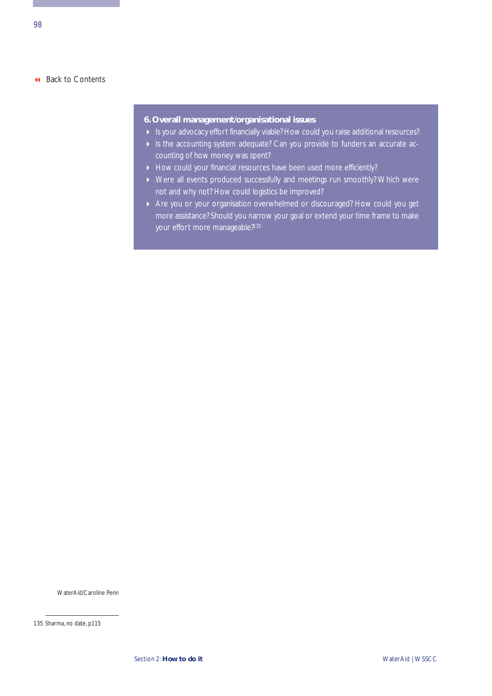# **6. Overall management/organisational issues**

- Is your advocacy effort financially viable? How could you raise additional resources?
- Is the accounting system adequate? Can you provide to funders an accurate accounting of how money was spent?
- How could your financial resources have been used more efficiently?
- Were all events produced successfully and meetings run smoothly? Which were not and why not? How could logistics be improved?
- Are you or your organisation overwhelmed or discouraged? How could you get more assistance? Should you narrow your goal or extend your time frame to make your effort more manageable?<sup>135</sup>

WaterAid/Caroline Penn

<sup>135</sup> Sharma, no date, p115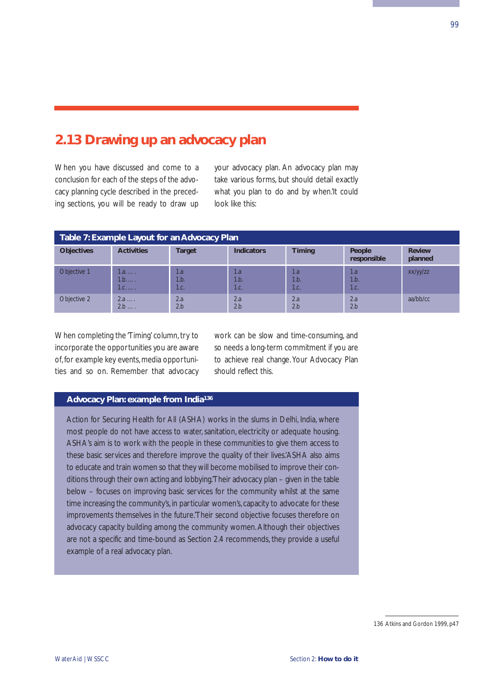# **2.13 Drawing up an advocacy plan**

When you have discussed and come to a conclusion for each of the steps of the advocacy planning cycle described in the preceding sections, you will be ready to draw up your advocacy plan. An advocacy plan may take various forms, but should detail exactly what you plan to do and by when.'It could look like this:

| Table 7: Example Layout for an Advocacy Plan |                                                 |                     |                     |                    |                       |                          |  |
|----------------------------------------------|-------------------------------------------------|---------------------|---------------------|--------------------|-----------------------|--------------------------|--|
| <b>Objectives</b>                            | <b>Activities</b>                               | <b>Target</b>       | <b>Indicators</b>   | <b>Timing</b>      | People<br>responsible | <b>Review</b><br>planned |  |
| Objective 1                                  | $1.a. \ldots$<br>$1.b. \ldots$<br>$1.c. \ldots$ | 1.a<br>1.b.<br>1.c. | 1.a<br>1.b.<br>1.c. | 1.a<br>1.b<br>1.c. | 1.a<br>1.b.<br>1.c.   | xx/yy/zz                 |  |
| Objective 2                                  | 2.a<br>1.111<br>2.b<br>1.111                    | 2.a<br>2.h          | 2.a<br>2.b          | 2.a<br>2.b         | 2a<br>2.b             | aa/bb/cc                 |  |

When completing the 'Timing' column, try to incorporate the opportunities you are aware of, for example key events, media opportunities and so on. Remember that advocacy work can be slow and time-consuming, and so needs a long-term commitment if you are to achieve real change. Your Advocacy Plan should reflect this.

# **Advocacy Plan: example from India136**

Action for Securing Health for All (ASHA) works in the slums in Delhi, India, where most people do not have access to water, sanitation, electricity or adequate housing. ASHA's aim is to work with the people in these communities to give them access to these basic services and therefore improve the quality of their lives.'ASHA also aims to educate and train women so that they will become mobilised to improve their conditions through their own acting and lobbying.'Their advocacy plan – given in the table below – focuses on improving basic services for the community whilst at the same time increasing the community's, in particular women's, capacity to advocate for these improvements themselves in the future.'Their second objective focuses therefore on advocacy capacity building among the community women. Although their objectives are not a specific and time-bound as Section 2.4 recommends, they provide a useful example of a real advocacy plan.

<sup>136</sup> Atkins and Gordon 1999, p47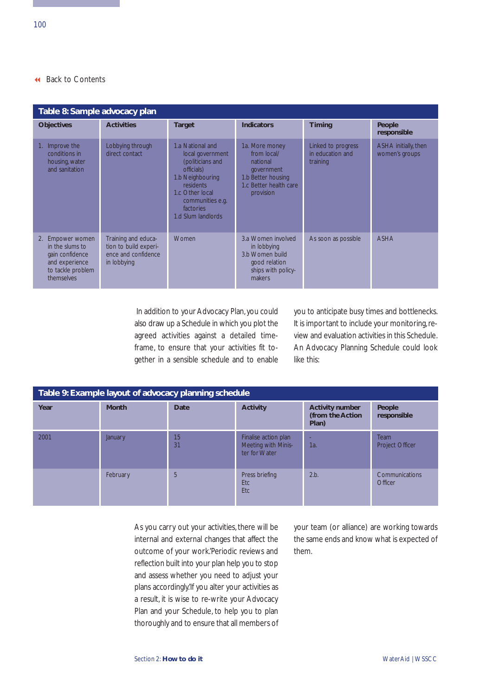| Table 8: Sample advocacy plan                                                                                  |                                                                                    |                                                                                                                                                                                   |                                                                                                                      |                                                    |                                        |  |  |
|----------------------------------------------------------------------------------------------------------------|------------------------------------------------------------------------------------|-----------------------------------------------------------------------------------------------------------------------------------------------------------------------------------|----------------------------------------------------------------------------------------------------------------------|----------------------------------------------------|----------------------------------------|--|--|
| <b>Objectives</b>                                                                                              | <b>Activities</b>                                                                  | <b>Target</b>                                                                                                                                                                     | <b>Indicators</b>                                                                                                    | <b>Timing</b>                                      | People<br>responsible                  |  |  |
| Improve the<br>conditions in<br>housing, water<br>and sanitation                                               | Lobbying through<br>direct contact                                                 | 1.a National and<br>local government<br>(politicians and<br>officials)<br>1.b Neighbouring<br>residents<br>1.c Other local<br>communities e.g.<br>factories<br>1.d Slum landlords | 1a. More money<br>from local/<br>national<br>government<br>1.b Better housing<br>1.c Better health care<br>provision | Linked to progress<br>in education and<br>training | ASHA initially, then<br>women's groups |  |  |
| Empower women<br>2.<br>in the slums to<br>gain confidence<br>and experience<br>to tackle problem<br>themselves | Training and educa-<br>tion to build experi-<br>ence and confidence<br>in lobbying | Women                                                                                                                                                                             | 3.a Women involved<br>in lobbying<br>3.b Women build<br>good relation<br>ships with policy-<br>makers                | As soon as possible                                | <b>ASHA</b>                            |  |  |

In addition to your Advocacy Plan, you could also draw up a Schedule in which you plot the agreed activities against a detailed timeframe, to ensure that your activities fit together in a sensible schedule and to enable you to anticipate busy times and bottlenecks. It is important to include your monitoring, review and evaluation activities in this Schedule. An Advocacy Planning Schedule could look like this:

| Table 9: Example layout of advocacy planning schedule |                |             |                                                              |                                                     |                           |  |  |
|-------------------------------------------------------|----------------|-------------|--------------------------------------------------------------|-----------------------------------------------------|---------------------------|--|--|
| Year                                                  | <b>Month</b>   | <b>Date</b> | <b>Activity</b>                                              | <b>Activity number</b><br>(from the Action<br>Plan) | People<br>responsible     |  |  |
| 2001                                                  | <b>January</b> | 15<br>31    | Finalise action plan<br>Meeting with Minis-<br>ter for Water | 1a                                                  | Team<br>Project Officer   |  |  |
|                                                       | February       | 5           | Press briefing<br>Etc<br>Etc                                 | 2.b.                                                | Communications<br>Officer |  |  |

As you carry out your activities, there will be internal and external changes that affect the outcome of your work.'Periodic reviews and reflection built into your plan help you to stop and assess whether you need to adjust your plans accordingly.'If you alter your activities as a result, it is wise to re-write your Advocacy Plan and your Schedule, to help you to plan thoroughly and to ensure that all members of

your team (or alliance) are working towards the same ends and know what is expected of them.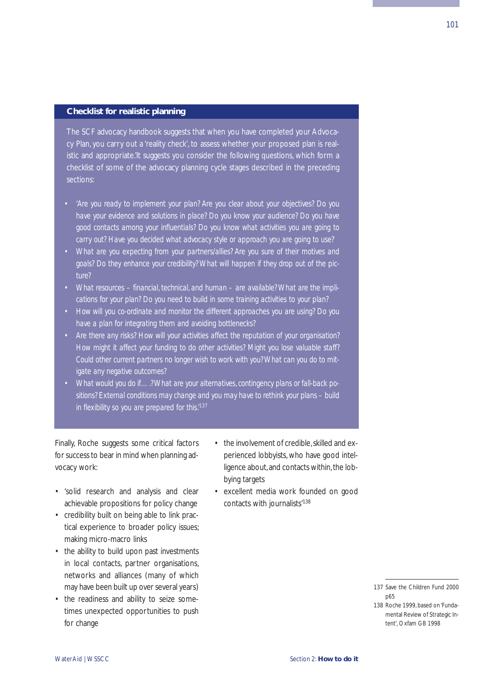## **Checklist for realistic planning**

The SCF advocacy handbook suggests that when you have completed your Advocacy Plan, you carry out a 'reality check', to assess whether your proposed plan is realistic and appropriate.'It suggests you consider the following questions, which form a checklist of some of the advocacy planning cycle stages described in the preceding sections:

- *• 'Are you ready to implement your plan? Are you clear about your objectives? Do you have your evidence and solutions in place? Do you know your audience? Do you have good contacts among your influentials? Do you know what activities you are going to carry out? Have you decided what advocacy style or approach you are going to use?*
- *What are you expecting from your partners/allies? Are you sure of their motives and goals? Do they enhance your credibility? What will happen if they drop out of the picture?*
- *• What resources financial, technical, and human are available? What are the implications for your plan? Do you need to build in some training activities to your plan?*
- *How will you co-ordinate and monitor the different approaches you are using? Do you have a plan for integrating them and avoiding bottlenecks?*
- *• Are there any risks? How will your activities affect the reputation of your organisation? How might it affect your funding to do other activities? Might you lose valuable staff? Could other current partners no longer wish to work with you? What can you do to mitigate any negative outcomes?*
- *• What would you do if….? What are your alternatives, contingency plans or fall-back positions? External conditions may change and you may have to rethink your plans – build in flexibility so you are prepared for this.'137*

Finally, Roche suggests some critical factors for success to bear in mind when planning advocacy work:

- 'solid research and analysis and clear achievable propositions for policy change
- credibility built on being able to link practical experience to broader policy issues; making micro-macro links
- the ability to build upon past investments in local contacts, partner organisations, networks and alliances (many of which may have been built up over several years)
- the readiness and ability to seize sometimes unexpected opportunities to push for change
- the involvement of credible, skilled and experienced lobbyists, who have good intelligence about, and contacts within, the lobbying targets
- excellent media work founded on good contacts with journalists'138

<sup>137</sup> Save the Children Fund 2000 p65

<sup>138</sup> Roche 1999, based on 'Fundamental Review of Strategic Intent', Oxfam GB 1998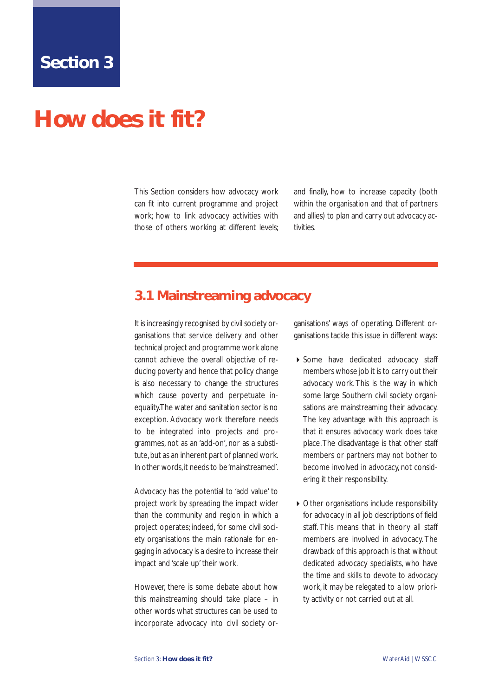# <span id="page-107-0"></span>**How does it fit?**

This Section considers how advocacy work can fit into current programme and project work; how to link advocacy activities with those of others working at different levels;

and finally, how to increase capacity (both within the organisation and that of partners and allies) to plan and carry out advocacy activities.

# **3.1 Mainstreaming advocacy**

It is increasingly recognised by civil society organisations that service delivery and other technical project and programme work alone cannot achieve the overall objective of reducing poverty and hence that policy change is also necessary to change the structures which cause poverty and perpetuate inequality.The water and sanitation sector is no exception. Advocacy work therefore needs to be integrated into projects and programmes, not as an 'add-on', nor as a substitute, but as an inherent part of planned work. In other words,it needs to be 'mainstreamed'.

Advocacy has the potential to 'add value' to project work by spreading the impact wider than the community and region in which a project operates; indeed, for some civil society organisations the main rationale for engaging in advocacy is a desire to increase their impact and 'scale up' their work.

However, there is some debate about how this mainstreaming should take place – in other words what structures can be used to incorporate advocacy into civil society organisations' ways of operating. Different organisations tackle this issue in different ways:

- ▶ Some have dedicated advocacy staff members whose job it is to carry out their advocacy work. This is the way in which some large Southern civil society organisations are mainstreaming their advocacy. The key advantage with this approach is that it ensures advocacy work does take place.The disadvantage is that other staff members or partners may not bother to become involved in advocacy, not considering it their responsibility.
- Other organisations include responsibility for advocacy in all job descriptions of field staff. This means that in theory all staff members are involved in advocacy. The drawback of this approach is that without dedicated advocacy specialists, who have the time and skills to devote to advocacy work, it may be relegated to a low priority activity or not carried out at all.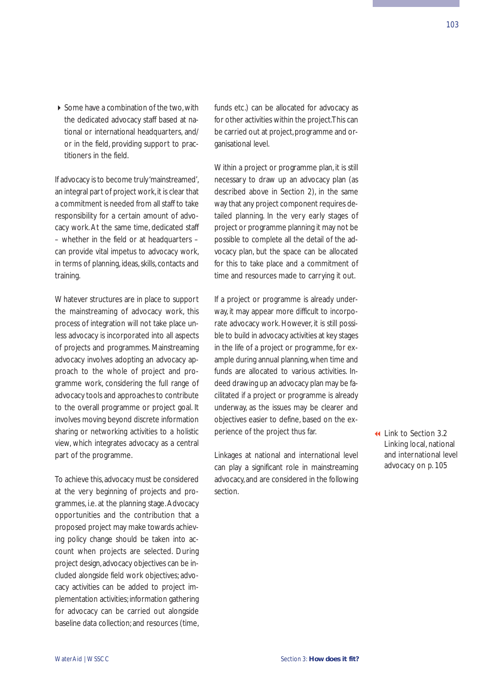Some have a combination of the two, with the dedicated advocacy staff based at national or international headquarters, and/ or in the field, providing support to practitioners in the field.

If advocacy is to become truly 'mainstreamed', an integral part of project work, it is clear that a commitment is needed from all staff to take responsibility for a certain amount of advocacy work. At the same time, dedicated staff – whether in the field or at headquarters – can provide vital impetus to advocacy work, in terms of planning, ideas, skills, contacts and training.

Whatever structures are in place to support the mainstreaming of advocacy work, this process of integration will not take place unless advocacy is incorporated into all aspects of projects and programmes. Mainstreaming advocacy involves adopting an advocacy approach to the whole of project and programme work, considering the full range of advocacy tools and approaches to contribute to the overall programme or project goal. It involves moving beyond discrete information sharing or networking activities to a holistic view, which integrates advocacy as a central part of the programme.

To achieve this, advocacy must be considered at the very beginning of projects and programmes, i.e. at the planning stage.Advocacy opportunities and the contribution that a proposed project may make towards achieving policy change should be taken into account when projects are selected. During project design,advocacy objectives can be included alongside field work objectives; advocacy activities can be added to project implementation activities; information gathering for advocacy can be carried out alongside baseline data collection; and resources (time,

funds etc.) can be allocated for advocacy as for other activities within the project.This can be carried out at project, programme and organisational level.

Within a project or programme plan, it is still necessary to draw up an advocacy plan (as described above in Section 2), in the same way that any project component requires detailed planning. In the very early stages of project or programme planning it may not be possible to complete all the detail of the advocacy plan, but the space can be allocated for this to take place and a commitment of time and resources made to carrying it out.

If a project or programme is already underway, it may appear more difficult to incorporate advocacy work. However, it is still possible to build in advocacy activities at key stages in the life of a project or programme, for example during annual planning, when time and funds are allocated to various activities. Indeed drawing up an advocacy plan may be facilitated if a project or programme is already underway, as the issues may be clearer and objectives easier to define, based on the experience of the project thus far.

Linkages at national and international level can play a significant role in mainstreaming advocacy, and are considered in the following section.

 Link to Section 3.2 Linking local, national [and international level](#page-110-0) advocacy on p. 105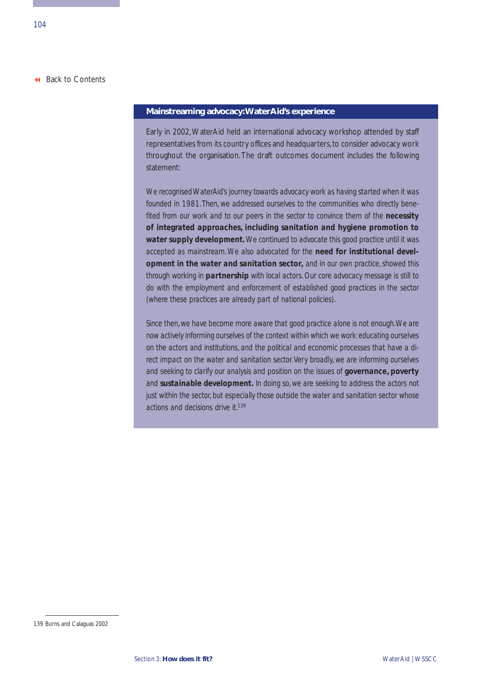### **Mainstreaming advocacy:WaterAid's experience**

Early in 2002, WaterAid held an international advocacy workshop attended by staff representatives from its country offices and headquarters, to consider advocacy work throughout the organisation. The draft outcomes document includes the following statement:

*We recognised WaterAid's journey towards advocacy work as having started when it was founded in 1981.Then, we addressed ourselves to the communities who directly benefited from our work and to our peers in the sector to convince them of the necessity of integrated approaches, including sanitation and hygiene promotion to water supply development.We continued to advocate this good practice until it was accepted as mainstream. We also advocated for the need for institutional development in the water and sanitation sector, and in our own practice, showed this through working in partnership with local actors. Our core advocacy message is still to do with the employment and enforcement of established good practices in the sector (where these practices are already part of national policies).*

*Since then, we have become more aware that good practice alone is not enough.We are now actively informing ourselves of the context within which we work: educating ourselves on the actors and institutions, and the political and economic processes that have a direct impact on the water and sanitation sector.Very broadly, we are informing ourselves* and seeking to clarify our analysis and position on the issues of **governance**, **poverty** *and sustainable development. In doing so, we are seeking to address the actors not just within the sector, but especially those outside the water and sanitation sector whose actions and decisions drive it.139*

<sup>139</sup> Burns and Calaguas 2002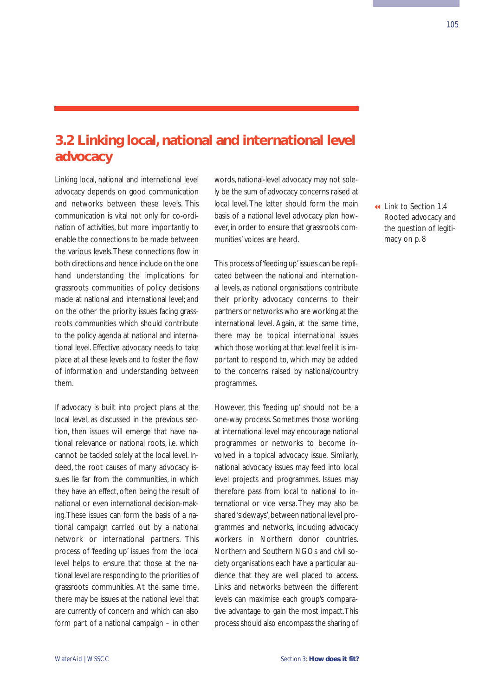# <span id="page-110-0"></span>**3.2 Linking local, national and international level advocacy**

Linking local, national and international level advocacy depends on good communication and networks between these levels. This communication is vital not only for co-ordination of activities, but more importantly to enable the connections to be made between the various levels.These connections flow in both directions and hence include on the one hand understanding the implications for grassroots communities of policy decisions made at national and international level; and on the other the priority issues facing grassroots communities which should contribute to the policy agenda at national and international level. Effective advocacy needs to take place at all these levels and to foster the flow of information and understanding between them.

If advocacy is built into project plans at the local level, as discussed in the previous section, then issues will emerge that have national relevance or national roots, i.e. which cannot be tackled solely at the local level. Indeed, the root causes of many advocacy issues lie far from the communities, in which they have an effect, often being the result of national or even international decision-making.These issues can form the basis of a national campaign carried out by a national network or international partners. This process of 'feeding up' issues from the local level helps to ensure that those at the national level are responding to the priorities of grassroots communities. At the same time, there may be issues at the national level that are currently of concern and which can also form part of a national campaign – in other

words, national-level advocacy may not solely be the sum of advocacy concerns raised at local level. The latter should form the main basis of a national level advocacy plan however, in order to ensure that grassroots communities' voices are heard.

This process of 'feeding up'issues can be replicated between the national and international levels, as national organisations contribute their priority advocacy concerns to their partners or networks who are working at the international level. Again, at the same time, there may be topical international issues which those working at that level feel it is important to respond to, which may be added to the concerns raised by national/country programmes.

However, this 'feeding up' should not be a one-way process. Sometimes those working at international level may encourage national programmes or networks to become involved in a topical advocacy issue. Similarly, national advocacy issues may feed into local level projects and programmes. Issues may therefore pass from local to national to international or vice versa. They may also be shared 'sideways', between national level programmes and networks, including advocacy workers in Northern donor countries. Northern and Southern NGOs and civil society organisations each have a particular audience that they are well placed to access. Links and networks between the different levels can maximise each group's comparative advantage to gain the most impact.This process should also encompass the sharing of

 Link to Section 1.4 [Rooted advocacy and](#page-13-0) the question of legitimacy on p. 8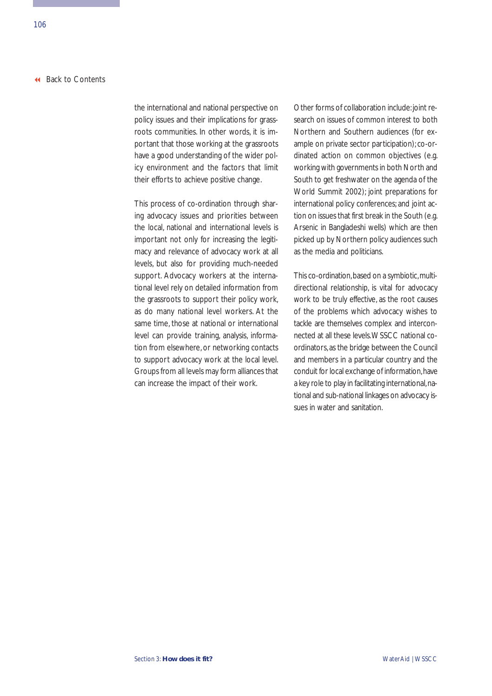the international and national perspective on policy issues and their implications for grassroots communities. In other words, it is important that those working at the grassroots have a good understanding of the wider policy environment and the factors that limit their efforts to achieve positive change.

This process of co-ordination through sharing advocacy issues and priorities between the local, national and international levels is important not only for increasing the legitimacy and relevance of advocacy work at all levels, but also for providing much-needed support. Advocacy workers at the international level rely on detailed information from the grassroots to support their policy work, as do many national level workers. At the same time, those at national or international level can provide training, analysis, information from elsewhere, or networking contacts to support advocacy work at the local level. Groups from all levels may form alliances that can increase the impact of their work.

Other forms of collaboration include:joint research on issues of common interest to both Northern and Southern audiences (for example on private sector participation); co-ordinated action on common objectives (e.g. working with governments in both North and South to get freshwater on the agenda of the World Summit 2002); joint preparations for international policy conferences; and joint action on issues that first break in the South (e.g. Arsenic in Bangladeshi wells) which are then picked up by Northern policy audiences such as the media and politicians.

This co-ordination, based on a symbiotic, multidirectional relationship, is vital for advocacy work to be truly effective, as the root causes of the problems which advocacy wishes to tackle are themselves complex and interconnected at all these levels.WSSCC national coordinators, as the bridge between the Council and members in a particular country and the conduit for local exchange of information, have a key role to play in facilitating international, national and sub-national linkages on advocacy issues in water and sanitation.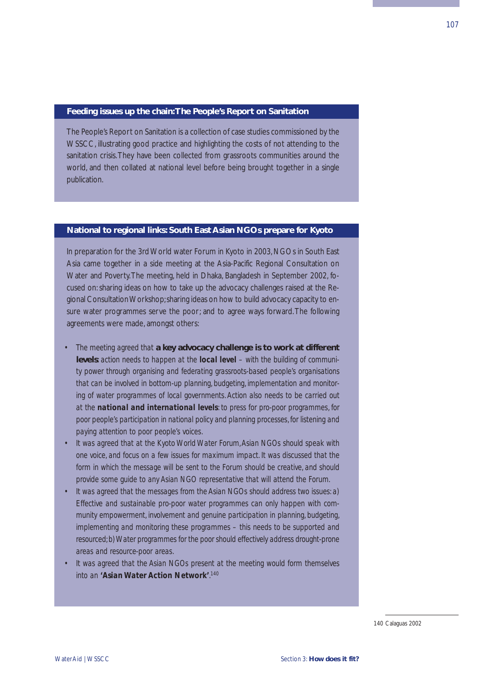#### **Feeding issues up the chain:The People's Report on Sanitation**

The People's Report on Sanitation is a collection of case studies commissioned by the WSSCC, illustrating good practice and highlighting the costs of not attending to the sanitation crisis.They have been collected from grassroots communities around the world, and then collated at national level before being brought together in a single publication.

### **National to regional links: South East Asian NGOs prepare for Kyoto**

In preparation for the 3rd World water Forum in Kyoto in 2003, NGOs in South East Asia came together in a side meeting at the Asia-Pacific Regional Consultation on Water and Poverty.The meeting, held in Dhaka, Bangladesh in September 2002, focused on: sharing ideas on how to take up the advocacy challenges raised at the Regional Consultation Workshop;sharing ideas on how to build advocacy capacity to ensure water programmes serve the poor; and to agree ways forward.The following agreements were made, amongst others:

- *• The meeting agreed that* **a key advocacy challenge is to work at different levels***: action needs to happen at the local level – with the building of community power through organising and federating grassroots-based people's organisations that can be involved in bottom-up planning, budgeting, implementation and monitoring of water programmes of local governments. Action also needs to be carried out at the national and international levels: to press for pro-poor programmes, for poor people's participation in national policy and planning processes, for listening and paying attention to poor people's voices.*
- *• It was agreed that at the Kyoto World Water Forum,Asian NGOs should speak with one voice, and focus on a few issues for maximum impact. It was discussed that the form in which the message will be sent to the Forum should be creative, and should provide some guide to any Asian NGO representative that will attend the Forum.*
- *• It was agreed that the messages from the Asian NGOs should address two issues: a) Effective and sustainable pro-poor water programmes can only happen with community empowerment, involvement and genuine participation in planning, budgeting, implementing and monitoring these programmes – this needs to be supported and resourced; b) Water programmes for the poor should effectively address drought-prone areas and resource-poor areas.*
- *• It was agreed that the Asian NGOs present at the meeting would form themselves into an 'Asian Water Action Network'. 140*

140 Calaguas 2002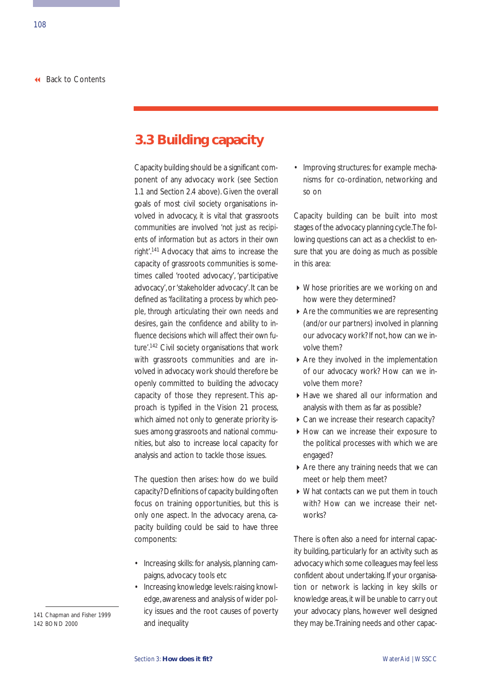# **3.3 Building capacity**

Capacity building should be a significant component of any advocacy work (see Section 1.1 and Section 2.4 above). Given the overall goals of most civil society organisations involved in advocacy, it is vital that grassroots communities are involved *'not just as recipients of information but as actors in their own right'*. <sup>141</sup> Advocacy that aims to increase the capacity of grassroots communities is sometimes called 'rooted advocacy', 'participative advocacy', or 'stakeholder advocacy'. It can be defined as *'facilitating a process by which people, through articulating their own needs and desires, gain the confidence and ability to influence decisions which will affect their own future'*. <sup>142</sup> Civil society organisations that work with grassroots communities and are involved in advocacy work should therefore be openly committed to building the advocacy capacity of those they represent. This approach is typified in the Vision 21 process, which aimed not only to generate priority issues among grassroots and national communities, but also to increase local capacity for analysis and action to tackle those issues.

The question then arises: how do we build capacity? Definitions of capacity building often focus on training opportunities, but this is only one aspect. In the advocacy arena, capacity building could be said to have three components:

- Increasing skills: for analysis, planning campaigns, advocacy tools etc
- Increasing knowledge levels: raising knowledge, awareness and analysis of wider policy issues and the root causes of poverty and inequality

• Improving structures: for example mechanisms for co-ordination, networking and so on

Capacity building can be built into most stages of the advocacy planning cycle.The following questions can act as a checklist to ensure that you are doing as much as possible in this area:

- Whose priorities are we working on and how were they determined?
- Are the communities we are representing (and/or our partners) involved in planning our advocacy work? If not, how can we involve them?
- Are they involved in the implementation of our advocacy work? How can we involve them more?
- Have we shared all our information and analysis with them as far as possible?
- ▶ Can we increase their research capacity?
- How can we increase their exposure to the political processes with which we are engaged?
- ▶ Are there any training needs that we can meet or help them meet?
- What contacts can we put them in touch with? How can we increase their networks?

There is often also a need for internal capacity building, particularly for an activity such as advocacy which some colleagues may feel less confident about undertaking. If your organisation or network is lacking in key skills or knowledge areas, it will be unable to carry out your advocacy plans, however well designed they may be.Training needs and other capac-

<sup>141</sup> Chapman and Fisher 1999 142 BOND 2000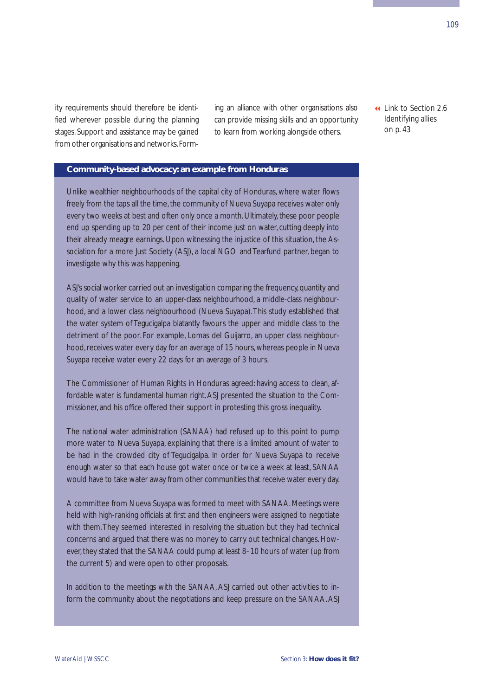ity requirements should therefore be identified wherever possible during the planning stages. Support and assistance may be gained from other organisations and networks.Forming an alliance with other organisations also can provide missing skills and an opportunity to learn from working alongside others.

 [Link to Section 2.6](#page-48-0) Identifying allies on p. 43

### **Community-based advocacy: an example from Honduras**

Unlike wealthier neighbourhoods of the capital city of Honduras, where water flows freely from the taps all the time, the community of Nueva Suyapa receives water only every two weeks at best and often only once a month. Ultimately, these poor people end up spending up to 20 per cent of their income just on water, cutting deeply into their already meagre earnings. Upon witnessing the injustice of this situation, the Association for a more Just Society (ASJ), a local NGO and Tearfund partner, began to investigate why this was happening.

ASJ's social worker carried out an investigation comparing the frequency, quantity and quality of water service to an upper-class neighbourhood, a middle-class neighbourhood, and a lower class neighbourhood (Nueva Suyapa).This study established that the water system of Tegucigalpa blatantly favours the upper and middle class to the detriment of the poor. For example, Lomas del Guijarro, an upper class neighbourhood, receives water every day for an average of 15 hours, whereas people in Nueva Suyapa receive water every 22 days for an average of 3 hours.

The Commissioner of Human Rights in Honduras agreed: having access to clean, affordable water is fundamental human right. ASJ presented the situation to the Commissioner, and his office offered their support in protesting this gross inequality.

The national water administration (SANAA) had refused up to this point to pump more water to Nueva Suyapa, explaining that there is a limited amount of water to be had in the crowded city of Tegucigalpa. In order for Nueva Suyapa to receive enough water so that each house got water once or twice a week at least, SANAA would have to take water away from other communities that receive water every day.

A committee from Nueva Suyapa was formed to meet with SANAA. Meetings were held with high-ranking officials at first and then engineers were assigned to negotiate with them.They seemed interested in resolving the situation but they had technical concerns and argued that there was no money to carry out technical changes. However, they stated that the SANAA could pump at least 8–10 hours of water (up from the current 5) and were open to other proposals.

In addition to the meetings with the SANAA, ASJ carried out other activities to inform the community about the negotiations and keep pressure on the SANAA. ASJ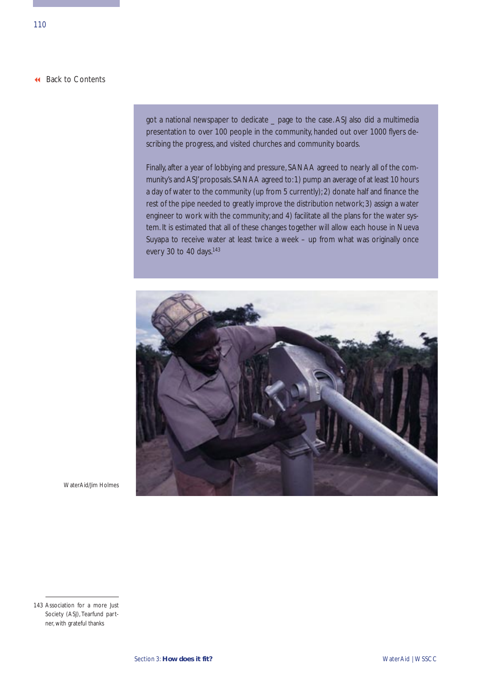got a national newspaper to dedicate \_ page to the case. ASJ also did a multimedia presentation to over 100 people in the community, handed out over 1000 flyers describing the progress, and visited churches and community boards.

Finally, after a year of lobbying and pressure, SANAA agreed to nearly all of the community's and ASJ' proposals. SANAA agreed to: 1) pump an average of at least 10 hours a day of water to the community (up from 5 currently); 2) donate half and finance the rest of the pipe needed to greatly improve the distribution network; 3) assign a water engineer to work with the community; and 4) facilitate all the plans for the water system. It is estimated that all of these changes together will allow each house in Nueva Suyapa to receive water at least twice a week – up from what was originally once every 30 to 40 days.<sup>143</sup>



WaterAid/Jim Holmes

<sup>143</sup> Association for a more Just Society (ASJ), Tearfund partner, with grateful thanks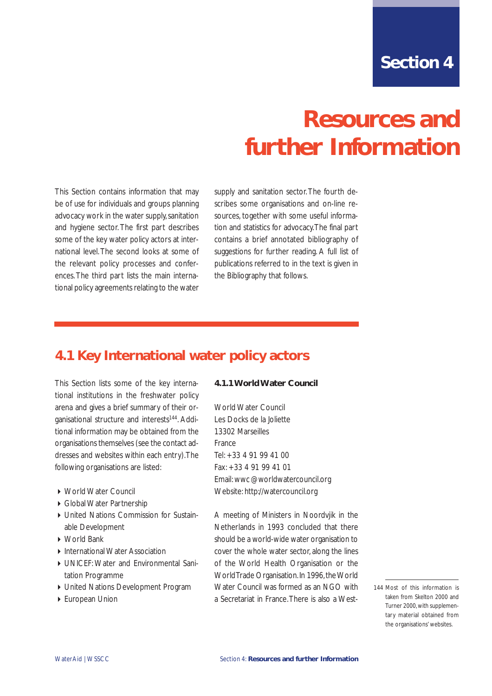# **Resources and further Information**

This Section contains information that may be of use for individuals and groups planning advocacy work in the water supply, sanitation and hygiene sector. The first part describes some of the key water policy actors at international level. The second looks at some of the relevant policy processes and conferences. The third part lists the main international policy agreements relating to the water

supply and sanitation sector. The fourth describes some organisations and on-line resources, together with some useful information and statistics for advocacy.The final part contains a brief annotated bibliography of suggestions for further reading. A full list of publications referred to in the text is given in the Bibliography that follows.

# **4.1 Key International water policy actors**

This Section lists some of the key international institutions in the freshwater policy arena and gives a brief summary of their organisational structure and interests<sup>144</sup>. Additional information may be obtained from the organisations themselves (see the contact addresses and websites within each entry).The following organisations are listed:

- World Water Council
- Global Water Partnership
- United Nations Commission for Sustainable Development
- ▶ World Bank
- **International Water Association**
- UNICEF: Water and Environmental Sanitation Programme
- United Nations Development Program
- European Union

### **4.1.1 World Water Council**

World Water Council Les Docks de la Joliette 13302 Marseilles France Tel: +33 4 91 99 41 00 Fax: +33 4 91 99 41 01 Email: wwc @worldwatercouncil.org Website: http://watercouncil.org

A meeting of Ministers in Noordvjik in the Netherlands in 1993 concluded that there should be a world-wide water organisation to cover the whole water sector, along the lines of the World Health Organisation or the World Trade Organisation. In 1996, the World Water Council was formed as an NGO with a Secretariat in France.There is also a West-

<sup>144</sup> Most of this information is taken from Skelton 2000 and Turner 2000,with supplementary material obtained from the organisations' websites.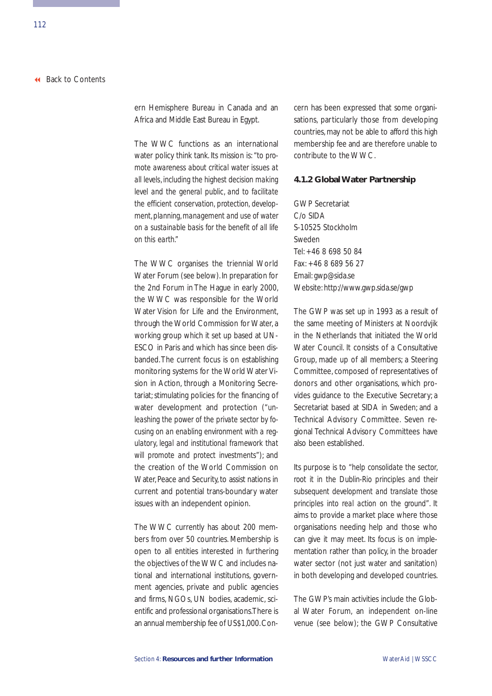ern Hemisphere Bureau in Canada and an Africa and Middle East Bureau in Egypt.

The WWC functions as an international water policy think tank. Its mission is: *"to promote awareness about critical water issues at all levels, including the highest decision making level and the general public, and to facilitate the efficient conservation, protection, development, planning, management and use of water on a sustainable basis for the benefit of all life on this earth."*

The WWC organises the triennial World Water Forum (see below). In preparation for the 2nd Forum in The Hague in early 2000, the WWC was responsible for the World Water Vision for Life and the Environment, through the World Commission for Water, a working group which it set up based at UN-ESCO in Paris and which has since been disbanded.The current focus is on establishing monitoring systems for the World Water Vision in Action, through a Monitoring Secretariat; stimulating policies for the financing of water development and protection (*"unleashing the power of the private sector by focusing on an enabling environment with a regulatory, legal and institutional framework that will promote and protect investments"*); and the creation of the World Commission on Water, Peace and Security, to assist nations in current and potential trans-boundary water issues with an independent opinion.

The WWC currently has about 200 members from over 50 countries. Membership is open to all entities interested in furthering the objectives of the WWC and includes national and international institutions, government agencies, private and public agencies and firms, NGOs, UN bodies, academic, scientific and professional organisations.There is an annual membership fee of US\$1,000.Concern has been expressed that some organisations, particularly those from developing countries, may not be able to afford this high membership fee and are therefore unable to contribute to the WWC.

### **4.1.2 Global Water Partnership**

GWP Secretariat C/o SIDA S-10525 Stockholm Sweden Tel: +46 8 698 50 84 Fax: +46 8 689 56 27 Email: gwp@sida.se Website: http://www.gwp.sida.se/gwp

The GWP was set up in 1993 as a result of the same meeting of Ministers at Noordvjik in the Netherlands that initiated the World Water Council. It consists of a Consultative Group, made up of all members; a Steering Committee, composed of representatives of donors and other organisations, which provides guidance to the Executive Secretary; a Secretariat based at SIDA in Sweden; and a Technical Advisory Committee. Seven regional Technical Advisory Committees have also been established.

Its purpose is to *"help consolidate the sector, root it in the Dublin-Rio principles and their subsequent development and translate those principles into real action on the ground"*. It aims to provide a market place where those organisations needing help and those who can give it may meet. Its focus is on implementation rather than policy, in the broader water sector (not just water and sanitation) in both developing and developed countries.

The GWP's main activities include the Global Water Forum, an independent on-line venue (see below); the GWP Consultative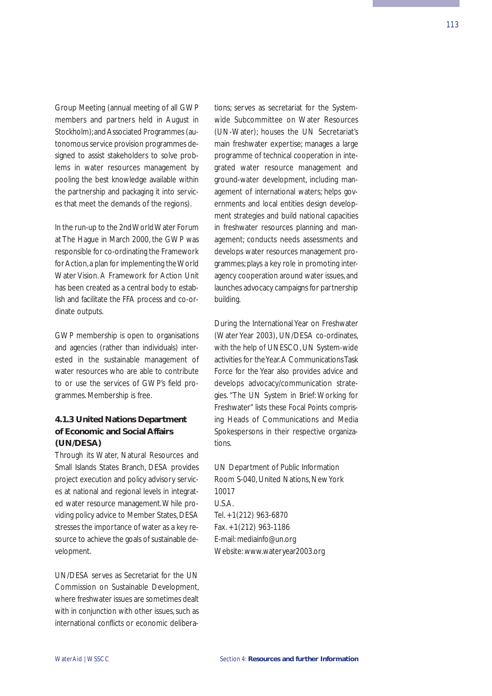Group Meeting (annual meeting of all GWP members and partners held in August in Stockholm);and Associated Programmes (autonomous service provision programmes designed to assist stakeholders to solve problems in water resources management by pooling the best knowledge available within the partnership and packaging it into services that meet the demands of the regions).

In the run-up to the 2nd World Water Forum at The Hague in March 2000, the GWP was responsible for co-ordinating the Framework for Action,a plan for implementing the World Water Vision. A Framework for Action Unit has been created as a central body to establish and facilitate the FFA process and co-ordinate outputs.

GWP membership is open to organisations and agencies (rather than individuals) interested in the sustainable management of water resources who are able to contribute to or use the services of GWP's field programmes. Membership is free.

# **4.1.3 United Nations Department of Economic and Social Affairs (UN/DESA)**

Through its Water, Natural Resources and Small Islands States Branch, DESA provides project execution and policy advisory services at national and regional levels in integrated water resource management.While providing policy advice to Member States, DESA stresses the importance of water as a key resource to achieve the goals of sustainable development.

UN/DESA serves as Secretariat for the UN Commission on Sustainable Development, where freshwater issues are sometimes dealt with in conjunction with other issues, such as international conflicts or economic deliberations; serves as secretariat for the Systemwide Subcommittee on Water Resources (UN-Water); houses the UN Secretariat's main freshwater expertise; manages a large programme of technical cooperation in integrated water resource management and ground-water development, including management of international waters; helps governments and local entities design development strategies and build national capacities in freshwater resources planning and management; conducts needs assessments and develops water resources management programmes; plays a key role in promoting interagency cooperation around water issues, and launches advocacy campaigns for partnership building.

During the International Year on Freshwater (Water Year 2003), UN/DESA co-ordinates, with the help of UNESCO, UN System-wide activities for the Year.A Communications Task Force for the Year also provides advice and develops advocacy/communication strategies. "The UN System in Brief: Working for Freshwater" lists these Focal Points comprising Heads of Communications and Media Spokespersons in their respective organizations.

UN Department of Public Information Room S-040, United Nations, New York 10017 U.S.A. Tel. +1(212) 963-6870 Fax. +1(212) 963-1186 E-mail: mediainfo@un.org Website: www.wateryear2003.org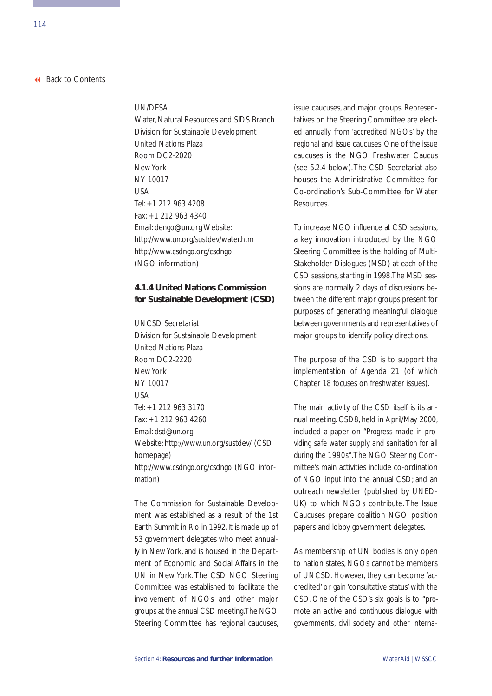### UN/DESA

Water, Natural Resources and SIDS Branch Division for Sustainable Development United Nations Plaza Room DC2-2020 New York NY 10017 USA Tel: +1 212 963 4208 Fax: +1 212 963 4340 Email: dengo@un.org Website: http://www.un.org/sustdev/water.htm http://www.csdngo.org/csdngo (NGO information)

# **4.1.4 United Nations Commission for Sustainable Development (CSD)**

UNCSD Secretariat Division for Sustainable Development United Nations Plaza Room DC2-2220 New York NY 10017  $IISA$ Tel: +1 212 963 3170 Fax: +1 212 963 4260 Email: dsd@un.org Website: http://www.un.org/sustdev/ (CSD homepage) http://www.csdngo.org/csdngo (NGO information)

The Commission for Sustainable Development was established as a result of the 1st Earth Summit in Rio in 1992. It is made up of 53 government delegates who meet annually in New York, and is housed in the Department of Economic and Social Affairs in the UN in New York. The CSD NGO Steering Committee was established to facilitate the involvement of NGOs and other major groups at the annual CSD meeting.The NGO Steering Committee has regional caucuses, issue caucuses, and major groups. Representatives on the Steering Committee are elected annually from 'accredited NGOs' by the regional and issue caucuses. One of the issue caucuses is the NGO Freshwater Caucus (see 5.2.4 below).The CSD Secretariat also houses the Administrative Committee for Co-ordination's Sub-Committee for Water Resources.

To increase NGO influence at CSD sessions, a key innovation introduced by the NGO Steering Committee is the holding of Multi-Stakeholder Dialogues (MSD) at each of the CSD sessions, starting in 1998.The MSD sessions are normally 2 days of discussions between the different major groups present for purposes of generating meaningful dialogue between governments and representatives of major groups to identify policy directions.

The purpose of the CSD is to support the implementation of Agenda 21 (of which Chapter 18 focuses on freshwater issues).

The main activity of the CSD itself is its annual meeting. CSD8, held in April/May 2000, included a paper on *"Progress made in providing safe water supply and sanitation for all during the 1990s"*.The NGO Steering Committee's main activities include co-ordination of NGO input into the annual CSD; and an outreach newsletter (published by UNED-UK) to which NGOs contribute. The Issue Caucuses prepare coalition NGO position papers and lobby government delegates.

As membership of UN bodies is only open to nation states, NGOs cannot be members of UNCSD. However, they can become 'accredited' or gain 'consultative status' with the CSD. One of the CSD's six goals is to *"promote an active and continuous dialogue with governments, civil society and other interna-*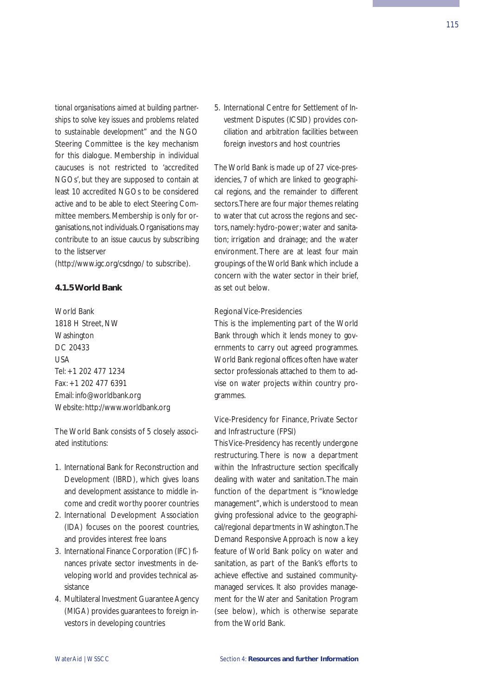*tional organisations aimed at building partnerships to solve key issues and problems related to sustainable development"* and the NGO Steering Committee is the key mechanism for this dialogue. Membership in individual caucuses is not restricted to 'accredited NGOs', but they are supposed to contain at least 10 accredited NGOs to be considered active and to be able to elect Steering Committee members. Membership is only for organisations,not individuals.Organisations may contribute to an issue caucus by subscribing to the listserver

(http://www.igc.org/csdngo/ to subscribe).

### **4.1.5 World Bank**

World Bank 1818 H Street, NW **Washington** DC 20433 USA Tel: +1 202 477 1234 Fax: +1 202 477 6391 Email: info@worldbank.org Website: http://www.worldbank.org

The World Bank consists of 5 closely associated institutions:

- 1. International Bank for Reconstruction and Development (IBRD), which gives loans and development assistance to middle income and credit worthy poorer countries
- 2. International Development Association (IDA) focuses on the poorest countries, and provides interest free loans
- 3. International Finance Corporation (IFC) finances private sector investments in developing world and provides technical assistance
- 4. Multilateral Investment Guarantee Agency (MIGA) provides guarantees to foreign investors in developing countries

5. International Centre for Settlement of Investment Disputes (ICSID) provides conciliation and arbitration facilities between foreign investors and host countries

The World Bank is made up of 27 vice-presidencies, 7 of which are linked to geographical regions, and the remainder to different sectors.There are four major themes relating to water that cut across the regions and sectors, namely: hydro-power; water and sanitation; irrigation and drainage; and the water environment. There are at least four main groupings of the World Bank which include a concern with the water sector in their brief, as set out below.

### Regional Vice-Presidencies

This is the implementing part of the World Bank through which it lends money to governments to carry out agreed programmes. World Bank regional offices often have water sector professionals attached to them to advise on water projects within country programmes.

# Vice-Presidency for Finance, Private Sector and Infrastructure (FPSI)

This Vice-Presidency has recently undergone restructuring. There is now a department within the Infrastructure section specifically dealing with water and sanitation. The main function of the department is "knowledge management", which is understood to mean giving professional advice to the geographical/regional departments in Washington.The Demand Responsive Approach is now a key feature of World Bank policy on water and sanitation, as part of the Bank's efforts to achieve effective and sustained communitymanaged services. It also provides management for the Water and Sanitation Program (see below), which is otherwise separate from the World Bank.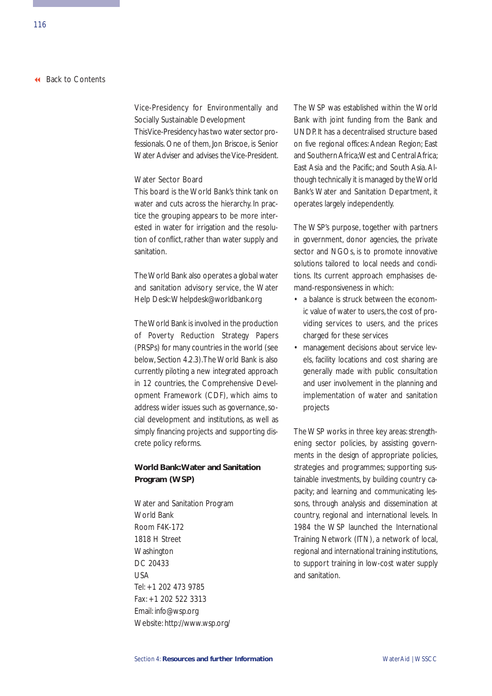# Vice-Presidency for Environmentally and Socially Sustainable Development

This Vice-Presidency has two water sector professionals. One of them, Jon Briscoe, is Senior Water Adviser and advises the Vice-President.

### Water Sector Board

This board is the World Bank's think tank on water and cuts across the hierarchy. In practice the grouping appears to be more interested in water for irrigation and the resolution of conflict, rather than water supply and sanitation.

The World Bank also operates a global water and sanitation advisory service, the Water Help Desk:Whelpdesk@worldbank.org

The World Bank is involved in the production of Poverty Reduction Strategy Papers (PRSPs) for many countries in the world (see below, Section 4.2.3).The World Bank is also currently piloting a new integrated approach in 12 countries, the Comprehensive Development Framework (CDF), which aims to address wider issues such as governance, social development and institutions, as well as simply financing projects and supporting discrete policy reforms.

# **World Bank:Water and Sanitation Program (WSP)**

Water and Sanitation Program World Bank Room F4K-172 1818 H Street **Washington** DC 20433 USA Tel: +1 202 473 9785 Fax: +1 202 522 3313 Email: info@wsp.org Website: http://www.wsp.org/

The WSP was established within the World Bank with joint funding from the Bank and UNDP. It has a decentralised structure based on five regional offices: Andean Region; East and Southern Africa;West and Central Africa; East Asia and the Pacific; and South Asia. Although technically it is managed by the World Bank's Water and Sanitation Department, it operates largely independently.

The WSP's purpose, together with partners in government, donor agencies, the private sector and NGOs, is to promote innovative solutions tailored to local needs and conditions. Its current approach emphasises demand-responsiveness in which:

- a balance is struck between the economic value of water to users, the cost of providing services to users, and the prices charged for these services
- management decisions about service levels, facility locations and cost sharing are generally made with public consultation and user involvement in the planning and implementation of water and sanitation projects

The WSP works in three key areas: strengthening sector policies, by assisting governments in the design of appropriate policies, strategies and programmes; supporting sustainable investments, by building country capacity; and learning and communicating lessons, through analysis and dissemination at country, regional and international levels. In 1984 the WSP launched the International Training Network (ITN), a network of local, regional and international training institutions, to support training in low-cost water supply and sanitation.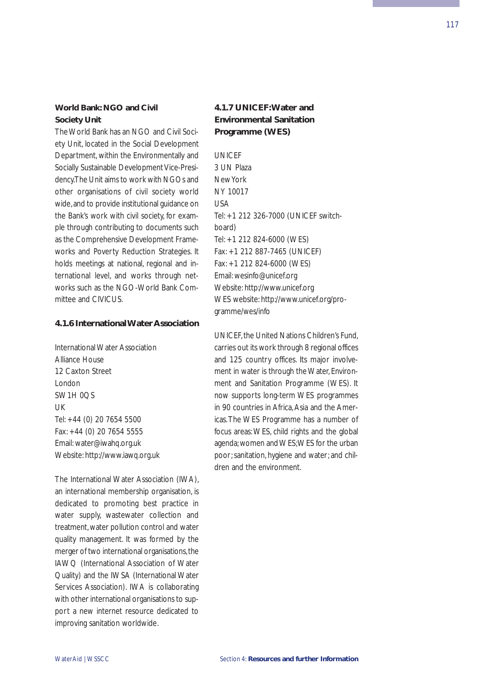## **World Bank: NGO and Civil Society Unit**

The World Bank has an NGO and Civil Society Unit, located in the Social Development Department, within the Environmentally and Socially Sustainable Development Vice-Presidency.The Unit aims to work with NGOs and other organisations of civil society world wide,and to provide institutional guidance on the Bank's work with civil society, for example through contributing to documents such as the Comprehensive Development Frameworks and Poverty Reduction Strategies. It holds meetings at national, regional and international level, and works through networks such as the NGO-World Bank Committee and CIVICUS.

### **4.1.6 International Water Association**

International Water Association Alliance House 12 Caxton Street London SW1H 0OS  $|$ Tel: +44 (0) 20 7654 5500 Fax: +44 (0) 20 7654 5555 Email: water@iwahq.org.uk Website: http://www.iawq.org.uk

The International Water Association (IWA), an international membership organisation, is dedicated to promoting best practice in water supply, wastewater collection and treatment, water pollution control and water quality management. It was formed by the merger of two international organisations, the IAWQ (International Association of Water Quality) and the IWSA (International Water Services Association). IWA is collaborating with other international organisations to support a new internet resource dedicated to improving sanitation worldwide.

# **4.1.7 UNICEF:Water and Environmental Sanitation Programme (WES)**

**UNICEE** 3 UN Plaza New York NY 10017  $IISA$ Tel: +1 212 326-7000 (UNICEF switchboard) Tel: +1 212 824-6000 (WES) Fax: +1 212 887-7465 (UNICEF) Fax: +1 212 824-6000 (WES) Email: wesinfo@unicef.org Website: http://www.unicef.org WES website: http://www.unicef.org/programme/wes/info

UNICEF, the United Nations Children's Fund, carries out its work through 8 regional offices and 125 country offices. Its major involvement in water is through the Water, Environment and Sanitation Programme (WES). It now supports long-term WES programmes in 90 countries in Africa, Asia and the Americas.The WES Programme has a number of focus areas: WES, child rights and the global agenda; women and WES;WES for the urban poor; sanitation, hygiene and water; and children and the environment.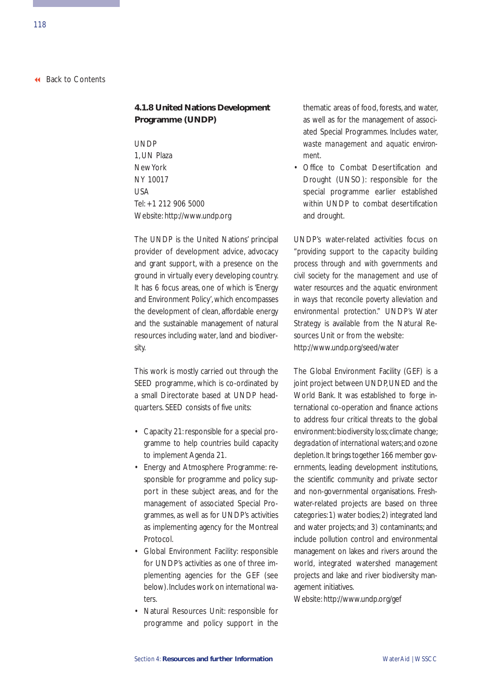# **4.1.8 United Nations Development Programme (UNDP)**

UNDP 1, UN Plaza New York NY 10017 USA Tel: +1 212 906 5000 Website: http://www.undp.org

The UNDP is the United Nations' principal provider of development advice, advocacy and grant support, with a presence on the ground in virtually every developing country. It has 6 focus areas, one of which is 'Energy and Environment Policy', which encompasses the development of clean, affordable energy and the sustainable management of natural resources including *water*, land and biodiversity.

This work is mostly carried out through the SEED programme, which is co-ordinated by a small Directorate based at UNDP headquarters. SEED consists of five units:

- Capacity 21: responsible for a special programme to help countries build capacity to implement Agenda 21.
- Energy and Atmosphere Programme: responsible for programme and policy support in these subject areas, and for the management of associated Special Programmes, as well as for UNDP's activities as implementing agency for the Montreal Protocol.
- Global Environment Facility: responsible for UNDP's activities as one of three implementing agencies for the GEF (see below).Includes work on *international waters*.
- Natural Resources Unit: responsible for programme and policy support in the

thematic areas of food, forests, and water, as well as for the management of associated Special Programmes. Includes *water, waste management and aquatic environment*.

• Office to Combat Desertification and Drought (UNSO): responsible for the special programme earlier established within UNDP to combat desertification and drought.

UNDP's water-related activities focus on *"providing support to the capacity building process through and with governments and civil society for the management and use of water resources and the aquatic environment in ways that reconcile poverty alleviation and environmental protection."* UNDP's Water Strategy is available from the Natural Resources Unit or from the website: http://www.undp.org/seed/water

The Global Environment Facility (GEF) is a joint project between UNDP, UNED and the World Bank. It was established to forge international co-operation and finance actions to address four critical threats to the global environment: biodiversity loss; climate change; *degradation of international waters*; and ozone depletion.It brings together 166 member governments, leading development institutions, the scientific community and private sector and non-governmental organisations. Freshwater-related projects are based on three categories:1) water bodies;2) integrated land and water projects; and 3) contaminants; and include pollution control and environmental management on lakes and rivers around the world, integrated watershed management projects and lake and river biodiversity management initiatives.

Website: http://www.undp.org/gef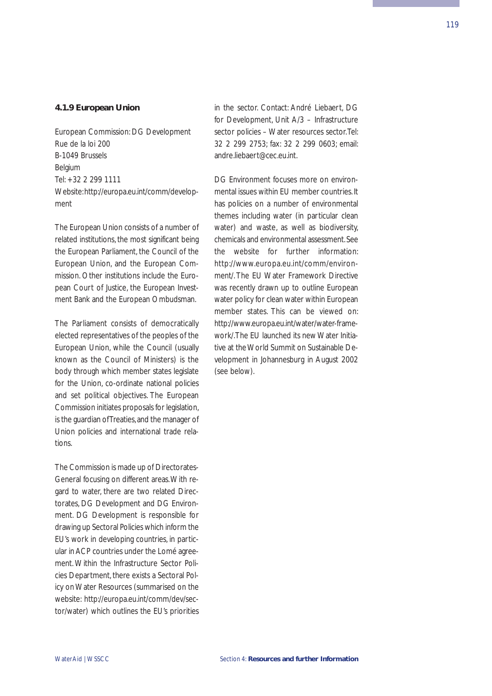### **4.1.9 European Union**

European Commission: DG Development Rue de la loi 200 B-1049 Brussels Belgium Tel: +32 2 299 1111 Website:http://europa.eu.int/comm/development

The European Union consists of a number of related institutions, the most significant being the European Parliament, the Council of the European Union, and the European Commission. Other institutions include the European Court of Justice, the European Investment Bank and the European Ombudsman.

The Parliament consists of democratically elected representatives of the peoples of the European Union, while the Council (usually known as the Council of Ministers) is the body through which member states legislate for the Union, co-ordinate national policies and set political objectives. The European Commission initiates proposals for legislation, is the guardian of Treaties, and the manager of Union policies and international trade relations.

The Commission is made up of Directorates-General focusing on different areas.With regard to water, there are two related Directorates, DG Development and DG Environment. DG Development is responsible for drawing up Sectoral Policies which inform the EU's work in developing countries, in particular in ACP countries under the Lomé agreement. Within the Infrastructure Sector Policies Department, there exists a Sectoral Policy on Water Resources (summarised on the website: http://europa.eu.int/comm/dev/sector/water) which outlines the EU's priorities in the sector. Contact: André Liebaert, DG for Development, Unit A/3 – Infrastructure sector policies – Water resources sector.Tel: 32 2 299 2753; fax: 32 2 299 0603; email: andre.liebaert@cec.eu.int.

DG Environment focuses more on environmental issues within EU member countries. It has policies on a number of environmental themes including water (in particular clean water) and waste, as well as biodiversity, chemicals and environmental assessment.See the website for further information: http://www.europa.eu.int/comm/environment/. The EU Water Framework Directive was recently drawn up to outline European water policy for clean water within European member states. This can be viewed on: http://www.europa.eu.int/water/water-framework/.The EU launched its new Water Initiative at the World Summit on Sustainable Development in Johannesburg in August 2002 (see below).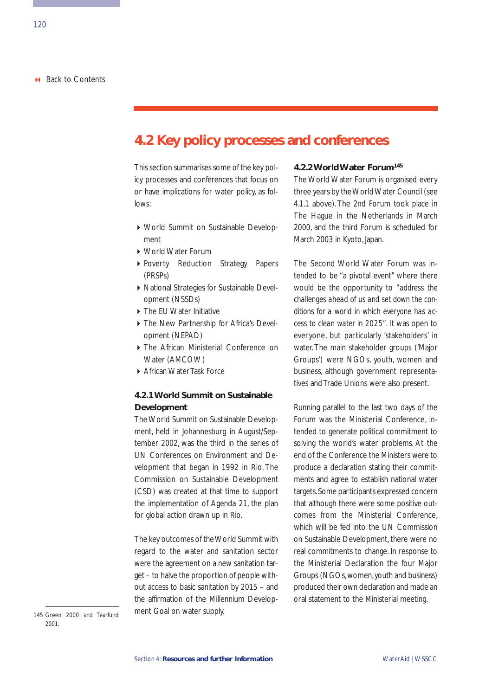# **4.2 Key policy processes and conferences**

This section summarises some of the key policy processes and conferences that focus on or have implications for water policy, as follows:

- World Summit on Sustainable Development
- World Water Forum
- Poverty Reduction Strategy Papers (PRSPs)
- National Strategies for Sustainable Development (NSSDs)
- ▶ The EU Water Initiative
- The New Partnership for Africa's Development (NEPAD)
- The African Ministerial Conference on Water (AMCOW)
- ▶ African Water Task Force

# **4.2.1 World Summit on Sustainable Development**

The World Summit on Sustainable Development, held in Johannesburg in August/September 2002, was the third in the series of UN Conferences on Environment and Development that began in 1992 in Rio. The Commission on Sustainable Development (CSD) was created at that time to support the implementation of Agenda 21, the plan for global action drawn up in Rio.

The key outcomes of the World Summit with regard to the water and sanitation sector were the agreement on a new sanitation target – to halve the proportion of people without access to basic sanitation by 2015 – and the affirmation of the Millennium Development Goal on water supply.

### **4.2.2 World Water Forum145**

The World Water Forum is organised every three years by the World Water Council (see 4.1.1 above). The 2nd Forum took place in The Hague in the Netherlands in March 2000, and the third Forum is scheduled for March 2003 in Kyoto, Japan.

The Second World Water Forum was intended to be "a pivotal event" where there would be the opportunity to *"address the challenges ahead of us and set down the conditions for a world in which everyone has access to clean water in 2025".* It was open to everyone, but particularly 'stakeholders' in water. The main stakeholder groups ('Major Groups') were NGOs, youth, women and business, although government representatives and Trade Unions were also present.

Running parallel to the last two days of the Forum was the Ministerial Conference, intended to generate political commitment to solving the world's water problems. At the end of the Conference the Ministers were to produce a declaration stating their commitments and agree to establish national water targets.Some participants expressed concern that although there were some positive outcomes from the Ministerial Conference, which will be fed into the UN Commission on Sustainable Development, there were no real commitments to change. In response to the Ministerial Declaration the four Major Groups (NGOs,women,youth and business) produced their own declaration and made an oral statement to the Ministerial meeting.

145 Green 2000 and Tearfund 2001.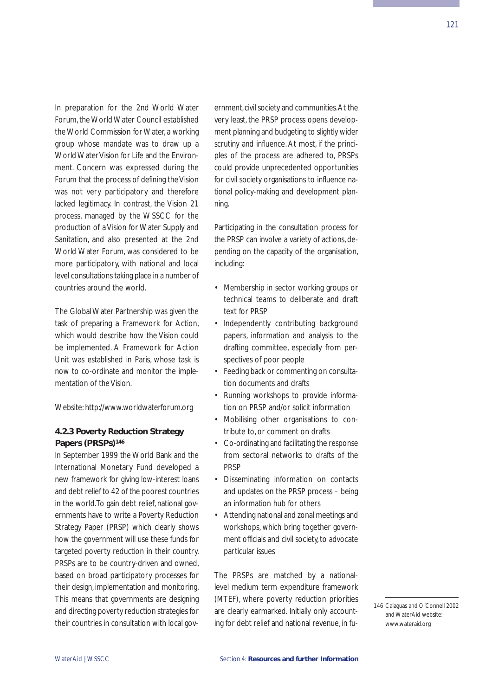In preparation for the 2nd World Water Forum, the World Water Council established the World Commission for Water, a working group whose mandate was to draw up a World Water Vision for Life and the Environment. Concern was expressed during the Forum that the process of defining the Vision was not very participatory and therefore lacked legitimacy. In contrast, the Vision 21 process, managed by the WSSCC for the production of a Vision for Water Supply and Sanitation, and also presented at the 2nd World Water Forum, was considered to be more participatory, with national and local level consultations taking place in a number of countries around the world.

The Global Water Partnership was given the task of preparing a Framework for Action, which would describe how the Vision could be implemented. A Framework for Action Unit was established in Paris, whose task is now to co-ordinate and monitor the implementation of the Vision.

Website: http://www.worldwaterforum.org

## **4.2.3 Poverty Reduction Strategy**  Papers (PRSPs)<sup>146</sup>

In September 1999 the World Bank and the International Monetary Fund developed a new framework for giving low-interest loans and debt relief to 42 of the poorest countries in the world.To gain debt relief, national governments have to write a Poverty Reduction Strategy Paper (PRSP) which clearly shows how the government will use these funds for targeted poverty reduction in their country. PRSPs are to be country-driven and owned, based on broad participatory processes for their design, implementation and monitoring. This means that governments are designing and directing poverty reduction strategies for their countries in consultation with local government,civil society and communities.At the very least, the PRSP process opens development planning and budgeting to slightly wider scrutiny and influence. At most, if the principles of the process are adhered to, PRSPs could provide unprecedented opportunities for civil society organisations to influence national policy-making and development planning.

Participating in the consultation process for the PRSP can involve a variety of actions, depending on the capacity of the organisation, including:

- Membership in sector working groups or technical teams to deliberate and draft text for PRSP
- Independently contributing background papers, information and analysis to the drafting committee, especially from perspectives of poor people
- Feeding back or commenting on consultation documents and drafts
- Running workshops to provide information on PRSP and/or solicit information
- Mobilising other organisations to contribute to, or comment on drafts
- Co-ordinating and facilitating the response from sectoral networks to drafts of the PRSP
- Disseminating information on contacts and updates on the PRSP process – being an information hub for others
- Attending national and zonal meetings and workshops, which bring together government officials and civil society, to advocate particular issues

The PRSPs are matched by a nationallevel medium term expenditure framework (MTEF), where poverty reduction priorities are clearly earmarked. Initially only accounting for debt relief and national revenue, in fu-

<sup>146</sup> Calaguas and O'Connell 2002 and WaterAid website: www.wateraid.org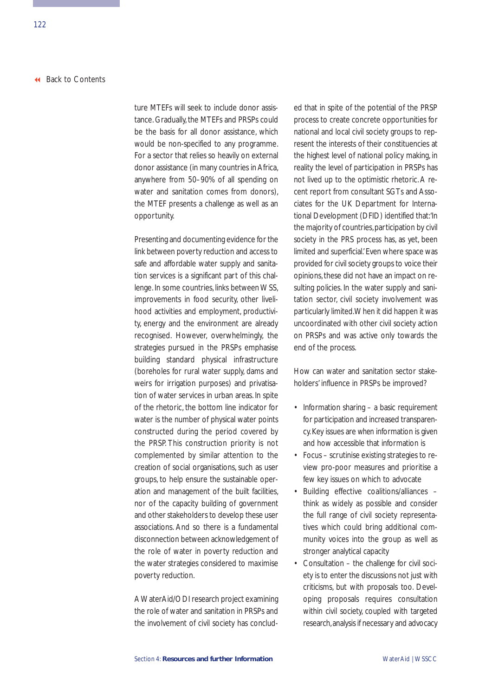ture MTEFs will seek to include donor assistance. Gradually, the MTEFs and PRSPs could be the basis for all donor assistance, which would be non-specified to any programme. For a sector that relies so heavily on external donor assistance (in many countries in Africa, anywhere from 50–90% of all spending on water and sanitation comes from donors), the MTEF presents a challenge as well as an opportunity.

Presenting and documenting evidence for the link between poverty reduction and access to safe and affordable water supply and sanitation services is a significant part of this challenge. In some countries, links between WSS, improvements in food security, other livelihood activities and employment, productivity, energy and the environment are already recognised. However, overwhelmingly, the strategies pursued in the PRSPs emphasise building standard physical infrastructure (boreholes for rural water supply, dams and weirs for irrigation purposes) and privatisation of water services in urban areas. In spite of the rhetoric, the bottom line indicator for water is the number of physical water points constructed during the period covered by the PRSP. This construction priority is not complemented by similar attention to the creation of social organisations, such as user groups, to help ensure the sustainable operation and management of the built facilities, nor of the capacity building of government and other stakeholders to develop these user associations. And so there is a fundamental disconnection between acknowledgement of the role of water in poverty reduction and the water strategies considered to maximise poverty reduction.

A WaterAid/ODI research project examining the role of water and sanitation in PRSPs and the involvement of civil society has concluded that in spite of the potential of the PRSP process to create concrete opportunities for national and local civil society groups to represent the interests of their constituencies at the highest level of national policy making, in reality the level of participation in PRSPs has not lived up to the optimistic rhetoric. A recent report from consultant SGTs and Associates for the UK Department for International Development (DFID) identified that:'In the majority of countries, participation by civil society in the PRS process has, as yet, been limited and superficial.'Even where space was provided for civil society groups to voice their opinions, these did not have an impact on resulting policies. In the water supply and sanitation sector, civil society involvement was particularly limited.When it did happen it was uncoordinated with other civil society action on PRSPs and was active only towards the end of the process.

How can water and sanitation sector stakeholders' influence in PRSPs be improved?

- Information sharing a basic requirement for participation and increased transparency. Key issues are *when* information is given and how accessible that information is
- Focus scrutinise existing strategies to review pro-poor measures and prioritise a few key issues on which to advocate
- Building effective coalitions/alliances think as widely as possible and consider the full range of civil society representatives which could bring additional community voices into the group as well as stronger analytical capacity
- Consultation the challenge for civil society is to enter the discussions not just with criticisms, but with proposals too. Developing proposals requires consultation within civil society, coupled with targeted research,analysis if necessary and advocacy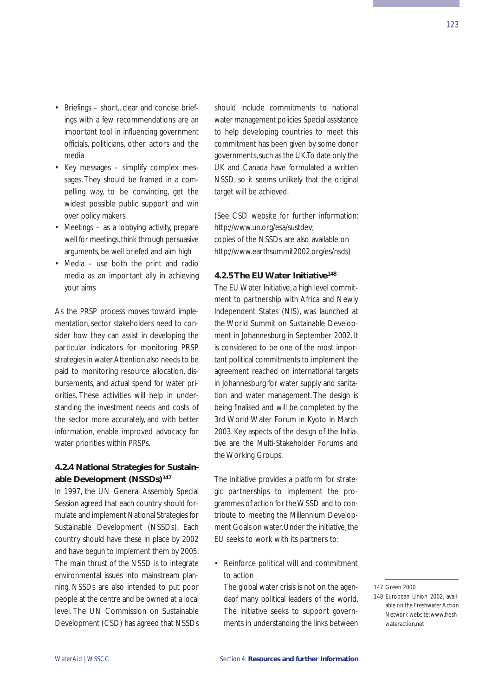- Briefings short, clear and concise briefings with a few recommendations are an important tool in influencing government officials, politicians, other actors and the media
- Key messages simplify complex messages. They should be framed in a compelling way, to be convincing, get the widest possible public support and win over policy makers
- Meetings as a lobbying activity, prepare well for meetings, think through persuasive arguments, be well briefed and aim high
- Media use both the print and radio media as an important ally in achieving your aims

As the PRSP process moves toward implementation, sector stakeholders need to consider how they can assist in developing the particular indicators for monitoring PRSP strategies in water.Attention also needs to be paid to monitoring resource allocation, disbursements, and actual spend for water priorities. These activities will help in understanding the investment needs and costs of the sector more accurately, and with better information, enable improved advocacy for water priorities within PRSPs.

## **4.2.4 National Strategies for Sustainable Development (NSSDs)147**

In 1997, the UN General Assembly Special Session agreed that each country should formulate and implement National Strategies for Sustainable Development (NSSDs). Each country should have these in place by 2002 and have begun to implement them by 2005. The main thrust of the NSSD is to integrate environmental issues into mainstream planning. NSSDs are also intended to put poor people at the centre and be owned at a local level. The UN Commission on Sustainable Development (CSD) has agreed that NSSDs

should include commitments to national water management policies. Special assistance to help developing countries to meet this commitment has been given by some donor governments,such as the UK.To date only the UK and Canada have formulated a written NSSD, so it seems unlikely that the original target will be achieved.

(See CSD website for further information: http://www.un.org/esa/sustdev; copies of the NSSDs are also available on http://www.earthsummit2002.org/es/nsds)

### **4.2.5 The EU Water Initiative148**

The EU Water Initiative, a high level commitment to partnership with Africa and Newly Independent States (NIS), was launched at the World Summit on Sustainable Development in Johannesburg in September 2002. It is considered to be one of the most important political commitments to implement the agreement reached on international targets in Johannesburg for water supply and sanitation and water management. The design is being finalised and will be completed by the 3rd World Water Forum in Kyoto in March 2003. Key aspects of the design of the Initiative are the Multi-Stakeholder Forums and the Working Groups.

The initiative provides a platform for strategic partnerships to implement the programmes of action for the WSSD and to contribute to meeting the Millennium Development Goals on water. Under the initiative, the EU seeks to work with its partners to:

### • Reinforce political will and commitment to action

The global water crisis is not on the agendaof many political leaders of the world. The initiative seeks to support governments in understanding the links between

<sup>147</sup> Green 2000

<sup>148</sup> European Union 2002, available on the Freshwater Action Network website: www.freshwateraction.net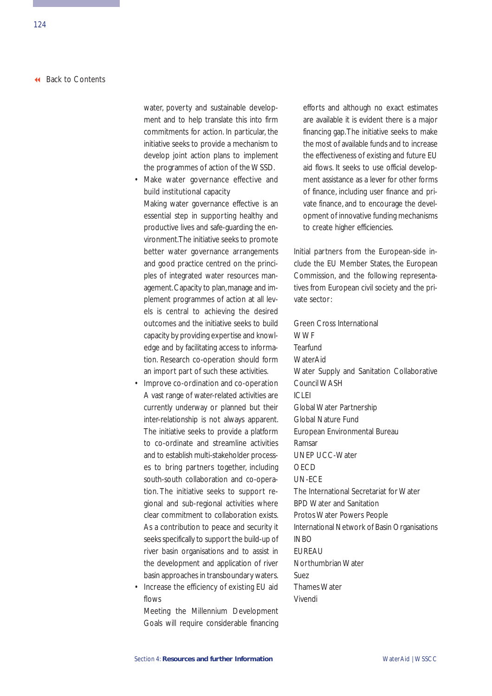water, poverty and sustainable development and to help translate this into firm commitments for action. In particular, the initiative seeks to provide a mechanism to develop joint action plans to implement the programmes of action of the WSSD.

• Make water governance effective and build institutional capacity

Making water governance effective is an essential step in supporting healthy and productive lives and safe-guarding the environment.The initiative seeks to promote better water governance arrangements and good practice centred on the principles of integrated water resources management. Capacity to plan, manage and implement programmes of action at all levels is central to achieving the desired outcomes and the initiative seeks to build capacity by providing expertise and knowledge and by facilitating access to information. Research co-operation should form an import part of such these activities.

- Improve co-ordination and co-operation A vast range of water-related activities are currently underway or planned but their inter-relationship is not always apparent. The initiative seeks to provide a platform to co-ordinate and streamline activities and to establish multi-stakeholder processes to bring partners together, including south-south collaboration and co-operation. The initiative seeks to support regional and sub-regional activities where clear commitment to collaboration exists. As a contribution to peace and security it seeks specifically to support the build-up of river basin organisations and to assist in the development and application of river basin approaches in transboundary waters.
- Increase the efficiency of existing EU aid flows

Meeting the Millennium Development Goals will require considerable financing efforts and although no exact estimates are available it is evident there is a major financing gap.The initiative seeks to make the most of available funds and to increase the effectiveness of existing and future EU aid flows. It seeks to use official development assistance as a lever for other forms of finance, including user finance and private finance, and to encourage the development of innovative funding mechanisms to create higher efficiencies.

Initial partners from the European-side include the EU Member States, the European Commission, and the following representatives from European civil society and the private sector:

Green Cross International **WWF Tearfund** WaterAid Water Supply and Sanitation Collaborative Council WASH  $|C|E|$ Global Water Partnership Global Nature Fund European Environmental Bureau Ramsar UNEP UCC-Water OECD UN-ECE The International Secretariat for Water BPD Water and Sanitation Protos Water Powers People International Network of Basin Organisations INBO EUREAU Northumbrian Water Suez Thames Water Vivendi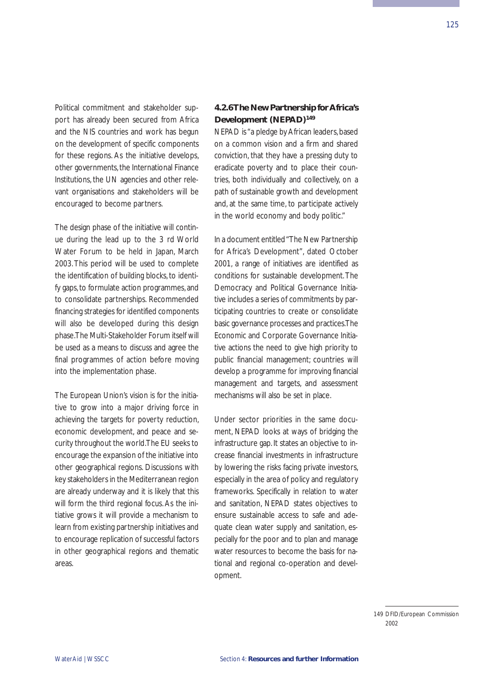Political commitment and stakeholder support has already been secured from Africa and the NIS countries and work has begun on the development of specific components for these regions. As the initiative develops, other governments, the International Finance Institutions, the UN agencies and other relevant organisations and stakeholders will be encouraged to become partners.

The design phase of the initiative will continue during the lead up to the 3 rd World Water Forum to be held in Japan, March 2003. This period will be used to complete the identification of building blocks, to identify gaps, to formulate action programmes, and to consolidate partnerships. Recommended financing strategies for identified components will also be developed during this design phase.The Multi-Stakeholder Forum itself will be used as a means to discuss and agree the final programmes of action before moving into the implementation phase.

The European Union's vision is for the initiative to grow into a major driving force in achieving the targets for poverty reduction, economic development, and peace and security throughout the world.The EU seeks to encourage the expansion of the initiative into other geographical regions. Discussions with key stakeholders in the Mediterranean region are already underway and it is likely that this will form the third regional focus. As the initiative grows it will provide a mechanism to learn from existing partnership initiatives and to encourage replication of successful factors in other geographical regions and thematic areas.

# **4.2.6 The New Partnership for Africa's Development (NEPAD)149**

NEPAD is "a pledge by African leaders, based on a common vision and a firm and shared conviction, that they have a pressing duty to eradicate poverty and to place their countries, both individually and collectively, on a path of sustainable growth and development and, at the same time, to participate actively in the world economy and body politic."

In a document entitled "The New Partnership for Africa's Development", dated October 2001, a range of initiatives are identified as conditions for sustainable development. The Democracy and Political Governance Initiative includes a series of commitments by participating countries to create or consolidate basic governance processes and practices.The Economic and Corporate Governance Initiative actions the need to give high priority to public financial management; countries will develop a programme for improving financial management and targets, and assessment mechanisms will also be set in place.

Under sector priorities in the same document, NEPAD looks at ways of bridging the infrastructure gap. It states an objective to increase financial investments in infrastructure by lowering the risks facing private investors, especially in the area of policy and regulatory frameworks. Specifically in relation to water and sanitation, NEPAD states objectives to ensure sustainable access to safe and adequate clean water supply and sanitation, especially for the poor and to plan and manage water resources to become the basis for national and regional co-operation and development.

<sup>149</sup> DFID/European Commission  $2002$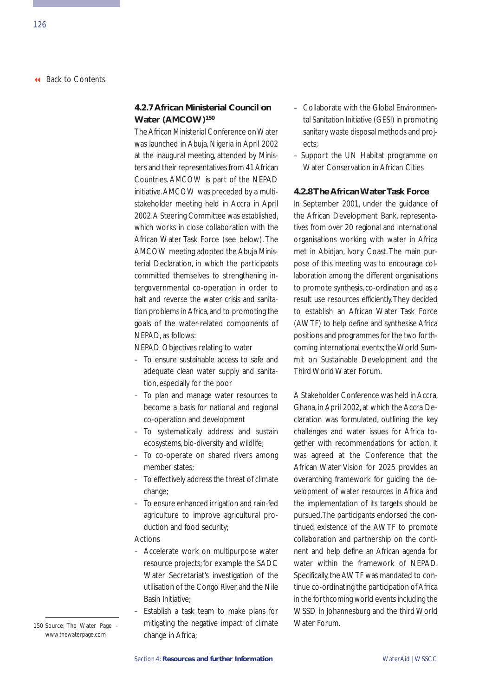# **4.2.7 African Ministerial Council on Water (AMCOW)150**

The African Ministerial Conference on Water was launched in Abuja, Nigeria in April 2002 at the inaugural meeting, attended by Ministers and their representatives from 41 African Countries. AMCOW is part of the NEPAD initiative.AMCOW was preceded by a multistakeholder meeting held in Accra in April 2002.A Steering Committee was established, which works in close collaboration with the African Water Task Force (see below). The AMCOW meeting adopted the Abuja Ministerial Declaration, in which the participants committed themselves to strengthening intergovernmental co-operation in order to halt and reverse the water crisis and sanitation problems in Africa, and to promoting the goals of the water-related components of NEPAD, as follows:

NEPAD Objectives relating to water

- To ensure sustainable access to safe and adequate clean water supply and sanitation, especially for the poor
- To plan and manage water resources to become a basis for national and regional co-operation and development
- To systematically address and sustain ecosystems, bio-diversity and wildlife;
- To co-operate on shared rivers among member states;
- To effectively address the threat of climate change;
- To ensure enhanced irrigation and rain-fed agriculture to improve agricultural production and food security;

#### Actions

- Accelerate work on multipurpose water resource projects; for example the SADC Water Secretariat's investigation of the utilisation of the Congo River, and the Nile Basin Initiative;
- Establish a task team to make plans for 150 Source: The Water Page – mitigating the negative impact of climate Mater Forum. change in Africa;
- Collaborate with the Global Environmental Sanitation Initiative (GESI) in promoting sanitary waste disposal methods and projects;
- Support the UN Habitat programme on Water Conservation in African Cities

### **4.2.8 The African Water Task Force**

In September 2001, under the guidance of the African Development Bank, representatives from over 20 regional and international organisations working with water in Africa met in Abidjan, Ivory Coast. The main purpose of this meeting was to encourage collaboration among the different organisations to promote synthesis, co-ordination and as a result use resources efficiently.They decided to establish an African Water Task Force (AWTF) to help define and synthesise Africa positions and programmes for the two forthcoming international events; the World Summit on Sustainable Development and the Third World Water Forum.

A Stakeholder Conference was held in Accra, Ghana, in April 2002, at which the Accra Declaration was formulated, outlining the key challenges and water issues for Africa together with recommendations for action. It was agreed at the Conference that the African Water Vision for 2025 provides an overarching framework for guiding the development of water resources in Africa and the implementation of its targets should be pursued.The participants endorsed the continued existence of the AWTF to promote collaboration and partnership on the continent and help define an African agenda for water within the framework of NEPAD. Specifically, the AWTF was mandated to continue co-ordinating the participation of Africa in the forthcoming world events including the WSSD in Johannesburg and the third World

www.thewaterpage.com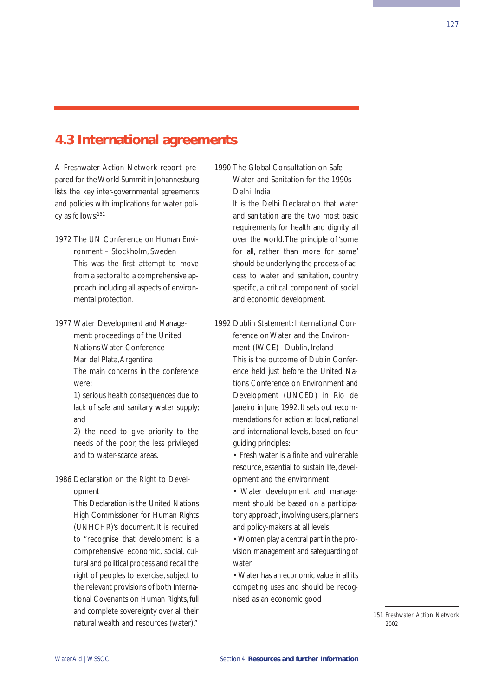# **4.3 International agreements**

A Freshwater Action Network report prepared for the World Summit in Johannesburg lists the key inter-governmental agreements and policies with implications for water policy as follows:151

1972 The UN Conference on Human Environment – Stockholm, Sweden

> This was the first attempt to move from a sectoral to a comprehensive approach including all aspects of environmental protection.

1977 Water Development and Management: proceedings of the United Nations Water Conference – Mar del Plata,Argentina

The main concerns in the conference were:

1) serious health consequences due to lack of safe and sanitary water supply; and

2) the need to give priority to the needs of the poor, the less privileged and to water-scarce areas.

## 1986 Declaration on the Right to Development

This Declaration is the United Nations High Commissioner for Human Rights (UNHCHR)'s document. It is required to "recognise that development is a comprehensive economic, social, cultural and political process and recall the right of peoples to exercise, subject to the relevant provisions of both International Covenants on Human Rights, full and complete sovereignty over all their natural wealth and resources (water)."

# 1990 The Global Consultation on Safe Water and Sanitation for the 1990s – Delhi, India

It is the Delhi Declaration that water and sanitation are the two most basic requirements for health and dignity all over the world.The principle of 'some for all, rather than more for some' should be underlying the process of access to water and sanitation, country specific, a critical component of social and economic development.

# 1992 Dublin Statement: International Conference on Water and the Environment (IWCE) –Dublin, Ireland

This is the outcome of Dublin Conference held just before the United Nations Conference on Environment and Development (UNCED) in Rio de Janeiro in June 1992. It sets out recommendations for action at local, national and international levels, based on four guiding principles:

• Fresh water is a finite and vulnerable resource, essential to sustain life, development and the environment

• Water development and management should be based on a participatory approach, involving users, planners and policy-makers at all levels

• Women play a central part in the provision, management and safeguarding of water

• Water has an economic value in all its competing uses and should be recognised as an economic good

> 151 Freshwater Action Network 2002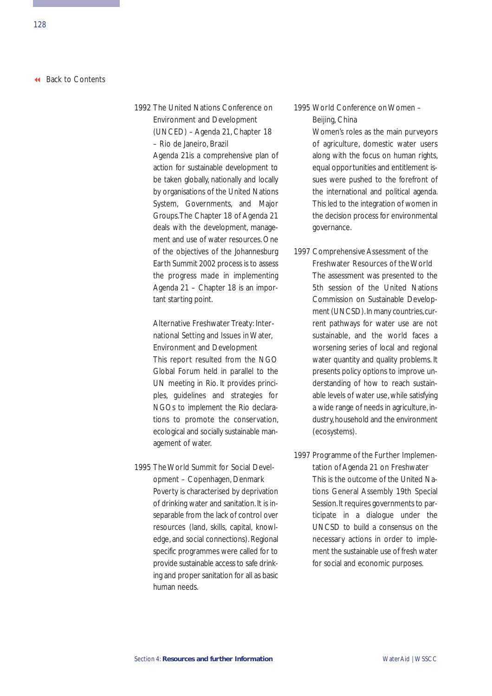1992 The United Nations Conference on Environment and Development (UNCED) – Agenda 21, Chapter 18 – Rio de Janeiro, Brazil

> Agenda 21is a comprehensive plan of action for sustainable development to be taken globally, nationally and locally by organisations of the United Nations System, Governments, and Major Groups.The Chapter 18 of Agenda 21 deals with the development, management and use of water resources. One of the objectives of the Johannesburg Earth Summit 2002 process is to assess the progress made in implementing Agenda 21 – Chapter 18 is an important starting point.

# Alternative Freshwater Treaty: International Setting and Issues in Water, Environment and Development

This report resulted from the NGO Global Forum held in parallel to the UN meeting in Rio. It provides principles, guidelines and strategies for NGOs to implement the Rio declarations to promote the conservation, ecological and socially sustainable management of water.

# 1995 The World Summit for Social Development – Copenhagen, Denmark

Poverty is characterised by deprivation of drinking water and sanitation. It is inseparable from the lack of control over resources (land, skills, capital, knowledge, and social connections). Regional specific programmes were called for to provide sustainable access to safe drinking and proper sanitation for all as basic human needs.

## 1995 World Conference on Women – Beijing, China

Women's roles as the main purveyors of agriculture, domestic water users along with the focus on human rights, equal opportunities and entitlement issues were pushed to the forefront of the international and political agenda. This led to the integration of women in the decision process for environmental governance.

### 1997 Comprehensive Assessment of the Freshwater Resources of the World

The assessment was presented to the 5th session of the United Nations Commission on Sustainable Development (UNCSD). In many countries, current pathways for water use are not sustainable, and the world faces a worsening series of local and regional water quantity and quality problems. It presents policy options to improve understanding of how to reach sustainable levels of water use, while satisfying a wide range of needs in agriculture, industry, household and the environment (ecosystems).

### 1997 Programme of the Further Implementation of Agenda 21 on Freshwater

This is the outcome of the United Nations General Assembly 19th Special Session. It requires governments to participate in a dialogue under the UNCSD to build a consensus on the necessary actions in order to implement the sustainable use of fresh water for social and economic purposes.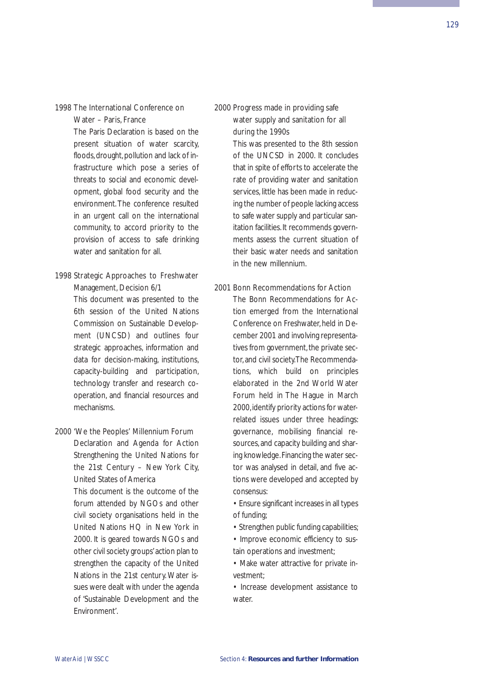### 1998 The International Conference on Water – Paris, France

The Paris Declaration is based on the present situation of water scarcity, floods, drought, pollution and lack of infrastructure which pose a series of threats to social and economic development, global food security and the environment. The conference resulted in an urgent call on the international community, to accord priority to the provision of access to safe drinking water and sanitation for all.

### 1998 Strategic Approaches to Freshwater Management, Decision 6/1

This document was presented to the 6th session of the United Nations Commission on Sustainable Development (UNCSD) and outlines four strategic approaches, information and data for decision-making, institutions, capacity-building and participation, technology transfer and research cooperation, and financial resources and mechanisms.

### 2000 'We the Peoples' Millennium Forum

Declaration and Agenda for Action Strengthening the United Nations for the 21st Century – New York City, United States of America

This document is the outcome of the forum attended by NGOs and other civil society organisations held in the United Nations HQ in New York in 2000. It is geared towards NGOs and other civil society groups'action plan to strengthen the capacity of the United Nations in the 21st century. Water issues were dealt with under the agenda of 'Sustainable Development and the Environment'.

## 2000 Progress made in providing safe water supply and sanitation for all during the 1990s

This was presented to the 8th session of the UNCSD in 2000. It concludes that in spite of efforts to accelerate the rate of providing water and sanitation services, little has been made in reducing the number of people lacking access to safe water supply and particular sanitation facilities. It recommends governments assess the current situation of their basic water needs and sanitation in the new millennium.

### 2001 Bonn Recommendations for Action

The Bonn Recommendations for Action emerged from the International Conference on Freshwater, held in December 2001 and involving representatives from government, the private sector, and civil society.The Recommendations, which build on principles elaborated in the 2nd World Water Forum held in The Hague in March 2000, identify priority actions for waterrelated issues under three headings: governance, mobilising financial resources, and capacity building and sharing knowledge.Financing the water sector was analysed in detail, and five actions were developed and accepted by consensus:

• Ensure significant increases in all types of funding;

• Strengthen public funding capabilities;

• Improve economic efficiency to sustain operations and investment;

• Make water attractive for private investment;

• Increase development assistance to water.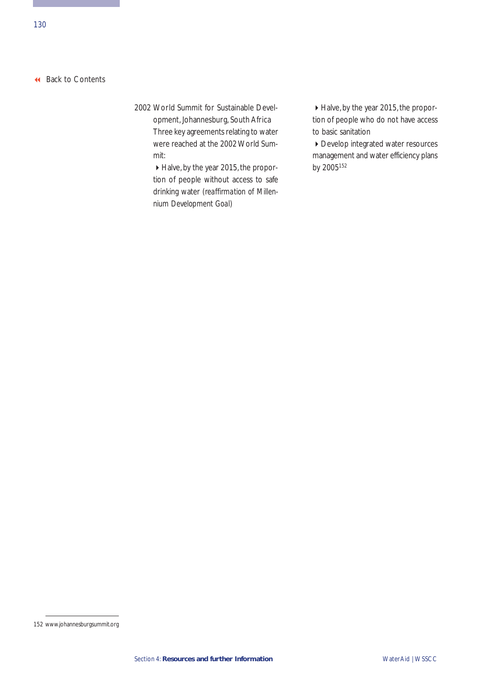# 2002 World Summit for Sustainable Development, Johannesburg, South Africa

Three key agreements relating to water were reached at the 2002 World Summit:

Halve, by the year 2015, the proportion of people without access to safe drinking water *(reaffirmation of Millennium Development Goal)*

Halve, by the year 2015, the proportion of people who do not have access to basic sanitation

▶ Develop integrated water resources management and water efficiency plans by 2005152

<sup>152</sup> www.johannesburgsummit.org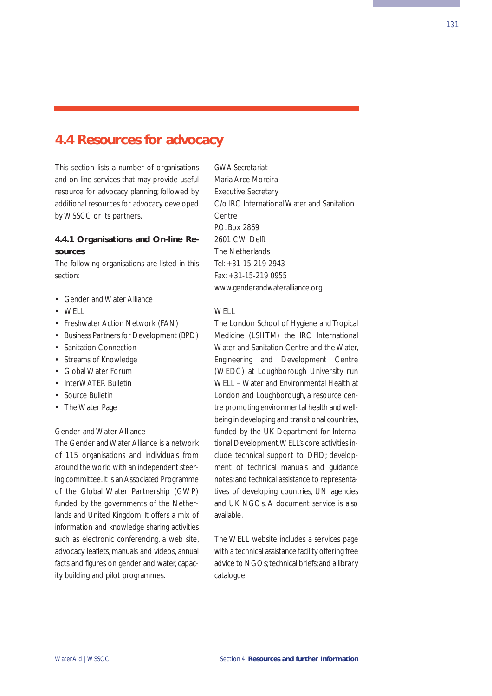# **4.4 Resources for advocacy**

This section lists a number of organisations and on-line services that may provide useful resource for advocacy planning; followed by additional resources for advocacy developed by WSSCC or its partners.

# **4.4.1 Organisations and On-line Resources**

The following organisations are listed in this section:

- Gender and Water Alliance
- $\bullet$  WFIL
- Freshwater Action Network (FAN)
- Business Partners for Development (BPD)
- Sanitation Connection
- Streams of Knowledge
- Global Water Forum
- InterWATER Bulletin
- Source Bulletin
- The Water Page

### Gender and Water Alliance

The Gender and Water Alliance is a network of 115 organisations and individuals from around the world with an independent steering committee.It is an Associated Programme of the Global Water Partnership (GWP) funded by the governments of the Netherlands and United Kingdom. It offers a mix of information and knowledge sharing activities such as electronic conferencing, a web site, advocacy leaflets, manuals and videos, annual facts and figures on gender and water, capacity building and pilot programmes.

*GWA Secretariat* Maria Arce Moreira Executive Secretary C/o IRC International Water and Sanitation Centre P.O. Box 2869 2601 CW Delft The Netherlands Tel: +31-15-219 2943 Fax: +31-15-219 0955 www.genderandwateralliance.org

### W<sub>FLL</sub>

The London School of Hygiene and Tropical Medicine (LSHTM) the IRC International Water and Sanitation Centre and the Water, Engineering and Development Centre (WEDC) at Loughborough University run WELL – Water and Environmental Health at London and Loughborough, a resource centre promoting environmental health and wellbeing in developing and transitional countries, funded by the UK Department for International Development.WELL's core activities include technical support to DFID; development of technical manuals and guidance notes; and technical assistance to representatives of developing countries, UN agencies and UK NGOs. A document service is also available.

The WELL website includes a services page with a technical assistance facility offering free advice to NGOs; technical briefs; and a library catalogue.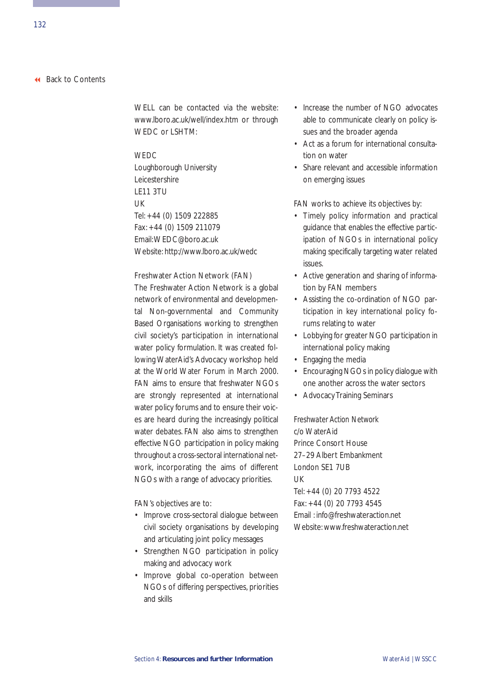WELL can be contacted via the website: www.lboro.ac.uk/well/index.htm or through WEDC or LSHTM:

### *WEDC*

Loughborough University Leicestershire LE11 3TU  $|$   $|$ Tel: +44 (0) 1509 222885 Fax: +44 (0) 1509 211079 Email:WEDC@boro.ac.uk Website: http://www.lboro.ac.uk/wedc

### Freshwater Action Network (FAN)

The Freshwater Action Network is a global network of environmental and developmental Non-governmental and Community Based Organisations working to strengthen civil society's participation in international water policy formulation. It was created following WaterAid's Advocacy workshop held at the World Water Forum in March 2000. FAN aims to ensure that freshwater NGOs are strongly represented at international water policy forums and to ensure their voices are heard during the increasingly political water debates. FAN also aims to strengthen effective NGO participation in policy making throughout a cross-sectoral international network, incorporating the aims of different NGOs with a range of advocacy priorities.

FAN's objectives are to:

- Improve cross-sectoral dialogue between civil society organisations by developing and articulating joint policy messages
- Strengthen NGO participation in policy making and advocacy work
- Improve global co-operation between NGOs of differing perspectives, priorities and skills
- Increase the number of NGO advocates able to communicate clearly on policy issues and the broader agenda
- Act as a forum for international consultation on water
- Share relevant and accessible information on emerging issues

FAN works to achieve its objectives by:

- Timely policy information and practical guidance that enables the effective participation of NGOs in international policy making specifically targeting water related issues.
- Active generation and sharing of information by FAN members
- Assisting the co-ordination of NGO participation in key international policy forums relating to water
- Lobbying for greater NGO participation in international policy making
- Engaging the media
- Encouraging NGOs in policy dialogue with one another across the water sectors
- Advocacy Training Seminars

*Freshwater Action Network* c/o WaterAid Prince Consort House 27–29 Albert Embankment London SE1 7UB UK Tel: +44 (0) 20 7793 4522 Fax: +44 (0) 20 7793 4545 Email : info@freshwateraction.net Website: www.freshwateraction.net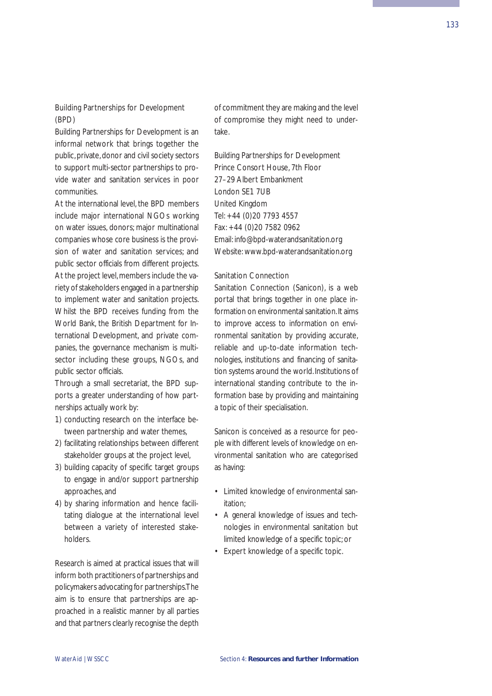Building Partnerships for Development is an informal network that brings together the public, private, donor and civil society sectors to support multi-sector partnerships to provide water and sanitation services in poor communities.

At the international level, the BPD members include major international NGOs working on water issues, donors; major multinational companies whose core business is the provision of water and sanitation services; and public sector officials from different projects. At the project level, members include the variety of stakeholders engaged in a partnership to implement water and sanitation projects. Whilst the BPD receives funding from the World Bank, the British Department for International Development, and private companies, the governance mechanism is multisector including these groups, NGOs, and public sector officials.

Through a small secretariat, the BPD supports a greater understanding of how partnerships actually work by:

- 1) conducting research on the interface between partnership and water themes,
- 2) facilitating relationships between different stakeholder groups at the project level,
- 3) building capacity of specific target groups to engage in and/or support partnership approaches, and
- 4) by sharing information and hence facilitating dialogue at the international level between a variety of interested stakeholders.

Research is aimed at practical issues that will inform both practitioners of partnerships and policymakers advocating for partnerships.The aim is to ensure that partnerships are approached in a realistic manner by all parties and that partners clearly recognise the depth of commitment they are making and the level of compromise they might need to undertake.

Building Partnerships for Development Prince Consort House, 7th Floor 27–29 Albert Embankment London SE1 7UB United Kingdom Tel: +44 (0)20 7793 4557 Fax: +44 (0)20 7582 0962 Email: info@bpd-waterandsanitation.org Website: www.bpd-waterandsanitation.org

### Sanitation Connection

Sanitation Connection (Sanicon), is a web portal that brings together in one place information on environmental sanitation.It aims to improve access to information on environmental sanitation by providing accurate, reliable and up-to-date information technologies, institutions and financing of sanitation systems around the world. Institutions of international standing contribute to the information base by providing and maintaining a topic of their specialisation.

Sanicon is conceived as a resource for people with different levels of knowledge on environmental sanitation who are categorised as having:

- Limited knowledge of environmental sanitation;
- A general knowledge of issues and technologies in environmental sanitation but limited knowledge of a specific topic; or
- Expert knowledge of a specific topic.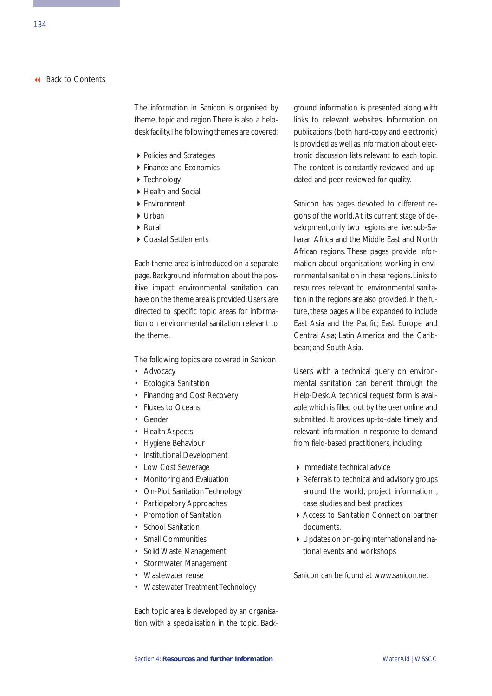The information in Sanicon is organised by theme, topic and region.There is also a helpdesk facility.The following themes are covered:

- ▶ Policies and Strategies
- ▶ Finance and Economics
- ▶ Technology
- ▶ Health and Social
- **F**nvironment
- $\blacktriangleright$  Urban
- Rural
- ▶ Coastal Settlements

Each theme area is introduced on a separate page.Background information about the positive impact environmental sanitation can have on the theme area is provided. Users are directed to specific topic areas for information on environmental sanitation relevant to the theme.

The following topics are covered in Sanicon

- Advocacy
- Ecological Sanitation
- Financing and Cost Recovery
- Fluxes to Oceans
- Gender
- Health Aspects
- Hygiene Behaviour
- Institutional Development
- Low Cost Sewerage
- Monitoring and Evaluation
- On-Plot Sanitation Technology
- Participatory Approaches
- Promotion of Sanitation
- School Sanitation
- Small Communities
- Solid Waste Management
- Stormwater Management
- Wastewater reuse
- Wastewater Treatment Technology

Each topic area is developed by an organisation with a specialisation in the topic. Background information is presented along with links to relevant websites. Information on publications (both hard-copy and electronic) is provided as well as information about electronic discussion lists relevant to each topic. The content is constantly reviewed and updated and peer reviewed for quality.

Sanicon has pages devoted to different regions of the world.At its current stage of development, only two regions are live: sub-Saharan Africa and the Middle East and North African regions. These pages provide information about organisations working in environmental sanitation in these regions.Links to resources relevant to environmental sanitation in the regions are also provided. In the future, these pages will be expanded to include East Asia and the Pacific; East Europe and Central Asia; Latin America and the Caribbean; and South Asia.

Users with a technical query on environmental sanitation can benefit through the Help-Desk. A technical request form is available which is filled out by the user online and submitted. It provides up-to-date timely and relevant information in response to demand from field-based practitioners, including:

- Immediate technical advice
- Referrals to technical and advisory groups around the world, project information , case studies and best practices
- Access to Sanitation Connection partner documents.
- Updates on on-going international and national events and workshops

Sanicon can be found at www.sanicon.net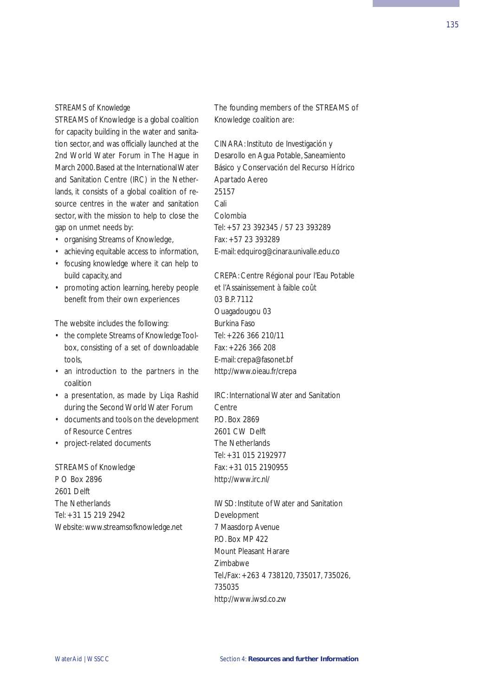### *STREAMS of Knowledge*

STREAMS of Knowledge is a global coalition for capacity building in the water and sanitation sector, and was officially launched at the 2nd World Water Forum in The Hague in March 2000.Based at the International Water and Sanitation Centre (IRC) in the Netherlands, it consists of a global coalition of resource centres in the water and sanitation sector, with the mission to help to close the gap on unmet needs by:

- organising Streams of Knowledge,
- achieving equitable access to information,
- focusing knowledge where it can help to build capacity, and
- promoting action learning, hereby people benefit from their own experiences

The website includes the following:

- the complete Streams of Knowledge Toolbox, consisting of a set of downloadable tools,
- an introduction to the partners in the coalition
- a presentation, as made by Liqa Rashid during the Second World Water Forum
- documents and tools on the development of Resource Centres
- project-related documents

STREAMS of Knowledge P O Box 2896 2601 Delft The Netherlands Tel: +31 15 219 2942 Website: www.streamsofknowledge.net The founding members of the STREAMS of Knowledge coalition are:

CINARA: Instituto de Investigación y Desarollo en Agua Potable, Saneamiento Básico y Conservación del Recurso Hídrico Apartado Aereo 25157 Cali Colombia Tel: +57 23 392345 / 57 23 393289 Fax: +57 23 393289 E-mail: edquirog@cinara.univalle.edu.co

CREPA: Centre Régional pour l'Eau Potable et l'Assainissement à faible coût 03 B.P. 7112 Ouagadougou 03 Burkina Faso Tel: +226 366 210/11 Fax: +226 366 208 E-mail: crepa@fasonet.bf http://www.oieau.fr/crepa

IRC: International Water and Sanitation Centre P.O. Box 2869 2601 CW Delft The Netherlands Tel: +31 015 2192977 Fax: +31 015 2190955 http://www.irc.nl/

IWSD: Institute of Water and Sanitation Development 7 Maasdorp Avenue P.O. Box MP 422 Mount Pleasant Harare Zimbabwe Tel./Fax: +263 4 738120, 735017, 735026, 735035 http://www.iwsd.co.zw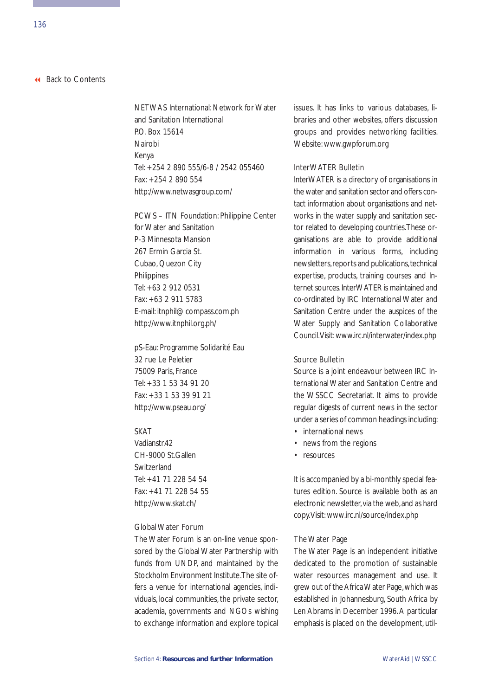NETWAS International: Network for Water and Sanitation International P.O. Box 15614 Nairobi Kenya Tel: +254 2 890 555/6-8 / 2542 055460 Fax: +254 2 890 554 http://www.netwasgroup.com/

PCWS – ITN Foundation: Philippine Center for Water and Sanitation P-3 Minnesota Mansion 267 Ermin Garcia St. Cubao, Quezon City Philippines Tel: +63 2 912 0531 Fax: +63 2 911 5783 E-mail: itnphil@ compass.com.ph http://www.itnphil.org.ph/

pS-Eau: Programme Solidarité Eau 32 rue Le Peletier 75009 Paris, France Tel: +33 1 53 34 91 20 Fax: +33 1 53 39 91 21 http://www.pseau.org/

### **SKAT**

Vadianstr<sub>42</sub> CH-9000 St.Gallen Switzerland Tel: +41 71 228 54 54 Fax: +41 71 228 54 55 http://www.skat.ch/

#### Global Water Forum

The Water Forum is an on-line venue sponsored by the Global Water Partnership with funds from UNDP, and maintained by the Stockholm Environment Institute.The site offers a venue for international agencies, individuals, local communities, the private sector, academia, governments and NGOs wishing to exchange information and explore topical issues. It has links to various databases, libraries and other websites, offers discussion groups and provides networking facilities. Website: www.gwpforum.org

### InterWATER Bulletin

InterWATER is a directory of organisations in the water and sanitation sector and offers contact information about organisations and networks in the water supply and sanitation sector related to developing countries.These organisations are able to provide additional information in various forms, including newsletters, reports and publications, technical expertise, products, training courses and Internet sources.InterWATER is maintained and co-ordinated by IRC International Water and Sanitation Centre under the auspices of the Water Supply and Sanitation Collaborative Council.Visit: www.irc.nl/interwater/index.php

#### Source Bulletin

Source is a joint endeavour between IRC International Water and Sanitation Centre and the WSSCC Secretariat. It aims to provide regular digests of current news in the sector under a series of common headings including:

- international news
- news from the regions
- resources

It is accompanied by a bi-monthly special features edition. Source is available both as an electronic newsletter via the web, and as hard copy.Visit: www.irc.nl/source/index.php

#### The Water Page

The Water Page is an independent initiative dedicated to the promotion of sustainable water resources management and use. It grew out of the Africa Water Page, which was established in Johannesburg, South Africa by Len Abrams in December 1996.A particular emphasis is placed on the development, util-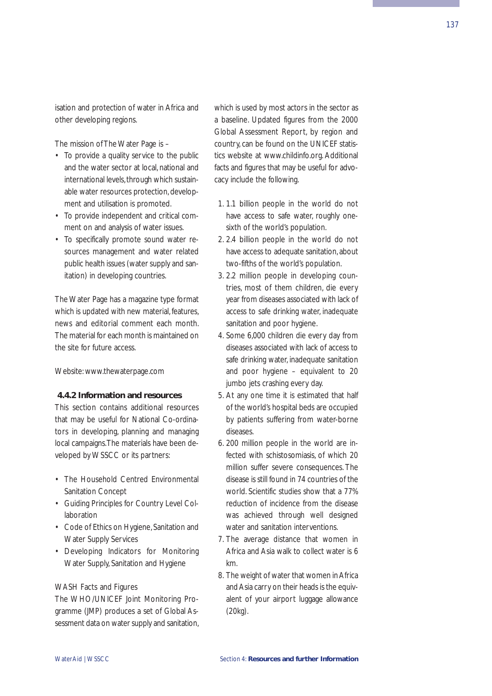137

isation and protection of water in Africa and other developing regions.

The mission of The Water Page is –

- To provide a quality service to the public and the water sector at local, national and international levels, through which sustainable water resources protection, development and utilisation is promoted.
- To provide independent and critical comment on and analysis of water issues.
- To specifically promote sound water resources management and water related public health issues (water supply and sanitation) in developing countries.

The Water Page has a magazine type format which is updated with new material, features, news and editorial comment each month. The material for each month is maintained on the site for future access.

Website: www.thewaterpage.com

### **4.4.2 Information and resources**

This section contains additional resources that may be useful for National Co-ordinators in developing, planning and managing local campaigns.The materials have been developed by WSSCC or its partners:

- The Household Centred Environmental Sanitation Concept
- Guiding Principles for Country Level Collaboration
- Code of Ethics on Hygiene, Sanitation and Water Supply Services
- Developing Indicators for Monitoring Water Supply, Sanitation and Hygiene

### WASH Facts and Figures

The WHO/UNICEF Joint Monitoring Programme (JMP) produces a set of Global Assessment data on water supply and sanitation, which is used by most actors in the sector as a baseline. Updated figures from the 2000 Global Assessment Report, by region and country, can be found on the UNICEF statistics website at www.childinfo.org. Additional facts and figures that may be useful for advocacy include the following.

- 1. 1.1 billion people in the world do not have access to safe water, roughly onesixth of the world's population.
- 2. 2.4 billion people in the world do not have access to adequate sanitation, about two-fifths of the world's population.
- 3. 2.2 million people in developing countries, most of them children, die every year from diseases associated with lack of access to safe drinking water, inadequate sanitation and poor hygiene.
- 4. Some 6,000 children die every day from diseases associated with lack of access to safe drinking water, inadequate sanitation and poor hygiene – equivalent to 20 jumbo jets crashing every day.
- 5. At any one time it is estimated that half of the world's hospital beds are occupied by patients suffering from water-borne diseases.
- 6. 200 million people in the world are infected with schistosomiasis, of which 20 million suffer severe consequences. The disease is still found in 74 countries of the world. Scientific studies show that a 77% reduction of incidence from the disease was achieved through well designed water and sanitation interventions.
- 7. The average distance that women in Africa and Asia walk to collect water is 6 km.
- 8. The weight of water that women in Africa and Asia carry on their heads is the equivalent of your airport luggage allowance (20kg).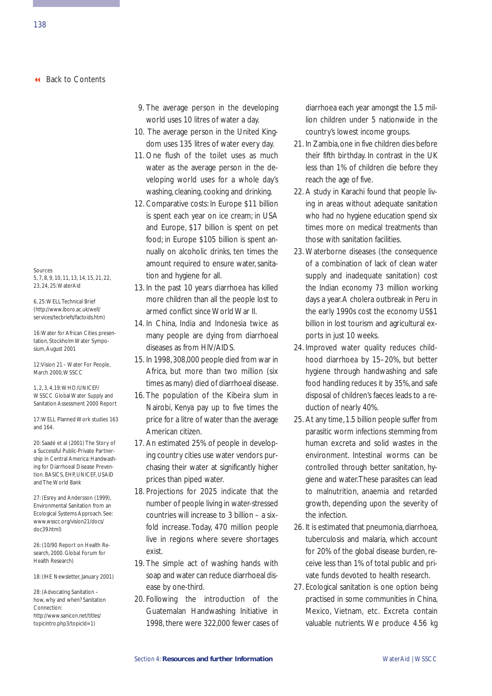Sources

5, 7, 8, 9, 10, 11, 13, 14, 15, 21, 22, 23, 24, 25:WaterAid

6, 25:WELL Technical Brief (http://www.lboro.ac.uk/well/ services/tecbriefs/factoids.htm)

16:Water for African Cities presentation, Stockholm Water Symposium, August 2001

12:Vision 21 – Water For People, March 2000, WSSCC

1, 2, 3, 4,19:WHO/UNICEF/ WSSCC Global Water Supply and Sanitation Assessment 2000 Report

17:WELL Planned Work studies 163 and 164.

20: Saadé et al (2001) The Story of a Successful Public-Private Partnership in Central America: Handwashing for Diarrhoeal Disease Prevention. BASICS, EHP, UNICEF, USAID and The World Bank

27: (Esrey and Andersson (1999), Environmental Sanitation from an Ecological Systems Approach. See: www.wsscc.org/vision21/docs/ doc39.html)

26: (10/90 Report on Health Research, 2000. Global Forum for Health Research)

18: (IHE Newsletter, January 2001)

28: (Advocating Sanitation – how, why and when? Sanitation Connection: http://www.sanicon.net/titles/ topicintro.php3/topicId=1)

- 9. The average person in the developing world uses 10 litres of water a day.
- 10. The average person in the United Kingdom uses 135 litres of water every day.
- 11. One flush of the toilet uses as much water as the average person in the developing world uses for a whole day's washing, cleaning, cooking and drinking.
- 12. Comparative costs: In Europe \$11 billion is spent each year on ice cream; in USA and Europe, \$17 billion is spent on pet food; in Europe \$105 billion is spent annually on alcoholic drinks, ten times the amount required to ensure water, sanitation and hygiene for all.
- 13. In the past 10 years diarrhoea has killed more children than all the people lost to armed conflict since World War II.
- 14. In China, India and Indonesia twice as many people are dying from diarrhoeal diseases as from HIV/AIDS.
- 15. In 1998, 308,000 people died from war in Africa, but more than two million (six times as many) died of diarrhoeal disease.
- 16. The population of the Kibeira slum in Nairobi, Kenya pay up to five times the price for a litre of water than the average American citizen.
- 17. An estimated 25% of people in developing country cities use water vendors purchasing their water at significantly higher prices than piped water.
- 18. Projections for 2025 indicate that the number of people living in water-stressed countries will increase to 3 billion – a sixfold increase. Today, 470 million people live in regions where severe shortages exist.
- 19. The simple act of washing hands with soap and water can reduce diarrhoeal disease by one-third.
- 20. Following the introduction of the Guatemalan Handwashing Initiative in 1998, there were 322,000 fewer cases of

diarrhoea each year amongst the 1.5 million children under 5 nationwide in the country's lowest income groups.

- 21. In Zambia,one in five children dies before their fifth birthday. In contrast in the UK less than 1% of children die before they reach the age of five.
- 22. A study in Karachi found that people living in areas without adequate sanitation who had no hygiene education spend six times more on medical treatments than those with sanitation facilities.
- 23. Waterborne diseases (the consequence of a combination of lack of clean water supply and inadequate sanitation) cost the Indian economy 73 million working days a year.A cholera outbreak in Peru in the early 1990s cost the economy US\$1 billion in lost tourism and agricultural exports in just 10 weeks.
- 24. Improved water quality reduces childhood diarrhoea by 15–20%, but better hygiene through handwashing and safe food handling reduces it by 35%, and safe disposal of children's faeces leads to a reduction of nearly 40%.
- 25. At any time, 1.5 billion people suffer from parasitic worm infections stemming from human excreta and solid wastes in the environment. Intestinal worms can be controlled through better sanitation, hygiene and water.These parasites can lead to malnutrition, anaemia and retarded growth, depending upon the severity of the infection.
- 26. It is estimated that pneumonia, diarrhoea, tuberculosis and malaria, which account for 20% of the global disease burden, receive less than 1% of total public and private funds devoted to health research.
- 27. Ecological sanitation is one option being practised in some communities in China, Mexico, Vietnam, etc. Excreta contain valuable nutrients. We produce 4.56 kg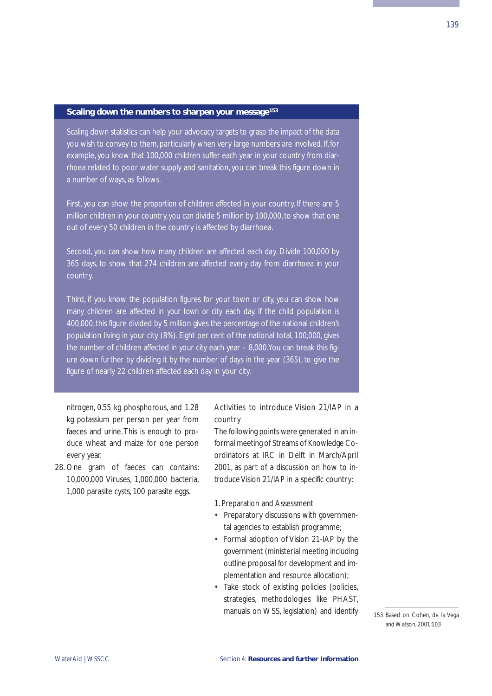#### **Scaling down the numbers to sharpen your message153**

Scaling down statistics can help your advocacy targets to grasp the impact of the data you wish to convey to them, particularly when very large numbers are involved. If, for example, you know that 100,000 children suffer each year in your country from diarrhoea related to poor water supply and sanitation, you can break this figure down in a number of ways, as follows.

First, you can show the *proportion* of children affected in your country. If there are 5 million children in your country, you can divide 5 million by 100,000, to show that one out of every 50 children in the country is affected by diarrhoea.

Second, you can show how many children are affected *each day*. Divide 100,000 by 365 days, to show that 274 children are affected every day from diarrhoea in your

Third, if you know the population figures for your town or city, you can show how many children are affected *in your town or city* each day. If the child population is 400,000, this figure divided by 5 million gives the percentage of the national children's population living in your city (8%). Eight per cent of the national total, 100,000, gives the number of children affected in your city each year – 8,000.You can break this figure down further by dividing it by the number of days in the year (365), to give the figure of nearly 22 children affected each day in your city.

nitrogen, 0.55 kg phosphorous, and 1.28 kg potassium per person per year from faeces and urine. This is enough to produce wheat and maize for one person every year.

28. One gram of faeces can contains: 10,000,000 Viruses, 1,000,000 bacteria, 1,000 parasite cysts, 100 parasite eggs.

# Activities to introduce Vision 21/IAP in a country

The following points were generated in an informal meeting of Streams of Knowledge Coordinators at IRC in Delft in March/April 2001, as part of a discussion on how to introduce Vision 21/IAP in a specific country:

- 1. Preparation and Assessment
- Preparatory discussions with governmental agencies to establish programme;
- Formal adoption of Vision 21-IAP by the government (ministerial meeting including outline proposal for development and implementation and resource allocation);
- Take stock of existing policies (policies, strategies, methodologies like PHAST, manuals on WSS, legislation) and identify

153 Based on Cohen, de la Vega and Watson, 2001:103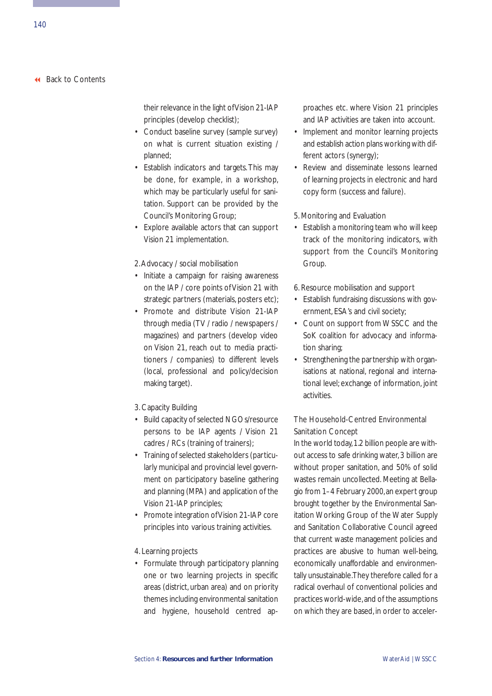their relevance in the light of Vision 21-IAP principles (develop checklist);

- Conduct baseline survey (sample survey) on what is current situation existing / planned;
- Establish indicators and targets. This may be done, for example, in a workshop, which may be particularly useful for sanitation. Support can be provided by the Council's Monitoring Group;
- Explore available actors that can support Vision 21 implementation.

#### 2.Advocacy / social mobilisation

- Initiate a campaign for raising awareness on the IAP / core points of Vision 21 with strategic partners (materials, posters etc);
- Promote and distribute Vision 21-IAP through media (TV / radio / newspapers / magazines) and partners (develop video on Vision 21, reach out to media practitioners / companies) to different levels (local, professional and policy/decision making target).
- 3. Capacity Building
- Build capacity of selected NGOs/resource persons to be IAP agents / Vision 21 cadres / RCs (training of trainers);
- Training of selected stakeholders (particularly municipal and provincial level government on participatory baseline gathering and planning (MPA) and application of the Vision 21-IAP principles;
- Promote integration of Vision 21-IAP core principles into various training activities.
- 4. Learning projects
- Formulate through participatory planning one or two learning projects in specific areas (district, urban area) and on priority themes including environmental sanitation and hygiene, household centred ap-

proaches etc. where Vision 21 principles and IAP activities are taken into account.

- Implement and monitor learning projects and establish action plans working with different actors (synergy);
- Review and disseminate lessons learned of learning projects in electronic and hard copy form (success and failure).
- 5. Monitoring and Evaluation
- Establish a monitoring team who will keep track of the monitoring indicators, with support from the Council's Monitoring Group.
- 6. Resource mobilisation and support
- Establish fundraising discussions with government, ESA's and civil society;
- Count on support from WSSCC and the SoK coalition for advocacy and information sharing;
- Strengthening the partnership with organisations at national, regional and international level; exchange of information, joint activities.

# The Household-Centred Environmental Sanitation Concept

In the world today,1.2 billion people are without access to safe drinking water, 3 billion are without proper sanitation, and 50% of solid wastes remain uncollected. Meeting at Bellagio from 1–4 February 2000,an expert group brought together by the Environmental Sanitation Working Group of the Water Supply and Sanitation Collaborative Council agreed that current waste management policies and practices are abusive to human well-being, economically unaffordable and environmentally unsustainable.They therefore called for a radical overhaul of conventional policies and practices world-wide,and of the assumptions on which they are based, in order to acceler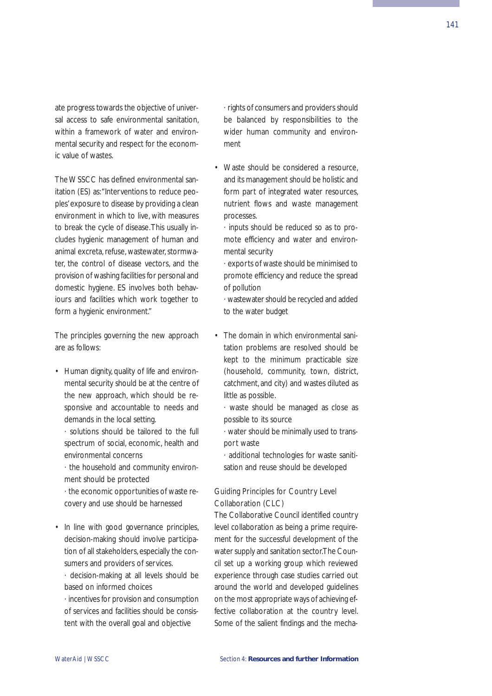ate progress towards the objective of universal access to safe environmental sanitation, within a framework of water and environmental security and respect for the economic value of wastes.

The WSSCC has defined environmental sanitation (ES) as:"Interventions to reduce peoples'exposure to disease by providing a clean environment in which to live, with measures to break the cycle of disease.This usually includes hygienic management of human and animal excreta, refuse, wastewater, stormwater, the control of disease vectors, and the provision of washing facilities for personal and domestic hygiene. ES involves both behaviours and facilities which work together to form a hygienic environment."

The principles governing the new approach are as follows:

- Human dignity, quality of life and environmental security should be at the centre of the new approach, which should be responsive and accountable to needs and demands in the local setting.
	- · solutions should be tailored to the full spectrum of social, economic, health and environmental concerns
	- · the household and community environment should be protected
	- · the economic opportunities of waste recovery and use should be harnessed
- In line with good governance principles, decision-making should involve participation of all stakeholders, especially the consumers and providers of services.
	- · decision-making at all levels should be based on informed choices
	- · incentives for provision and consumption of services and facilities should be consistent with the overall goal and objective

· rights of consumers and providers should be balanced by responsibilities to the wider human community and environment

- Waste should be considered a resource, and its management should be holistic and form part of integrated water resources, nutrient flows and waste management processes.
	- · inputs should be reduced so as to promote efficiency and water and environmental security
	- · exports of waste should be minimised to promote efficiency and reduce the spread of pollution
	- · wastewater should be recycled and added to the water budget
- The domain in which environmental sanitation problems are resolved should be kept to the minimum practicable size (household, community, town, district, catchment, and city) and wastes diluted as little as possible.
	- · waste should be managed as close as possible to its source
	- · water should be minimally used to transport waste
	- · additional technologies for waste sanitisation and reuse should be developed

# Guiding Principles for Country Level Collaboration (CLC)

The Collaborative Council identified country level collaboration as being a prime requirement for the successful development of the water supply and sanitation sector.The Council set up a working group which reviewed experience through case studies carried out around the world and developed guidelines on the most appropriate ways of achieving effective collaboration at the country level. Some of the salient findings and the mecha-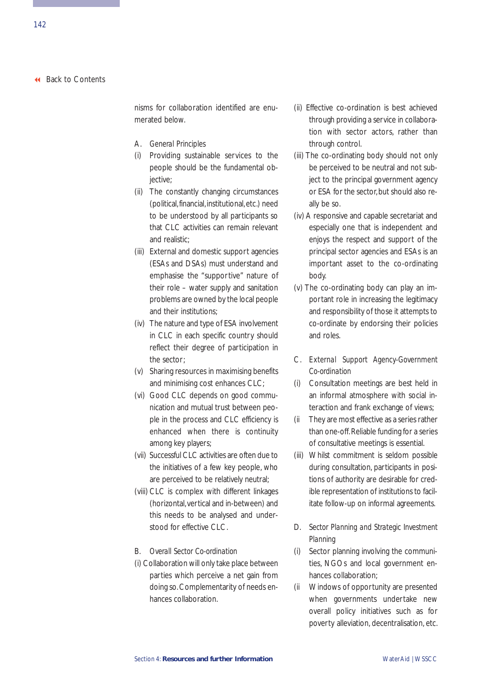nisms for collaboration identified are enumerated below.

- A. *General Principles*
- (i) Providing sustainable services to the people should be the fundamental objective;
- (ii) The constantly changing circumstances (political, financial, institutional, etc.) need to be understood by all participants so that CLC activities can remain relevant and realistic;
- (iii) External and domestic support agencies (ESAs and DSAs) must understand and emphasise the "supportive" nature of their role – water supply and sanitation problems are owned by the local people and their institutions;
- (iv) The nature and type of ESA involvement in CLC in each specific country should reflect their degree of participation in the sector;
- (v) Sharing resources in maximising benefits and minimising cost enhances CLC;
- (vi) Good CLC depends on good communication and mutual trust between people in the process and CLC efficiency is enhanced when there is continuity among key players;
- (vii) Successful CLC activities are often due to the initiatives of a few key people, who are perceived to be relatively neutral;
- (viii) CLC is complex with different linkages (horizontal,vertical and in-between) and this needs to be analysed and understood for effective CLC.
- B. *Overall Sector Co-ordination*
- (i) Collaboration will only take place between parties which perceive a net gain from doing so. Complementarity of needs enhances collaboration.
- (ii) Effective co-ordination is best achieved through providing a service in collaboration with sector actors, rather than through control.
- (iii) The co-ordinating body should not only be perceived to be neutral and not subject to the principal government agency or ESA for the sector, but should also really be so.
- (iv) A responsive and capable secretariat and especially one that is independent and enjoys the respect and support of the principal sector agencies and ESAs is an important asset to the co-ordinating body.
- (v) The co-ordinating body can play an important role in increasing the legitimacy and responsibility of those it attempts to co-ordinate by endorsing their policies and roles.
- C. *External Support Agency-Government Co-ordination*
- (i) Consultation meetings are best held in an informal atmosphere with social interaction and frank exchange of views;
- (ii They are most effective as a series rather than one-off.Reliable funding for a series of consultative meetings is essential.
- (iii) Whilst commitment is seldom possible during consultation, participants in positions of authority are desirable for credible representation of institutions to facilitate follow-up on informal agreements.
- D. *Sector Planning and Strategic Investment Planning*
- (i) Sector planning involving the communities, NGOs and local government enhances collaboration;
- (ii Windows of opportunity are presented when governments undertake new overall policy initiatives such as for poverty alleviation, decentralisation, etc.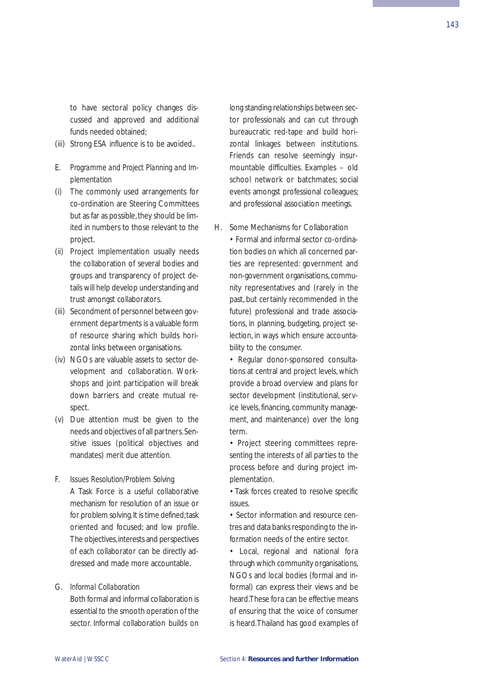143

to have sectoral policy changes discussed and approved and additional funds needed obtained;

- (iii) Strong ESA influence is to be avoided..
- E. *Programme and Project Planning and Implementation*
- (i) The commonly used arrangements for co-ordination are Steering Committees but as far as possible, they should be limited in numbers to those relevant to the project.
- (ii) Project implementation usually needs the collaboration of several bodies and groups and transparency of project details will help develop understanding and trust amongst collaborators.
- (iii) Secondment of personnel between government departments is a valuable form of resource sharing which builds horizontal links between organisations.
- (iv) NGOs are valuable assets to sector development and collaboration. Workshops and joint participation will break down barriers and create mutual respect.
- (v) Due attention must be given to the needs and objectives of all partners.Sensitive issues (political objectives and mandates) merit due attention.
- F. *Issues Resolution/Problem Solving* A Task Force is a useful collaborative mechanism for resolution of an issue or for problem solving. It is time defined; task oriented and focused; and low profile. The objectives, interests and perspectives of each collaborator can be directly addressed and made more accountable.

G. *Informal Collaboration* Both formal and informal collaboration is essential to the smooth operation of the

sector. Informal collaboration builds on

long standing relationships between sector professionals and can cut through bureaucratic red-tape and build horizontal linkages between institutions. Friends can resolve seemingly insurmountable difficulties. Examples – old school network or batchmates; social events amongst professional colleagues; and professional association meetings.

H. Some Mechanisms for Collaboration

• Formal and informal sector co-ordination bodies on which all concerned parties are represented: government and non-government organisations, community representatives and (rarely in the past, but certainly recommended in the future) professional and trade associations, in planning, budgeting, project selection, in ways which ensure accountability to the consumer.

• Regular donor-sponsored consultations at central and project levels, which provide a broad overview and plans for sector development (institutional, service levels, financing, community management, and maintenance) over the long term.

• Project steering committees representing the interests of all parties to the process before and during project implementation.

• Task forces created to resolve specific issues.

• Sector information and resource centres and data banks responding to the information needs of the entire sector.

• Local, regional and national fora through which community organisations, NGOs and local bodies (formal and informal) can express their views and be heard.These fora can be effective means of ensuring that the voice of consumer is heard.Thailand has good examples of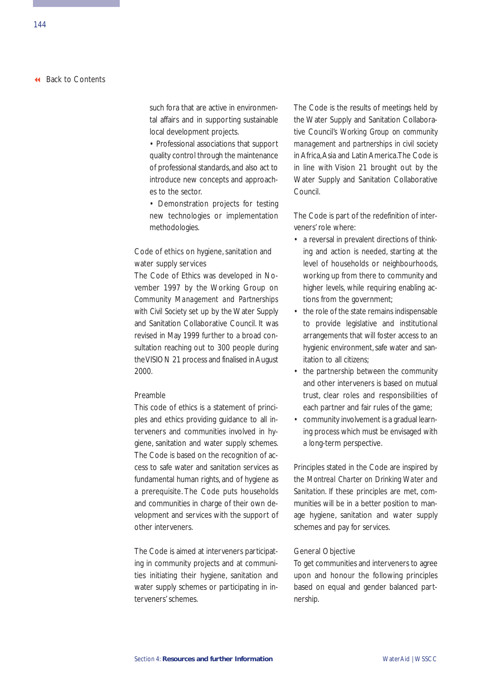such fora that are active in environmental affairs and in supporting sustainable local development projects.

• Professional associations that support quality control through the maintenance of professional standards, and also act to introduce new concepts and approaches to the sector.

• Demonstration projects for testing new technologies or implementation methodologies.

# Code of ethics on hygiene, sanitation and water supply services

The Code of Ethics was developed in November 1997 by the Working Group on *Community Management and Partnerships with Civil Society* set up by the Water Supply and Sanitation Collaborative Council. It was revised in May 1999 further to a broad consultation reaching out to 300 people during the VISION 21 process and finalised in August 2000.

#### Preamble

This code of ethics is a statement of principles and ethics providing guidance to all interveners and communities involved in hygiene, sanitation and water supply schemes. The Code is based on the recognition of access to safe water and sanitation services as fundamental human rights, and of hygiene as a prerequisite. The Code puts households and communities in charge of their own development and services with the support of other interveners.

The Code is aimed at interveners participating in community projects and at communities initiating their hygiene, sanitation and water supply schemes or participating in interveners' schemes.

The Code is the results of meetings held by the Water Supply and Sanitation Collaborative Council's *Working Group on community management and partnerships in civil society* in Africa,Asia and Latin America.The Code is in line with Vision 21 brought out by the Water Supply and Sanitation Collaborative Council.

The Code is part of the redefinition of interveners' role where:

- a reversal in prevalent directions of thinking and action is needed, starting at the level of households or neighbourhoods, working up from there to community and higher levels, while requiring enabling actions from the government;
- the role of the state remains indispensable to provide legislative and institutional arrangements that will foster access to an hygienic environment, safe water and sanitation to all citizens;
- the partnership between the community and other interveners is based on mutual trust, clear roles and responsibilities of each partner and fair rules of the game;
- community involvement is a gradual learning process which must be envisaged with a long-term perspective.

Principles stated in the Code are inspired by the *Montreal Charter on Drinking Water and Sanitation*. If these principles are met, communities will be in a better position to manage hygiene, sanitation and water supply schemes and pay for services.

# General Objective

To get communities and interveners to agree upon and honour the following principles based on equal and gender balanced partnership.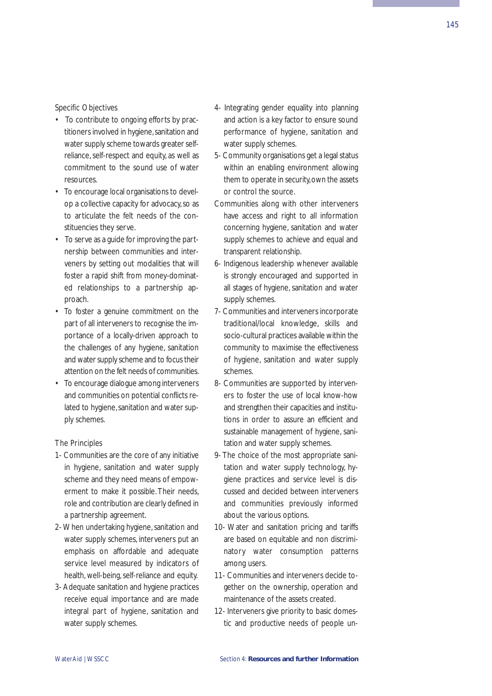### Specific Objectives

- To contribute to ongoing efforts by practitioners involved in hygiene, sanitation and water supply scheme towards greater selfreliance, self-respect and equity, as well as commitment to the sound use of water resources.
- To encourage local organisations to develop a collective capacity for advocacy, so as to articulate the felt needs of the constituencies they serve.
- To serve as a guide for improving the partnership between communities and interveners by setting out modalities that will foster a rapid shift from money-dominated relationships to a partnership approach.
- To foster a genuine commitment on the part of all interveners to recognise the importance of a locally-driven approach to the challenges of any hygiene, sanitation and water supply scheme and to focus their attention on the felt needs of communities.
- To encourage dialogue among interveners and communities on potential conflicts related to hygiene, sanitation and water supply schemes.

#### The Principles

- 1- Communities are the core of any initiative in hygiene, sanitation and water supply scheme and they need means of empowerment to make it possible. Their needs, role and contribution are clearly defined in a partnership agreement.
- 2- When undertaking hygiene, sanitation and water supply schemes, interveners put an emphasis on affordable and adequate service level measured by indicators of health, well-being, self-reliance and equity.
- 3- Adequate sanitation and hygiene practices receive equal importance and are made integral part of hygiene, sanitation and water supply schemes.
- 4- Integrating gender equality into planning and action is a key factor to ensure sound performance of hygiene, sanitation and water supply schemes.
- 5- Community organisations get a legal status within an enabling environment allowing them to operate in security, own the assets or control the source.
- Communities along with other interveners have access and right to all information concerning hygiene, sanitation and water supply schemes to achieve and equal and transparent relationship.
- 6- Indigenous leadership whenever available is strongly encouraged and supported in all stages of hygiene, sanitation and water supply schemes.
- 7- Communities and interveners incorporate traditional/local knowledge, skills and socio-cultural practices available within the community to maximise the effectiveness of hygiene, sanitation and water supply schemes.
- 8- Communities are supported by interveners to foster the use of local know-how and strengthen their capacities and institutions in order to assure an efficient and sustainable management of hygiene, sanitation and water supply schemes.
- 9- The choice of the most appropriate sanitation and water supply technology, hygiene practices and service level is discussed and decided between interveners and communities previously informed about the various options.
- 10- Water and sanitation pricing and tariffs are based on equitable and non discriminatory water consumption patterns among users.
- 11- Communities and interveners decide together on the ownership, operation and maintenance of the assets created.
- 12- Interveners give priority to basic domestic and productive needs of people un-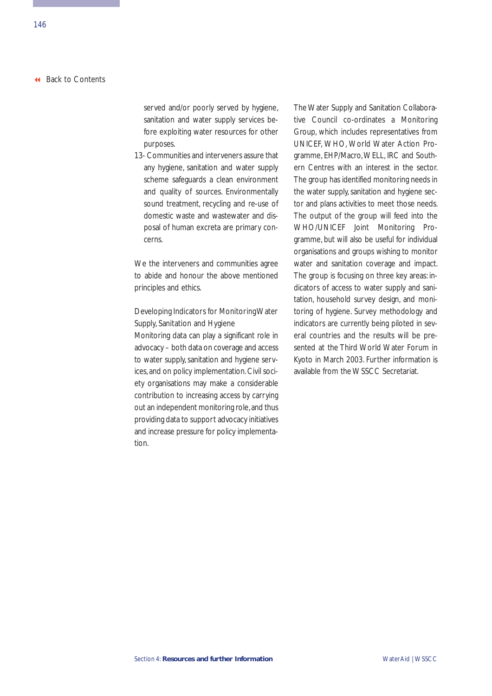served and/or poorly served by hygiene, sanitation and water supply services before exploiting water resources for other purposes.

13- Communities and interveners assure that any hygiene, sanitation and water supply scheme safeguards a clean environment and quality of sources. Environmentally sound treatment, recycling and re-use of domestic waste and wastewater and disposal of human excreta are primary concerns.

We the interveners and communities agree to abide and honour the above mentioned principles and ethics.

# Developing Indicators for Monitoring Water Supply, Sanitation and Hygiene

Monitoring data can play a significant role in advocacy – both data on coverage and access to water supply, sanitation and hygiene services, and on policy implementation. Civil society organisations may make a considerable contribution to increasing access by carrying out an independent monitoring role,and thus providing data to support advocacy initiatives and increase pressure for policy implementation.

The Water Supply and Sanitation Collaborative Council co-ordinates a Monitoring Group, which includes representatives from UNICEF, WHO, World Water Action Programme, EHP/Macro,WELL, IRC and Southern Centres with an interest in the sector. The group has identified monitoring needs in the water supply, sanitation and hygiene sector and plans activities to meet those needs. The output of the group will feed into the WHO/UNICEF Joint Monitoring Programme, but will also be useful for individual organisations and groups wishing to monitor water and sanitation coverage and impact. The group is focusing on three key areas: indicators of access to water supply and sanitation, household survey design, and monitoring of hygiene. Survey methodology and indicators are currently being piloted in several countries and the results will be presented at the Third World Water Forum in Kyoto in March 2003. Further information is available from the WSSCC Secretariat.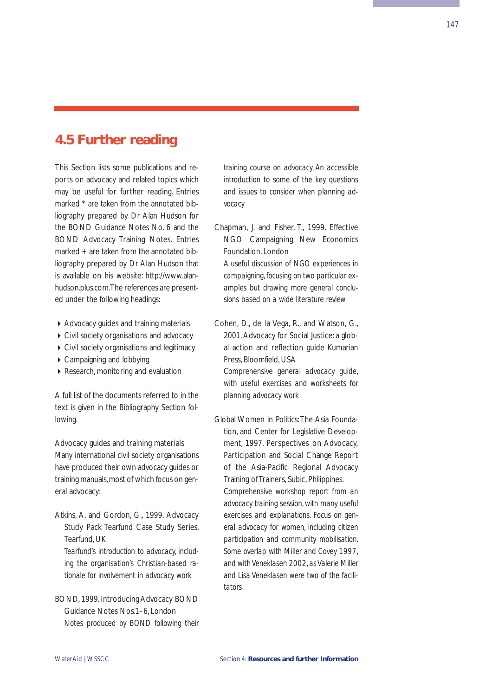# **4.5 Further reading**

This Section lists some publications and reports on advocacy and related topics which may be useful for further reading. Entries marked \* are taken from the annotated bibliography prepared by Dr Alan Hudson for the BOND Guidance Notes No. 6 and the BOND Advocacy Training Notes. Entries marked + are taken from the annotated bibliography prepared by Dr Alan Hudson that is available on his website: http://www.alanhudson.plus.com.The references are presented under the following headings:

- Advocacy guides and training materials
- Civil society organisations and advocacy
- ▶ Civil society organisations and legitimacy
- ▶ Campaigning and lobbying
- ▶ Research, monitoring and evaluation

A full list of the documents referred to in the text is given in the Bibliography Section following.

#### Advocacy guides and training materials

Many international civil society organisations have produced their own advocacy guides or training manuals, most of which focus on general advocacy:

Atkins, A. and Gordon, G., 1999. Advocacy Study Pack Tearfund Case Study Series, Tearfund, UK *Tearfund's introduction to advocacy, including the organisation's Christian-based ra-*

BOND, 1999. Introducing Advocacy BOND Guidance Notes Nos.1–6, London *Notes produced by BOND following their*

*tionale for involvement in advocacy work*

*training course on advocacy. An accessible introduction to some of the key questions and issues to consider when planning advocacy*

Chapman, J. and Fisher, T., 1999. Effective NGO Campaigning New Economics Foundation, London

*A useful discussion of NGO experiences in campaigning, focusing on two particular examples but drawing more general conclusions based on a wide literature review*

Cohen, D., de la Vega, R., and Watson, G., 2001. Advocacy for Social Justice: a global action and reflection guide Kumarian Press, Bloomfield, USA

*Comprehensive general advocacy guide, with useful exercises and worksheets for planning advocacy work*

Global Women in Politics:The Asia Foundation, and Center for Legislative Development, 1997. Perspectives on Advocacy, Participation and Social Change Report of the Asia-Pacific Regional Advocacy Training of Trainers, Subic, Philippines. *Comprehensive workshop report from an advocacy training session, with many useful exercises and explanations. Focus on general advocacy for women, including citizen participation and community mobilisation. Some overlap with Miller and Covey 1997, and with Veneklasen 2002, as Valerie Miller and Lisa Veneklasen were two of the facilitators.*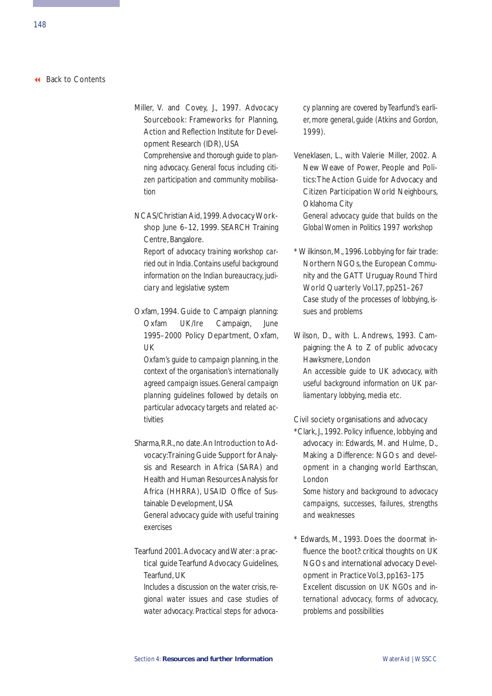- Miller, V. and Covey, J., 1997. Advocacy Sourcebook: Frameworks for Planning, Action and Reflection Institute for Development Research (IDR), USA *Comprehensive and thorough guide to planning advocacy. General focus including citizen participation and community mobilisation*
- NCAS/Christian Aid, 1999. Advocacy Workshop June 6-12, 1999. SEARCH Training Centre, Bangalore.

*Report of advocacy training workshop carried out in India. Contains useful background information on the Indian bureaucracy, judiciary and legislative system*

Oxfam, 1994. Guide to Campaign planning: Oxfam UK/Ire Campaign, June 1995–2000 Policy Department, Oxfam, UK

*Oxfam's guide to campaign planning, in the context of the organisation's internationally agreed campaign issues. General campaign planning guidelines followed by details on particular advocacy targets and related activities*

- Sharma, R.R., no date. An Introduction to Advocacy:Training Guide Support for Analysis and Research in Africa (SARA) and Health and Human Resources Analysis for Africa (HHRRA), USAID Office of Sustainable Development, USA *General advocacy guide with useful training exercises*
- Tearfund 2001.Advocacy and Water:a practical guide Tearfund Advocacy Guidelines, Tearfund, UK

*Includes a discussion on the water crisis, regional water issues and case studies of water advocacy. Practical steps for advoca-* *cy planning are covered by Tearfund's earlier, more general, guide (Atkins and Gordon, 1999).*

- Veneklasen, L., with Valerie Miller, 2002. A New Weave of Power, People and Politics:The Action Guide for Advocacy and Citizen Participation World Neighbours, Oklahoma City *General advocacy guide that builds on the Global Women in Politics 1997 workshop*
- \* Wilkinson, M., 1996. Lobbying for fair trade: Northern NGOs, the European Community and the GATT Uruguay Round Third World Quarterly Vol.17, pp251-267 *Case study of the processes of lobbying, issues and problems*
- Wilson, D., with L. Andrews, 1993. Campaigning: the A to Z of public advocacy Hawksmere, London *An accessible guide to UK advocacy, with useful background information on UK parliamentary lobbying, media etc.*

### Civil society organisations and advocacy

\*Clark, J., 1992. Policy influence, lobbying and advocacy in: Edwards, M. and Hulme, D., Making a Difference: NGOs and development in a changing world Earthscan, London

*Some history and background to advocacy campaigns, successes, failures, strengths and weaknesses*

\* Edwards, M., 1993. Does the doormat influence the boot?: critical thoughts on UK NGOs and international advocacy Development in Practice Vol.3, pp163-175 *Excellent discussion on UK NGOs and international advocacy, forms of advocacy, problems and possibilities*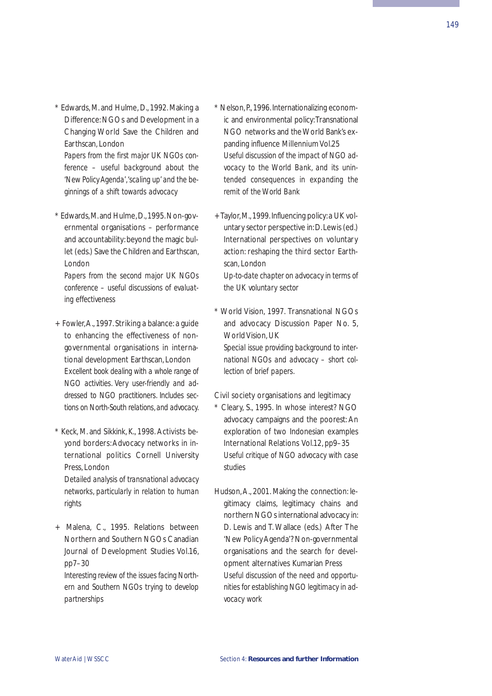\* Edwards, M. and Hulme, D., 1992. Making a Difference:NGOs and Development in a Changing World Save the Children and Earthscan, London

*Papers from the first major UK NGOs conference – useful background about the 'New Policy Agenda','scaling up' and the beginnings of a shift towards advocacy*

\* Edwards,M.and Hulme,D.,1995.Non-governmental organisations – performance and accountability:beyond the magic bullet (eds.) Save the Children and Earthscan, London

*Papers from the second major UK NGOs conference – useful discussions of evaluating effectiveness*

- + Fowler,A., 1997. Striking a balance: a guide to enhancing the effectiveness of nongovernmental organisations in international development Earthscan, London *Excellent book dealing with a whole range of NGO activities. Very user-friendly and addressed to NGO practitioners. Includes sections on North-South relations, and advocacy.*
- \* Keck, M. and Sikkink, K., 1998. Activists beyond borders: Advocacy networks in international politics Cornell University Press, London *Detailed analysis of transnational advocacy*

*networks, particularly in relation to human rights*

+ Malena, C., 1995. Relations between Northern and Southern NGOs Canadian Journal of Development Studies Vol.16, pp7–30

*Interesting review of the issues facing Northern and Southern NGOs trying to develop partnerships*

- \* Nelson, P., 1996. Internationalizing economic and environmental policy: Transnational NGO networks and the World Bank's expanding influence Millennium Vol.25 *Useful discussion of the impact of NGO advocacy to the World Bank, and its unintended consequences in expanding the remit of the World Bank*
- + Taylor, M., 1999. Influencing policy: a UK voluntary sector perspective in:D.Lewis (ed.) International perspectives on voluntary action: reshaping the third sector Earthscan, London

*Up-to-date chapter on advocacy in terms of the UK voluntary sector*

\* World Vision, 1997. Transnational NGOs and advocacy Discussion Paper No. 5, World Vision, UK

*Special issue providing background to international NGOs and advocacy – short collection of brief papers.*

#### Civil society organisations and legitimacy

- \* Cleary, S., 1995. In whose interest? NGO advocacy campaigns and the poorest: An exploration of two Indonesian examples International Relations Vol.12, pp9–35 *Useful critique of NGO advocacy with case studies*
- Hudson, A., 2001. Making the connection: legitimacy claims, legitimacy chains and northern NGOs international advocacy in: D. Lewis and T. Wallace (eds.) After The 'New Policy Agenda'? Non-governmental organisations and the search for development alternatives Kumarian Press *Useful discussion of the need and opportunities for establishing NGO legitimacy in advocacy work*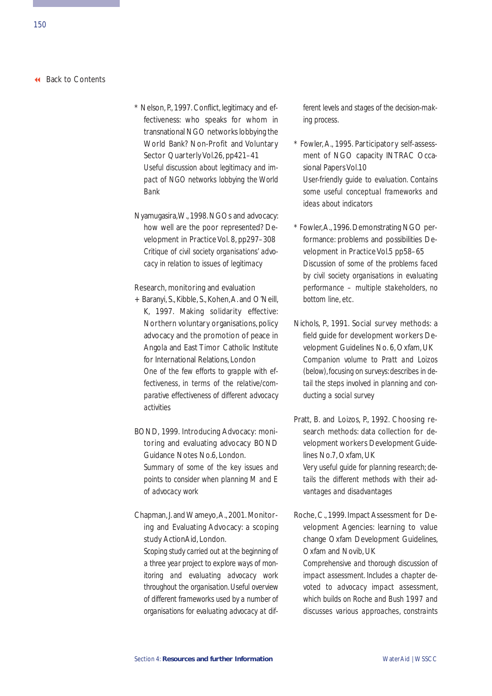- \* Nelson, P., 1997. Conflict, legitimacy and effectiveness: who speaks for whom in transnational NGO networks lobbying the World Bank? Non-Profit and Voluntary Sector Quarterly Vol.26, pp421-41 *Useful discussion about legitimacy and impact of NGO networks lobbying the World Bank*
- Nyamugasira,W., 1998. NGOs and advocacy: how well are the poor represented? Development in Practice Vol. 8, pp297-308 *Critique of civil society organisations' advocacy in relation to issues of legitimacy*

#### Research, monitoring and evaluation

- + Baranyi, S., Kibble, S., Kohen, A. and O'Neill, K, 1997. Making solidarity effective: Northern voluntary organisations,policy advocacy and the promotion of peace in Angola and East Timor Catholic Institute for International Relations, London *One of the few efforts to grapple with effectiveness, in terms of the relative/comparative effectiveness of different advocacy activities*
- BOND, 1999. Introducing Advocacy: monitoring and evaluating advocacy BOND Guidance Notes No.6, London. *Summary of some of the key issues and points to consider when planning M and E of advocacy work*
- Chapman, J. and Wameyo,A., 2001. Monitoring and Evaluating Advocacy: a scoping study ActionAid, London.

*Scoping study carried out at the beginning of a three year project to explore ways of monitoring and evaluating advocacy work throughout the organisation. Useful overview of different frameworks used by a number of organisations for evaluating advocacy at dif-* *ferent levels and stages of the decision-making process.*

- \* Fowler, A., 1995. Participatory self-assessment of NGO capacity INTRAC Occasional Papers Vol.10 *User-friendly guide to evaluation. Contains some useful conceptual frameworks and ideas about indicators*
- \* Fowler,A., 1996. Demonstrating NGO performance: problems and possibilities Development in Practice Vol.5 pp58-65 *Discussion of some of the problems faced by civil society organisations in evaluating performance – multiple stakeholders, no bottom line, etc.*
- Nichols, P., 1991. Social survey methods: a field guide for development workers Development Guidelines No. 6, Oxfam, UK *Companion volume to Pratt and Loizos (below), focusing on surveys: describes in detail the steps involved in planning and conducting a social survey*
- Pratt, B. and Loizos, P. 1992. Choosing research methods: data collection for development workers Development Guidelines No.7, Oxfam, UK *Very useful guide for planning research; de-*

*tails the different methods with their advantages and disadvantages*

Roche, C., 1999. Impact Assessment for Development Agencies: learning to value change Oxfam Development Guidelines, Oxfam and Novib, UK

*Comprehensive and thorough discussion of impact assessment. Includes a chapter devoted to advocacy impact assessment, which builds on Roche and Bush 1997 and discusses various approaches, constraints*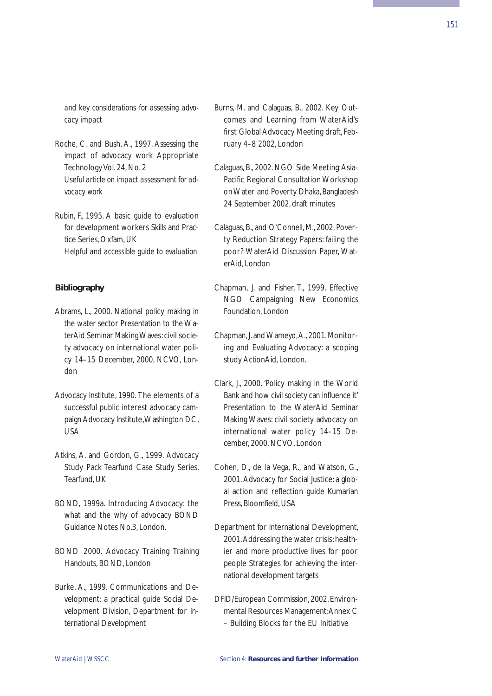*and key considerations for assessing advocacy impact* 

- Roche, C. and Bush, A., 1997. Assessing the impact of advocacy work Appropriate Technology Vol. 24, No. 2 *Useful article on impact assessment for advocacy work*
- Rubin, F., 1995. A basic guide to evaluation for development workers Skills and Practice Series, Oxfam, UK *Helpful and accessible guide to evaluation*

## **Bibliography**

- Abrams, L., 2000. National policy making in the water sector Presentation to the WaterAid Seminar Making Waves: civil society advocacy on international water policy 14–15 December, 2000, NCVO, London
- Advocacy Institute, 1990. The elements of a successful public interest advocacy campaign Advocacy Institute,Washington DC, USA
- Atkins, A. and Gordon, G., 1999. Advocacy Study Pack Tearfund Case Study Series, Tearfund, UK
- BOND, 1999a. Introducing Advocacy: the what and the why of advocacy BOND Guidance Notes No.3, London.
- BOND 2000. Advocacy Training Training Handouts, BOND, London
- Burke, A., 1999. Communications and Development: a practical guide Social Development Division, Department for International Development
- Burns, M. and Calaguas, B., 2002. Key Outcomes and Learning from WaterAid's first Global Advocacy Meeting draft, February 4–8 2002, London
- Calaguas, B., 2002. NGO Side Meeting:Asia-Pacific Regional Consultation Workshop on Water and Poverty Dhaka, Bangladesh 24 September 2002, draft minutes
- Calaguas, B., and O'Connell, M., 2002. Poverty Reduction Strategy Papers: failing the poor? WaterAid Discussion Paper, WaterAid, London
- Chapman, J. and Fisher, T., 1999. Effective NGO Campaigning New Economics Foundation, London
- Chapman, J. and Wameyo,A., 2001. Monitoring and Evaluating Advocacy: a scoping study ActionAid, London.
- Clark, J., 2000. 'Policy making in the World Bank and how civil society can influence it' Presentation to the WaterAid Seminar Making Waves: civil society advocacy on international water policy 14–15 December, 2000, NCVO, London
- Cohen, D., de la Vega, R., and Watson, G., 2001. Advocacy for Social Justice: a global action and reflection guide Kumarian Press, Bloomfield, USA
- Department for International Development, 2001. Addressing the water crisis: healthier and more productive lives for poor people Strategies for achieving the international development targets
- DFID/European Commission, 2002. Environmental Resources Management:Annex C – Building Blocks for the EU Initiative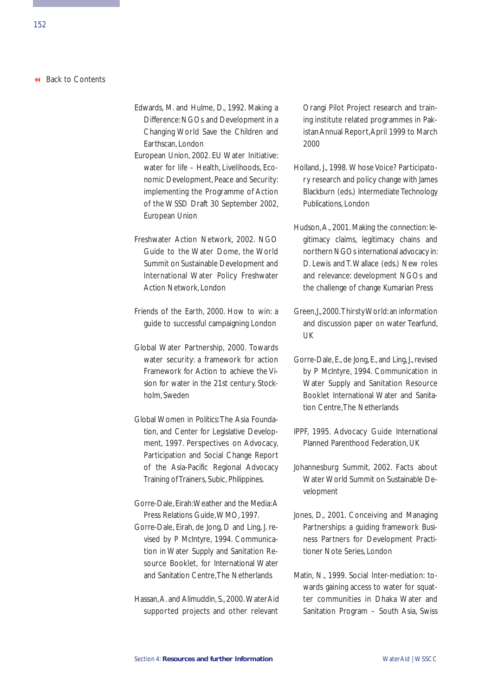- Edwards, M. and Hulme, D., 1992. Making a Difference:NGOs and Development in a Changing World Save the Children and Earthscan, London
- European Union, 2002. EU Water Initiative: water for life – Health, Livelihoods, Economic Development, Peace and Security: implementing the Programme of Action of the WSSD Draft 30 September 2002, European Union
- Freshwater Action Network, 2002. NGO Guide to the Water Dome, the World Summit on Sustainable Development and International Water Policy Freshwater Action Network, London
- Friends of the Earth, 2000. How to win: a guide to successful campaigning London
- Global Water Partnership, 2000. Towards water security: a framework for action Framework for Action to achieve the Vision for water in the 21st century. Stockholm, Sweden
- Global Women in Politics:The Asia Foundation, and Center for Legislative Development, 1997. Perspectives on Advocacy, Participation and Social Change Report of the Asia-Pacific Regional Advocacy Training of Trainers, Subic, Philippines.
- Gorre-Dale, Eirah:Weather and the Media:A Press Relations Guide,WMO, 1997.
- Gorre-Dale, Eirah, de Jong, D and Ling, J. revised by P McIntyre, 1994. Communication in Water Supply and Sanitation Resource Booklet, for International Water and Sanitation Centre,The Netherlands
- Hassan, A. and Alimuddin, S., 2000. WaterAid supported projects and other relevant

Orangi Pilot Project research and training institute related programmes in Pakistan Annual Report,April 1999 to March 2000

- Holland, J., 1998. Whose Voice? Participatory research and policy change with James Blackburn (eds.) Intermediate Technology Publications, London
- Hudson, A., 2001. Making the connection: legitimacy claims, legitimacy chains and northern NGOs international advocacy in: D. Lewis and T. Wallace (eds.) New roles and relevance: development NGOs and the challenge of change Kumarian Press
- Green,J.,2000.Thirsty World:an information and discussion paper on water Tearfund, UK
- Gorre-Dale, E., de Jong, E., and Ling, J., revised by P McIntyre, 1994. Communication in Water Supply and Sanitation Resource Booklet International Water and Sanitation Centre,The Netherlands
- IPPF, 1995. Advocacy Guide International Planned Parenthood Federation, UK
- Johannesburg Summit, 2002. Facts about Water World Summit on Sustainable Development
- Jones, D., 2001. Conceiving and Managing Partnerships: a guiding framework Business Partners for Development Practitioner Note Series, London
- Matin, N., 1999. Social Inter-mediation: towards gaining access to water for squatter communities in Dhaka Water and Sanitation Program – South Asia, Swiss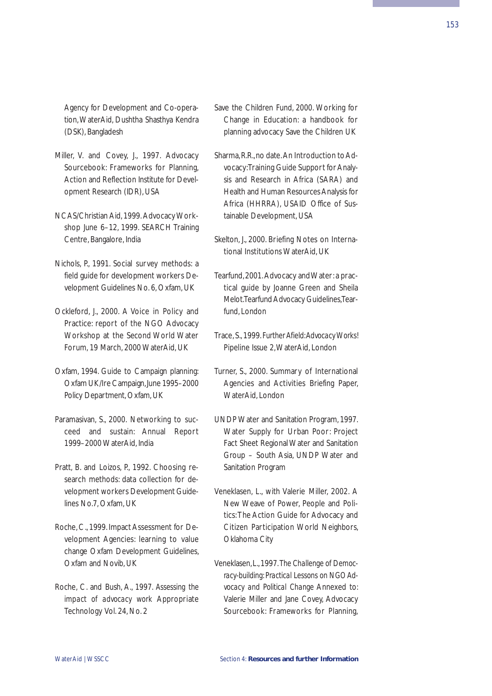Agency for Development and Co-operation, WaterAid, Dushtha Shasthya Kendra (DSK), Bangladesh

- Miller, V. and Covey, J., 1997. Advocacy Sourcebook: Frameworks for Planning, Action and Reflection Institute for Development Research (IDR), USA
- NCAS/Christian Aid, 1999. Advocacy Workshop June 6-12, 1999. SEARCH Training Centre, Bangalore, India
- Nichols, P., 1991. Social survey methods: a field guide for development workers Development Guidelines No. 6, Oxfam, UK
- Ockleford, J., 2000. A Voice in Policy and Practice: report of the NGO Advocacy Workshop at the Second World Water Forum, 19 March, 2000 WaterAid, UK
- Oxfam, 1994. Guide to Campaign planning: Oxfam UK/Ire Campaign,June 1995–2000 Policy Department, Oxfam, UK
- Paramasivan, S., 2000. Networking to succeed and sustain: Annual Report 1999–2000 WaterAid, India
- Pratt, B. and Loizos, P., 1992. Choosing research methods: data collection for development workers Development Guidelines No.7, Oxfam, UK
- Roche, C., 1999. Impact Assessment for Development Agencies: learning to value change Oxfam Development Guidelines, Oxfam and Novib, UK
- Roche, C. and Bush, A., 1997. *Assessing the impact of advocacy work* Appropriate Technology Vol. 24, No. 2
- Save the Children Fund, 2000. Working for Change in Education: a handbook for planning advocacy Save the Children UK
- Sharma, R.R., no date. An Introduction to Advocacy:Training Guide Support for Analysis and Research in Africa (SARA) and Health and Human Resources Analysis for Africa (HHRRA), USAID Office of Sustainable Development, USA
- Skelton, J., 2000. Briefing Notes on International Institutions WaterAid, UK
- Tearfund,2001.Advocacy and Water:a practical guide by Joanne Green and Sheila Melot.Tearfund Advocacy Guidelines,Tearfund, London
- Trace, S., 1999. *Further Afield:Advocacy Works!* Pipeline Issue 2, WaterAid, London
- Turner, S., 2000. Summary of International Agencies and Activities Briefing Paper, WaterAid, London
- UNDP Water and Sanitation Program, 1997. Water Supply for Urban Poor: Project Fact Sheet Regional Water and Sanitation Group – South Asia, UNDP Water and Sanitation Program
- Veneklasen, L., with Valerie Miller, 2002. A New Weave of Power, People and Politics:The Action Guide for Advocacy and Citizen Participation World Neighbors, Oklahoma City
- Veneklasen,L.,1997. *The Challenge of Democracy-building: Practical Lessons on NGO Advocacy and Political Change* Annexed to: Valerie Miller and Jane Covey, Advocacy Sourcebook: Frameworks for Planning,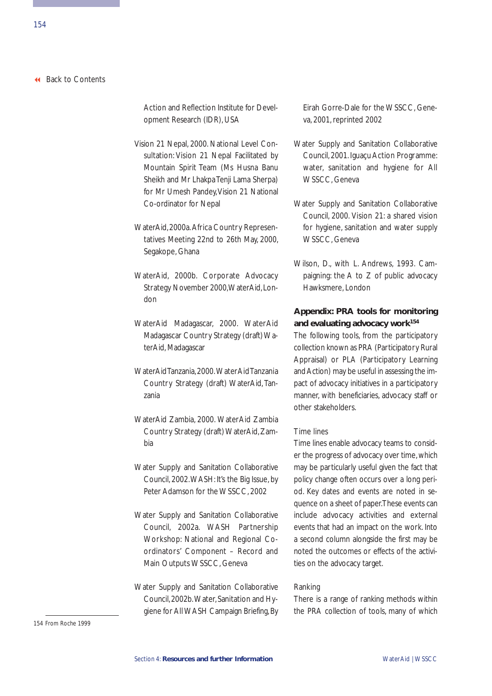Action and Reflection Institute for Development Research (IDR), USA

- Vision 21 Nepal, 2000. National Level Consultation: Vision 21 Nepal Facilitated by Mountain Spirit Team (Ms Husna Banu Sheikh and Mr Lhakpa Tenji Lama Sherpa) for Mr Umesh Pandey, Vision 21 National Co-ordinator for Nepal
- WaterAid, 2000a.Africa Country Representatives Meeting 22nd to 26th May, 2000, Segakope, Ghana
- WaterAid, 2000b. Corporate Advocacy Strategy November 2000, WaterAid, London
- WaterAid Madagascar, 2000. WaterAid Madagascar Country Strategy (draft) WaterAid, Madagascar
- WaterAid Tanzania,2000.WaterAid Tanzania Country Strategy (draft) WaterAid, Tanzania
- WaterAid Zambia, 2000. WaterAid Zambia Country Strategy (draft) WaterAid, Zambia
- Water Supply and Sanitation Collaborative Council, 2002.WASH: It's the Big Issue, by Peter Adamson for the WSSCC, 2002
- Water Supply and Sanitation Collaborative Council, 2002a. WASH Partnership Workshop: National and Regional Coordinators' Component – Record and Main Outputs WSSCC, Geneva
- Water Supply and Sanitation Collaborative Council,2002b.Water,Sanitation and Hygiene for AllWASH Campaign Briefing, By

Eirah Gorre-Dale for the WSSCC, Geneva, 2001, reprinted 2002

- Water Supply and Sanitation Collaborative Council, 2001. Iguaçu Action Programme: water, sanitation and hygiene for All WSSCC, Geneva
- Water Supply and Sanitation Collaborative Council, 2000. Vision 21: a shared vision for hygiene, sanitation and water supply WSSCC, Geneva
- Wilson, D., with L. Andrews, 1993. Campaigning: the A to Z of public advocacy Hawksmere, London

# **Appendix: PRA tools for monitoring and evaluating advocacy work154**

The following tools, from the participatory collection known as PRA (Participatory Rural Appraisal) or PLA (Participatory Learning and Action) may be useful in assessing the impact of advocacy initiatives in a participatory manner, with beneficiaries, advocacy staff or other stakeholders.

#### Time lines

Time lines enable advocacy teams to consider the progress of advocacy over time, which may be particularly useful given the fact that policy change often occurs over a long period. Key dates and events are noted in sequence on a sheet of paper.These events can include advocacy activities and external events that had an impact on the work. Into a second column alongside the first may be noted the outcomes or effects of the activities on the advocacy target.

#### Ranking

There is a range of ranking methods within the PRA collection of tools, many of which

154 From Roche 1999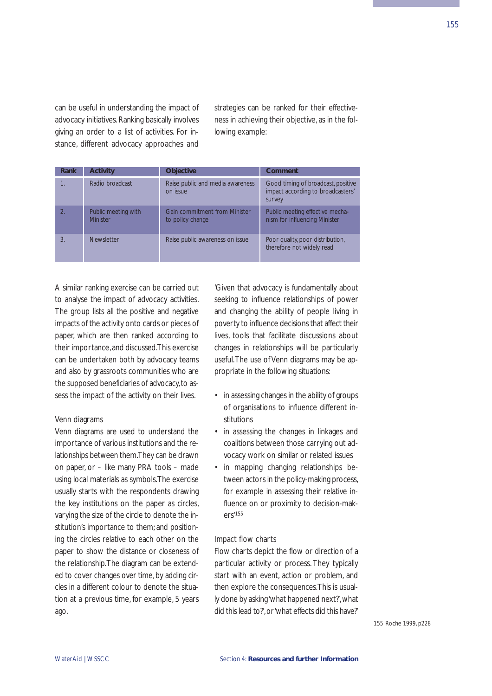can be useful in understanding the impact of advocacy initiatives. Ranking basically involves giving an order to a list of activities. For instance, different advocacy approaches and

strategies can be ranked for their effectiveness in achieving their objective, as in the following example:

| Rank | <b>Activity</b>                        | <b>Objective</b>                                         | Comment                                                                           |
|------|----------------------------------------|----------------------------------------------------------|-----------------------------------------------------------------------------------|
|      | Radio broadcast                        | Raise public and media awareness<br>on issue             | Good timing of broadcast, positive<br>impact according to broadcasters'<br>survey |
|      | Public meeting with<br><b>Minister</b> | <b>Gain commitment from Minister</b><br>to policy change | Public meeting effective mecha-<br>nism for influencing Minister                  |
|      | Newsletter                             | Raise public awareness on issue                          | Poor quality, poor distribution,<br>therefore not widely read                     |

A similar ranking exercise can be carried out to analyse the impact of advocacy activities. The group lists all the positive and negative impacts of the activity onto cards or pieces of paper, which are then ranked according to their importance,and discussed.This exercise can be undertaken both by advocacy teams and also by grassroots communities who are the supposed beneficiaries of advocacy, to assess the impact of the activity on their lives.

#### Venn diagrams

Venn diagrams are used to understand the importance of various institutions and the relationships between them.They can be drawn on paper, or – like many PRA tools – made using local materials as symbols.The exercise usually starts with the respondents drawing the key institutions on the paper as circles, varying the size of the circle to denote the institution's importance to them; and positioning the circles relative to each other on the paper to show the distance or closeness of the relationship.The diagram can be extended to cover changes over time, by adding circles in a different colour to denote the situation at a previous time, for example, 5 years ago.

'Given that advocacy is fundamentally about seeking to influence relationships of power and changing the ability of people living in poverty to influence decisions that affect their lives, tools that facilitate discussions about changes in relationships will be particularly useful.The use of Venn diagrams may be appropriate in the following situations:

- in assessing changes in the ability of groups of organisations to influence different institutions
- in assessing the changes in linkages and coalitions between those carrying out advocacy work on similar or related issues
- in mapping changing relationships between actors in the policy-making process, for example in assessing their relative influence on or proximity to decision-makers'155

#### Impact flow charts

Flow charts depict the flow or direction of a particular activity or process. They typically start with an event, action or problem, and then explore the consequences.This is usually done by asking 'what happened next?',what did this lead to?', or 'what effects did this have?'

155 Roche 1999, p228